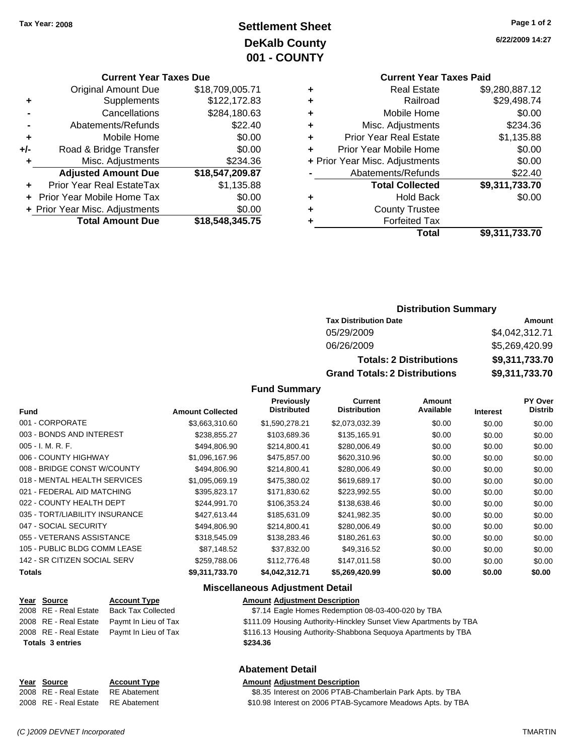# **Settlement Sheet Tax Year: 2008 Page 1 of 2 DeKalb County 001 - COUNTY**

#### **Current Year Taxes Due**

|       | <b>Original Amount Due</b>        | \$18,709,005.71 |
|-------|-----------------------------------|-----------------|
| ٠     | Supplements                       | \$122,172.83    |
|       | Cancellations                     | \$284,180.63    |
|       | Abatements/Refunds                | \$22.40         |
| ٠     | Mobile Home                       | \$0.00          |
| $+/-$ | Road & Bridge Transfer            | \$0.00          |
| ٠     | Misc. Adjustments                 | \$234.36        |
|       | <b>Adjusted Amount Due</b>        | \$18,547,209.87 |
|       | <b>Prior Year Real EstateTax</b>  | \$1,135.88      |
|       | <b>Prior Year Mobile Home Tax</b> | \$0.00          |
|       | + Prior Year Misc. Adjustments    | \$0.00          |
|       | <b>Total Amount Due</b>           | \$18,548,345.75 |

**6/22/2009 14:27**

# **Current Year Taxes Paid**

|   | Total                          | \$9,311,733.70 |
|---|--------------------------------|----------------|
|   | <b>Forfeited Tax</b>           |                |
| ÷ | <b>County Trustee</b>          |                |
| ٠ | <b>Hold Back</b>               | \$0.00         |
|   | <b>Total Collected</b>         | \$9,311,733.70 |
|   | Abatements/Refunds             | \$22.40        |
|   | + Prior Year Misc. Adjustments | \$0.00         |
| ÷ | Prior Year Mobile Home         | \$0.00         |
| ٠ | <b>Prior Year Real Estate</b>  | \$1,135.88     |
| ٠ | Misc. Adjustments              | \$234.36       |
| ٠ | Mobile Home                    | \$0.00         |
|   | Railroad                       | \$29,498.74    |
|   | <b>Real Estate</b>             | \$9,280,887.12 |

### **Distribution Summary**

| <b>Tax Distribution Date</b>         | Amount         |  |  |
|--------------------------------------|----------------|--|--|
| 05/29/2009                           | \$4,042,312.71 |  |  |
| 06/26/2009                           | \$5,269,420.99 |  |  |
| <b>Totals: 2 Distributions</b>       | \$9,311,733.70 |  |  |
| <b>Grand Totals: 2 Distributions</b> | \$9,311,733.70 |  |  |

#### **Fund Summary**

| <b>Fund</b>                    | <b>Amount Collected</b> | Previously<br><b>Distributed</b> | Current<br><b>Distribution</b> | Amount<br>Available | <b>Interest</b> | PY Over<br><b>Distrib</b> |
|--------------------------------|-------------------------|----------------------------------|--------------------------------|---------------------|-----------------|---------------------------|
| 001 - CORPORATE                |                         |                                  |                                |                     |                 |                           |
|                                | \$3,663,310.60          | \$1,590,278.21                   | \$2,073,032.39                 | \$0.00              | \$0.00          | \$0.00                    |
| 003 - BONDS AND INTEREST       | \$238,855.27            | \$103,689.36                     | \$135,165.91                   | \$0.00              | \$0.00          | \$0.00                    |
| $005 - I. M. R. F.$            | \$494,806.90            | \$214,800.41                     | \$280,006.49                   | \$0.00              | \$0.00          | \$0.00                    |
| 006 - COUNTY HIGHWAY           | \$1,096,167.96          | \$475,857.00                     | \$620,310.96                   | \$0.00              | \$0.00          | \$0.00                    |
| 008 - BRIDGE CONST W/COUNTY    | \$494,806.90            | \$214,800.41                     | \$280,006.49                   | \$0.00              | \$0.00          | \$0.00                    |
| 018 - MENTAL HEALTH SERVICES   | \$1,095,069.19          | \$475,380.02                     | \$619,689.17                   | \$0.00              | \$0.00          | \$0.00                    |
| 021 - FEDERAL AID MATCHING     | \$395,823.17            | \$171,830.62                     | \$223,992.55                   | \$0.00              | \$0.00          | \$0.00                    |
| 022 - COUNTY HEALTH DEPT       | \$244,991.70            | \$106,353.24                     | \$138,638.46                   | \$0.00              | \$0.00          | \$0.00                    |
| 035 - TORT/LIABILITY INSURANCE | \$427,613.44            | \$185,631.09                     | \$241,982.35                   | \$0.00              | \$0.00          | \$0.00                    |
| 047 - SOCIAL SECURITY          | \$494,806.90            | \$214,800.41                     | \$280,006.49                   | \$0.00              | \$0.00          | \$0.00                    |
| 055 - VETERANS ASSISTANCE      | \$318,545.09            | \$138,283.46                     | \$180,261.63                   | \$0.00              | \$0.00          | \$0.00                    |
| 105 - PUBLIC BLDG COMM LEASE   | \$87,148.52             | \$37,832.00                      | \$49,316.52                    | \$0.00              | \$0.00          | \$0.00                    |
| 142 - SR CITIZEN SOCIAL SERV   | \$259,788.06            | \$112,776.48                     | \$147,011.58                   | \$0.00              | \$0.00          | \$0.00                    |
| <b>Totals</b>                  | \$9,311,733.70          | \$4,042,312.71                   | \$5,269,420.99                 | \$0.00              | \$0.00          | \$0.00                    |

#### **Miscellaneous Adjustment Detail**

| Year Source             | <b>Account Type</b>       | <b>Amount Adjustment Description</b>                              |
|-------------------------|---------------------------|-------------------------------------------------------------------|
| 2008 RE - Real Estate   | <b>Back Tax Collected</b> | \$7.14 Eagle Homes Redemption 08-03-400-020 by TBA                |
| 2008 RE - Real Estate   | Paymt In Lieu of Tax      | \$111.09 Housing Authority-Hinckley Sunset View Apartments by TBA |
| 2008 RE - Real Estate   | Paymt In Lieu of Tax      | \$116.13 Housing Authority-Shabbona Seguoya Apartments by TBA     |
| <b>Totals 3 entries</b> |                           | \$234.36                                                          |
|                         |                           |                                                                   |

### **Abatement Detail**

### **Year Source Account Type Amount Adjustment Description**

2008 RE - Real Estate RE Abatement \$8.35 Interest on 2006 PTAB-Chamberlain Park Apts. by TBA 2008 RE - Real Estate RE Abatement **\$10.98** Interest on 2006 PTAB-Sycamore Meadows Apts. by TBA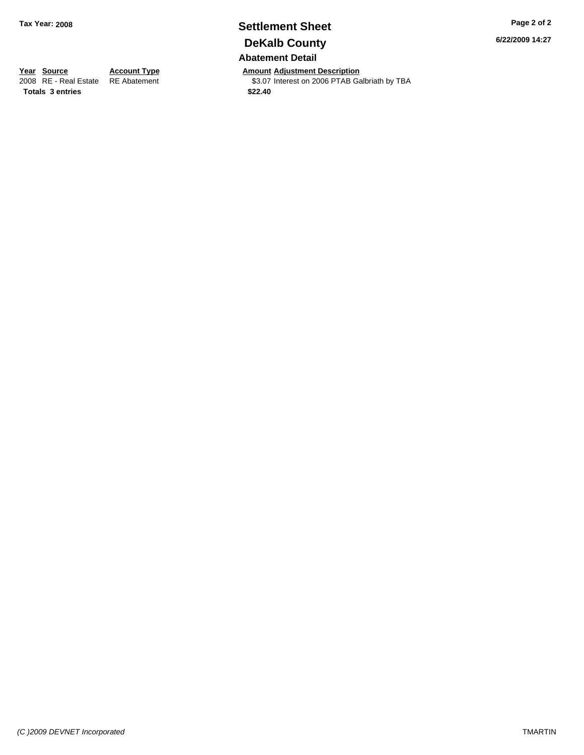# **Settlement Sheet Tax Year: 2008 Page 2 of 2 DeKalb County Abatement Detail**

**Year Source Account Type Amount Adjustment Description**<br>2008 RE - Real Estate RE Abatement **Adjustment** \$3.07 Interest on 2006 PTAB Ga \$3.07 Interest on 2006 PTAB Galbriath by TBA

**6/22/2009 14:27**

**Totals \$22.40 3 entries**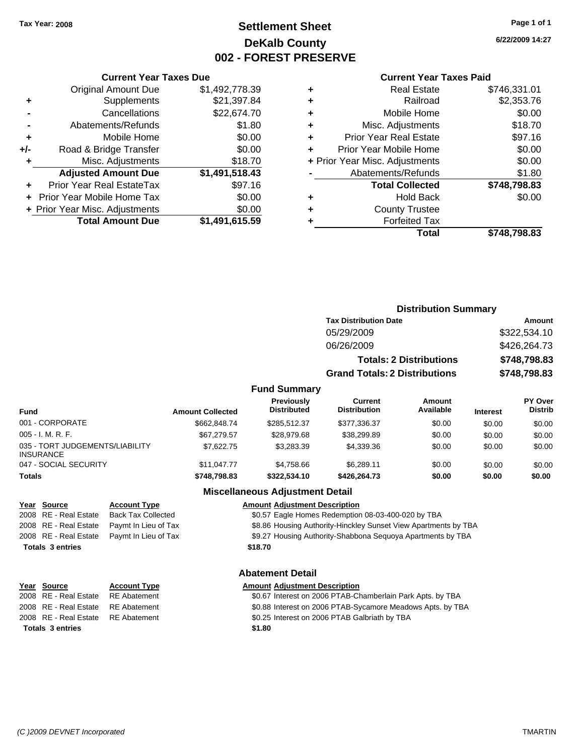# **Settlement Sheet Tax Year: 2008 Page 1 of 1 DeKalb County 002 - FOREST PRESERVE**

**6/22/2009 14:27**

#### **Current Year Taxes Paid**

|     | <b>Total Amount Due</b>        | \$1,491,615.59 |
|-----|--------------------------------|----------------|
|     | + Prior Year Misc. Adjustments | \$0.00         |
|     | Prior Year Mobile Home Tax     | \$0.00         |
| ÷   | Prior Year Real EstateTax      | \$97.16        |
|     | <b>Adjusted Amount Due</b>     | \$1,491,518.43 |
| ٠   | Misc. Adjustments              | \$18.70        |
| +/- | Road & Bridge Transfer         | \$0.00         |
| ٠   | Mobile Home                    | \$0.00         |
|     | Abatements/Refunds             | \$1.80         |
|     | Cancellations                  | \$22,674.70    |
| ٠   | Supplements                    | \$21,397.84    |
|     | <b>Original Amount Due</b>     | \$1,492,778.39 |
|     |                                |                |

**Current Year Taxes Due**

|   | <b>Real Estate</b>             | \$746,331.01 |
|---|--------------------------------|--------------|
| ٠ | Railroad                       | \$2,353.76   |
| ٠ | Mobile Home                    | \$0.00       |
| ÷ | Misc. Adjustments              | \$18.70      |
| ٠ | <b>Prior Year Real Estate</b>  | \$97.16      |
|   | Prior Year Mobile Home         | \$0.00       |
|   | + Prior Year Misc. Adjustments | \$0.00       |
|   | Abatements/Refunds             | \$1.80       |
|   | <b>Total Collected</b>         | \$748,798.83 |
| ٠ | <b>Hold Back</b>               | \$0.00       |
| ٠ | <b>County Trustee</b>          |              |
|   | <b>Forfeited Tax</b>           |              |
|   | <b>Total</b>                   | \$748,798.83 |
|   |                                |              |

|                                                     |                         |                                  |                                      | <b>Distribution Summary</b>    |                 |                           |
|-----------------------------------------------------|-------------------------|----------------------------------|--------------------------------------|--------------------------------|-----------------|---------------------------|
|                                                     |                         |                                  | <b>Tax Distribution Date</b>         |                                |                 | <b>Amount</b>             |
|                                                     |                         |                                  | 05/29/2009                           |                                |                 | \$322,534.10              |
|                                                     |                         |                                  | 06/26/2009                           |                                |                 | \$426,264.73              |
|                                                     |                         |                                  |                                      | <b>Totals: 2 Distributions</b> |                 | \$748,798.83              |
|                                                     |                         |                                  | <b>Grand Totals: 2 Distributions</b> |                                |                 | \$748,798.83              |
|                                                     |                         | <b>Fund Summary</b>              |                                      |                                |                 |                           |
| <b>Fund</b>                                         | <b>Amount Collected</b> | Previously<br><b>Distributed</b> | Current<br>Distribution              | Amount<br>Available            | <b>Interest</b> | PY Over<br><b>Distrib</b> |
| 001 - CORPORATE                                     | \$662,848,74            | \$285,512.37                     | \$377,336.37                         | \$0.00                         | \$0.00          | \$0.00                    |
| $005 - I. M. R. F.$                                 | \$67.279.57             | \$28,979.68                      | \$38,299.89                          | \$0.00                         | \$0.00          | \$0.00                    |
| 035 - TORT JUDGEMENTS/LIABILITY<br><b>INSURANCE</b> | \$7,622.75              | \$3,283.39                       | \$4,339.36                           | \$0.00                         | \$0.00          | \$0.00                    |
| 047 - SOCIAL SECURITY                               | \$11,047.77             | \$4,758.66                       | \$6,289.11                           | \$0.00                         | \$0.00          | \$0.00                    |
| <b>Totals</b>                                       | \$748,798.83            | \$322,534.10                     | \$426,264.73                         | \$0.00                         | \$0.00          | \$0.00                    |

#### **Miscellaneous Adjustment Detail**

#### **Year Source Account Type Amount Adjustment Description** 2008 RE - Real Estate Back Tax Collected \$0.57 Eagle Homes Redemption 08-03-400-020 by TBA 2008 RE - Real Estate Paymt In Lieu of Tax **\$8.86 Housing Authority-Hinckley Sunset View Apartments by TBA** 2008 RE - Real Estate Paymt In Lieu of Tax \$9.27 Housing Authority-Shabbona Sequoya Apartments by TBA

**Totals \$18.70 3 entries**

### **Abatement Detail**

# **Year Source Account Type Amount Adjustment Description**

| \$1.80                                                     |
|------------------------------------------------------------|
| \$0.25 Interest on 2006 PTAB Galbriath by TBA              |
| \$0.88 Interest on 2006 PTAB-Sycamore Meadows Apts. by TBA |
| \$0.67 Interest on 2006 PTAB-Chamberlain Park Apts. by TBA |

2008 RE - Real Estate RE Abatement 2008 RE - Real Estate RE Abatement 2008 RE - Real Estate RE Abatement **Totals 3 entries**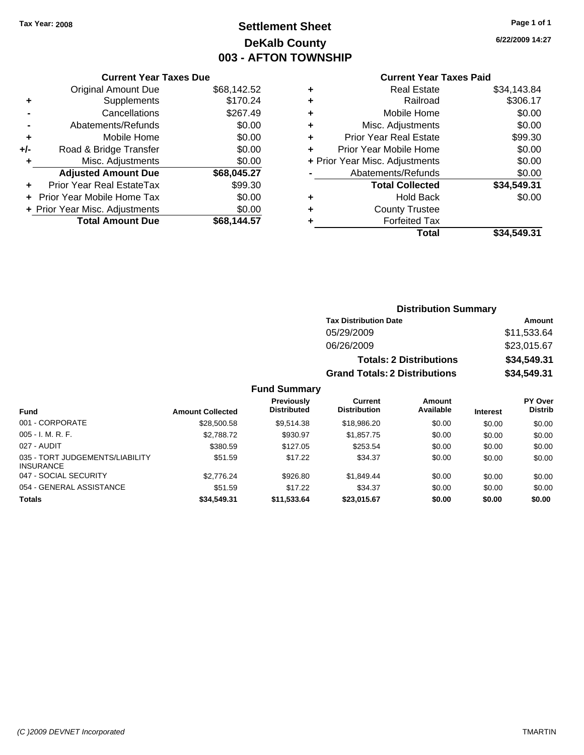# **Settlement Sheet Tax Year: 2008 Page 1 of 1 DeKalb County 003 - AFTON TOWNSHIP**

**6/22/2009 14:27**

#### **Current Year Taxes Paid**

|   | Total                          | \$34.549.31 |
|---|--------------------------------|-------------|
| ٠ | <b>Forfeited Tax</b>           |             |
| ٠ | <b>County Trustee</b>          |             |
| ٠ | <b>Hold Back</b>               | \$0.00      |
|   | <b>Total Collected</b>         | \$34,549.31 |
|   | Abatements/Refunds             | \$0.00      |
|   | + Prior Year Misc. Adjustments | \$0.00      |
| ÷ | Prior Year Mobile Home         | \$0.00      |
| ٠ | <b>Prior Year Real Estate</b>  | \$99.30     |
| ٠ | Misc. Adjustments              | \$0.00      |
| ٠ | Mobile Home                    | \$0.00      |
| ٠ | Railroad                       | \$306.17    |
| ٠ | <b>Real Estate</b>             | \$34,143.84 |

|     | <b>Current Year Taxes Due</b>     |             |
|-----|-----------------------------------|-------------|
|     | <b>Original Amount Due</b>        | \$68,142.52 |
| ٠   | Supplements                       | \$170.24    |
|     | Cancellations                     | \$267.49    |
|     | Abatements/Refunds                | \$0.00      |
| ÷   | Mobile Home                       | \$0.00      |
| +/- | Road & Bridge Transfer            | \$0.00      |
| ٠   | Misc. Adjustments                 | \$0.00      |
|     | <b>Adjusted Amount Due</b>        | \$68,045.27 |
|     | Prior Year Real EstateTax         | \$99.30     |
|     | <b>Prior Year Mobile Home Tax</b> | \$0.00      |
|     | + Prior Year Misc. Adjustments    | \$0.00      |
|     | <b>Total Amount Due</b>           | \$68,144.57 |

## **Distribution Summary**

| <b>Tax Distribution Date</b>         | Amount      |  |  |
|--------------------------------------|-------------|--|--|
| 05/29/2009                           | \$11.533.64 |  |  |
| 06/26/2009                           | \$23,015.67 |  |  |
| <b>Totals: 2 Distributions</b>       | \$34,549.31 |  |  |
| <b>Grand Totals: 2 Distributions</b> | \$34,549.31 |  |  |

## **Fund Summary**

| Fund                                                | <b>Amount Collected</b> | Previously<br><b>Distributed</b> | Current<br><b>Distribution</b> | Amount<br>Available | <b>Interest</b> | PY Over<br><b>Distrib</b> |
|-----------------------------------------------------|-------------------------|----------------------------------|--------------------------------|---------------------|-----------------|---------------------------|
| 001 - CORPORATE                                     | \$28,500.58             | \$9.514.38                       | \$18,986.20                    | \$0.00              | \$0.00          | \$0.00                    |
| $005 - I. M. R. F.$                                 | \$2,788.72              | \$930.97                         | \$1,857.75                     | \$0.00              | \$0.00          | \$0.00                    |
| 027 - AUDIT                                         | \$380.59                | \$127.05                         | \$253.54                       | \$0.00              | \$0.00          | \$0.00                    |
| 035 - TORT JUDGEMENTS/LIABILITY<br><b>INSURANCE</b> | \$51.59                 | \$17.22                          | \$34.37                        | \$0.00              | \$0.00          | \$0.00                    |
| 047 - SOCIAL SECURITY                               | \$2,776.24              | \$926.80                         | \$1.849.44                     | \$0.00              | \$0.00          | \$0.00                    |
| 054 - GENERAL ASSISTANCE                            | \$51.59                 | \$17.22                          | \$34.37                        | \$0.00              | \$0.00          | \$0.00                    |
| <b>Totals</b>                                       | \$34,549.31             | \$11,533.64                      | \$23,015.67                    | \$0.00              | \$0.00          | \$0.00                    |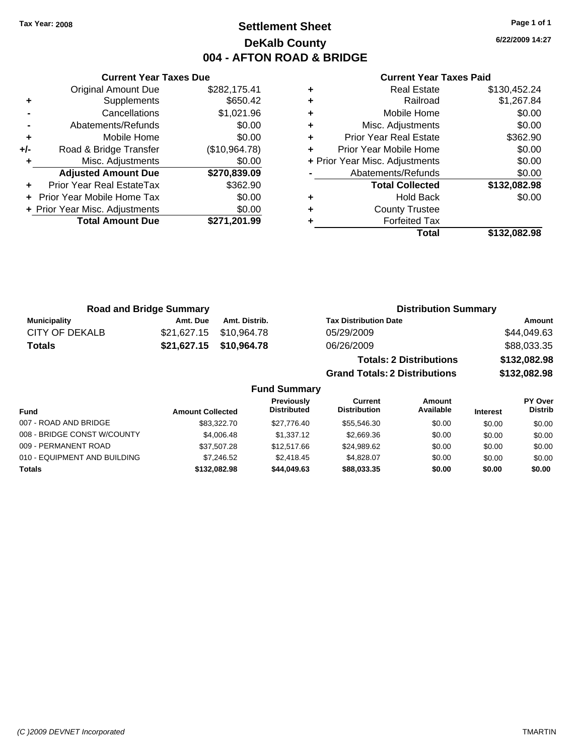# **Settlement Sheet Tax Year: 2008 Page 1 of 1 DeKalb County 004 - AFTON ROAD & BRIDGE**

**6/22/2009 14:27**

|     | <b>Current Year Taxes Due</b>  |               |
|-----|--------------------------------|---------------|
|     | <b>Original Amount Due</b>     | \$282,175.41  |
| ٠   | Supplements                    | \$650.42      |
|     | Cancellations                  | \$1,021.96    |
|     | Abatements/Refunds             | \$0.00        |
| ٠   | Mobile Home                    | \$0.00        |
| +/- | Road & Bridge Transfer         | (\$10,964.78) |
| ٠   | Misc. Adjustments              | \$0.00        |
|     | <b>Adjusted Amount Due</b>     | \$270,839.09  |
|     | Prior Year Real EstateTax      | \$362.90      |
|     | Prior Year Mobile Home Tax     | \$0.00        |
|     | + Prior Year Misc. Adjustments | \$0.00        |
|     | <b>Total Amount Due</b>        | \$271,201.99  |
|     |                                |               |

|   | <b>Real Estate</b>             | \$130,452.24 |
|---|--------------------------------|--------------|
| ٠ | Railroad                       | \$1,267.84   |
| ٠ | Mobile Home                    | \$0.00       |
| ٠ | Misc. Adjustments              | \$0.00       |
| ٠ | <b>Prior Year Real Estate</b>  | \$362.90     |
| ٠ | Prior Year Mobile Home         | \$0.00       |
|   | + Prior Year Misc. Adjustments | \$0.00       |
|   | Abatements/Refunds             | \$0.00       |
|   | <b>Total Collected</b>         | \$132,082.98 |
| ٠ | <b>Hold Back</b>               | \$0.00       |
| ٠ | <b>County Trustee</b>          |              |
|   | <b>Forfeited Tax</b>           |              |
|   | Total                          | \$132,082.98 |

|                | <b>Road and Bridge Summary</b> |                         | <b>Distribution Summary</b>          |              |
|----------------|--------------------------------|-------------------------|--------------------------------------|--------------|
| Municipality   | Amt. Due                       | Amt. Distrib.           | <b>Tax Distribution Date</b>         | Amount       |
| CITY OF DEKALB |                                | \$21,627.15 \$10,964.78 | 05/29/2009                           | \$44,049.63  |
| <b>Totals</b>  |                                | \$21,627.15 \$10,964.78 | 06/26/2009                           | \$88,033.35  |
|                |                                |                         | <b>Totals: 2 Distributions</b>       | \$132,082.98 |
|                |                                |                         | <b>Grand Totals: 2 Distributions</b> | \$132,082.98 |

|                              |                         | <b>Fund Summary</b>                     |                                |                     |                 |                           |
|------------------------------|-------------------------|-----------------------------------------|--------------------------------|---------------------|-----------------|---------------------------|
| <b>Fund</b>                  | <b>Amount Collected</b> | <b>Previously</b><br><b>Distributed</b> | Current<br><b>Distribution</b> | Amount<br>Available | <b>Interest</b> | PY Over<br><b>Distrib</b> |
| 007 - ROAD AND BRIDGE        | \$83,322,70             | \$27.776.40                             | \$55,546.30                    | \$0.00              | \$0.00          | \$0.00                    |
| 008 - BRIDGE CONST W/COUNTY  | \$4,006.48              | \$1,337.12                              | \$2,669.36                     | \$0.00              | \$0.00          | \$0.00                    |
| 009 - PERMANENT ROAD         | \$37,507.28             | \$12,517.66                             | \$24,989.62                    | \$0.00              | \$0.00          | \$0.00                    |
| 010 - EQUIPMENT AND BUILDING | \$7.246.52              | \$2,418.45                              | \$4.828.07                     | \$0.00              | \$0.00          | \$0.00                    |
| <b>Totals</b>                | \$132.082.98            | \$44,049,63                             | \$88,033,35                    | \$0.00              | \$0.00          | \$0.00                    |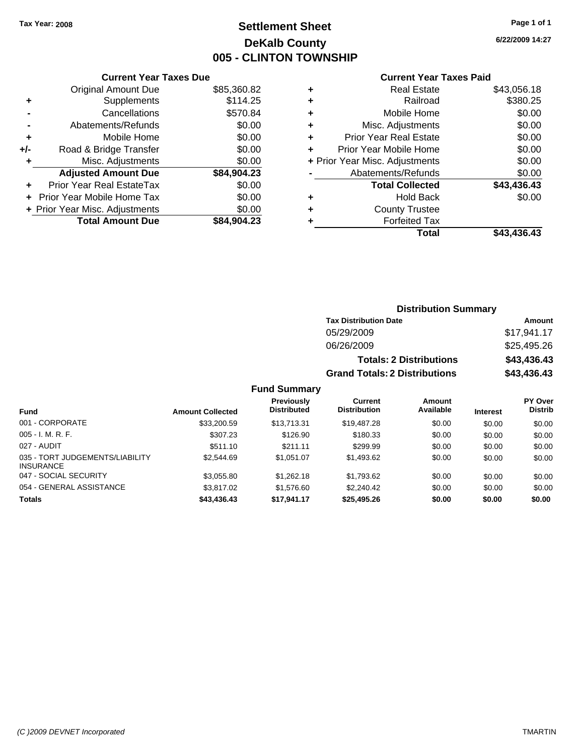# **Settlement Sheet Tax Year: 2008 Page 1 of 1 DeKalb County 005 - CLINTON TOWNSHIP**

**6/22/2009 14:27**

#### **Current Year Taxes Paid**

|     | <b>Current Year Taxes Due</b>  |             |
|-----|--------------------------------|-------------|
|     | <b>Original Amount Due</b>     | \$85,360.82 |
| ٠   | Supplements                    | \$114.25    |
|     | Cancellations                  | \$570.84    |
|     | Abatements/Refunds             | \$0.00      |
| ٠   | Mobile Home                    | \$0.00      |
| +/- | Road & Bridge Transfer         | \$0.00      |
| ٠   | Misc. Adjustments              | \$0.00      |
|     | <b>Adjusted Amount Due</b>     | \$84,904.23 |
| ٠   | Prior Year Real EstateTax      | \$0.00      |
|     | Prior Year Mobile Home Tax     | \$0.00      |
|     | + Prior Year Misc. Adjustments | \$0.00      |
|     | <b>Total Amount Due</b>        | \$84.904.23 |
|     |                                |             |

| ٠ | <b>Real Estate</b>             | \$43,056.18 |
|---|--------------------------------|-------------|
| ٠ | Railroad                       | \$380.25    |
| ٠ | Mobile Home                    | \$0.00      |
| ٠ | Misc. Adjustments              | \$0.00      |
| ٠ | <b>Prior Year Real Estate</b>  | \$0.00      |
| ÷ | Prior Year Mobile Home         | \$0.00      |
|   | + Prior Year Misc. Adjustments | \$0.00      |
|   | Abatements/Refunds             | \$0.00      |
|   | <b>Total Collected</b>         | \$43,436.43 |
| ٠ | <b>Hold Back</b>               | \$0.00      |
| ٠ | <b>County Trustee</b>          |             |
| ٠ | <b>Forfeited Tax</b>           |             |
|   | Total                          | \$43,436.43 |
|   |                                |             |

# **Distribution Summary Tax Distribution Date Amount** 05/29/2009 \$17,941.17 06/26/2009 \$25,495.26 **Totals: 2 Distributions \$43,436.43 Grand Totals: 2 Distributions \$43,436.43**

### **Fund Summary**

|                                                     |                         | Previously<br><b>Distributed</b> | Current<br><b>Distribution</b> | <b>Amount</b><br>Available |                 | PY Over<br><b>Distrib</b> |
|-----------------------------------------------------|-------------------------|----------------------------------|--------------------------------|----------------------------|-----------------|---------------------------|
| <b>Fund</b>                                         | <b>Amount Collected</b> |                                  |                                |                            | <b>Interest</b> |                           |
| 001 - CORPORATE                                     | \$33,200.59             | \$13,713.31                      | \$19,487.28                    | \$0.00                     | \$0.00          | \$0.00                    |
| $005 - I. M. R. F.$                                 | \$307.23                | \$126.90                         | \$180.33                       | \$0.00                     | \$0.00          | \$0.00                    |
| 027 - AUDIT                                         | \$511.10                | \$211.11                         | \$299.99                       | \$0.00                     | \$0.00          | \$0.00                    |
| 035 - TORT JUDGEMENTS/LIABILITY<br><b>INSURANCE</b> | \$2,544.69              | \$1.051.07                       | \$1,493.62                     | \$0.00                     | \$0.00          | \$0.00                    |
| 047 - SOCIAL SECURITY                               | \$3,055.80              | \$1,262.18                       | \$1,793.62                     | \$0.00                     | \$0.00          | \$0.00                    |
| 054 - GENERAL ASSISTANCE                            | \$3,817.02              | \$1,576.60                       | \$2,240.42                     | \$0.00                     | \$0.00          | \$0.00                    |
| <b>Totals</b>                                       | \$43,436.43             | \$17,941.17                      | \$25,495.26                    | \$0.00                     | \$0.00          | \$0.00                    |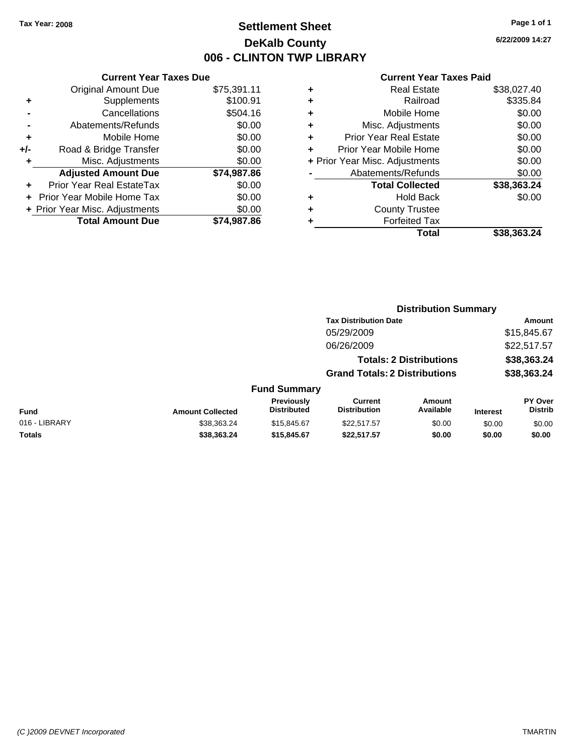# **Settlement Sheet Tax Year: 2008 Page 1 of 1 DeKalb County 006 - CLINTON TWP LIBRARY**

### **Current Year Taxes Due** Original Amount Due \$75,391.11 **+** Supplements \$100.91 **-** Cancellations \$504.16 **-** Abatements/Refunds \$0.00 **+** Mobile Home \$0.00 **+/-** Road & Bridge Transfer \$0.00 **+** Misc. Adjustments \$0.00 **Adjusted Amount Due \$74,987.86 +** Prior Year Real EstateTax \$0.00 **+** Prior Year Mobile Home Tax \$0.00 **+ Prior Year Misc. Adjustments**  $$0.00$ **Total Amount Due \$74,987.86**

#### **Current Year Taxes Paid**

| ٠ | <b>Real Estate</b>             | \$38,027.40 |
|---|--------------------------------|-------------|
| ٠ | Railroad                       | \$335.84    |
| ٠ | Mobile Home                    | \$0.00      |
| ٠ | Misc. Adjustments              | \$0.00      |
| ٠ | Prior Year Real Estate         | \$0.00      |
| ÷ | Prior Year Mobile Home         | \$0.00      |
|   | + Prior Year Misc. Adjustments | \$0.00      |
|   | Abatements/Refunds             | \$0.00      |
|   | <b>Total Collected</b>         | \$38,363.24 |
| ٠ | <b>Hold Back</b>               | \$0.00      |
| ٠ | <b>County Trustee</b>          |             |
| ٠ | <b>Forfeited Tax</b>           |             |
|   | Total                          | \$38,363.24 |
|   |                                |             |

**Distribution Summary**

|               |                         |                                  | <b>Tax Distribution Date</b>          |                                |                 | Amount                           |
|---------------|-------------------------|----------------------------------|---------------------------------------|--------------------------------|-----------------|----------------------------------|
|               |                         |                                  | 05/29/2009                            |                                |                 | \$15,845.67                      |
|               |                         |                                  | 06/26/2009                            |                                |                 | \$22,517.57                      |
|               |                         |                                  |                                       | <b>Totals: 2 Distributions</b> |                 | \$38,363.24                      |
|               |                         |                                  | <b>Grand Totals: 2 Distributions</b>  |                                |                 | \$38,363.24                      |
|               |                         | <b>Fund Summary</b>              |                                       |                                |                 |                                  |
| Fund          | <b>Amount Collected</b> | Previously<br><b>Distributed</b> | <b>Current</b><br><b>Distribution</b> | <b>Amount</b><br>Available     | <b>Interest</b> | <b>PY Over</b><br><b>Distrib</b> |
| 016 - LIBRARY | \$38,363.24             | \$15,845.67                      | \$22,517.57                           | \$0.00                         | \$0.00          | \$0.00                           |
| Totals        | \$38,363.24             | \$15,845.67                      | \$22.517.57                           | \$0.00                         | \$0.00          | \$0.00                           |
|               |                         |                                  |                                       |                                |                 |                                  |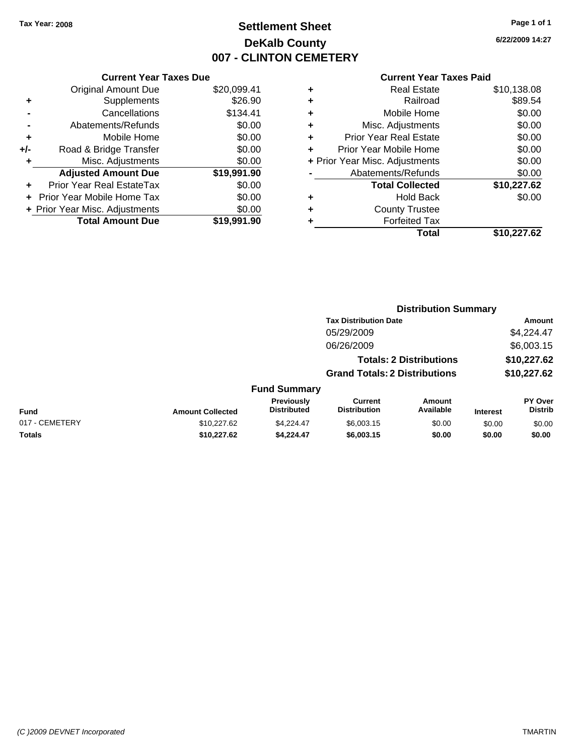# **Settlement Sheet Tax Year: 2008 Page 1 of 1 DeKalb County 007 - CLINTON CEMETERY**

**6/22/2009 14:27**

|     | <b>Current Year Taxes Due</b>  |             |
|-----|--------------------------------|-------------|
|     | Original Amount Due            | \$20,099.41 |
| ٠   | Supplements                    | \$26.90     |
|     | Cancellations                  | \$134.41    |
|     | Abatements/Refunds             | \$0.00      |
| ÷   | Mobile Home                    | \$0.00      |
| +/- | Road & Bridge Transfer         | \$0.00      |
| ٠   | Misc. Adjustments              | \$0.00      |
|     | <b>Adjusted Amount Due</b>     | \$19,991.90 |
|     | Prior Year Real EstateTax      | \$0.00      |
|     | Prior Year Mobile Home Tax     | \$0.00      |
|     | + Prior Year Misc. Adjustments | \$0.00      |
|     | <b>Total Amount Due</b>        | \$19,991.90 |
|     |                                |             |

| ٠ | <b>Real Estate</b>             | \$10,138.08 |
|---|--------------------------------|-------------|
| ٠ | Railroad                       | \$89.54     |
| ٠ | Mobile Home                    | \$0.00      |
| ٠ | Misc. Adjustments              | \$0.00      |
| ٠ | <b>Prior Year Real Estate</b>  | \$0.00      |
| ٠ | Prior Year Mobile Home         | \$0.00      |
|   | + Prior Year Misc. Adjustments | \$0.00      |
|   | Abatements/Refunds             | \$0.00      |
|   | <b>Total Collected</b>         | \$10,227.62 |
| ٠ | <b>Hold Back</b>               | \$0.00      |
| ٠ | <b>County Trustee</b>          |             |
| ٠ | <b>Forfeited Tax</b>           |             |
|   | Total                          | \$10,227.62 |

|                |                         |                                  | <b>Distribution Summary</b>           |                                |                 |                           |
|----------------|-------------------------|----------------------------------|---------------------------------------|--------------------------------|-----------------|---------------------------|
|                |                         |                                  | <b>Tax Distribution Date</b>          |                                |                 | Amount                    |
|                |                         |                                  | 05/29/2009                            |                                |                 | \$4,224.47                |
|                |                         |                                  | 06/26/2009                            |                                |                 | \$6,003.15                |
|                |                         |                                  |                                       | <b>Totals: 2 Distributions</b> |                 | \$10,227.62               |
|                |                         |                                  | <b>Grand Totals: 2 Distributions</b>  |                                |                 | \$10,227.62               |
|                |                         | <b>Fund Summary</b>              |                                       |                                |                 |                           |
| Fund           | <b>Amount Collected</b> | Previously<br><b>Distributed</b> | <b>Current</b><br><b>Distribution</b> | <b>Amount</b><br>Available     | <b>Interest</b> | PY Over<br><b>Distrib</b> |
| 017 - CEMETERY | \$10,227.62             | \$4.224.47                       | \$6,003.15                            | \$0.00                         | \$0.00          | \$0.00                    |
| Totals         | \$10,227.62             | \$4,224.47                       | \$6,003.15                            | \$0.00                         | \$0.00          | \$0.00                    |
|                |                         |                                  |                                       |                                |                 |                           |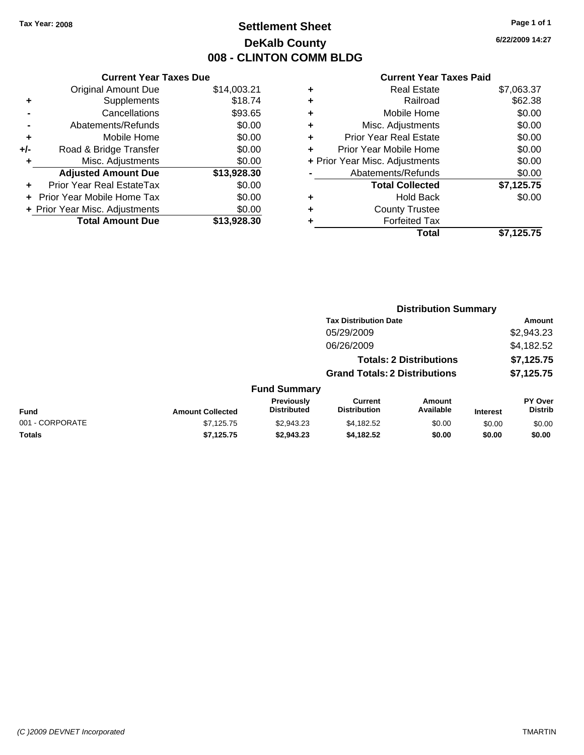# **Settlement Sheet Tax Year: 2008 Page 1 of 1 DeKalb County 008 - CLINTON COMM BLDG**

**6/22/2009 14:27**

|     | <b>Current Year Taxes Due</b>  |             |
|-----|--------------------------------|-------------|
|     | <b>Original Amount Due</b>     | \$14,003.21 |
| ٠   | Supplements                    | \$18.74     |
|     | Cancellations                  | \$93.65     |
|     | Abatements/Refunds             | \$0.00      |
| ٠   | Mobile Home                    | \$0.00      |
| +/- | Road & Bridge Transfer         | \$0.00      |
| ٠   | Misc. Adjustments              | \$0.00      |
|     | <b>Adjusted Amount Due</b>     | \$13,928.30 |
| ÷   | Prior Year Real EstateTax      | \$0.00      |
|     | Prior Year Mobile Home Tax     | \$0.00      |
|     | + Prior Year Misc. Adjustments | \$0.00      |
|     | <b>Total Amount Due</b>        | \$13,928.30 |
|     |                                |             |

| ٠ | <b>Real Estate</b>             | \$7,063.37 |
|---|--------------------------------|------------|
| ٠ | Railroad                       | \$62.38    |
| ٠ | Mobile Home                    | \$0.00     |
| ٠ | Misc. Adjustments              | \$0.00     |
| ٠ | Prior Year Real Estate         | \$0.00     |
|   | Prior Year Mobile Home         | \$0.00     |
|   | + Prior Year Misc. Adjustments | \$0.00     |
|   | Abatements/Refunds             | \$0.00     |
|   | <b>Total Collected</b>         | \$7,125.75 |
| ٠ | <b>Hold Back</b>               | \$0.00     |
| ٠ | <b>County Trustee</b>          |            |
| ٠ | <b>Forfeited Tax</b>           |            |
|   | Total                          | \$7,125.75 |
|   |                                |            |

|                 |                         |                                  | <b>Distribution Summary</b>           |                                |                 |                                  |
|-----------------|-------------------------|----------------------------------|---------------------------------------|--------------------------------|-----------------|----------------------------------|
|                 |                         |                                  | <b>Tax Distribution Date</b>          |                                |                 | Amount                           |
|                 |                         |                                  | 05/29/2009                            |                                |                 | \$2,943.23                       |
|                 |                         |                                  | 06/26/2009                            |                                |                 | \$4,182.52                       |
|                 |                         |                                  |                                       | <b>Totals: 2 Distributions</b> |                 | \$7,125.75                       |
|                 |                         |                                  | <b>Grand Totals: 2 Distributions</b>  |                                |                 | \$7,125.75                       |
|                 |                         | <b>Fund Summary</b>              |                                       |                                |                 |                                  |
| Fund            | <b>Amount Collected</b> | Previously<br><b>Distributed</b> | <b>Current</b><br><b>Distribution</b> | Amount<br>Available            | <b>Interest</b> | <b>PY Over</b><br><b>Distrib</b> |
| 001 - CORPORATE | \$7,125.75              | \$2,943.23                       | \$4,182.52                            | \$0.00                         | \$0.00          | \$0.00                           |
| Totals          | \$7,125.75              | \$2,943.23                       | \$4,182.52                            | \$0.00                         | \$0.00          | \$0.00                           |
|                 |                         |                                  |                                       |                                |                 |                                  |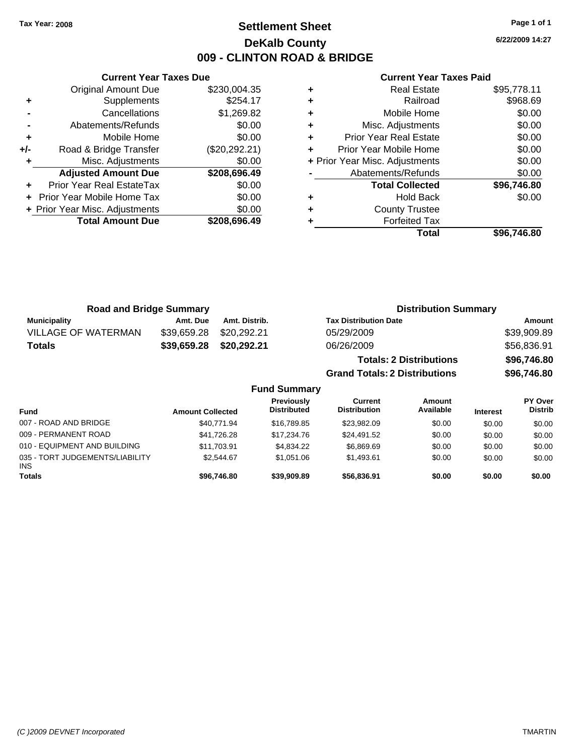**Current Year Taxes Due** Original Amount Due \$230,004.35

**Adjusted Amount Due \$208,696.49**

**Total Amount Due \$208,696.49**

**+** Supplements \$254.17 **-** Cancellations \$1,269.82 **-** Abatements/Refunds \$0.00 **+** Mobile Home \$0.00 **+/-** Road & Bridge Transfer (\$20,292.21) **+** Misc. Adjustments \$0.00

**+** Prior Year Real EstateTax \$0.00 **+** Prior Year Mobile Home Tax \$0.00 **+ Prior Year Misc. Adjustments**  $$0.00$ 

# **Settlement Sheet Tax Year: 2008 Page 1 of 1 DeKalb County 009 - CLINTON ROAD & BRIDGE**

**6/22/2009 14:27**

| Total                          | \$96.746.80 |
|--------------------------------|-------------|
| <b>Forfeited Tax</b>           |             |
| <b>County Trustee</b>          |             |
| <b>Hold Back</b>               | \$0.00      |
| <b>Total Collected</b>         | \$96,746.80 |
| Abatements/Refunds             | \$0.00      |
| + Prior Year Misc. Adjustments | \$0.00      |
| Prior Year Mobile Home         | \$0.00      |
| <b>Prior Year Real Estate</b>  | \$0.00      |
| Misc. Adjustments              | \$0.00      |
| Mobile Home                    | \$0.00      |
| Railroad                       | \$968.69    |
| <b>Real Estate</b>             | \$95,778.11 |
|                                |             |

| <b>Road and Bridge Summary</b> |             |                     | <b>Distribution Summary</b>          |             |
|--------------------------------|-------------|---------------------|--------------------------------------|-------------|
| <b>Municipality</b>            | Amt. Due    | Amt. Distrib.       | <b>Tax Distribution Date</b>         | Amount      |
| <b>VILLAGE OF WATERMAN</b>     | \$39,659.28 | \$20,292.21         | 05/29/2009                           | \$39,909.89 |
| <b>Totals</b>                  | \$39,659.28 | \$20,292.21         | 06/26/2009                           | \$56,836.91 |
|                                |             |                     | <b>Totals: 2 Distributions</b>       | \$96,746.80 |
|                                |             |                     | <b>Grand Totals: 2 Distributions</b> | \$96,746.80 |
|                                |             | <b>Fund Summary</b> |                                      |             |

| <b>Fund</b>                                   | <b>Amount Collected</b> | <b>Previously</b><br><b>Distributed</b> | Current<br><b>Distribution</b> | Amount<br>Available | <b>Interest</b> | PY Over<br><b>Distrib</b> |
|-----------------------------------------------|-------------------------|-----------------------------------------|--------------------------------|---------------------|-----------------|---------------------------|
| 007 - ROAD AND BRIDGE                         | \$40.771.94             | \$16,789.85                             | \$23,982.09                    | \$0.00              | \$0.00          | \$0.00                    |
| 009 - PERMANENT ROAD                          | \$41,726.28             | \$17.234.76                             | \$24.491.52                    | \$0.00              | \$0.00          | \$0.00                    |
| 010 - EQUIPMENT AND BUILDING                  | \$11,703.91             | \$4,834,22                              | \$6,869.69                     | \$0.00              | \$0.00          | \$0.00                    |
| 035 - TORT JUDGEMENTS/LIABILITY<br><b>INS</b> | \$2.544.67              | \$1.051.06                              | \$1.493.61                     | \$0.00              | \$0.00          | \$0.00                    |
| <b>Totals</b>                                 | \$96.746.80             | \$39,909.89                             | \$56,836,91                    | \$0.00              | \$0.00          | \$0.00                    |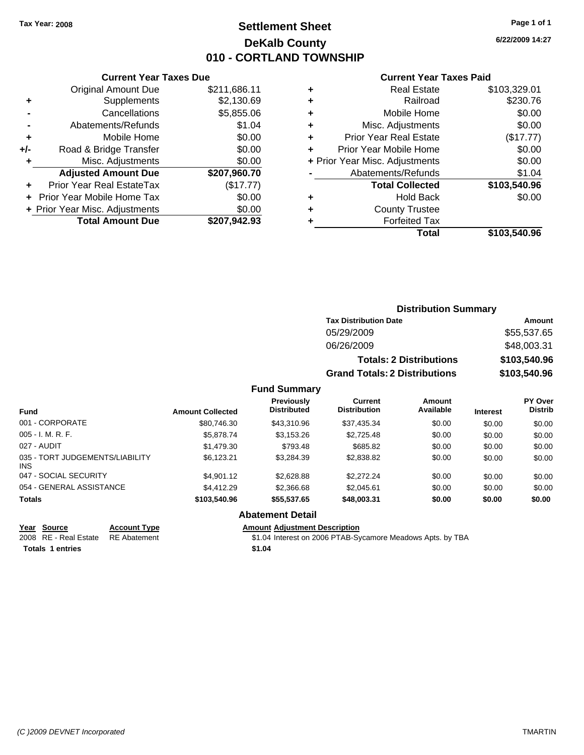# **Settlement Sheet Tax Year: 2008 Page 1 of 1 DeKalb County 010 - CORTLAND TOWNSHIP**

**6/22/2009 14:27**

#### **Current Year Taxes Paid**

|       | <b>Current Year Taxes Due</b>  |              |
|-------|--------------------------------|--------------|
|       | <b>Original Amount Due</b>     | \$211,686.11 |
| ٠     | Supplements                    | \$2,130.69   |
|       | Cancellations                  | \$5,855.06   |
|       | Abatements/Refunds             | \$1.04       |
| ٠     | Mobile Home                    | \$0.00       |
| $+/-$ | Road & Bridge Transfer         | \$0.00       |
| ٠     | Misc. Adjustments              | \$0.00       |
|       | <b>Adjusted Amount Due</b>     | \$207,960.70 |
|       | Prior Year Real EstateTax      | (\$17.77)    |
|       | Prior Year Mobile Home Tax     | \$0.00       |
|       | + Prior Year Misc. Adjustments | \$0.00       |
|       | <b>Total Amount Due</b>        | \$207.942.93 |
|       |                                |              |

| ٠ | <b>Real Estate</b>             | \$103,329.01 |
|---|--------------------------------|--------------|
| ٠ | Railroad                       | \$230.76     |
| ٠ | Mobile Home                    | \$0.00       |
| ٠ | Misc. Adjustments              | \$0.00       |
| ٠ | <b>Prior Year Real Estate</b>  | (\$17.77)    |
| ٠ | Prior Year Mobile Home         | \$0.00       |
|   | + Prior Year Misc. Adjustments | \$0.00       |
|   | Abatements/Refunds             | \$1.04       |
|   | <b>Total Collected</b>         | \$103,540.96 |
| ٠ | Hold Back                      | \$0.00       |
| ٠ | <b>County Trustee</b>          |              |
| ٠ | <b>Forfeited Tax</b>           |              |
|   | Total                          | \$103,540.96 |
|   |                                |              |

| <b>Distribution Summary</b>          |              |
|--------------------------------------|--------------|
| <b>Tax Distribution Date</b>         | Amount       |
| 05/29/2009                           | \$55,537.65  |
| 06/26/2009                           | \$48,003.31  |
| <b>Totals: 2 Distributions</b>       | \$103,540.96 |
| <b>Grand Totals: 2 Distributions</b> | \$103,540.96 |

### **Fund Summary**

| <b>Fund</b>                            | <b>Amount Collected</b> | Previously<br><b>Distributed</b> | Current<br><b>Distribution</b> | Amount<br>Available | <b>Interest</b> | PY Over<br><b>Distrib</b> |
|----------------------------------------|-------------------------|----------------------------------|--------------------------------|---------------------|-----------------|---------------------------|
| 001 - CORPORATE                        | \$80,746.30             | \$43,310.96                      | \$37.435.34                    | \$0.00              | \$0.00          | \$0.00                    |
| $005 - I. M. R. F.$                    | \$5,878.74              | \$3,153.26                       | \$2,725.48                     | \$0.00              | \$0.00          | \$0.00                    |
| 027 - AUDIT                            | \$1,479.30              | \$793.48                         | \$685.82                       | \$0.00              | \$0.00          | \$0.00                    |
| 035 - TORT JUDGEMENTS/LIABILITY<br>INS | \$6.123.21              | \$3.284.39                       | \$2,838.82                     | \$0.00              | \$0.00          | \$0.00                    |
| 047 - SOCIAL SECURITY                  | \$4,901.12              | \$2,628.88                       | \$2,272,24                     | \$0.00              | \$0.00          | \$0.00                    |
| 054 - GENERAL ASSISTANCE               | \$4,412.29              | \$2,366.68                       | \$2,045.61                     | \$0.00              | \$0.00          | \$0.00                    |
| <b>Totals</b>                          | \$103,540.96            | \$55,537.65                      | \$48,003.31                    | \$0.00              | \$0.00          | \$0.00                    |

### **Abatement Detail**

**Totals \$1.04 1 entries**

**Year Source Account Type Amount Adjustment Description** \$1.04 Interest on 2006 PTAB-Sycamore Meadows Apts. by TBA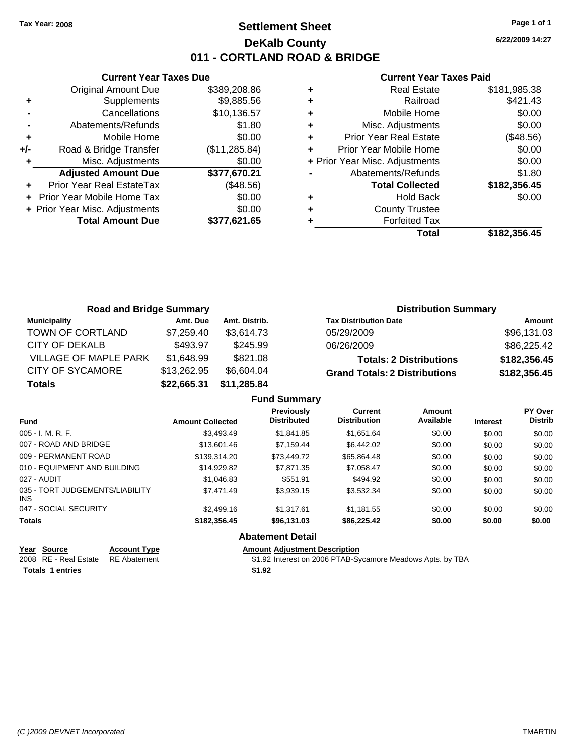# **Settlement Sheet Tax Year: 2008 Page 1 of 1 DeKalb County 011 - CORTLAND ROAD & BRIDGE**

**6/22/2009 14:27**

#### **Current Year Taxes Paid**

|       | <b>Current Year Taxes Due</b>  |               |  |  |  |  |  |
|-------|--------------------------------|---------------|--|--|--|--|--|
|       | <b>Original Amount Due</b>     | \$389,208.86  |  |  |  |  |  |
| ٠     | Supplements                    | \$9,885.56    |  |  |  |  |  |
|       | Cancellations                  | \$10,136.57   |  |  |  |  |  |
|       | Abatements/Refunds             | \$1.80        |  |  |  |  |  |
| ٠     | Mobile Home                    | \$0.00        |  |  |  |  |  |
| $+/-$ | Road & Bridge Transfer         | (\$11,285.84) |  |  |  |  |  |
|       | Misc. Adjustments              | \$0.00        |  |  |  |  |  |
|       | <b>Adjusted Amount Due</b>     | \$377,670.21  |  |  |  |  |  |
|       | Prior Year Real EstateTax      | (\$48.56)     |  |  |  |  |  |
|       | Prior Year Mobile Home Tax     | \$0.00        |  |  |  |  |  |
|       | + Prior Year Misc. Adjustments | \$0.00        |  |  |  |  |  |
|       | <b>Total Amount Due</b>        | \$377.621.65  |  |  |  |  |  |
|       |                                |               |  |  |  |  |  |

|   | <b>Real Estate</b>             | \$181,985.38 |
|---|--------------------------------|--------------|
| ٠ | Railroad                       | \$421.43     |
| ٠ | Mobile Home                    | \$0.00       |
| ٠ | Misc. Adjustments              | \$0.00       |
| ٠ | <b>Prior Year Real Estate</b>  | (\$48.56)    |
|   | Prior Year Mobile Home         | \$0.00       |
|   | + Prior Year Misc. Adjustments | \$0.00       |
|   | Abatements/Refunds             | \$1.80       |
|   | <b>Total Collected</b>         | \$182,356.45 |
|   | <b>Hold Back</b>               | \$0.00       |
| ٠ | <b>County Trustee</b>          |              |
|   | <b>Forfeited Tax</b>           |              |
|   | Total                          | \$182.356.45 |

| <b>Road and Bridge Summary</b> |             |               | <b>Distribution Summary</b>          |              |  |
|--------------------------------|-------------|---------------|--------------------------------------|--------------|--|
| <b>Municipality</b>            | Amt. Due    | Amt. Distrib. | <b>Tax Distribution Date</b>         | Amount       |  |
| TOWN OF CORTLAND               | \$7.259.40  | \$3.614.73    | 05/29/2009                           | \$96,131.03  |  |
| CITY OF DEKALB                 | \$493.97    | \$245.99      | 06/26/2009                           | \$86,225.42  |  |
| VILLAGE OF MAPLE PARK          | \$1,648.99  | \$821.08      | <b>Totals: 2 Distributions</b>       | \$182,356.45 |  |
| <b>CITY OF SYCAMORE</b>        | \$13,262.95 | \$6,604.04    | <b>Grand Totals: 2 Distributions</b> | \$182,356.45 |  |
| <b>Totals</b>                  | \$22,665.31 | \$11,285.84   |                                      |              |  |

|                                         |                         | <b>Fund Summary</b>                     |                                       |                     |                 |                           |
|-----------------------------------------|-------------------------|-----------------------------------------|---------------------------------------|---------------------|-----------------|---------------------------|
| <b>Fund</b>                             | <b>Amount Collected</b> | <b>Previously</b><br><b>Distributed</b> | <b>Current</b><br><b>Distribution</b> | Amount<br>Available | <b>Interest</b> | PY Over<br><b>Distrib</b> |
| 005 - I. M. R. F.                       | \$3,493.49              | \$1,841.85                              | \$1,651.64                            | \$0.00              | \$0.00          | \$0.00                    |
| 007 - ROAD AND BRIDGE                   | \$13,601.46             | \$7.159.44                              | \$6,442.02                            | \$0.00              | \$0.00          | \$0.00                    |
| 009 - PERMANENT ROAD                    | \$139,314.20            | \$73,449.72                             | \$65.864.48                           | \$0.00              | \$0.00          | \$0.00                    |
| 010 - EQUIPMENT AND BUILDING            | \$14.929.82             | \$7,871,35                              | \$7.058.47                            | \$0.00              | \$0.00          | \$0.00                    |
| 027 - AUDIT                             | \$1,046.83              | \$551.91                                | \$494.92                              | \$0.00              | \$0.00          | \$0.00                    |
| 035 - TORT JUDGEMENTS/LIABILITY<br>INS. | \$7.471.49              | \$3,939.15                              | \$3,532.34                            | \$0.00              | \$0.00          | \$0.00                    |
| 047 - SOCIAL SECURITY                   | \$2,499.16              | \$1.317.61                              | \$1,181.55                            | \$0.00              | \$0.00          | \$0.00                    |
| <b>Totals</b>                           | \$182,356.45            | \$96,131.03                             | \$86,225.42                           | \$0.00              | \$0.00          | \$0.00                    |
|                                         |                         | <b>Abatement Detail</b>                 |                                       |                     |                 |                           |

| Year Source |                     | Acc       |
|-------------|---------------------|-----------|
|             | 2008 DE Deel Eetete | <b>DE</b> |

**Totals 1 entries** \$1.92

**Year Source Account Type Amount Adjustment Description**

2008 RE - Real Estate RE Abatement **12.02 Statement** \$1.92 Interest on 2006 PTAB-Sycamore Meadows Apts. by TBA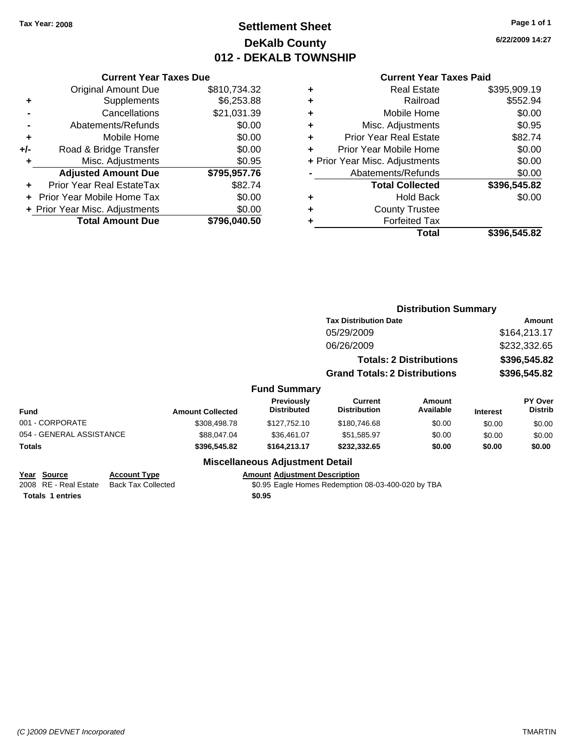# **Settlement Sheet Tax Year: 2008 Page 1 of 1 DeKalb County 012 - DEKALB TOWNSHIP**

**6/22/2009 14:27**

#### **Current Year Taxes Paid**

|       | <b>Current Year Taxes Due</b>            |              |  |  |  |  |
|-------|------------------------------------------|--------------|--|--|--|--|
|       | <b>Original Amount Due</b>               | \$810,734.32 |  |  |  |  |
| ٠     | \$6,253.88<br>Supplements                |              |  |  |  |  |
|       | \$21,031.39<br>Cancellations             |              |  |  |  |  |
|       | Abatements/Refunds                       | \$0.00       |  |  |  |  |
| ٠     | Mobile Home                              | \$0.00       |  |  |  |  |
| $+/-$ | \$0.00<br>Road & Bridge Transfer         |              |  |  |  |  |
| ٠     | Misc. Adjustments                        | \$0.95       |  |  |  |  |
|       | <b>Adjusted Amount Due</b>               | \$795,957.76 |  |  |  |  |
|       | Prior Year Real EstateTax                | \$82.74      |  |  |  |  |
|       | Prior Year Mobile Home Tax               | \$0.00       |  |  |  |  |
|       | \$0.00<br>+ Prior Year Misc. Adjustments |              |  |  |  |  |
|       | <b>Total Amount Due</b>                  | \$796,040.50 |  |  |  |  |
|       |                                          |              |  |  |  |  |

| <b>Real Estate</b>             | \$395,909.19 |
|--------------------------------|--------------|
| Railroad                       | \$552.94     |
| Mobile Home                    | \$0.00       |
| Misc. Adjustments              | \$0.95       |
| <b>Prior Year Real Estate</b>  | \$82.74      |
| Prior Year Mobile Home         | \$0.00       |
| + Prior Year Misc. Adjustments | \$0.00       |
| Abatements/Refunds             | \$0.00       |
| <b>Total Collected</b>         | \$396,545.82 |
| <b>Hold Back</b>               | \$0.00       |
| <b>County Trustee</b>          |              |
| <b>Forfeited Tax</b>           |              |
| Total                          | \$396,545.82 |
|                                |              |

|                                    |                         |                                         | <b>Distribution Summary</b>           |                                |                 |                           |
|------------------------------------|-------------------------|-----------------------------------------|---------------------------------------|--------------------------------|-----------------|---------------------------|
|                                    |                         |                                         | <b>Tax Distribution Date</b>          |                                | Amount          |                           |
|                                    |                         |                                         | 05/29/2009                            |                                |                 | \$164,213.17              |
|                                    |                         |                                         | 06/26/2009                            |                                |                 | \$232,332.65              |
|                                    |                         |                                         |                                       | <b>Totals: 2 Distributions</b> |                 | \$396,545.82              |
|                                    |                         |                                         | <b>Grand Totals: 2 Distributions</b>  |                                |                 | \$396,545.82              |
|                                    |                         | <b>Fund Summary</b>                     |                                       |                                |                 |                           |
| Fund                               | <b>Amount Collected</b> | <b>Previously</b><br><b>Distributed</b> | <b>Current</b><br><b>Distribution</b> | Amount<br>Available            | <b>Interest</b> | PY Over<br><b>Distrib</b> |
| 001 - CORPORATE                    | \$308,498.78            | \$127,752.10                            | \$180,746.68                          | \$0.00                         | \$0.00          | \$0.00                    |
| 054 - GENERAL ASSISTANCE           | \$88,047.04             | \$36,461.07                             | \$51,585.97                           | \$0.00                         | \$0.00          | \$0.00                    |
| Totals                             | \$396,545.82            | \$164,213.17                            | \$232,332.65                          | \$0.00                         | \$0.00          | \$0.00                    |
|                                    |                         | <b>Miscellaneous Adjustment Detail</b>  |                                       |                                |                 |                           |
| Year Source<br><b>Account Type</b> |                         | <b>Amount Adjustment Description</b>    |                                       |                                |                 |                           |

**Totals \$0.95 1 entries**

2008 RE - Real Estate Back Tax Collected \$0.95 Eagle Homes Redemption 08-03-400-020 by TBA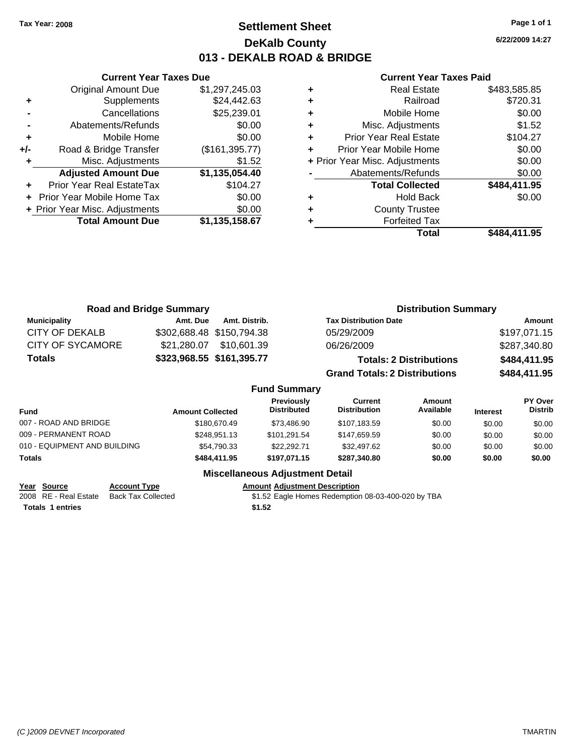**Current Year Taxes Due**

# **Settlement Sheet Tax Year: 2008 Page 1 of 1 DeKalb County 013 - DEKALB ROAD & BRIDGE**

**6/22/2009 14:27**

#### **Current Year Taxes Paid**

| \$484,411.95 | <b>Total</b>                   |   |                |                                |     |
|--------------|--------------------------------|---|----------------|--------------------------------|-----|
|              | <b>Forfeited Tax</b>           |   | \$1,135,158.67 | <b>Total Amount Due</b>        |     |
|              | <b>County Trustee</b>          | ٠ | \$0.00         | + Prior Year Misc. Adjustments |     |
| \$0.00       | <b>Hold Back</b>               | ٠ | \$0.00         | + Prior Year Mobile Home Tax   |     |
| \$484,411.95 | <b>Total Collected</b>         |   | \$104.27       | Prior Year Real EstateTax      | ÷.  |
| \$0.00       | Abatements/Refunds             |   | \$1,135,054.40 | <b>Adjusted Amount Due</b>     |     |
| \$0.00       | + Prior Year Misc. Adjustments |   | \$1.52         | Misc. Adjustments              |     |
| \$0.00       | Prior Year Mobile Home         |   | (\$161,395.77) | Road & Bridge Transfer         | +/- |
| \$104.27     | <b>Prior Year Real Estate</b>  | ٠ | \$0.00         | Mobile Home                    | ٠   |
| \$1.52       | Misc. Adjustments              | ٠ | \$0.00         | Abatements/Refunds             |     |
| \$0.00       | Mobile Home                    | ٠ | \$25,239.01    | Cancellations                  |     |
| \$720.31     | Railroad                       | ٠ | \$24,442.63    | Supplements                    | ٠   |
| \$483,585.85 | <b>Real Estate</b>             | ٠ | \$1,297,245.03 | <b>Original Amount Due</b>     |     |
|              |                                |   |                |                                |     |

| <b>Road and Bridge Summary</b> |             |                           |                                      | <b>Distribution Summary</b>    |                                                     |  |
|--------------------------------|-------------|---------------------------|--------------------------------------|--------------------------------|-----------------------------------------------------|--|
| <b>Municipality</b>            | Amt. Due    | Amt. Distrib.             | <b>Tax Distribution Date</b>         |                                | Amount                                              |  |
| CITY OF DEKALB                 |             | \$302,688.48 \$150,794.38 | 05/29/2009                           |                                | \$197,071.15                                        |  |
| <b>CITY OF SYCAMORE</b>        | \$21,280,07 | \$10,601.39               | 06/26/2009                           |                                | \$287,340.80                                        |  |
| <b>Totals</b>                  |             | \$323,968.55 \$161,395.77 |                                      | <b>Totals: 2 Distributions</b> | \$484,411.95                                        |  |
|                                |             |                           | <b>Grand Totals: 2 Distributions</b> |                                | \$484,411.95                                        |  |
|                                |             | <b>Fund Summary</b>       |                                      |                                |                                                     |  |
|                                |             | Deardairehr               | $P$                                  |                                | $\mathbf{D}$ $\mathbf{V}$ $\mathbf{D}$ $\mathbf{V}$ |  |

| <b>Fund</b>                  | <b>Amount Collected</b> | Previously<br><b>Distributed</b> | Current<br><b>Distribution</b> | Amount<br>Available | <b>Interest</b> | <b>PY Over</b><br><b>Distrib</b> |
|------------------------------|-------------------------|----------------------------------|--------------------------------|---------------------|-----------------|----------------------------------|
| 007 - ROAD AND BRIDGE        | \$180,670.49            | \$73.486.90                      | \$107,183.59                   | \$0.00              | \$0.00          | \$0.00                           |
| 009 - PERMANENT ROAD         | \$248.951.13            | \$101.291.54                     | \$147.659.59                   | \$0.00              | \$0.00          | \$0.00                           |
| 010 - EQUIPMENT AND BUILDING | \$54,790.33             | \$22,292.71                      | \$32,497.62                    | \$0.00              | \$0.00          | \$0.00                           |
| Totals                       | \$484,411.95            | \$197.071.15                     | \$287,340.80                   | \$0.00              | \$0.00          | \$0.00                           |

## **Miscellaneous Adjustment Detail**

| Year Source             | <b>Account Type</b>       | <b>Amount Adiustment Description</b>               |
|-------------------------|---------------------------|----------------------------------------------------|
| 2008 RE - Real Estate   | <b>Back Tax Collected</b> | \$1.52 Eagle Homes Redemption 08-03-400-020 by TBA |
| <b>Totals 1 entries</b> |                           | \$1.52                                             |
|                         |                           |                                                    |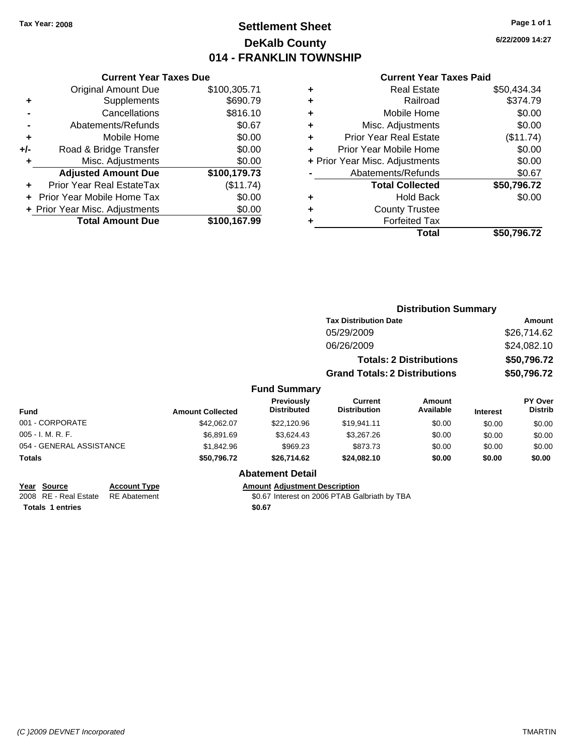# **Settlement Sheet Tax Year: 2008 Page 1 of 1 DeKalb County 014 - FRANKLIN TOWNSHIP**

**6/22/2009 14:27**

#### **Current Year Taxes Paid**

|       | <b>Current Year Taxes Due</b>            |              |  |  |  |  |
|-------|------------------------------------------|--------------|--|--|--|--|
|       | <b>Original Amount Due</b>               | \$100,305.71 |  |  |  |  |
| ٠     | Supplements                              | \$690.79     |  |  |  |  |
|       | Cancellations                            | \$816.10     |  |  |  |  |
|       | Abatements/Refunds                       | \$0.67       |  |  |  |  |
| ٠     | Mobile Home                              | \$0.00       |  |  |  |  |
| $+/-$ | Road & Bridge Transfer                   | \$0.00       |  |  |  |  |
|       | Misc. Adjustments                        | \$0.00       |  |  |  |  |
|       | <b>Adjusted Amount Due</b>               | \$100,179.73 |  |  |  |  |
|       | Prior Year Real EstateTax                | (\$11.74)    |  |  |  |  |
|       | \$0.00<br>Prior Year Mobile Home Tax     |              |  |  |  |  |
|       | \$0.00<br>+ Prior Year Misc. Adjustments |              |  |  |  |  |
|       | <b>Total Amount Due</b>                  | \$100,167.99 |  |  |  |  |
|       |                                          |              |  |  |  |  |

| <b>Real Estate</b>             | \$50,434.34 |
|--------------------------------|-------------|
| Railroad                       | \$374.79    |
| Mobile Home                    | \$0.00      |
| Misc. Adjustments              | \$0.00      |
| <b>Prior Year Real Estate</b>  | (\$11.74)   |
| Prior Year Mobile Home         | \$0.00      |
| + Prior Year Misc. Adjustments | \$0.00      |
| Abatements/Refunds             | \$0.67      |
| <b>Total Collected</b>         | \$50,796.72 |
| Hold Back                      | \$0.00      |
| <b>County Trustee</b>          |             |
| <b>Forfeited Tax</b>           |             |
| Total                          | \$50,796.72 |
|                                |             |

|                          |                         |                                  |                                      | <b>Distribution Summary</b>    |                 |                           |
|--------------------------|-------------------------|----------------------------------|--------------------------------------|--------------------------------|-----------------|---------------------------|
|                          |                         |                                  | <b>Tax Distribution Date</b>         |                                |                 | Amount                    |
|                          |                         |                                  | 05/29/2009                           |                                |                 | \$26,714.62               |
|                          |                         |                                  | 06/26/2009                           |                                |                 | \$24,082.10               |
|                          |                         |                                  |                                      | <b>Totals: 2 Distributions</b> |                 | \$50,796.72               |
|                          |                         |                                  | <b>Grand Totals: 2 Distributions</b> |                                |                 | \$50,796.72               |
|                          |                         | <b>Fund Summary</b>              |                                      |                                |                 |                           |
| <b>Fund</b>              | <b>Amount Collected</b> | Previously<br><b>Distributed</b> | Current<br><b>Distribution</b>       | Amount<br>Available            | <b>Interest</b> | PY Over<br><b>Distrib</b> |
| 001 - CORPORATE          | \$42,062.07             | \$22,120.96                      | \$19,941.11                          | \$0.00                         | \$0.00          | \$0.00                    |
| 005 - I. M. R. F.        | \$6.891.69              | \$3,624.43                       | \$3,267.26                           | \$0.00                         | \$0.00          | \$0.00                    |
| 054 - GENERAL ASSISTANCE | \$1,842.96              | \$969.23                         | \$873.73                             | \$0.00                         | \$0.00          | \$0.00                    |
| Totals                   | \$50,796.72             | \$26,714.62                      | \$24,082.10                          | \$0.00                         | \$0.00          | \$0.00                    |
|                          |                         | <b>Abatement Detail</b>          |                                      |                                |                 |                           |

### **Year Source Account Type Amount Adjustment Description**

2008 RE - Real Estate RE Abatement **1996** 80.67 Interest on 2006 PTAB Galbriath by TBA

**Totals \$0.67 1 entries**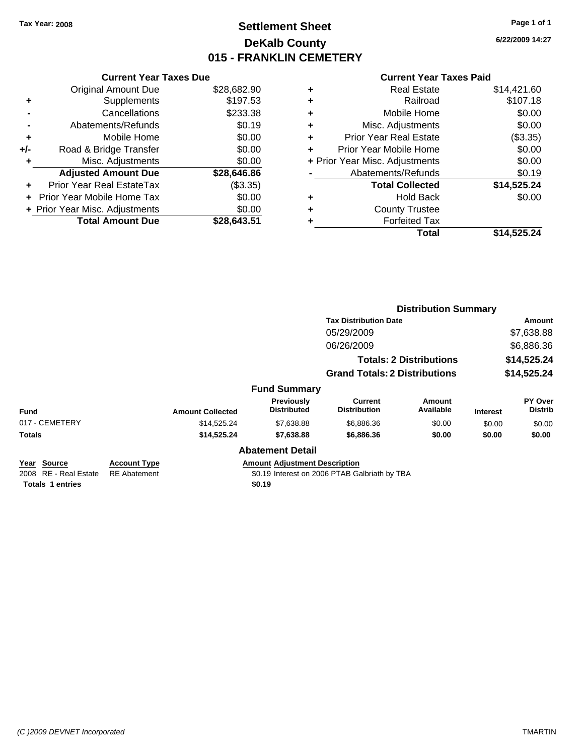# **Settlement Sheet Tax Year: 2008 Page 1 of 1 DeKalb County 015 - FRANKLIN CEMETERY**

**6/22/2009 14:27**

|     | <b>Current Year Taxes Due</b>     |             |
|-----|-----------------------------------|-------------|
|     | <b>Original Amount Due</b>        | \$28,682.90 |
| ٠   | Supplements                       | \$197.53    |
|     | Cancellations                     | \$233.38    |
|     | Abatements/Refunds                | \$0.19      |
| ٠   | Mobile Home                       | \$0.00      |
| +/- | Road & Bridge Transfer            | \$0.00      |
| ٠   | Misc. Adjustments                 | \$0.00      |
|     | <b>Adjusted Amount Due</b>        | \$28,646.86 |
| ÷   | Prior Year Real EstateTax         | $(\$3.35)$  |
|     | <b>Prior Year Mobile Home Tax</b> | \$0.00      |
|     | + Prior Year Misc. Adjustments    | \$0.00      |
|     | <b>Total Amount Due</b>           | \$28.643.51 |
|     |                                   |             |

| ٠                              | <b>Real Estate</b>            | \$14,421.60 |
|--------------------------------|-------------------------------|-------------|
| ٠                              | Railroad                      | \$107.18    |
| ٠                              | Mobile Home                   | \$0.00      |
| ٠                              | Misc. Adjustments             | \$0.00      |
| ÷                              | <b>Prior Year Real Estate</b> | (\$3.35)    |
| ٠                              | Prior Year Mobile Home        | \$0.00      |
| + Prior Year Misc. Adjustments |                               | \$0.00      |
|                                | Abatements/Refunds            | \$0.19      |
|                                | <b>Total Collected</b>        | \$14,525.24 |
| ٠                              | Hold Back                     | \$0.00      |
| ٠                              | <b>County Trustee</b>         |             |
| ٠                              | <b>Forfeited Tax</b>          |             |
|                                | Total                         | \$14,525.24 |
|                                |                               |             |

|                                                                 |                                            |                         |                                                |                                               | <b>Distribution Summary</b>    |                 |                           |
|-----------------------------------------------------------------|--------------------------------------------|-------------------------|------------------------------------------------|-----------------------------------------------|--------------------------------|-----------------|---------------------------|
|                                                                 |                                            |                         |                                                | <b>Tax Distribution Date</b>                  |                                | Amount          |                           |
|                                                                 |                                            |                         |                                                | 05/29/2009                                    |                                |                 | \$7,638.88                |
|                                                                 |                                            |                         |                                                | 06/26/2009                                    |                                |                 | \$6,886.36                |
|                                                                 |                                            |                         |                                                |                                               | <b>Totals: 2 Distributions</b> |                 | \$14,525.24               |
|                                                                 |                                            |                         |                                                | <b>Grand Totals: 2 Distributions</b>          |                                |                 | \$14,525.24               |
|                                                                 |                                            |                         | <b>Fund Summary</b>                            |                                               |                                |                 |                           |
| Fund                                                            |                                            | <b>Amount Collected</b> | <b>Previously</b><br><b>Distributed</b>        | <b>Current</b><br><b>Distribution</b>         | Amount<br>Available            | <b>Interest</b> | PY Over<br><b>Distrib</b> |
| 017 - CEMETERY                                                  |                                            | \$14,525.24             | \$7,638.88                                     | \$6,886.36                                    | \$0.00                         | \$0.00          | \$0.00                    |
| Totals                                                          |                                            | \$14,525.24             | \$7,638.88                                     | \$6,886.36                                    | \$0.00                         | \$0.00          | \$0.00                    |
|                                                                 |                                            |                         | <b>Abatement Detail</b>                        |                                               |                                |                 |                           |
| Year Source<br>2008 RE - Real Estate<br><b>Totals 1 entries</b> | <b>Account Type</b><br><b>RE</b> Abatement |                         | <b>Amount Adjustment Description</b><br>\$0.19 | \$0.19 Interest on 2006 PTAB Galbriath by TBA |                                |                 |                           |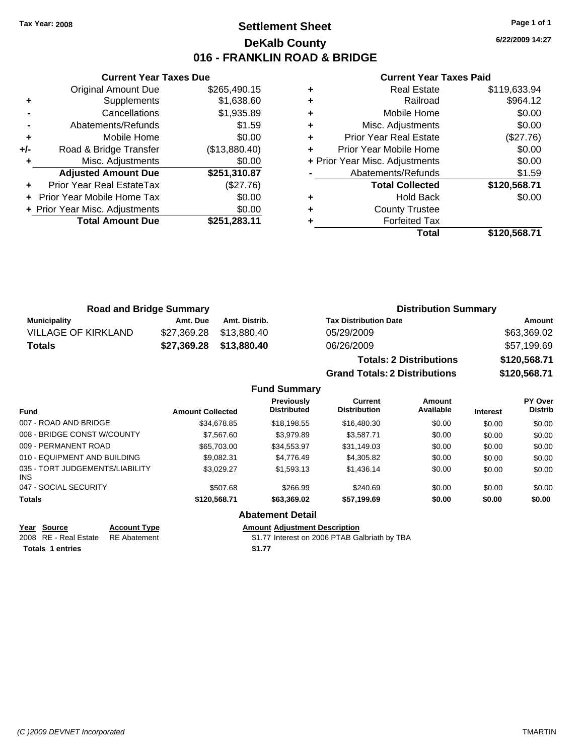# **Settlement Sheet Tax Year: 2008 Page 1 of 1 DeKalb County 016 - FRANKLIN ROAD & BRIDGE**

**6/22/2009 14:27**

#### **Current Year Taxes Paid**

|     | <b>Current Year Taxes Due</b>  |               |   |              |
|-----|--------------------------------|---------------|---|--------------|
|     | <b>Original Amount Due</b>     | \$265,490.15  | ٠ |              |
|     | Supplements                    | \$1,638.60    | ٠ |              |
|     | Cancellations                  | \$1,935.89    | ٠ |              |
|     | Abatements/Refunds             | \$1.59        | ٠ |              |
|     | Mobile Home                    | \$0.00        |   | Pric         |
| +/- | Road & Bridge Transfer         | (\$13,880.40) |   | Prior        |
|     | Misc. Adjustments              | \$0.00        |   | + Prior Year |
|     | <b>Adjusted Amount Due</b>     | \$251,310.87  |   | Ał           |
|     | Prior Year Real EstateTax      | (\$27.76)     |   |              |
|     | + Prior Year Mobile Home Tax   | \$0.00        | ٠ |              |
|     | + Prior Year Misc. Adjustments | \$0.00        |   |              |
|     | <b>Total Amount Due</b>        | \$251,283.11  |   |              |
|     |                                |               |   |              |

|   | Total                          | \$120,568.71 |
|---|--------------------------------|--------------|
|   | <b>Forfeited Tax</b>           |              |
| ٠ | <b>County Trustee</b>          |              |
| ٠ | <b>Hold Back</b>               | \$0.00       |
|   | <b>Total Collected</b>         | \$120,568.71 |
|   | Abatements/Refunds             | \$1.59       |
|   | + Prior Year Misc. Adjustments | \$0.00       |
|   | Prior Year Mobile Home         | \$0.00       |
| ٠ | <b>Prior Year Real Estate</b>  | (\$27.76)    |
| ٠ | Misc. Adjustments              | \$0.00       |
| ٠ | Mobile Home                    | \$0.00       |
|   | Railroad                       | \$964.12     |
|   | <b>Real Estate</b>             | \$119,633.94 |

| <b>Road and Bridge Summary</b> |          |                         | <b>Distribution Summary</b>    |              |
|--------------------------------|----------|-------------------------|--------------------------------|--------------|
| <b>Municipality</b>            | Amt. Due | Amt. Distrib.           | <b>Tax Distribution Date</b>   | Amount       |
| <b>VILLAGE OF KIRKLAND</b>     |          | \$27,369.28 \$13,880.40 | 05/29/2009                     | \$63,369.02  |
| <b>Totals</b>                  |          | \$27,369.28 \$13,880.40 | 06/26/2009                     | \$57,199.69  |
|                                |          |                         | <b>Totals: 2 Distributions</b> | \$120,568.71 |

**Grand Totals: 2 Distributions \$120,568.71**

|                                               |                         | 91 GHT 1 91 GHT 21 91 91 1 1 2 GHT 21 1 9 |                                       |                     | <b>WILLOUT I</b> |                                  |
|-----------------------------------------------|-------------------------|-------------------------------------------|---------------------------------------|---------------------|------------------|----------------------------------|
|                                               |                         | <b>Fund Summary</b>                       |                                       |                     |                  |                                  |
| <b>Fund</b>                                   | <b>Amount Collected</b> | <b>Previously</b><br><b>Distributed</b>   | <b>Current</b><br><b>Distribution</b> | Amount<br>Available | <b>Interest</b>  | <b>PY Over</b><br><b>Distrib</b> |
| 007 - ROAD AND BRIDGE                         | \$34.678.85             | \$18.198.55                               | \$16,480.30                           | \$0.00              | \$0.00           | \$0.00                           |
| 008 - BRIDGE CONST W/COUNTY                   | \$7,567.60              | \$3.979.89                                | \$3.587.71                            | \$0.00              | \$0.00           | \$0.00                           |
| 009 - PERMANENT ROAD                          | \$65,703,00             | \$34,553,97                               | \$31.149.03                           | \$0.00              | \$0.00           | \$0.00                           |
| 010 - EQUIPMENT AND BUILDING                  | \$9.082.31              | \$4.776.49                                | \$4,305.82                            | \$0.00              | \$0.00           | \$0.00                           |
| 035 - TORT JUDGEMENTS/LIABILITY<br><b>INS</b> | \$3,029.27              | \$1,593.13                                | \$1,436.14                            | \$0.00              | \$0.00           | \$0.00                           |
| 047 - SOCIAL SECURITY                         | \$507.68                | \$266.99                                  | \$240.69                              | \$0.00              | \$0.00           | \$0.00                           |
| <b>Totals</b>                                 | \$120,568.71            | \$63,369.02                               | \$57.199.69                           | \$0.00              | \$0.00           | \$0.00                           |
|                                               |                         | <b>Abatement Detail</b>                   |                                       |                     |                  |                                  |

**Totals 1 entries** \$1.77

**Year Source Account Type Amount Adjustment Description**<br>2008 RE - Real Estate RE Abatement **Amount** \$1.77 Interest on 2006 PTAB Ga \$1.77 Interest on 2006 PTAB Galbriath by TBA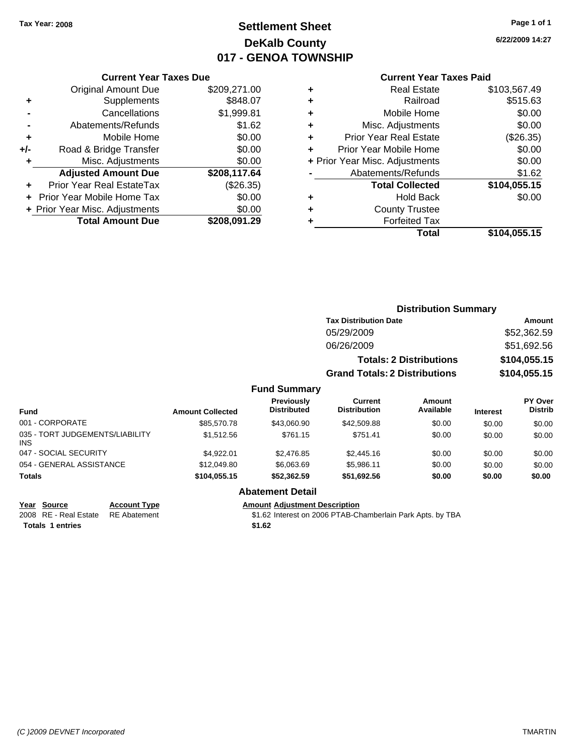# **Settlement Sheet Tax Year: 2008 Page 1 of 1 DeKalb County 017 - GENOA TOWNSHIP**

**6/22/2009 14:27**

#### **Current Year Taxes Paid**

|     | <b>Current Year Taxes Due</b>  |              |  |  |  |
|-----|--------------------------------|--------------|--|--|--|
|     | <b>Original Amount Due</b>     | \$209,271.00 |  |  |  |
| ٠   | Supplements                    | \$848.07     |  |  |  |
|     | Cancellations                  | \$1,999.81   |  |  |  |
|     | Abatements/Refunds             | \$1.62       |  |  |  |
| ٠   | Mobile Home                    | \$0.00       |  |  |  |
| +/- | Road & Bridge Transfer         | \$0.00       |  |  |  |
| ٠   | Misc. Adjustments              | \$0.00       |  |  |  |
|     | <b>Adjusted Amount Due</b>     | \$208,117.64 |  |  |  |
|     | Prior Year Real EstateTax      | $(\$26.35)$  |  |  |  |
|     | Prior Year Mobile Home Tax     | \$0.00       |  |  |  |
|     | + Prior Year Misc. Adjustments | \$0.00       |  |  |  |
|     | <b>Total Amount Due</b>        | \$208,091.29 |  |  |  |

|   | <b>Real Estate</b>             | \$103,567.49 |
|---|--------------------------------|--------------|
| ٠ | Railroad                       | \$515.63     |
| ٠ | Mobile Home                    | \$0.00       |
| ٠ | Misc. Adjustments              | \$0.00       |
| ٠ | <b>Prior Year Real Estate</b>  | (\$26.35)    |
| ٠ | Prior Year Mobile Home         | \$0.00       |
|   | + Prior Year Misc. Adjustments | \$0.00       |
|   | Abatements/Refunds             | \$1.62       |
|   | <b>Total Collected</b>         | \$104,055.15 |
| ٠ | <b>Hold Back</b>               | \$0.00       |
| ٠ | <b>County Trustee</b>          |              |
| ٠ | <b>Forfeited Tax</b>           |              |
|   | Total                          | \$104,055.15 |
|   |                                |              |

|                                               |                         |                                         |                                      | <b>Distribution Summary</b>    |                 |                                  |
|-----------------------------------------------|-------------------------|-----------------------------------------|--------------------------------------|--------------------------------|-----------------|----------------------------------|
|                                               |                         |                                         | <b>Tax Distribution Date</b>         | Amount                         |                 |                                  |
|                                               |                         |                                         | 05/29/2009                           |                                |                 | \$52,362.59                      |
|                                               |                         |                                         | 06/26/2009                           |                                |                 | \$51,692.56                      |
|                                               |                         |                                         |                                      | <b>Totals: 2 Distributions</b> | \$104,055.15    |                                  |
|                                               |                         |                                         | <b>Grand Totals: 2 Distributions</b> |                                |                 | \$104,055.15                     |
|                                               |                         | <b>Fund Summary</b>                     |                                      |                                |                 |                                  |
| <b>Fund</b>                                   | <b>Amount Collected</b> | <b>Previously</b><br><b>Distributed</b> | Current<br><b>Distribution</b>       | <b>Amount</b><br>Available     | <b>Interest</b> | <b>PY Over</b><br><b>Distrib</b> |
| 001 - CORPORATE                               | \$85,570.78             | \$43,060.90                             | \$42,509.88                          | \$0.00                         | \$0.00          | \$0.00                           |
| 035 - TORT JUDGEMENTS/LIABILITY<br><b>INS</b> | \$1,512.56              | \$761.15                                | \$751.41                             | \$0.00                         | \$0.00          | \$0.00                           |
| 047 - SOCIAL SECURITY                         | \$4,922.01              | \$2,476.85                              | \$2,445.16                           | \$0.00                         | \$0.00          | \$0.00                           |
| 054 - GENERAL ASSISTANCE                      | \$12,049.80             | \$6,063.69                              | \$5,986.11                           | \$0.00                         | \$0.00          | \$0.00                           |
| <b>Totals</b>                                 | \$104,055.15            | \$52,362.59                             | \$51,692.56                          | \$0.00                         | \$0.00          | \$0.00                           |
|                                               |                         | <b>Abatement Detail</b>                 |                                      |                                |                 |                                  |

Totals 1 entries \$1.62

#### **Year Source Account Type Amount Adjustment Description**

2008 RE - Real Estate RE Abatement St.62 Interest on 2006 PTAB-Chamberlain Park Apts. by TBA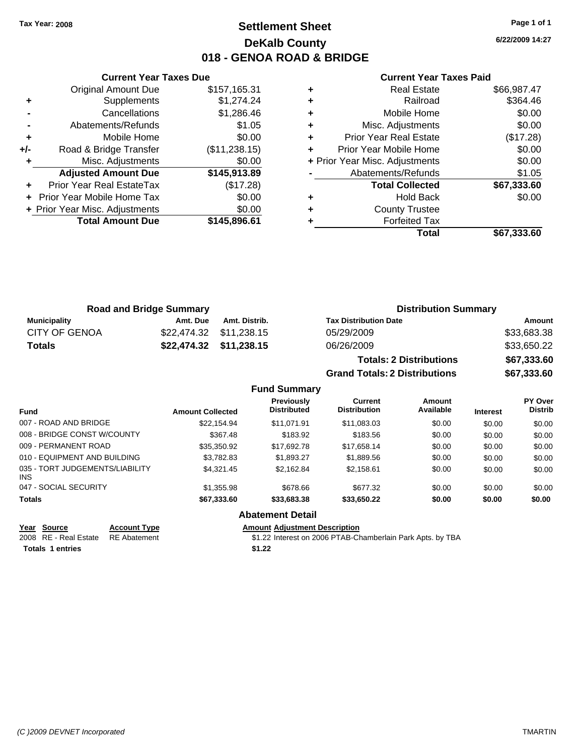# **Settlement Sheet Tax Year: 2008 Page 1 of 1 DeKalb County 018 - GENOA ROAD & BRIDGE**

**6/22/2009 14:27**

#### **Current Year Taxes Paid**

|     | <b>Original Amount Due</b>     | \$157,165.31  |
|-----|--------------------------------|---------------|
| ٠   | Supplements                    | \$1,274.24    |
|     | Cancellations                  | \$1,286.46    |
|     | Abatements/Refunds             | \$1.05        |
| ÷   | Mobile Home                    | \$0.00        |
| +/- | Road & Bridge Transfer         | (\$11,238.15) |
|     | Misc. Adjustments              | \$0.00        |
|     | <b>Adjusted Amount Due</b>     | \$145,913.89  |
|     | Prior Year Real EstateTax      | (\$17.28)     |
|     | Prior Year Mobile Home Tax     | \$0.00        |
|     | + Prior Year Misc. Adjustments | \$0.00        |
|     | <b>Total Amount Due</b>        | \$145,896.61  |
|     |                                |               |

**Current Year Taxes Due**

|   | <b>Real Estate</b>             | \$66,987.47 |
|---|--------------------------------|-------------|
| ٠ | Railroad                       | \$364.46    |
| ٠ | Mobile Home                    | \$0.00      |
| ٠ | Misc. Adjustments              | \$0.00      |
| ٠ | <b>Prior Year Real Estate</b>  | (\$17.28)   |
|   | Prior Year Mobile Home         | \$0.00      |
|   | + Prior Year Misc. Adjustments | \$0.00      |
|   | Abatements/Refunds             | \$1.05      |
|   | <b>Total Collected</b>         | \$67,333.60 |
| ٠ | Hold Back                      | \$0.00      |
| ٠ | <b>County Trustee</b>          |             |
|   | <b>Forfeited Tax</b>           |             |
|   | Total                          | \$67,333.60 |
|   |                                |             |

**Grand Totals: 2 Distributions \$67,333.60**

| <b>Road and Bridge Summary</b> |          |                         | <b>Distribution Summary</b>    |             |  |
|--------------------------------|----------|-------------------------|--------------------------------|-------------|--|
| <b>Municipality</b>            | Amt. Due | Amt. Distrib.           | <b>Tax Distribution Date</b>   | Amount      |  |
| <b>CITY OF GENOA</b>           |          |                         | 05/29/2009                     | \$33,683.38 |  |
| <b>Totals</b>                  |          | \$22,474.32 \$11,238.15 | 06/26/2009                     | \$33,650.22 |  |
|                                |          |                         | <b>Totals: 2 Distributions</b> | \$67,333.60 |  |

**Fund Summary Fund Interest Amount Collected Distributed PY Over Distrib Amount Available Current Distribution Previously** 007 - ROAD AND BRIDGE \$22,154.94 \$11,071.91 \$11,083.03 \$0.00 \$0.00 \$0.00 008 - BRIDGE CONST W/COUNTY  $$367.48$  \$183.92  $$183.56$  \$0.00 \$0.00 \$0.00 \$0.00 009 - PERMANENT ROAD \$35,350.92 \$17,692.78 \$17,658.14 \$0.00 \$0.00 \$0.00 010 - EQUIPMENT AND BUILDING \$3,782.83 \$1,893.27 \$1,889.56 \$0.00 \$0.00 \$0.00 035 - TORT JUDGEMENTS/LIABILITY INS \$4,321.45 \$2,162.84 \$2,158.61 \$0.00 \$0.00 \$0.00 047 - SOCIAL SECURITY 61,355.98 \$1,355.98 \$678.66 \$677.32 \$0.00 \$0.00 \$0.00 **Totals \$67,333.60 \$33,683.38 \$33,650.22 \$0.00 \$0.00 \$0.00 Abatement Detail**

| Year Source                        | <b>Account Type</b> | Amount |
|------------------------------------|---------------------|--------|
| 2008 RE - Real Estate RE Abatement |                     | \$1.22 |
| <b>Totals 1 entries</b>            |                     | \$1.22 |

**Year Source Account Type Amount Adjustment Description** 2006 PTAB-Chamberlain Park Apts. by TBA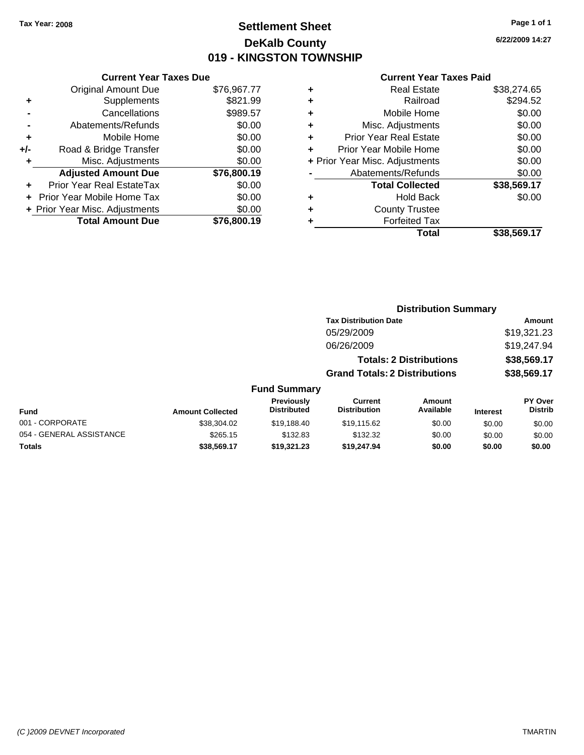# **Settlement Sheet Tax Year: 2008 Page 1 of 1 DeKalb County 019 - KINGSTON TOWNSHIP**

**6/22/2009 14:27**

|       | <b>Current Year Taxes Due</b>     |             |  |  |  |  |
|-------|-----------------------------------|-------------|--|--|--|--|
|       | <b>Original Amount Due</b>        | \$76,967.77 |  |  |  |  |
| ÷     | Supplements                       | \$821.99    |  |  |  |  |
|       | Cancellations                     | \$989.57    |  |  |  |  |
|       | Abatements/Refunds                | \$0.00      |  |  |  |  |
| ٠     | Mobile Home                       | \$0.00      |  |  |  |  |
| $+/-$ | Road & Bridge Transfer            | \$0.00      |  |  |  |  |
|       | Misc. Adjustments                 | \$0.00      |  |  |  |  |
|       | <b>Adjusted Amount Due</b>        | \$76,800.19 |  |  |  |  |
|       | Prior Year Real EstateTax         | \$0.00      |  |  |  |  |
|       | <b>Prior Year Mobile Home Tax</b> | \$0.00      |  |  |  |  |
|       | + Prior Year Misc. Adjustments    | \$0.00      |  |  |  |  |
|       | <b>Total Amount Due</b>           | \$76,800.19 |  |  |  |  |
|       |                                   |             |  |  |  |  |

| <b>Real Estate</b>             | \$38,274.65 |
|--------------------------------|-------------|
| Railroad                       | \$294.52    |
| Mobile Home                    | \$0.00      |
| Misc. Adjustments              | \$0.00      |
| Prior Year Real Estate         | \$0.00      |
| Prior Year Mobile Home         | \$0.00      |
| + Prior Year Misc. Adjustments | \$0.00      |
| Abatements/Refunds             | \$0.00      |
| <b>Total Collected</b>         | \$38,569.17 |
| <b>Hold Back</b>               | \$0.00      |
| <b>County Trustee</b>          |             |
| <b>Forfeited Tax</b>           |             |
| Total                          | \$38.569.17 |
|                                |             |

|                          | <b>Distribution Summary</b> |                                         |                                       |                                |                 |                                  |
|--------------------------|-----------------------------|-----------------------------------------|---------------------------------------|--------------------------------|-----------------|----------------------------------|
|                          |                             |                                         | <b>Tax Distribution Date</b>          |                                |                 | Amount                           |
|                          |                             |                                         | 05/29/2009                            |                                |                 | \$19,321.23                      |
|                          |                             |                                         | 06/26/2009                            |                                |                 | \$19,247.94                      |
|                          |                             |                                         |                                       | <b>Totals: 2 Distributions</b> |                 | \$38,569.17                      |
|                          |                             |                                         | <b>Grand Totals: 2 Distributions</b>  |                                |                 | \$38,569.17                      |
|                          |                             | <b>Fund Summary</b>                     |                                       |                                |                 |                                  |
| Fund                     | <b>Amount Collected</b>     | <b>Previously</b><br><b>Distributed</b> | <b>Current</b><br><b>Distribution</b> | Amount<br>Available            | <b>Interest</b> | <b>PY Over</b><br><b>Distrib</b> |
| 001 - CORPORATE          | \$38,304.02                 | \$19.188.40                             | \$19,115.62                           | \$0.00                         | \$0.00          | \$0.00                           |
| 054 - GENERAL ASSISTANCE | \$265.15                    | \$132.83                                | \$132.32                              | \$0.00                         | \$0.00          | \$0.00                           |
| Totals                   | \$38,569.17                 | \$19,321.23                             | \$19.247.94                           | \$0.00                         | \$0.00          | \$0.00                           |
|                          |                             |                                         |                                       |                                |                 |                                  |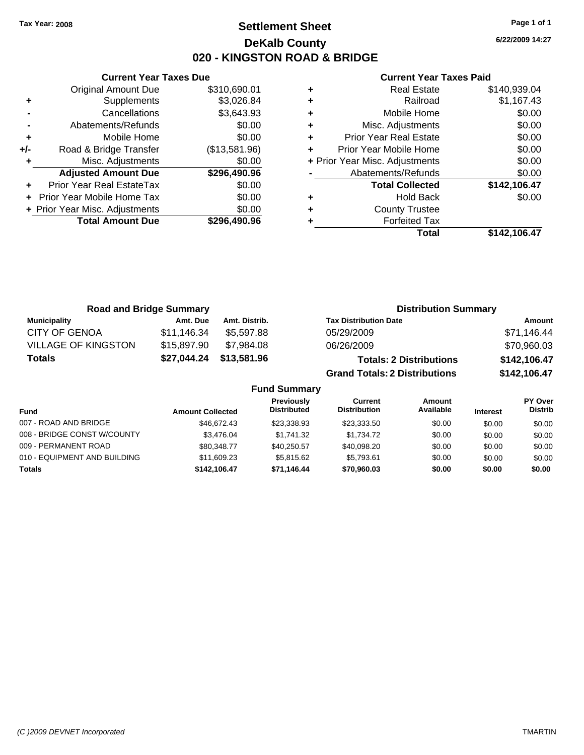# **Settlement Sheet Tax Year: 2008 Page 1 of 1 DeKalb County 020 - KINGSTON ROAD & BRIDGE**

**6/22/2009 14:27**

|     | <b>Current Year Taxes Due</b>  |               |  |
|-----|--------------------------------|---------------|--|
|     | <b>Original Amount Due</b>     | \$310,690.01  |  |
| ٠   | Supplements                    | \$3,026.84    |  |
|     | Cancellations                  | \$3,643.93    |  |
|     | Abatements/Refunds             | \$0.00        |  |
| ٠   | Mobile Home                    | \$0.00        |  |
| +/- | Road & Bridge Transfer         | (\$13,581.96) |  |
| ٠   | Misc. Adjustments              | \$0.00        |  |
|     | <b>Adjusted Amount Due</b>     | \$296,490.96  |  |
| ÷   | Prior Year Real EstateTax      | \$0.00        |  |
|     | Prior Year Mobile Home Tax     | \$0.00        |  |
|     | + Prior Year Misc. Adjustments | \$0.00        |  |
|     | <b>Total Amount Due</b>        | \$296,490.96  |  |
|     |                                |               |  |

| <b>Real Estate</b>             | \$140,939.04 |
|--------------------------------|--------------|
| Railroad                       | \$1,167.43   |
| Mobile Home                    | \$0.00       |
| Misc. Adjustments              | \$0.00       |
| <b>Prior Year Real Estate</b>  | \$0.00       |
| Prior Year Mobile Home         | \$0.00       |
| + Prior Year Misc. Adjustments | \$0.00       |
| Abatements/Refunds             | \$0.00       |
| <b>Total Collected</b>         | \$142,106.47 |
| <b>Hold Back</b>               | \$0.00       |
| <b>County Trustee</b>          |              |
|                                |              |
| <b>Forfeited Tax</b>           |              |
|                                |              |

| <b>Road and Bridge Summary</b> |                         | <b>Distribution Summary</b> |                                                                           |                                |                 |                                  |  |
|--------------------------------|-------------------------|-----------------------------|---------------------------------------------------------------------------|--------------------------------|-----------------|----------------------------------|--|
| <b>Municipality</b>            | Amt. Due                | Amt. Distrib.               | <b>Tax Distribution Date</b>                                              |                                |                 | Amount                           |  |
| <b>CITY OF GENOA</b>           | \$11,146.34             | \$5,597.88                  | 05/29/2009                                                                |                                |                 | \$71,146.44                      |  |
| <b>VILLAGE OF KINGSTON</b>     | \$15,897.90             | \$7.984.08                  | 06/26/2009                                                                |                                |                 | \$70,960.03                      |  |
| <b>Totals</b>                  | \$27,044.24             | \$13,581.96                 |                                                                           | <b>Totals: 2 Distributions</b> |                 | \$142,106.47                     |  |
|                                |                         |                             | <b>Grand Totals: 2 Distributions</b>                                      |                                |                 | \$142,106.47                     |  |
|                                |                         | <b>Fund Summary</b>         |                                                                           |                                |                 |                                  |  |
| <b>Fund</b>                    | <b>Amount Collected</b> |                             | Previously<br><b>Current</b><br><b>Distributed</b><br><b>Distribution</b> | <b>Amount</b><br>Available     | <b>Interest</b> | <b>PY Over</b><br><b>Distrib</b> |  |
|                                |                         |                             |                                                                           |                                |                 |                                  |  |

| .                            | AMUUMIL OUNGCLGU |             |             |        |        |        |
|------------------------------|------------------|-------------|-------------|--------|--------|--------|
| 007 - ROAD AND BRIDGE        | \$46,672,43      | \$23.338.93 | \$23,333,50 | \$0.00 | \$0.00 | \$0.00 |
| 008 - BRIDGE CONST W/COUNTY  | \$3,476.04       | \$1.741.32  | \$1.734.72  | \$0.00 | \$0.00 | \$0.00 |
| 009 - PERMANENT ROAD         | \$80,348,77      | \$40,250.57 | \$40.098.20 | \$0.00 | \$0.00 | \$0.00 |
| 010 - EQUIPMENT AND BUILDING | \$11,609.23      | \$5,815,62  | \$5.793.61  | \$0.00 | \$0.00 | \$0.00 |
| <b>Totals</b>                | \$142,106.47     | \$71.146.44 | \$70,960,03 | \$0.00 | \$0.00 | \$0.00 |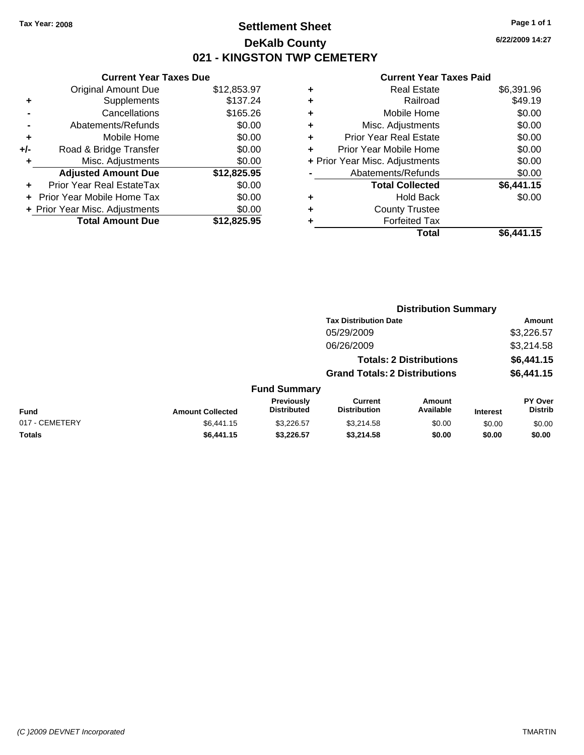# **Settlement Sheet Tax Year: 2008 Page 1 of 1 DeKalb County 021 - KINGSTON TWP CEMETERY**

### **Current Year Taxes Due**

|     | <b>Original Amount Due</b>        | \$12,853.97 |
|-----|-----------------------------------|-------------|
|     | Supplements                       | \$137.24    |
|     | Cancellations                     | \$165.26    |
|     | Abatements/Refunds                | \$0.00      |
| ٠   | Mobile Home                       | \$0.00      |
| +/- | Road & Bridge Transfer            | \$0.00      |
| ٠   | Misc. Adjustments                 | \$0.00      |
|     | <b>Adjusted Amount Due</b>        | \$12,825.95 |
|     | Prior Year Real EstateTax         | \$0.00      |
|     | <b>Prior Year Mobile Home Tax</b> | \$0.00      |
|     | + Prior Year Misc. Adjustments    | \$0.00      |
|     | <b>Total Amount Due</b>           | \$12,825.95 |

|   | <b>Real Estate</b>             | \$6,391.96 |
|---|--------------------------------|------------|
| ٠ | Railroad                       | \$49.19    |
| ٠ | Mobile Home                    | \$0.00     |
| ٠ | Misc. Adjustments              | \$0.00     |
| ٠ | <b>Prior Year Real Estate</b>  | \$0.00     |
|   | Prior Year Mobile Home         | \$0.00     |
|   | + Prior Year Misc. Adjustments | \$0.00     |
|   | Abatements/Refunds             | \$0.00     |
|   | <b>Total Collected</b>         | \$6,441.15 |
| ٠ | <b>Hold Back</b>               | \$0.00     |
| ٠ | <b>County Trustee</b>          |            |
| ٠ | <b>Forfeited Tax</b>           |            |
|   | <b>Total</b>                   | \$6,441.15 |
|   |                                |            |

|                |                         |                                  |                                       | <b>Distribution Summary</b>    |                 |                                  |
|----------------|-------------------------|----------------------------------|---------------------------------------|--------------------------------|-----------------|----------------------------------|
|                |                         |                                  | <b>Tax Distribution Date</b>          |                                |                 | Amount                           |
|                |                         |                                  | 05/29/2009                            |                                |                 | \$3,226.57                       |
|                |                         |                                  | 06/26/2009                            |                                |                 | \$3,214.58                       |
|                |                         |                                  |                                       | <b>Totals: 2 Distributions</b> |                 | \$6,441.15                       |
|                |                         |                                  | <b>Grand Totals: 2 Distributions</b>  |                                |                 | \$6,441.15                       |
|                |                         | <b>Fund Summary</b>              |                                       |                                |                 |                                  |
| Fund           | <b>Amount Collected</b> | Previously<br><b>Distributed</b> | <b>Current</b><br><b>Distribution</b> | Amount<br>Available            | <b>Interest</b> | <b>PY Over</b><br><b>Distrib</b> |
| 017 - CEMETERY | \$6,441.15              | \$3.226.57                       | \$3.214.58                            | \$0.00                         | \$0.00          | \$0.00                           |
| Totals         | \$6,441.15              | \$3.226.57                       | \$3.214.58                            | \$0.00                         | \$0.00          | \$0.00                           |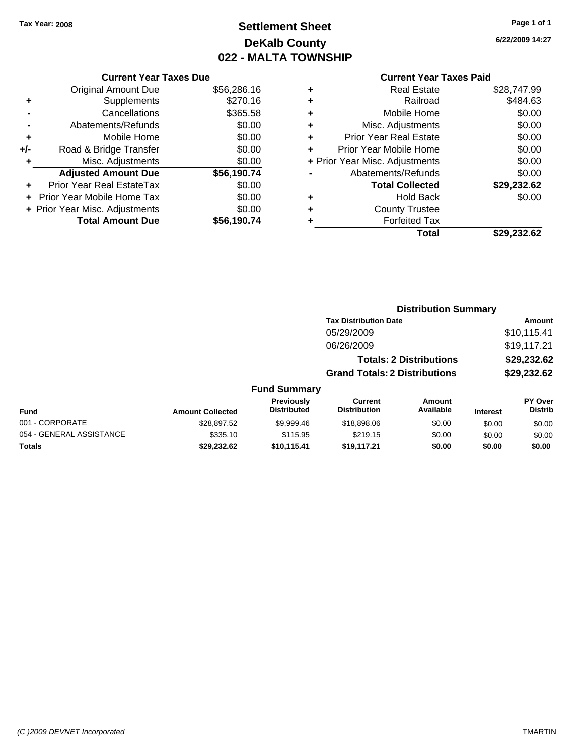# **Settlement Sheet Tax Year: 2008 Page 1 of 1 DeKalb County 022 - MALTA TOWNSHIP**

**6/22/2009 14:27**

|     | <b>Total Amount Due</b>        | \$56.190.74 |
|-----|--------------------------------|-------------|
|     | + Prior Year Misc. Adjustments | \$0.00      |
|     | Prior Year Mobile Home Tax     | \$0.00      |
| ٠   | Prior Year Real EstateTax      | \$0.00      |
|     | <b>Adjusted Amount Due</b>     | \$56,190.74 |
| ٠   | Misc. Adjustments              | \$0.00      |
| +/- | Road & Bridge Transfer         | \$0.00      |
| ٠   | Mobile Home                    | \$0.00      |
|     | Abatements/Refunds             | \$0.00      |
|     | Cancellations                  | \$365.58    |
| ٠   | Supplements                    | \$270.16    |
|     | <b>Original Amount Due</b>     | \$56,286.16 |
|     | <b>Current Year Taxes Due</b>  |             |

| ٠ | <b>Real Estate</b>             | \$28,747.99 |
|---|--------------------------------|-------------|
| ٠ | Railroad                       | \$484.63    |
| ٠ | Mobile Home                    | \$0.00      |
| ٠ | Misc. Adjustments              | \$0.00      |
| ÷ | Prior Year Real Estate         | \$0.00      |
| ÷ | Prior Year Mobile Home         | \$0.00      |
|   | + Prior Year Misc. Adjustments | \$0.00      |
|   | Abatements/Refunds             | \$0.00      |
|   | <b>Total Collected</b>         | \$29,232.62 |
| ٠ | Hold Back                      | \$0.00      |
| ٠ | <b>County Trustee</b>          |             |
| ٠ | <b>Forfeited Tax</b>           |             |
|   | Total                          | \$29,232.62 |
|   |                                |             |

|                          |                         |                                  |                                       | <b>Distribution Summary</b>    |                 |                           |
|--------------------------|-------------------------|----------------------------------|---------------------------------------|--------------------------------|-----------------|---------------------------|
|                          |                         |                                  | <b>Tax Distribution Date</b>          |                                |                 | Amount                    |
|                          |                         |                                  | 05/29/2009                            |                                |                 | \$10,115.41               |
|                          |                         |                                  | 06/26/2009                            |                                |                 | \$19,117.21               |
|                          |                         |                                  |                                       | <b>Totals: 2 Distributions</b> |                 | \$29,232.62               |
|                          |                         |                                  | <b>Grand Totals: 2 Distributions</b>  |                                |                 | \$29,232.62               |
|                          |                         | <b>Fund Summary</b>              |                                       |                                |                 |                           |
| Fund                     | <b>Amount Collected</b> | Previously<br><b>Distributed</b> | <b>Current</b><br><b>Distribution</b> | <b>Amount</b><br>Available     | <b>Interest</b> | PY Over<br><b>Distrib</b> |
| 001 - CORPORATE          | \$28,897.52             | \$9,999.46                       | \$18,898.06                           | \$0.00                         | \$0.00          | \$0.00                    |
| 054 - GENERAL ASSISTANCE | \$335.10                | \$115.95                         | \$219.15                              | \$0.00                         | \$0.00          | \$0.00                    |
| Totals                   | \$29,232.62             | \$10,115.41                      | \$19,117.21                           | \$0.00                         | \$0.00          | \$0.00                    |
|                          |                         |                                  |                                       |                                |                 |                           |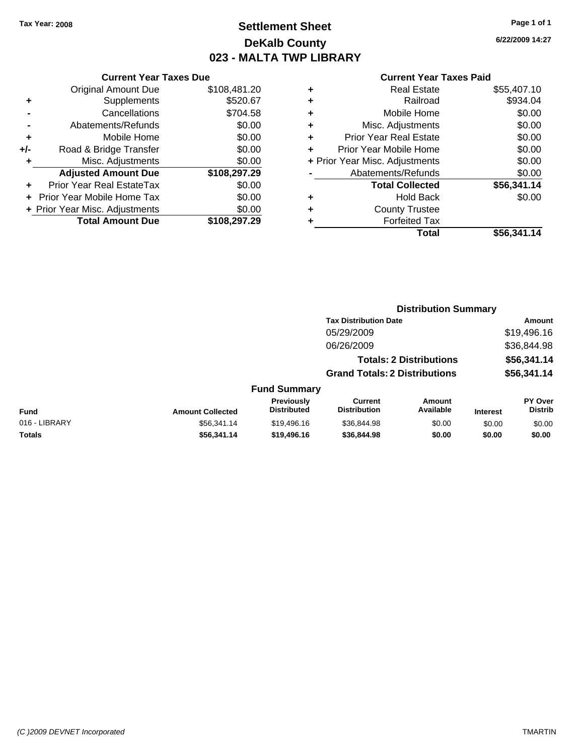**Current Year Taxes Due** Original Amount Due \$108,481.20

**Adjusted Amount Due \$108,297.29**

**Total Amount Due \$108,297.29**

**+** Supplements \$520.67 **-** Cancellations \$704.58 **-** Abatements/Refunds \$0.00 **+** Mobile Home \$0.00 **+/-** Road & Bridge Transfer \$0.00 **+** Misc. Adjustments \$0.00

**+** Prior Year Real EstateTax \$0.00 **+** Prior Year Mobile Home Tax \$0.00 **+ Prior Year Misc. Adjustments**  $$0.00$ 

# **Settlement Sheet Tax Year: 2008 Page 1 of 1 DeKalb County 023 - MALTA TWP LIBRARY**

**6/22/2009 14:27**

|               |                         |                                  |                                       | <b>Distribution Summary</b>    |                 |                                  |
|---------------|-------------------------|----------------------------------|---------------------------------------|--------------------------------|-----------------|----------------------------------|
|               |                         |                                  | <b>Tax Distribution Date</b>          |                                |                 | Amount                           |
|               |                         |                                  | 05/29/2009                            |                                |                 | \$19,496.16                      |
|               |                         |                                  | 06/26/2009                            |                                |                 | \$36,844.98                      |
|               |                         |                                  |                                       | <b>Totals: 2 Distributions</b> |                 | \$56,341.14                      |
|               |                         |                                  | <b>Grand Totals: 2 Distributions</b>  |                                |                 | \$56,341.14                      |
|               |                         | <b>Fund Summary</b>              |                                       |                                |                 |                                  |
| <b>Fund</b>   | <b>Amount Collected</b> | Previously<br><b>Distributed</b> | <b>Current</b><br><b>Distribution</b> | <b>Amount</b><br>Available     | <b>Interest</b> | <b>PY Over</b><br><b>Distrib</b> |
| 016 - LIBRARY | \$56,341.14             | \$19,496.16                      | \$36,844.98                           | \$0.00                         | \$0.00          | \$0.00                           |
| Totals        | \$56,341.14             | \$19,496.16                      | \$36,844.98                           | \$0.00                         | \$0.00          | \$0.00                           |
|               |                         |                                  |                                       |                                |                 |                                  |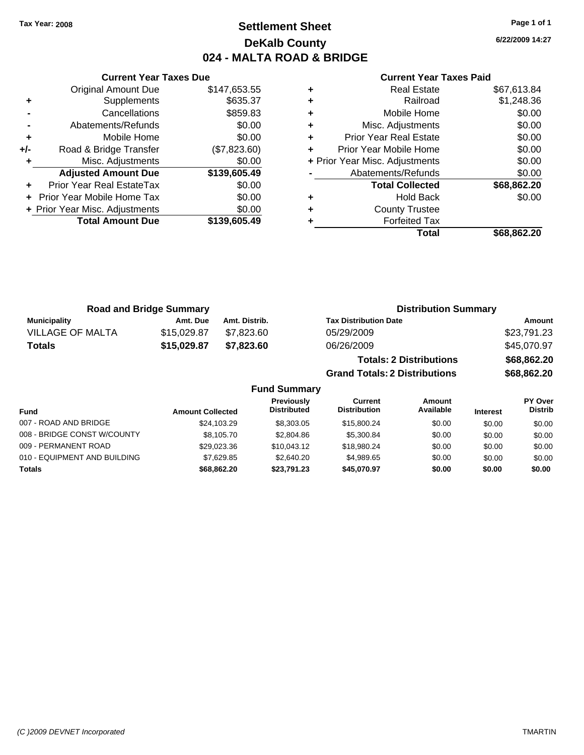# **Settlement Sheet Tax Year: 2008 Page 1 of 1 DeKalb County 024 - MALTA ROAD & BRIDGE**

**6/22/2009 14:27**

|     | <b>Current Year Taxes Due</b>  |              |
|-----|--------------------------------|--------------|
|     | <b>Original Amount Due</b>     | \$147,653.55 |
| ٠   | Supplements                    | \$635.37     |
|     | Cancellations                  | \$859.83     |
|     | Abatements/Refunds             | \$0.00       |
| ٠   | Mobile Home                    | \$0.00       |
| +/- | Road & Bridge Transfer         | (\$7,823.60) |
|     | Misc. Adjustments              | \$0.00       |
|     | <b>Adjusted Amount Due</b>     | \$139,605.49 |
|     | Prior Year Real EstateTax      | \$0.00       |
|     | Prior Year Mobile Home Tax     | \$0.00       |
|     | + Prior Year Misc. Adjustments | \$0.00       |
|     | <b>Total Amount Due</b>        | \$139,605.49 |
|     |                                |              |

| ٠ | <b>Real Estate</b>             | \$67,613.84 |
|---|--------------------------------|-------------|
| ٠ | Railroad                       | \$1,248.36  |
| ٠ | Mobile Home                    | \$0.00      |
| ٠ | Misc. Adjustments              | \$0.00      |
| ٠ | <b>Prior Year Real Estate</b>  | \$0.00      |
| ٠ | Prior Year Mobile Home         | \$0.00      |
|   | + Prior Year Misc. Adjustments | \$0.00      |
|   | Abatements/Refunds             | \$0.00      |
|   | <b>Total Collected</b>         | \$68,862.20 |
| ٠ | Hold Back                      | \$0.00      |
| ٠ | <b>County Trustee</b>          |             |
| ٠ | <b>Forfeited Tax</b>           |             |
|   | Total                          | \$68,862.20 |
|   |                                |             |

| <b>Road and Bridge Summary</b> |             |               | <b>Distribution Summary</b>          |             |  |
|--------------------------------|-------------|---------------|--------------------------------------|-------------|--|
| <b>Municipality</b>            | Amt. Due    | Amt. Distrib. | <b>Tax Distribution Date</b>         | Amount      |  |
| <b>VILLAGE OF MALTA</b>        | \$15,029.87 | \$7.823.60    | 05/29/2009                           | \$23,791.23 |  |
| <b>Totals</b>                  | \$15,029.87 | \$7.823.60    | 06/26/2009                           | \$45,070.97 |  |
|                                |             |               | <b>Totals: 2 Distributions</b>       | \$68,862.20 |  |
|                                |             |               | <b>Grand Totals: 2 Distributions</b> | \$68,862.20 |  |

| <b>Fund Summary</b>          |                         |                                         |                                |                     |                 |                           |
|------------------------------|-------------------------|-----------------------------------------|--------------------------------|---------------------|-----------------|---------------------------|
| <b>Fund</b>                  | <b>Amount Collected</b> | <b>Previously</b><br><b>Distributed</b> | Current<br><b>Distribution</b> | Amount<br>Available | <b>Interest</b> | PY Over<br><b>Distrib</b> |
| 007 - ROAD AND BRIDGE        | \$24,103.29             | \$8,303,05                              | \$15,800.24                    | \$0.00              | \$0.00          | \$0.00                    |
| 008 - BRIDGE CONST W/COUNTY  | \$8,105.70              | \$2,804.86                              | \$5,300.84                     | \$0.00              | \$0.00          | \$0.00                    |
| 009 - PERMANENT ROAD         | \$29,023.36             | \$10,043.12                             | \$18,980.24                    | \$0.00              | \$0.00          | \$0.00                    |
| 010 - EQUIPMENT AND BUILDING | \$7.629.85              | \$2,640.20                              | \$4.989.65                     | \$0.00              | \$0.00          | \$0.00                    |
| <b>Totals</b>                | \$68,862,20             | \$23.791.23                             | \$45.070.97                    | \$0.00              | \$0.00          | \$0.00                    |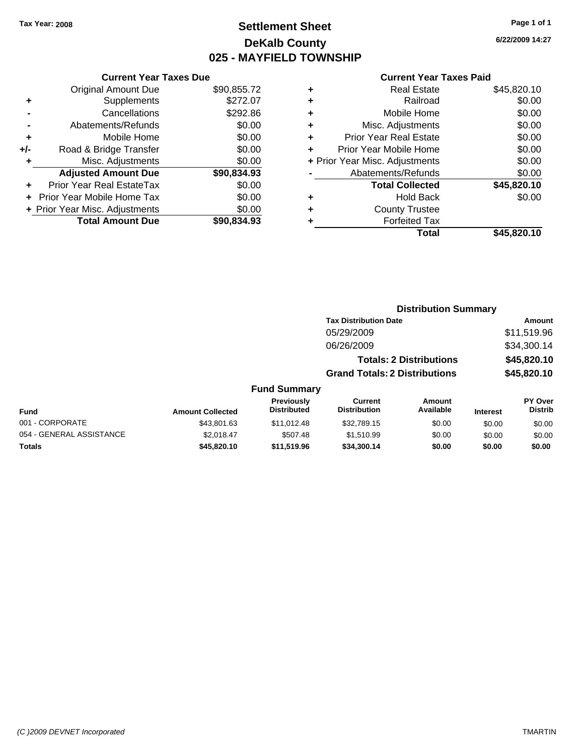# **Settlement Sheet Tax Year: 2008 Page 1 of 1 DeKalb County 025 - MAYFIELD TOWNSHIP**

**6/22/2009 14:27**

#### **Current Year Taxes Paid**

**Distribution Summary**

|                                    | \$45,820.10 |
|------------------------------------|-------------|
| <b>Forfeited Tax</b>               |             |
| <b>County Trustee</b><br>٠         |             |
| <b>Hold Back</b><br>٠              | \$0.00      |
| <b>Total Collected</b>             | \$45,820.10 |
| Abatements/Refunds                 | \$0.00      |
| + Prior Year Misc. Adjustments     | \$0.00      |
| Prior Year Mobile Home             | \$0.00      |
| <b>Prior Year Real Estate</b><br>٠ | \$0.00      |
| Misc. Adjustments<br>٠             | \$0.00      |
| Mobile Home<br>٠                   | \$0.00      |
| Railroad<br>٠                      | \$0.00      |
| <b>Real Estate</b><br>٠            | \$45,820.10 |
|                                    | Total       |

|     | <b>Current Year Taxes Due</b>  |             |  |
|-----|--------------------------------|-------------|--|
|     | <b>Original Amount Due</b>     | \$90,855.72 |  |
| ٠   | Supplements                    | \$272.07    |  |
|     | Cancellations                  | \$292.86    |  |
|     | Abatements/Refunds             | \$0.00      |  |
| ٠   | Mobile Home                    | \$0.00      |  |
| +/- | Road & Bridge Transfer         | \$0.00      |  |
|     | Misc. Adjustments              | \$0.00      |  |
|     | <b>Adjusted Amount Due</b>     | \$90,834.93 |  |
|     | Prior Year Real EstateTax      | \$0.00      |  |
|     | Prior Year Mobile Home Tax     | \$0.00      |  |
|     | + Prior Year Misc. Adjustments | \$0.00      |  |
|     | <b>Total Amount Due</b>        | \$90,834,93 |  |

|                          |                         |                                  |                                       | <b>DISUIDUUDII JUIIIIIIIII</b> |                 |                           |
|--------------------------|-------------------------|----------------------------------|---------------------------------------|--------------------------------|-----------------|---------------------------|
|                          |                         |                                  | <b>Tax Distribution Date</b>          |                                |                 | Amount                    |
|                          |                         |                                  | 05/29/2009                            |                                |                 | \$11,519.96               |
|                          |                         |                                  | 06/26/2009                            |                                |                 | \$34,300.14               |
|                          |                         |                                  |                                       | <b>Totals: 2 Distributions</b> |                 | \$45,820.10               |
|                          |                         |                                  | <b>Grand Totals: 2 Distributions</b>  |                                |                 | \$45,820.10               |
|                          |                         | <b>Fund Summary</b>              |                                       |                                |                 |                           |
| <b>Fund</b>              | <b>Amount Collected</b> | Previously<br><b>Distributed</b> | <b>Current</b><br><b>Distribution</b> | <b>Amount</b><br>Available     | <b>Interest</b> | PY Over<br><b>Distrib</b> |
| 001 - CORPORATE          | \$43,801.63             | \$11.012.48                      | \$32.789.15                           | \$0.00                         | \$0.00          | \$0.00                    |
| 054 - GENERAL ASSISTANCE | \$2.018.47              | \$507.48                         | \$1,510.99                            | \$0.00                         | \$0.00          | \$0.00                    |
| <b>Totals</b>            | \$45,820.10             | \$11,519.96                      | \$34,300.14                           | \$0.00                         | \$0.00          | \$0.00                    |
|                          |                         |                                  |                                       |                                |                 |                           |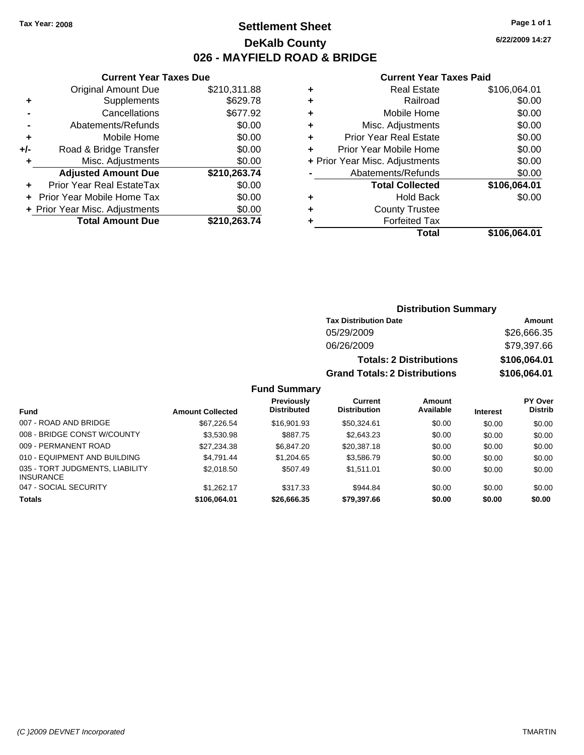# **Settlement Sheet Tax Year: 2008 Page 1 of 1 DeKalb County 026 - MAYFIELD ROAD & BRIDGE**

### **Current Year Taxes Due**

|     | <b>Total Amount Due</b>           | \$210,263.74 |
|-----|-----------------------------------|--------------|
|     | + Prior Year Misc. Adjustments    | \$0.00       |
|     | <b>Prior Year Mobile Home Tax</b> | \$0.00       |
|     | <b>Prior Year Real EstateTax</b>  | \$0.00       |
|     | <b>Adjusted Amount Due</b>        | \$210,263.74 |
| ٠   | Misc. Adjustments                 | \$0.00       |
| +/- | Road & Bridge Transfer            | \$0.00       |
| ٠   | Mobile Home                       | \$0.00       |
|     | Abatements/Refunds                | \$0.00       |
|     | Cancellations                     | \$677.92     |
| ٠   | Supplements                       | \$629.78     |
|     | <b>Original Amount Due</b>        | \$210,311.88 |

### **Current Year Taxes Paid**

|   | <b>Real Estate</b>             | \$106,064.01 |
|---|--------------------------------|--------------|
| ÷ | Railroad                       | \$0.00       |
| ٠ | Mobile Home                    | \$0.00       |
| ٠ | Misc. Adjustments              | \$0.00       |
| ٠ | <b>Prior Year Real Estate</b>  | \$0.00       |
|   | Prior Year Mobile Home         | \$0.00       |
|   | + Prior Year Misc. Adjustments | \$0.00       |
|   | Abatements/Refunds             | \$0.00       |
|   | <b>Total Collected</b>         | \$106,064.01 |
| ٠ | Hold Back                      | \$0.00       |
| ٠ | <b>County Trustee</b>          |              |
|   | <b>Forfeited Tax</b>           |              |
|   | Total                          | \$106,064.01 |
|   |                                |              |

| <b>Distribution Summary</b>  |        |
|------------------------------|--------|
| <b>Tax Distribution Date</b> | Amount |

| 05/29/2009                           | \$26,666.35  |
|--------------------------------------|--------------|
| 06/26/2009                           | \$79,397.66  |
| <b>Totals: 2 Distributions</b>       | \$106.064.01 |
| <b>Grand Totals: 2 Distributions</b> | \$106,064.01 |

### **Fund Summary**

|                                                     |                         | Previously         | Current             | Amount    |                 | PY Over        |
|-----------------------------------------------------|-------------------------|--------------------|---------------------|-----------|-----------------|----------------|
| Fund                                                | <b>Amount Collected</b> | <b>Distributed</b> | <b>Distribution</b> | Available | <b>Interest</b> | <b>Distrib</b> |
| 007 - ROAD AND BRIDGE                               | \$67,226.54             | \$16,901.93        | \$50,324.61         | \$0.00    | \$0.00          | \$0.00         |
| 008 - BRIDGE CONST W/COUNTY                         | \$3,530.98              | \$887.75           | \$2,643.23          | \$0.00    | \$0.00          | \$0.00         |
| 009 - PERMANENT ROAD                                | \$27,234.38             | \$6,847.20         | \$20,387.18         | \$0.00    | \$0.00          | \$0.00         |
| 010 - EQUIPMENT AND BUILDING                        | \$4.791.44              | \$1,204.65         | \$3.586.79          | \$0.00    | \$0.00          | \$0.00         |
| 035 - TORT JUDGMENTS, LIABILITY<br><b>INSURANCE</b> | \$2,018.50              | \$507.49           | \$1.511.01          | \$0.00    | \$0.00          | \$0.00         |
| 047 - SOCIAL SECURITY                               | \$1.262.17              | \$317.33           | \$944.84            | \$0.00    | \$0.00          | \$0.00         |
| <b>Totals</b>                                       | \$106,064.01            | \$26,666.35        | \$79,397.66         | \$0.00    | \$0.00          | \$0.00         |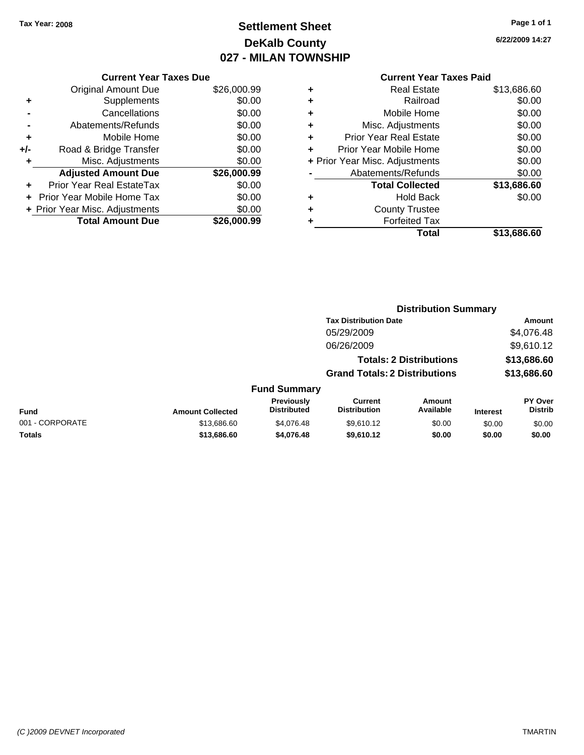# **Settlement Sheet Tax Year: 2008 Page 1 of 1 DeKalb County 027 - MILAN TOWNSHIP**

**6/22/2009 14:27**

|     | <b>Current Year Taxes Due</b>  |             |
|-----|--------------------------------|-------------|
|     | Original Amount Due            | \$26,000.99 |
| ٠   | Supplements                    | \$0.00      |
|     | Cancellations                  | \$0.00      |
|     | Abatements/Refunds             | \$0.00      |
| ٠   | Mobile Home                    | \$0.00      |
| +/- | Road & Bridge Transfer         | \$0.00      |
| ٠   | Misc. Adjustments              | \$0.00      |
|     | <b>Adjusted Amount Due</b>     | \$26,000.99 |
| ÷   | Prior Year Real EstateTax      | \$0.00      |
|     | Prior Year Mobile Home Tax     | \$0.00      |
|     | + Prior Year Misc. Adjustments | \$0.00      |
|     | <b>Total Amount Due</b>        | \$26,000.99 |
|     |                                |             |

| ٠ | <b>Real Estate</b>             | \$13,686.60 |
|---|--------------------------------|-------------|
| ٠ | Railroad                       | \$0.00      |
| ٠ | Mobile Home                    | \$0.00      |
| ÷ | Misc. Adjustments              | \$0.00      |
| ٠ | Prior Year Real Estate         | \$0.00      |
| ÷ | Prior Year Mobile Home         | \$0.00      |
|   | + Prior Year Misc. Adjustments | \$0.00      |
|   | Abatements/Refunds             | \$0.00      |
|   | <b>Total Collected</b>         | \$13,686.60 |
| ٠ | <b>Hold Back</b>               | \$0.00      |
| ٠ | <b>County Trustee</b>          |             |
| ٠ | <b>Forfeited Tax</b>           |             |
|   | Total                          | \$13,686.60 |
|   |                                |             |

|                 |                         |                                  | <b>Distribution Summary</b>           |                                |                 |                           |
|-----------------|-------------------------|----------------------------------|---------------------------------------|--------------------------------|-----------------|---------------------------|
|                 |                         |                                  | <b>Tax Distribution Date</b>          |                                |                 | Amount                    |
|                 |                         |                                  | 05/29/2009                            |                                |                 | \$4,076.48                |
|                 |                         |                                  | 06/26/2009                            |                                |                 | \$9,610.12                |
|                 |                         |                                  |                                       | <b>Totals: 2 Distributions</b> |                 | \$13,686.60               |
|                 |                         |                                  | <b>Grand Totals: 2 Distributions</b>  |                                |                 | \$13,686.60               |
|                 |                         | <b>Fund Summary</b>              |                                       |                                |                 |                           |
| <b>Fund</b>     | <b>Amount Collected</b> | Previously<br><b>Distributed</b> | <b>Current</b><br><b>Distribution</b> | Amount<br>Available            | <b>Interest</b> | PY Over<br><b>Distrib</b> |
| 001 - CORPORATE | \$13,686.60             | \$4,076.48                       | \$9.610.12                            | \$0.00                         | \$0.00          | \$0.00                    |
| Totals          | \$13,686.60             | \$4,076.48                       | \$9,610.12                            | \$0.00                         | \$0.00          | \$0.00                    |
|                 |                         |                                  |                                       |                                |                 |                           |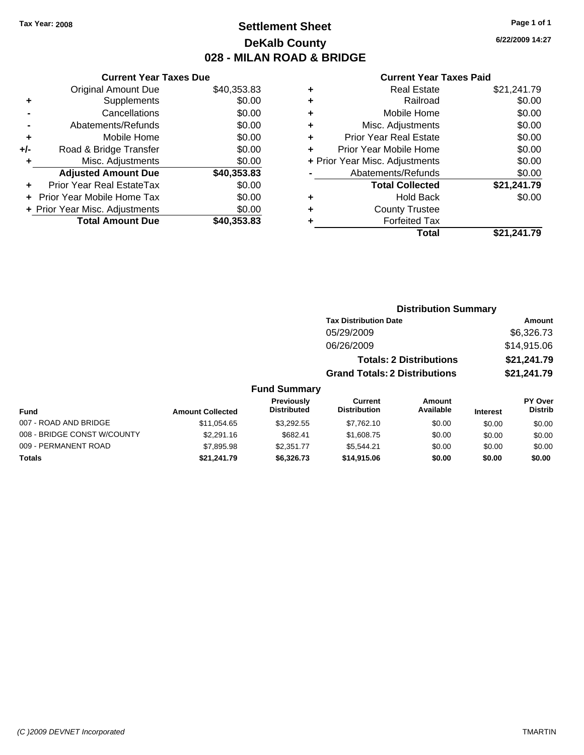# **Settlement Sheet Tax Year: 2008 Page 1 of 1 DeKalb County 028 - MILAN ROAD & BRIDGE**

**6/22/2009 14:27**

#### **Current Year Taxes Paid**

|     | <b>Current Year Taxes Due</b>  |             |  |  |
|-----|--------------------------------|-------------|--|--|
|     | <b>Original Amount Due</b>     | \$40,353.83 |  |  |
| ٠   | Supplements                    | \$0.00      |  |  |
|     | Cancellations                  | \$0.00      |  |  |
|     | Abatements/Refunds             | \$0.00      |  |  |
| ٠   | Mobile Home                    | \$0.00      |  |  |
| +/- | Road & Bridge Transfer         | \$0.00      |  |  |
|     | Misc. Adjustments              | \$0.00      |  |  |
|     | <b>Adjusted Amount Due</b>     | \$40,353.83 |  |  |
|     | Prior Year Real EstateTax      | \$0.00      |  |  |
|     | Prior Year Mobile Home Tax     | \$0.00      |  |  |
|     | + Prior Year Misc. Adjustments | \$0.00      |  |  |
|     | <b>Total Amount Due</b>        | \$40,353.83 |  |  |
|     |                                |             |  |  |

| ٠ | <b>Real Estate</b>             | \$21,241.79 |
|---|--------------------------------|-------------|
| ٠ | Railroad                       | \$0.00      |
| ٠ | Mobile Home                    | \$0.00      |
| ٠ | Misc. Adjustments              | \$0.00      |
| ٠ | <b>Prior Year Real Estate</b>  | \$0.00      |
| ÷ | Prior Year Mobile Home         | \$0.00      |
|   | + Prior Year Misc. Adjustments | \$0.00      |
|   | Abatements/Refunds             | \$0.00      |
|   | <b>Total Collected</b>         | \$21,241.79 |
| ٠ | <b>Hold Back</b>               | \$0.00      |
| ٠ | <b>County Trustee</b>          |             |
| ٠ | <b>Forfeited Tax</b>           |             |
|   | Total                          | \$21.241.79 |
|   |                                |             |

|                             |                         |                                         | <b>Distribution Summary</b>          |                                |                 |                           |
|-----------------------------|-------------------------|-----------------------------------------|--------------------------------------|--------------------------------|-----------------|---------------------------|
|                             |                         |                                         | <b>Tax Distribution Date</b>         |                                |                 | Amount                    |
|                             |                         |                                         | 05/29/2009                           |                                |                 | \$6,326.73                |
|                             |                         |                                         | 06/26/2009                           |                                |                 | \$14,915.06               |
|                             |                         |                                         |                                      | <b>Totals: 2 Distributions</b> |                 | \$21,241.79               |
|                             |                         |                                         | <b>Grand Totals: 2 Distributions</b> |                                |                 | \$21,241.79               |
|                             |                         | <b>Fund Summary</b>                     |                                      |                                |                 |                           |
| <b>Fund</b>                 | <b>Amount Collected</b> | <b>Previously</b><br><b>Distributed</b> | Current<br><b>Distribution</b>       | Amount<br>Available            | <b>Interest</b> | PY Over<br><b>Distrib</b> |
| 007 - ROAD AND BRIDGE       | \$11.054.65             | \$3.292.55                              | \$7,762.10                           | \$0.00                         | \$0.00          | \$0.00                    |
| 008 - BRIDGE CONST W/COUNTY | \$2,291.16              | \$682.41                                | \$1,608.75                           | \$0.00                         | \$0.00          | \$0.00                    |
| 009 - PERMANENT ROAD        | \$7,895.98              | \$2,351.77                              | \$5.544.21                           | \$0.00                         | \$0.00          | \$0.00                    |

**Totals \$21,241.79 \$6,326.73 \$14,915.06 \$0.00 \$0.00 \$0.00**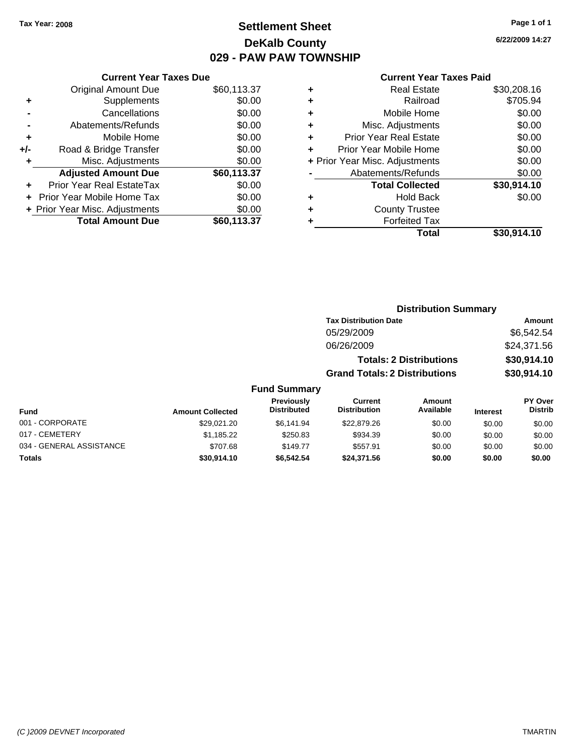# **Settlement Sheet Tax Year: 2008 Page 1 of 1 DeKalb County 029 - PAW PAW TOWNSHIP**

**6/22/2009 14:27**

|     | <b>Current Year Taxes Due</b>     |             |
|-----|-----------------------------------|-------------|
|     | Original Amount Due               | \$60,113.37 |
| ٠   | Supplements                       | \$0.00      |
|     | Cancellations                     | \$0.00      |
|     | Abatements/Refunds                | \$0.00      |
| ٠   | Mobile Home                       | \$0.00      |
| +/- | Road & Bridge Transfer            | \$0.00      |
| ٠   | Misc. Adjustments                 | \$0.00      |
|     | <b>Adjusted Amount Due</b>        | \$60,113.37 |
| ٠   | Prior Year Real EstateTax         | \$0.00      |
|     | <b>Prior Year Mobile Home Tax</b> | \$0.00      |
|     | + Prior Year Misc. Adjustments    | \$0.00      |
|     | <b>Total Amount Due</b>           | \$60,113.37 |
|     |                                   |             |

#### **Current Year Taxes Paid**

|   | <b>Real Estate</b>             | \$30,208.16 |
|---|--------------------------------|-------------|
| ÷ | Railroad                       | \$705.94    |
| ٠ | Mobile Home                    | \$0.00      |
| ٠ | Misc. Adjustments              | \$0.00      |
| ٠ | <b>Prior Year Real Estate</b>  | \$0.00      |
|   | Prior Year Mobile Home         | \$0.00      |
|   | + Prior Year Misc. Adjustments | \$0.00      |
|   | Abatements/Refunds             | \$0.00      |
|   | <b>Total Collected</b>         | \$30,914.10 |
| ٠ | <b>Hold Back</b>               | \$0.00      |
| ٠ | <b>County Trustee</b>          |             |
| ٠ | <b>Forfeited Tax</b>           |             |
|   | Total                          | \$30,914.10 |
|   |                                |             |

#### **Distribution Summary Tax Distribution Date Amount** 05/29/2009 \$6,542.54 06/26/2009 \$24,371.56 **Totals: 2 Distributions \$30,914.10 Grand Totals: 2 Distributions \$30,914.10 Fund Summary Fund Interest Amount Collected Distributed PY Over Distrib Amount Available Current Distribution Previously** 001 - CORPORATE \$29,021.20 \$6,141.94 \$22,879.26 \$0.00 \$0.00 \$0.00 017 - CEMETERY \$1,185.22 \$250.83 \$934.39 \$0.00 \$0.00 \$0.00 034 - GENERAL ASSISTANCE \$707.68 \$149.77 \$557.91 \$0.00 \$0.00 \$0.00 **Totals \$30,914.10 \$6,542.54 \$24,371.56 \$0.00 \$0.00 \$0.00**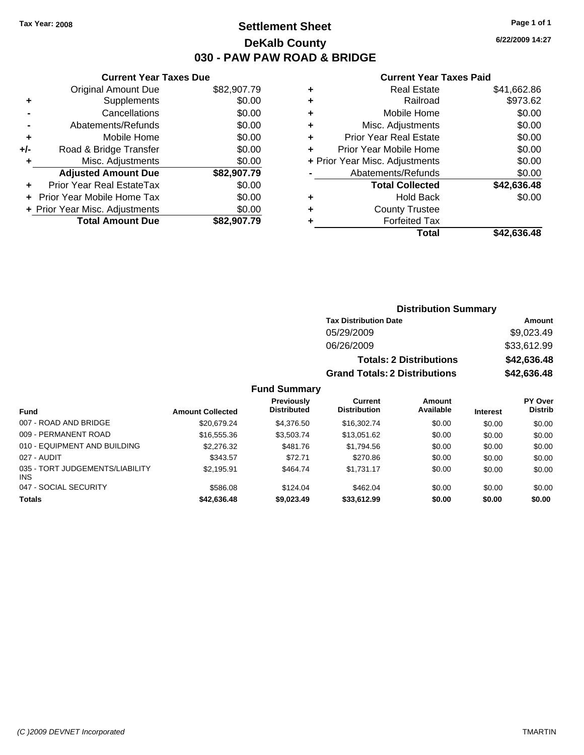# **Settlement Sheet Tax Year: 2008 Page 1 of 1 DeKalb County 030 - PAW PAW ROAD & BRIDGE**

### **Current Year Taxes Due**

|       | <b>Original Amount Due</b>        | \$82,907.79 |
|-------|-----------------------------------|-------------|
| ٠     | Supplements                       | \$0.00      |
|       | Cancellations                     | \$0.00      |
|       | Abatements/Refunds                | \$0.00      |
| ٠     | Mobile Home                       | \$0.00      |
| $+/-$ | Road & Bridge Transfer            | \$0.00      |
| ٠     | Misc. Adjustments                 | \$0.00      |
|       | <b>Adjusted Amount Due</b>        | \$82,907.79 |
|       | <b>Prior Year Real EstateTax</b>  | \$0.00      |
|       | <b>Prior Year Mobile Home Tax</b> | \$0.00      |
|       | + Prior Year Misc. Adjustments    | \$0.00      |
|       | <b>Total Amount Due</b>           | \$82,907.79 |

### **Current Year Taxes Paid**

|   | <b>Real Estate</b>             | \$41,662.86 |
|---|--------------------------------|-------------|
| ٠ | Railroad                       | \$973.62    |
| ٠ | Mobile Home                    | \$0.00      |
| ٠ | Misc. Adjustments              | \$0.00      |
| ٠ | <b>Prior Year Real Estate</b>  | \$0.00      |
|   | Prior Year Mobile Home         | \$0.00      |
|   | + Prior Year Misc. Adjustments | \$0.00      |
|   | Abatements/Refunds             | \$0.00      |
|   | <b>Total Collected</b>         | \$42,636.48 |
| ٠ | <b>Hold Back</b>               | \$0.00      |
| ٠ | <b>County Trustee</b>          |             |
| ٠ | <b>Forfeited Tax</b>           |             |
|   | Total                          | \$42,636.48 |
|   |                                |             |

| <b>Distribution Summary</b>          |             |  |  |
|--------------------------------------|-------------|--|--|
| <b>Tax Distribution Date</b>         | Amount      |  |  |
| 05/29/2009                           | \$9,023.49  |  |  |
| 06/26/2009                           | \$33,612.99 |  |  |
| <b>Totals: 2 Distributions</b>       | \$42,636.48 |  |  |
| <b>Grand Totals: 2 Distributions</b> | \$42,636.48 |  |  |

## **Fund Summary**

|                                         |                         | <b>Previously</b>  | Current             | <b>Amount</b> |                 | PY Over        |
|-----------------------------------------|-------------------------|--------------------|---------------------|---------------|-----------------|----------------|
| <b>Fund</b>                             | <b>Amount Collected</b> | <b>Distributed</b> | <b>Distribution</b> | Available     | <b>Interest</b> | <b>Distrib</b> |
| 007 - ROAD AND BRIDGE                   | \$20,679.24             | \$4,376.50         | \$16,302.74         | \$0.00        | \$0.00          | \$0.00         |
| 009 - PERMANENT ROAD                    | \$16,555,36             | \$3,503,74         | \$13.051.62         | \$0.00        | \$0.00          | \$0.00         |
| 010 - EQUIPMENT AND BUILDING            | \$2,276.32              | \$481.76           | \$1,794.56          | \$0.00        | \$0.00          | \$0.00         |
| 027 - AUDIT                             | \$343.57                | \$72.71            | \$270.86            | \$0.00        | \$0.00          | \$0.00         |
| 035 - TORT JUDGEMENTS/LIABILITY<br>INS. | \$2.195.91              | \$464.74           | \$1.731.17          | \$0.00        | \$0.00          | \$0.00         |
| 047 - SOCIAL SECURITY                   | \$586.08                | \$124.04           | \$462.04            | \$0.00        | \$0.00          | \$0.00         |
| <b>Totals</b>                           | \$42,636.48             | \$9,023.49         | \$33,612.99         | \$0.00        | \$0.00          | \$0.00         |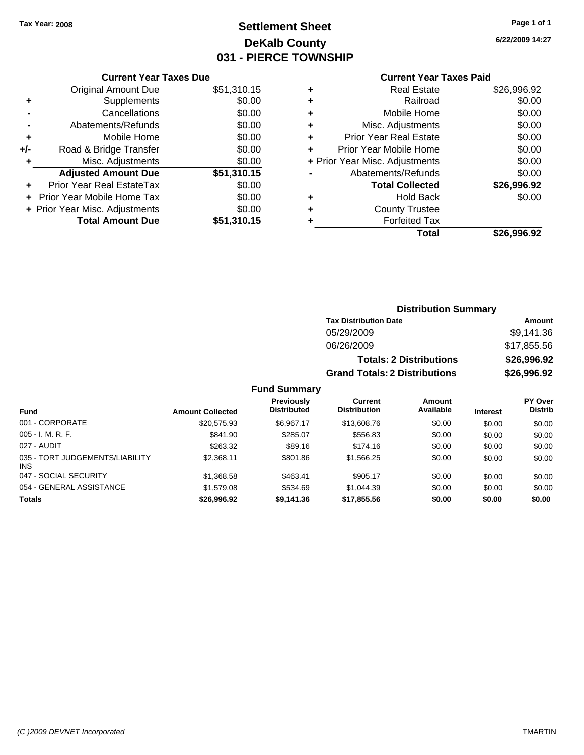# **Settlement Sheet Tax Year: 2008 Page 1 of 1 DeKalb County 031 - PIERCE TOWNSHIP**

**6/22/2009 14:27**

|     | <b>Original Amount Due</b>       | \$51,310.15 |
|-----|----------------------------------|-------------|
| ٠   | Supplements                      | \$0.00      |
|     | Cancellations                    | \$0.00      |
|     | Abatements/Refunds               | \$0.00      |
| ÷   | Mobile Home                      | \$0.00      |
| +/- | Road & Bridge Transfer           | \$0.00      |
| ٠   | Misc. Adjustments                | \$0.00      |
|     | <b>Adjusted Amount Due</b>       | \$51,310.15 |
|     | <b>Prior Year Real EstateTax</b> | \$0.00      |
|     | Prior Year Mobile Home Tax       | \$0.00      |
|     | + Prior Year Misc. Adjustments   | \$0.00      |
|     | <b>Total Amount Due</b>          | \$51,310.15 |

#### **Current Year Taxes Paid**

| <b>Real Estate</b>             | \$26,996.92 |
|--------------------------------|-------------|
| Railroad                       | \$0.00      |
| Mobile Home                    | \$0.00      |
| Misc. Adjustments              | \$0.00      |
| <b>Prior Year Real Estate</b>  | \$0.00      |
| Prior Year Mobile Home         | \$0.00      |
| + Prior Year Misc. Adjustments | \$0.00      |
| Abatements/Refunds             | \$0.00      |
| <b>Total Collected</b>         | \$26,996.92 |
| <b>Hold Back</b>               | \$0.00      |
| <b>County Trustee</b>          |             |
| <b>Forfeited Tax</b>           |             |
| Total                          | \$26,996.92 |
|                                |             |

### **Distribution Summary Tax Distribution Date Amount** 05/29/2009 \$9,141.36 06/26/2009 \$17,855.56 **Totals: 2 Distributions \$26,996.92 Grand Totals: 2 Distributions \$26,996.92**

### **Fund Summary**

| <b>Fund</b>                                   | <b>Amount Collected</b> | Previously<br><b>Distributed</b> | Current<br><b>Distribution</b> | Amount<br>Available | <b>Interest</b> | PY Over<br><b>Distrib</b> |
|-----------------------------------------------|-------------------------|----------------------------------|--------------------------------|---------------------|-----------------|---------------------------|
| 001 - CORPORATE                               | \$20,575.93             | \$6.967.17                       | \$13,608.76                    | \$0.00              | \$0.00          | \$0.00                    |
| $005 - I. M. R. F.$                           | \$841.90                | \$285.07                         | \$556.83                       | \$0.00              | \$0.00          | \$0.00                    |
| 027 - AUDIT                                   | \$263.32                | \$89.16                          | \$174.16                       | \$0.00              | \$0.00          | \$0.00                    |
| 035 - TORT JUDGEMENTS/LIABILITY<br><b>INS</b> | \$2.368.11              | \$801.86                         | \$1,566.25                     | \$0.00              | \$0.00          | \$0.00                    |
| 047 - SOCIAL SECURITY                         | \$1,368.58              | \$463.41                         | \$905.17                       | \$0.00              | \$0.00          | \$0.00                    |
| 054 - GENERAL ASSISTANCE                      | \$1,579.08              | \$534.69                         | \$1.044.39                     | \$0.00              | \$0.00          | \$0.00                    |
| <b>Totals</b>                                 | \$26,996.92             | \$9,141.36                       | \$17,855.56                    | \$0.00              | \$0.00          | \$0.00                    |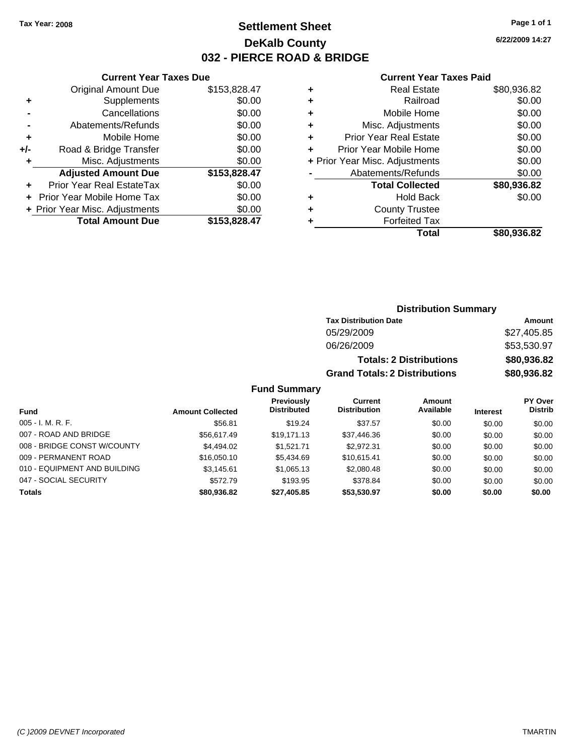# **Settlement Sheet Tax Year: 2008 Page 1 of 1 DeKalb County 032 - PIERCE ROAD & BRIDGE**

**6/22/2009 14:27**

#### **Current Year Taxes Paid**

|     | <b>Current Year Taxes Due</b>     |              |  |  |  |
|-----|-----------------------------------|--------------|--|--|--|
|     | <b>Original Amount Due</b>        | \$153,828.47 |  |  |  |
| ٠   | Supplements                       | \$0.00       |  |  |  |
|     | Cancellations                     | \$0.00       |  |  |  |
|     | Abatements/Refunds                | \$0.00       |  |  |  |
| ٠   | Mobile Home                       | \$0.00       |  |  |  |
| +/- | Road & Bridge Transfer            | \$0.00       |  |  |  |
| ٠   | Misc. Adjustments                 | \$0.00       |  |  |  |
|     | <b>Adjusted Amount Due</b>        | \$153,828.47 |  |  |  |
|     | Prior Year Real EstateTax         | \$0.00       |  |  |  |
|     | <b>Prior Year Mobile Home Tax</b> | \$0.00       |  |  |  |
|     | + Prior Year Misc. Adjustments    | \$0.00       |  |  |  |
|     | <b>Total Amount Due</b>           | \$153,828.47 |  |  |  |
|     |                                   |              |  |  |  |

|   | <b>Real Estate</b>             | \$80,936.82 |
|---|--------------------------------|-------------|
| ٠ | Railroad                       | \$0.00      |
| ٠ | Mobile Home                    | \$0.00      |
| ٠ | Misc. Adjustments              | \$0.00      |
| ٠ | <b>Prior Year Real Estate</b>  | \$0.00      |
|   | Prior Year Mobile Home         | \$0.00      |
|   | + Prior Year Misc. Adjustments | \$0.00      |
|   | Abatements/Refunds             | \$0.00      |
|   | <b>Total Collected</b>         | \$80,936.82 |
| ٠ | Hold Back                      | \$0.00      |
| ٠ | <b>County Trustee</b>          |             |
|   | <b>Forfeited Tax</b>           |             |
|   | Total                          | \$80,936.82 |
|   |                                |             |

#### **Distribution Summary Tax Distribution Date Amount** 05/29/2009 \$27,405.85 06/26/2009 \$53,530.97 **Totals: 2 Distributions \$80,936.82 Grand Totals: 2 Distributions \$80,936.82 Fund Summary PY Over Distrib Amount Available Current Distribution Previously**

| <b>Fund</b>                  | <b>Amount Collected</b> | <b>IGVIUUSIV</b><br><b>Distributed</b> | <b>VULLELL</b><br><b>Distribution</b> | Allivulit<br>Available | <b>Interest</b> | וסעטו<br><b>Distrib</b> |
|------------------------------|-------------------------|----------------------------------------|---------------------------------------|------------------------|-----------------|-------------------------|
| $005 - I. M. R. F.$          | \$56.81                 | \$19.24                                | \$37.57                               | \$0.00                 | \$0.00          | \$0.00                  |
| 007 - ROAD AND BRIDGE        | \$56,617.49             | \$19.171.13                            | \$37,446.36                           | \$0.00                 | \$0.00          | \$0.00                  |
| 008 - BRIDGE CONST W/COUNTY  | \$4,494.02              | \$1.521.71                             | \$2.972.31                            | \$0.00                 | \$0.00          | \$0.00                  |
| 009 - PERMANENT ROAD         | \$16,050.10             | \$5,434.69                             | \$10.615.41                           | \$0.00                 | \$0.00          | \$0.00                  |
| 010 - EQUIPMENT AND BUILDING | \$3,145.61              | \$1,065.13                             | \$2,080.48                            | \$0.00                 | \$0.00          | \$0.00                  |
| 047 - SOCIAL SECURITY        | \$572.79                | \$193.95                               | \$378.84                              | \$0.00                 | \$0.00          | \$0.00                  |
| <b>Totals</b>                | \$80,936.82             | \$27,405.85                            | \$53,530.97                           | \$0.00                 | \$0.00          | \$0.00                  |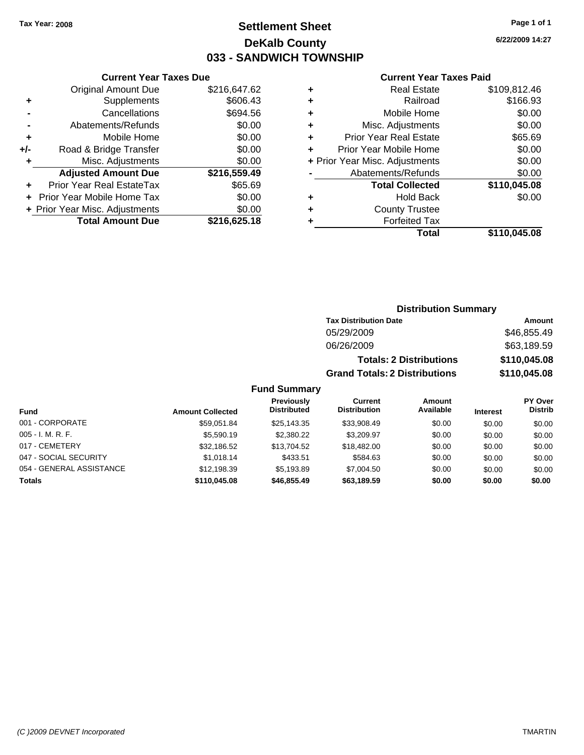# **Settlement Sheet Tax Year: 2008 Page 1 of 1 DeKalb County 033 - SANDWICH TOWNSHIP**

### **Current Year Taxes Due**

|     | <b>Original Amount Due</b>       | \$216,647.62 |
|-----|----------------------------------|--------------|
| ٠   | Supplements                      | \$606.43     |
|     | Cancellations                    | \$694.56     |
|     | Abatements/Refunds               | \$0.00       |
| ÷   | Mobile Home                      | \$0.00       |
| +/- | Road & Bridge Transfer           | \$0.00       |
| ٠   | Misc. Adjustments                | \$0.00       |
|     | <b>Adjusted Amount Due</b>       | \$216,559.49 |
|     | <b>Prior Year Real EstateTax</b> | \$65.69      |
|     | Prior Year Mobile Home Tax       | \$0.00       |
|     | + Prior Year Misc. Adjustments   | \$0.00       |
|     | <b>Total Amount Due</b>          | \$216,625.18 |

#### **Current Year Taxes Paid**

| <b>Real Estate</b>             | \$109,812.46 |
|--------------------------------|--------------|
| Railroad                       | \$166.93     |
| Mobile Home                    | \$0.00       |
| Misc. Adjustments              | \$0.00       |
| <b>Prior Year Real Estate</b>  | \$65.69      |
| Prior Year Mobile Home         | \$0.00       |
| + Prior Year Misc. Adjustments | \$0.00       |
| Abatements/Refunds             | \$0.00       |
| <b>Total Collected</b>         | \$110,045.08 |
| <b>Hold Back</b>               | \$0.00       |
| <b>County Trustee</b>          |              |
| <b>Forfeited Tax</b>           |              |
| Total                          | \$110,045.08 |
|                                |              |

### **Distribution Summary Tax Distribution Date Amount** 05/29/2009 \$46,855.49

| 06/26/2009                           | \$63.189.59  |
|--------------------------------------|--------------|
| <b>Totals: 2 Distributions</b>       | \$110,045.08 |
| <b>Grand Totals: 2 Distributions</b> | \$110,045.08 |

### **Fund Summary**

| <b>Fund</b>              | <b>Amount Collected</b> | Previously<br><b>Distributed</b> | Current<br><b>Distribution</b> | <b>Amount</b><br>Available | <b>Interest</b> | PY Over<br><b>Distrib</b> |
|--------------------------|-------------------------|----------------------------------|--------------------------------|----------------------------|-----------------|---------------------------|
| 001 - CORPORATE          | \$59.051.84             | \$25.143.35                      | \$33,908.49                    | \$0.00                     | \$0.00          | \$0.00                    |
| $005 - I. M. R. F.$      | \$5,590.19              | \$2,380.22                       | \$3,209.97                     | \$0.00                     | \$0.00          | \$0.00                    |
| 017 - CEMETERY           | \$32.186.52             | \$13.704.52                      | \$18,482,00                    | \$0.00                     | \$0.00          | \$0.00                    |
| 047 - SOCIAL SECURITY    | \$1.018.14              | \$433.51                         | \$584.63                       | \$0.00                     | \$0.00          | \$0.00                    |
| 054 - GENERAL ASSISTANCE | \$12.198.39             | \$5.193.89                       | \$7,004.50                     | \$0.00                     | \$0.00          | \$0.00                    |
| <b>Totals</b>            | \$110,045,08            | \$46,855,49                      | \$63,189.59                    | \$0.00                     | \$0.00          | \$0.00                    |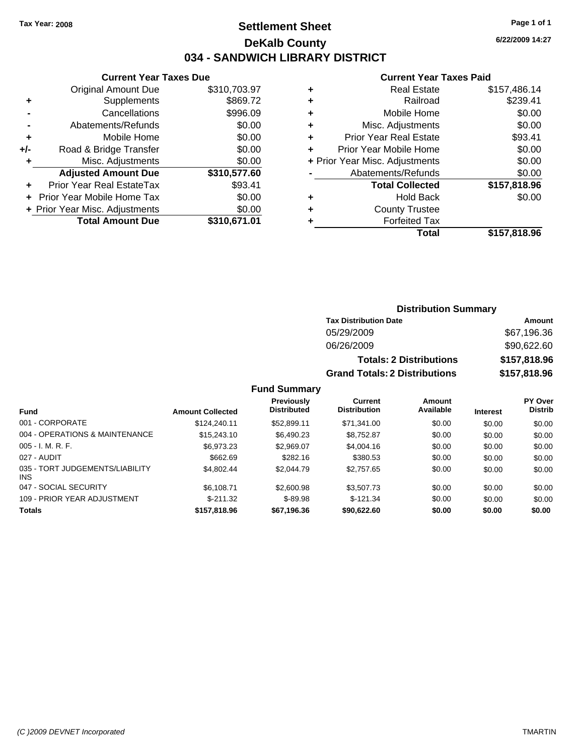# **Settlement Sheet Tax Year: 2008 Page 1 of 1 DeKalb County 034 - SANDWICH LIBRARY DISTRICT**

**6/22/2009 14:27**

### **Current Year Taxes Paid**

| \$310,703.97<br>\$869.72 |
|--------------------------|
|                          |
|                          |
| \$996.09                 |
| \$0.00                   |
| \$0.00                   |
| \$0.00                   |
| \$0.00                   |
| \$310,577.60             |
| \$93.41                  |
| \$0.00                   |
| \$0.00                   |
| \$310,671.01             |
|                          |

| \$157,486.14 |
|--------------|
| \$239.41     |
| \$0.00       |
| \$0.00       |
| \$93.41      |
| \$0.00       |
| \$0.00       |
| \$0.00       |
| \$157,818.96 |
| \$0.00       |
|              |
|              |
| \$157,818.96 |
|              |

# **Distribution Summary**

| <b>Tax Distribution Date</b>         | Amount       |
|--------------------------------------|--------------|
| 05/29/2009                           | \$67,196.36  |
| 06/26/2009                           | \$90,622.60  |
| <b>Totals: 2 Distributions</b>       | \$157,818.96 |
| <b>Grand Totals: 2 Distributions</b> | \$157,818.96 |

### **Fund Summary**

|                                               |                         | <b>Previously</b>  | Current             | Amount    |                 | PY Over        |
|-----------------------------------------------|-------------------------|--------------------|---------------------|-----------|-----------------|----------------|
| <b>Fund</b>                                   | <b>Amount Collected</b> | <b>Distributed</b> | <b>Distribution</b> | Available | <b>Interest</b> | <b>Distrib</b> |
| 001 - CORPORATE                               | \$124,240.11            | \$52,899.11        | \$71,341.00         | \$0.00    | \$0.00          | \$0.00         |
| 004 - OPERATIONS & MAINTENANCE                | \$15,243.10             | \$6,490.23         | \$8,752.87          | \$0.00    | \$0.00          | \$0.00         |
| $005 - I. M. R. F.$                           | \$6,973.23              | \$2,969.07         | \$4,004.16          | \$0.00    | \$0.00          | \$0.00         |
| 027 - AUDIT                                   | \$662.69                | \$282.16           | \$380.53            | \$0.00    | \$0.00          | \$0.00         |
| 035 - TORT JUDGEMENTS/LIABILITY<br><b>INS</b> | \$4,802.44              | \$2,044.79         | \$2,757.65          | \$0.00    | \$0.00          | \$0.00         |
| 047 - SOCIAL SECURITY                         | \$6,108.71              | \$2,600.98         | \$3,507.73          | \$0.00    | \$0.00          | \$0.00         |
| 109 - PRIOR YEAR ADJUSTMENT                   | $$-211.32$              | $$-89.98$          | $$-121.34$          | \$0.00    | \$0.00          | \$0.00         |
| <b>Totals</b>                                 | \$157,818.96            | \$67,196.36        | \$90,622,60         | \$0.00    | \$0.00          | \$0.00         |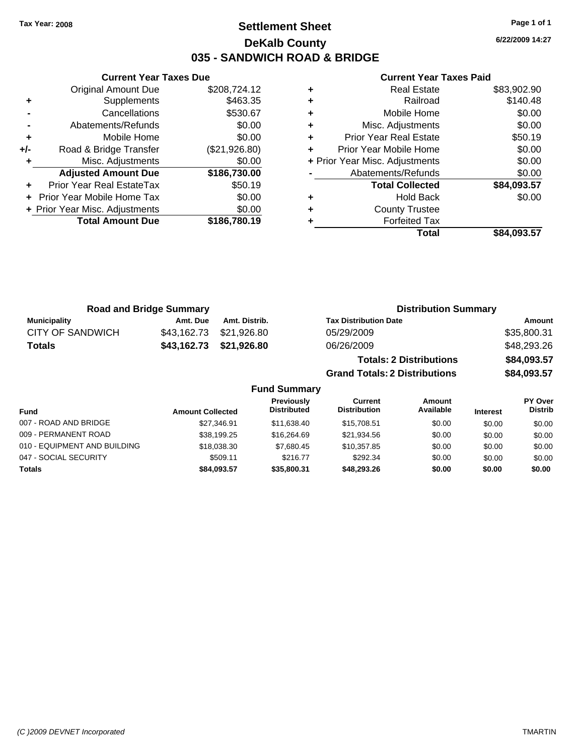**Current Year Taxes Due** Original Amount Due \$208,724.12

**Adjusted Amount Due \$186,730.00**

**Total Amount Due \$186,780.19**

**+** Supplements \$463.35 **-** Cancellations \$530.67 **-** Abatements/Refunds \$0.00 **+** Mobile Home \$0.00 **+/-** Road & Bridge Transfer (\$21,926.80) **+** Misc. Adjustments \$0.00

**+** Prior Year Real EstateTax \$50.19 **+** Prior Year Mobile Home Tax \$0.00 **+ Prior Year Misc. Adjustments**  $$0.00$ 

# **Settlement Sheet Tax Year: 2008 Page 1 of 1 DeKalb County 035 - SANDWICH ROAD & BRIDGE**

**6/22/2009 14:27**

| \$84,093.57 | <b>Total</b>                   |   |
|-------------|--------------------------------|---|
|             | <b>Forfeited Tax</b>           |   |
|             | <b>County Trustee</b>          | ٠ |
| \$0.00      | <b>Hold Back</b>               | ٠ |
| \$84,093.57 | <b>Total Collected</b>         |   |
| \$0.00      | Abatements/Refunds             |   |
| \$0.00      | + Prior Year Misc. Adjustments |   |
| \$0.00      | Prior Year Mobile Home         |   |
| \$50.19     | <b>Prior Year Real Estate</b>  | ٠ |
| \$0.00      | Misc. Adjustments              | ٠ |
| \$0.00      | Mobile Home                    | ٠ |
| \$140.48    | Railroad                       |   |
| \$83,902.90 | <b>Real Estate</b>             | ٠ |
|             |                                |   |

|                     | <b>Road and Bridge Summary</b> |               | <b>Distribution Summary</b>          |             |
|---------------------|--------------------------------|---------------|--------------------------------------|-------------|
| <b>Municipality</b> | Amt. Due                       | Amt. Distrib. | <b>Tax Distribution Date</b>         | Amount      |
| CITY OF SANDWICH    | \$43,162.73                    | \$21,926.80   | 05/29/2009                           | \$35,800.31 |
| <b>Totals</b>       | \$43,162.73                    | \$21,926.80   | 06/26/2009                           | \$48,293.26 |
|                     |                                |               | <b>Totals: 2 Distributions</b>       | \$84,093.57 |
|                     |                                |               | <b>Grand Totals: 2 Distributions</b> | \$84,093.57 |

| <b>Fund Summary</b>          |                         |                                         |                                |                     |                 |                                  |
|------------------------------|-------------------------|-----------------------------------------|--------------------------------|---------------------|-----------------|----------------------------------|
| <b>Fund</b>                  | <b>Amount Collected</b> | <b>Previously</b><br><b>Distributed</b> | Current<br><b>Distribution</b> | Amount<br>Available | <b>Interest</b> | <b>PY Over</b><br><b>Distrib</b> |
| 007 - ROAD AND BRIDGE        | \$27.346.91             | \$11.638.40                             | \$15,708.51                    | \$0.00              | \$0.00          | \$0.00                           |
| 009 - PERMANENT ROAD         | \$38,199.25             | \$16,264.69                             | \$21,934.56                    | \$0.00              | \$0.00          | \$0.00                           |
| 010 - EQUIPMENT AND BUILDING | \$18,038.30             | \$7.680.45                              | \$10,357.85                    | \$0.00              | \$0.00          | \$0.00                           |
| 047 - SOCIAL SECURITY        | \$509.11                | \$216.77                                | \$292.34                       | \$0.00              | \$0.00          | \$0.00                           |
| <b>Totals</b>                | \$84,093.57             | \$35,800.31                             | \$48,293.26                    | \$0.00              | \$0.00          | \$0.00                           |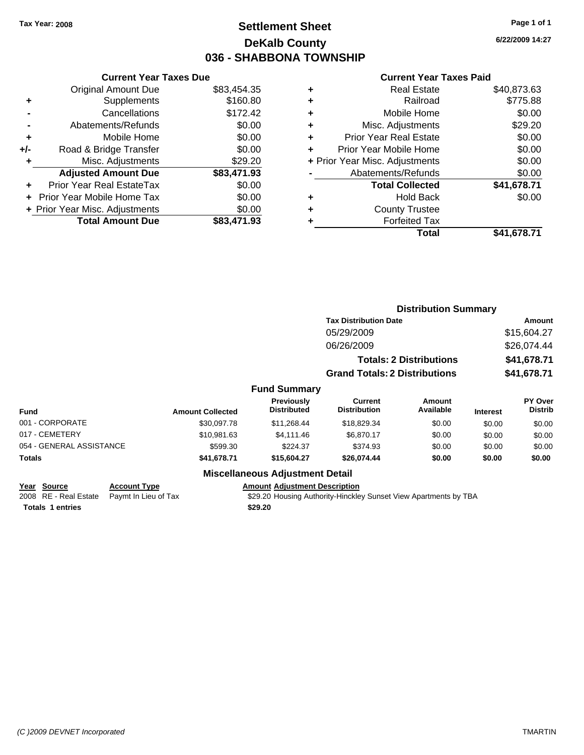# **Settlement Sheet Tax Year: 2008 Page 1 of 1 DeKalb County 036 - SHABBONA TOWNSHIP**

**6/22/2009 14:27**

## **Current Year Taxes Paid**

| <b>Current Year Taxes Due</b>    |                                |
|----------------------------------|--------------------------------|
| <b>Original Amount Due</b>       | \$83,454.35                    |
| Supplements                      | \$160.80                       |
| Cancellations                    | \$172.42                       |
| Abatements/Refunds               | \$0.00                         |
| Mobile Home                      | \$0.00                         |
| Road & Bridge Transfer           | \$0.00                         |
| Misc. Adjustments                | \$29.20                        |
| <b>Adjusted Amount Due</b>       | \$83,471.93                    |
| <b>Prior Year Real EstateTax</b> | \$0.00                         |
| Prior Year Mobile Home Tax       | \$0.00                         |
|                                  | \$0.00                         |
| <b>Total Amount Due</b>          | \$83,471,93                    |
|                                  | + Prior Year Misc. Adjustments |

|   | <b>Real Estate</b>             | \$40,873.63 |
|---|--------------------------------|-------------|
| ٠ | Railroad                       | \$775.88    |
| ٠ | Mobile Home                    | \$0.00      |
| ٠ | Misc. Adjustments              | \$29.20     |
| ÷ | <b>Prior Year Real Estate</b>  | \$0.00      |
| ÷ | Prior Year Mobile Home         | \$0.00      |
|   | + Prior Year Misc. Adjustments | \$0.00      |
|   | Abatements/Refunds             | \$0.00      |
|   | <b>Total Collected</b>         | \$41,678.71 |
| ٠ | <b>Hold Back</b>               | \$0.00      |
|   | <b>County Trustee</b>          |             |
| ٠ | <b>Forfeited Tax</b>           |             |
|   | Total                          | \$41,678.71 |
|   |                                |             |

|                          |                         |                                                         |                                      | <b>Distribution Summary</b>    |                 |                           |
|--------------------------|-------------------------|---------------------------------------------------------|--------------------------------------|--------------------------------|-----------------|---------------------------|
|                          |                         |                                                         | <b>Tax Distribution Date</b>         |                                |                 | Amount                    |
|                          |                         |                                                         | 05/29/2009                           |                                |                 | \$15,604.27               |
|                          |                         |                                                         | 06/26/2009                           |                                |                 | \$26,074.44               |
|                          |                         |                                                         |                                      | <b>Totals: 2 Distributions</b> |                 | \$41,678.71               |
|                          |                         |                                                         | <b>Grand Totals: 2 Distributions</b> |                                |                 | \$41,678.71               |
|                          |                         | <b>Fund Summary</b>                                     |                                      |                                |                 |                           |
| <b>Fund</b>              | <b>Amount Collected</b> | Previously<br><b>Distributed</b>                        | Current<br><b>Distribution</b>       | Amount<br>Available            | <b>Interest</b> | PY Over<br><b>Distrib</b> |
| 001 - CORPORATE          | \$30,097.78             | \$11,268.44                                             | \$18,829.34                          | \$0.00                         | \$0.00          | \$0.00                    |
| 017 - CEMETERY           | \$10.981.63             | \$4,111.46                                              | \$6,870.17                           | \$0.00                         | \$0.00          | \$0.00                    |
| 054 - GENERAL ASSISTANCE | \$599.30                | \$224.37                                                | \$374.93                             | \$0.00                         | \$0.00          | \$0.00                    |
| Totals                   | \$41,678.71             | \$15,604.27                                             | \$26,074.44                          | \$0.00                         | \$0.00          | \$0.00                    |
|                          |                         | All control of the Control of the Control of Protection |                                      |                                |                 |                           |

# **Miscellaneous Adjustment Detail**

**Year Source Account Type Amount Adjustment Description Totals 1 entries** \$29.20

2008 RE - Real Estate Paymt In Lieu of Tax \$29.20 Housing Authority-Hinckley Sunset View Apartments by TBA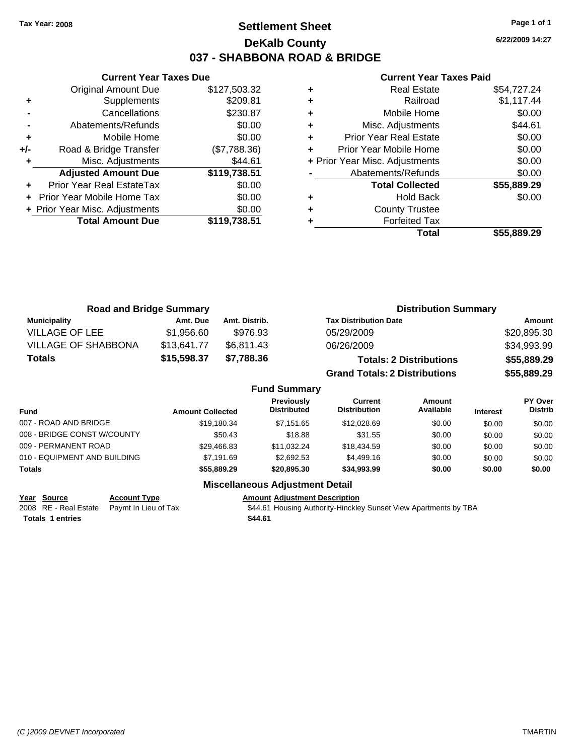# **Settlement Sheet Tax Year: 2008 Page 1 of 1 DeKalb County 037 - SHABBONA ROAD & BRIDGE**

**6/22/2009 14:27**

## **Current Year Taxes Paid**

|     | <b>Current Year Taxes Due</b>  |              |
|-----|--------------------------------|--------------|
|     | Original Amount Due            | \$127,503.32 |
| ٠   | Supplements                    | \$209.81     |
|     | Cancellations                  | \$230.87     |
|     | Abatements/Refunds             | \$0.00       |
| ٠   | Mobile Home                    | \$0.00       |
| +/- | Road & Bridge Transfer         | (\$7,788.36) |
| ٠   | Misc. Adjustments              | \$44.61      |
|     | <b>Adjusted Amount Due</b>     | \$119,738.51 |
| ٠   | Prior Year Real EstateTax      | \$0.00       |
|     | Prior Year Mobile Home Tax     | \$0.00       |
|     | + Prior Year Misc. Adjustments | \$0.00       |
|     | <b>Total Amount Due</b>        | \$119,738.51 |
|     |                                |              |

| \$54,727.24 |
|-------------|
| \$1,117.44  |
| \$0.00      |
| \$44.61     |
| \$0.00      |
| \$0.00      |
| \$0.00      |
| \$0.00      |
| \$55,889.29 |
| \$0.00      |
|             |
|             |
| \$55.889.29 |
|             |

| <b>Road and Bridge Summary</b> |             |                     | <b>Distribution Summary</b>          |             |
|--------------------------------|-------------|---------------------|--------------------------------------|-------------|
| <b>Municipality</b>            | Amt. Due    | Amt. Distrib.       | <b>Tax Distribution Date</b>         | Amount      |
| <b>VILLAGE OF LEE</b>          | \$1,956.60  | \$976.93            | 05/29/2009                           | \$20,895.30 |
| <b>VILLAGE OF SHABBONA</b>     | \$13,641.77 | \$6,811.43          | 06/26/2009                           | \$34,993.99 |
| <b>Totals</b>                  | \$15,598.37 | \$7,788.36          | <b>Totals: 2 Distributions</b>       | \$55,889.29 |
|                                |             |                     | <b>Grand Totals: 2 Distributions</b> | \$55,889.29 |
|                                |             | <b>Fund Summary</b> |                                      |             |

|                              | Fund Summary            |                                  |                                |                     |                 |                                  |
|------------------------------|-------------------------|----------------------------------|--------------------------------|---------------------|-----------------|----------------------------------|
| <b>Fund</b>                  | <b>Amount Collected</b> | Previously<br><b>Distributed</b> | Current<br><b>Distribution</b> | Amount<br>Available | <b>Interest</b> | <b>PY Over</b><br><b>Distrib</b> |
| 007 - ROAD AND BRIDGE        | \$19.180.34             | \$7.151.65                       | \$12,028.69                    | \$0.00              | \$0.00          | \$0.00                           |
| 008 - BRIDGE CONST W/COUNTY  | \$50.43                 | \$18.88                          | \$31.55                        | \$0.00              | \$0.00          | \$0.00                           |
| 009 - PERMANENT ROAD         | \$29,466.83             | \$11.032.24                      | \$18,434.59                    | \$0.00              | \$0.00          | \$0.00                           |
| 010 - EQUIPMENT AND BUILDING | \$7.191.69              | \$2,692.53                       | \$4,499.16                     | \$0.00              | \$0.00          | \$0.00                           |
| <b>Totals</b>                | \$55,889,29             | \$20,895,30                      | \$34,993.99                    | \$0.00              | \$0.00          | \$0.00                           |

## **Miscellaneous Adjustment Detail**

**Year Source Account Type Amount Adjustment Description**<br>
2008 RE - Real Estate Paymt In Lieu of Tax **544.61** Housing Authority-Hinckle

\$44.61 Housing Authority-Hinckley Sunset View Apartments by TBA

**Totals \$44.61 1 entries**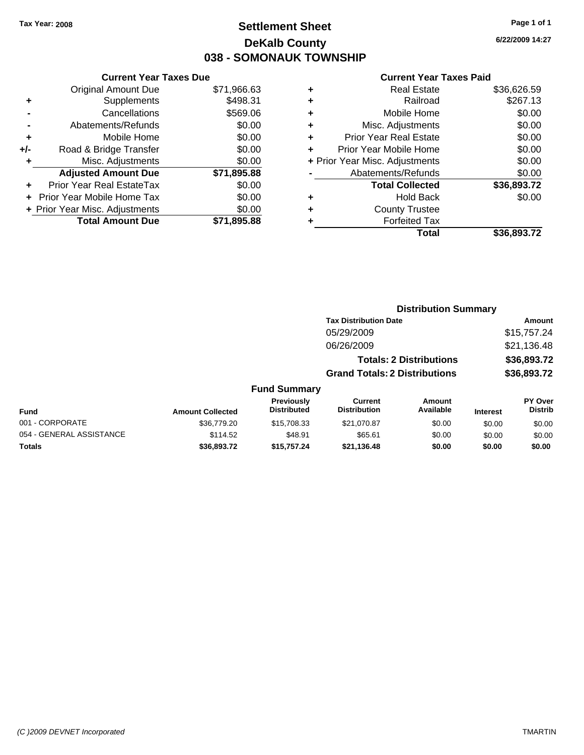# **Settlement Sheet Tax Year: 2008 Page 1 of 1 DeKalb County 038 - SOMONAUK TOWNSHIP**

## **Current Year Taxes Due**

|     | <b>Original Amount Due</b>     | \$71,966.63 |
|-----|--------------------------------|-------------|
| ٠   | Supplements                    | \$498.31    |
|     | Cancellations                  | \$569.06    |
|     | Abatements/Refunds             | \$0.00      |
| ٠   | Mobile Home                    | \$0.00      |
| +/- | Road & Bridge Transfer         | \$0.00      |
| ÷   | Misc. Adjustments              | \$0.00      |
|     | <b>Adjusted Amount Due</b>     | \$71,895.88 |
|     | Prior Year Real EstateTax      | \$0.00      |
|     | Prior Year Mobile Home Tax     | \$0.00      |
|     | + Prior Year Misc. Adjustments | \$0.00      |
|     | <b>Total Amount Due</b>        | \$71,895,88 |

## **Current Year Taxes Paid**

|   | <b>Real Estate</b>             | \$36,626.59 |
|---|--------------------------------|-------------|
| ٠ | Railroad                       | \$267.13    |
| ٠ | Mobile Home                    | \$0.00      |
| ٠ | Misc. Adjustments              | \$0.00      |
| ٠ | <b>Prior Year Real Estate</b>  | \$0.00      |
|   | Prior Year Mobile Home         | \$0.00      |
|   | + Prior Year Misc. Adjustments | \$0.00      |
|   | Abatements/Refunds             | \$0.00      |
|   | <b>Total Collected</b>         | \$36,893.72 |
| ٠ | Hold Back                      | \$0.00      |
| ٠ | <b>County Trustee</b>          |             |
| ٠ | <b>Forfeited Tax</b>           |             |
|   | Total                          | \$36,893.72 |
|   |                                |             |

|         |                     |                                      | <b>Distribution Summary</b> |             |                |
|---------|---------------------|--------------------------------------|-----------------------------|-------------|----------------|
|         |                     | <b>Tax Distribution Date</b>         |                             |             | Amount         |
|         |                     | 05/29/2009                           |                             |             | \$15,757.24    |
|         |                     | 06/26/2009                           |                             |             | \$21,136.48    |
|         |                     | <b>Totals: 2 Distributions</b>       |                             | \$36,893.72 |                |
|         |                     | <b>Grand Totals: 2 Distributions</b> |                             | \$36,893.72 |                |
|         | <b>Fund Summary</b> |                                      |                             |             |                |
|         | <b>Previously</b>   | Current                              | Amount                      |             | <b>PY Over</b> |
| اممدموا | <b>Distributed</b>  | <b>Distribution</b>                  | Available                   | In terms of | <b>Distrib</b> |

| Fund                     | <b>Amount Collected</b> | <b>Previously</b><br><b>Distributed</b> | Current<br><b>Distribution</b> | Amount<br>Available | <b>Interest</b> | <b>PY Over</b><br>Distrib |
|--------------------------|-------------------------|-----------------------------------------|--------------------------------|---------------------|-----------------|---------------------------|
| 001 - CORPORATE          | \$36,779.20             | \$15,708.33                             | \$21.070.87                    | \$0.00              | \$0.00          | \$0.00                    |
| 054 - GENERAL ASSISTANCE | \$114.52                | \$48.91                                 | \$65.61                        | \$0.00              | \$0.00          | \$0.00                    |
| Totals                   | \$36.893.72             | \$15,757.24                             | \$21.136.48                    | \$0.00              | \$0.00          | \$0.00                    |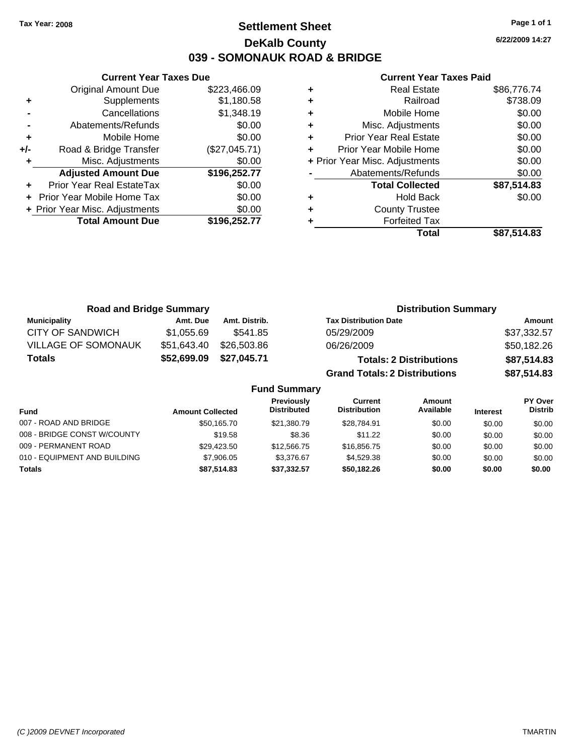# **Settlement Sheet Tax Year: 2008 Page 1 of 1 DeKalb County 039 - SOMONAUK ROAD & BRIDGE**

**6/22/2009 14:27**

## **Current Year Taxes Paid**

|     | <b>Current Year Taxes Due</b>  |               |  |  |  |
|-----|--------------------------------|---------------|--|--|--|
|     | <b>Original Amount Due</b>     | \$223,466.09  |  |  |  |
| ÷   | Supplements                    | \$1,180.58    |  |  |  |
|     | Cancellations                  | \$1,348.19    |  |  |  |
|     | Abatements/Refunds             | \$0.00        |  |  |  |
| ٠   | Mobile Home                    | \$0.00        |  |  |  |
| +/- | Road & Bridge Transfer         | (\$27,045.71) |  |  |  |
| ٠   | Misc. Adjustments              | \$0.00        |  |  |  |
|     | <b>Adjusted Amount Due</b>     | \$196,252.77  |  |  |  |
|     | Prior Year Real EstateTax      | \$0.00        |  |  |  |
|     | Prior Year Mobile Home Tax     | \$0.00        |  |  |  |
|     | + Prior Year Misc. Adjustments | \$0.00        |  |  |  |
|     | <b>Total Amount Due</b>        | \$196,252.77  |  |  |  |
|     |                                |               |  |  |  |

|   | <b>Real Estate</b>             | \$86,776.74 |
|---|--------------------------------|-------------|
| ٠ | Railroad                       | \$738.09    |
| ٠ | Mobile Home                    | \$0.00      |
| ٠ | Misc. Adjustments              | \$0.00      |
| ٠ | <b>Prior Year Real Estate</b>  | \$0.00      |
| ٠ | Prior Year Mobile Home         | \$0.00      |
|   | + Prior Year Misc. Adjustments | \$0.00      |
|   | Abatements/Refunds             | \$0.00      |
|   | <b>Total Collected</b>         | \$87,514.83 |
| ٠ | <b>Hold Back</b>               | \$0.00      |
| ٠ | <b>County Trustee</b>          |             |
|   | <b>Forfeited Tax</b>           |             |
|   | Total                          | \$87.514.83 |

| <b>Road and Bridge Summary</b> |                         |               |                                  | <b>Distribution Summary</b>           |                                |                 |                                  |
|--------------------------------|-------------------------|---------------|----------------------------------|---------------------------------------|--------------------------------|-----------------|----------------------------------|
| <b>Municipality</b>            | Amt. Due                | Amt. Distrib. |                                  | <b>Tax Distribution Date</b>          |                                |                 | Amount                           |
| <b>CITY OF SANDWICH</b>        | \$1,055.69              | \$541.85      |                                  | 05/29/2009                            |                                |                 | \$37,332.57                      |
| VILLAGE OF SOMONAUK            | \$51,643.40             | \$26,503.86   |                                  | 06/26/2009                            |                                |                 | \$50,182.26                      |
| <b>Totals</b>                  | \$52,699.09             | \$27,045.71   |                                  |                                       | <b>Totals: 2 Distributions</b> |                 | \$87,514.83                      |
|                                |                         |               |                                  | <b>Grand Totals: 2 Distributions</b>  |                                |                 | \$87,514.83                      |
|                                |                         |               | <b>Fund Summary</b>              |                                       |                                |                 |                                  |
| <b>Fund</b>                    | <b>Amount Collected</b> |               | Previously<br><b>Distributed</b> | <b>Current</b><br><b>Distribution</b> | Amount<br>Available            | <b>Interest</b> | <b>PY Over</b><br><b>Distrib</b> |
| 007 - ROAD AND BRIDGE          |                         | \$50,165.70   | \$21.380.79                      | \$28,784.91                           | \$0.00                         | \$0.00          | \$0.00                           |

008 - BRIDGE CONST W/COUNTY  $$19.58$  \$8.36 \$11.22 \$0.00 \$0.00 \$0.00 \$0.00 009 - PERMANENT ROAD \$29,423.50 \$12,566.75 \$16,856.75 \$0.00 \$0.00 \$0.00 \$0.00 010 - EQUIPMENT AND BUILDING \$7,906.05 \$3,376.67 \$4,529.38 \$0.00 \$0.00 \$0.00 **Totals \$87,514.83 \$37,332.57 \$50,182.26 \$0.00 \$0.00 \$0.00**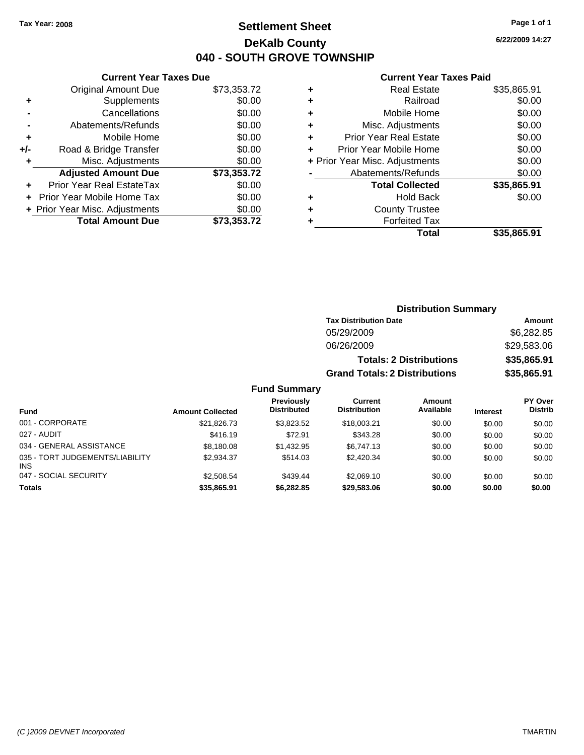# **Settlement Sheet Tax Year: 2008 Page 1 of 1 DeKalb County 040 - SOUTH GROVE TOWNSHIP**

**6/22/2009 14:27**

#### **Current Year Taxes Paid**

|     | <b>Current Year Taxes Due</b>  |             |
|-----|--------------------------------|-------------|
|     | <b>Original Amount Due</b>     | \$73,353.72 |
| ٠   | Supplements                    | \$0.00      |
|     | Cancellations                  | \$0.00      |
|     | Abatements/Refunds             | \$0.00      |
| ٠   | Mobile Home                    | \$0.00      |
| +/- | Road & Bridge Transfer         | \$0.00      |
| ٠   | Misc. Adjustments              | \$0.00      |
|     | <b>Adjusted Amount Due</b>     | \$73,353.72 |
|     | Prior Year Real EstateTax      | \$0.00      |
|     | Prior Year Mobile Home Tax     | \$0.00      |
|     | + Prior Year Misc. Adjustments | \$0.00      |
|     | <b>Total Amount Due</b>        | \$73,353.72 |
|     |                                |             |

| ٠ | Real Estate                    | \$35,865.91 |
|---|--------------------------------|-------------|
| ٠ | Railroad                       | \$0.00      |
| ٠ | Mobile Home                    | \$0.00      |
| ٠ | Misc. Adjustments              | \$0.00      |
| ٠ | <b>Prior Year Real Estate</b>  | \$0.00      |
| ٠ | Prior Year Mobile Home         | \$0.00      |
|   | + Prior Year Misc. Adjustments | \$0.00      |
|   | Abatements/Refunds             | \$0.00      |
|   | <b>Total Collected</b>         | \$35,865.91 |
| ٠ | <b>Hold Back</b>               | \$0.00      |
| ٠ | <b>County Trustee</b>          |             |
| ٠ | <b>Forfeited Tax</b>           |             |
|   | Total                          | \$35,865.91 |
|   |                                |             |

|                                 |                         |                                         | <b>Distribution Summary</b>          |                                |                 |                           |
|---------------------------------|-------------------------|-----------------------------------------|--------------------------------------|--------------------------------|-----------------|---------------------------|
|                                 |                         |                                         | <b>Tax Distribution Date</b>         |                                |                 | Amount                    |
|                                 |                         |                                         | 05/29/2009                           |                                |                 | \$6,282.85                |
|                                 |                         |                                         | 06/26/2009                           |                                |                 | \$29,583.06               |
|                                 |                         |                                         |                                      | <b>Totals: 2 Distributions</b> |                 | \$35,865.91               |
|                                 |                         |                                         | <b>Grand Totals: 2 Distributions</b> |                                |                 | \$35,865.91               |
|                                 |                         | <b>Fund Summary</b>                     |                                      |                                |                 |                           |
| <b>Fund</b>                     | <b>Amount Collected</b> | <b>Previously</b><br><b>Distributed</b> | Current<br><b>Distribution</b>       | Amount<br>Available            | <b>Interest</b> | PY Over<br><b>Distrib</b> |
| 001 - CORPORATE                 | \$21.826.73             | \$3,823.52                              | \$18,003.21                          | \$0.00                         | \$0.00          | \$0.00                    |
| 027 - AUDIT                     | \$416.19                | \$72.91                                 | \$343.28                             | \$0.00                         | \$0.00          | \$0.00                    |
| 034 - GENERAL ASSISTANCE        | \$8,180.08              | \$1,432.95                              | \$6,747.13                           | \$0.00                         | \$0.00          | \$0.00                    |
| 035 - TORT JUDGEMENTS/LIABILITY | \$2.934.37              | \$514.03                                | \$2.420.34                           | \$0.00                         | \$0.00          | \$0.00                    |

047 - SOCIAL SECURITY 62,508.54 \$2,508.54 \$439.44 \$2,069.10 \$0.00 \$0.00 \$0.00 \$0.00 **Totals \$35,865.91 \$6,282.85 \$29,583.06 \$0.00 \$0.00 \$0.00**

INS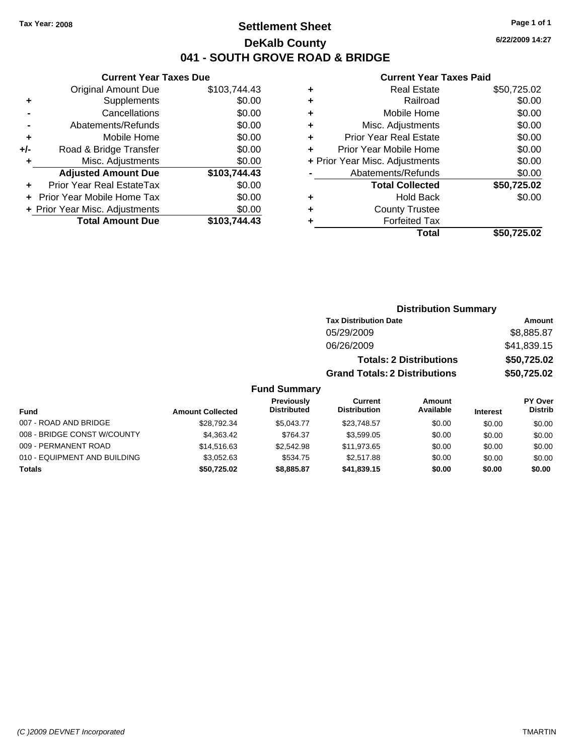# **Settlement Sheet Tax Year: 2008 Page 1 of 1 DeKalb County 041 - SOUTH GROVE ROAD & BRIDGE**

**6/22/2009 14:27**

## **Current Year Taxes Paid**

|     | <b>Current Year Taxes Due</b>  |              |  |  |  |  |
|-----|--------------------------------|--------------|--|--|--|--|
|     | <b>Original Amount Due</b>     | \$103,744.43 |  |  |  |  |
| ÷   | Supplements                    | \$0.00       |  |  |  |  |
|     | Cancellations                  | \$0.00       |  |  |  |  |
|     | Abatements/Refunds             | \$0.00       |  |  |  |  |
| ٠   | Mobile Home                    | \$0.00       |  |  |  |  |
| +/- | Road & Bridge Transfer         | \$0.00       |  |  |  |  |
| ٠   | Misc. Adjustments              | \$0.00       |  |  |  |  |
|     | <b>Adjusted Amount Due</b>     | \$103.744.43 |  |  |  |  |
|     | Prior Year Real EstateTax      | \$0.00       |  |  |  |  |
|     | Prior Year Mobile Home Tax     | \$0.00       |  |  |  |  |
|     | + Prior Year Misc. Adjustments | \$0.00       |  |  |  |  |
|     | <b>Total Amount Due</b>        | \$103,744.43 |  |  |  |  |
|     |                                |              |  |  |  |  |

| ٠ | <b>Real Estate</b>             | \$50,725.02 |
|---|--------------------------------|-------------|
| ٠ | Railroad                       | \$0.00      |
| ٠ | Mobile Home                    | \$0.00      |
| ٠ | Misc. Adjustments              | \$0.00      |
| ٠ | <b>Prior Year Real Estate</b>  | \$0.00      |
| ٠ | Prior Year Mobile Home         | \$0.00      |
|   | + Prior Year Misc. Adjustments | \$0.00      |
|   | Abatements/Refunds             | \$0.00      |
|   | <b>Total Collected</b>         | \$50,725.02 |
| ٠ | <b>Hold Back</b>               | \$0.00      |
| ٠ | <b>County Trustee</b>          |             |
|   | <b>Forfeited Tax</b>           |             |
|   | Total                          | \$50,725.02 |
|   |                                |             |

|                              |                         |                                  |                                       | <b>Distribution Summary</b>    |                 |                                  |
|------------------------------|-------------------------|----------------------------------|---------------------------------------|--------------------------------|-----------------|----------------------------------|
|                              |                         |                                  | <b>Tax Distribution Date</b>          |                                |                 | Amount                           |
|                              |                         |                                  | 05/29/2009                            |                                |                 | \$8,885.87                       |
|                              |                         |                                  | 06/26/2009                            |                                |                 | \$41,839.15                      |
|                              |                         |                                  |                                       | <b>Totals: 2 Distributions</b> |                 | \$50,725.02                      |
|                              |                         |                                  | <b>Grand Totals: 2 Distributions</b>  |                                |                 | \$50,725.02                      |
|                              |                         | <b>Fund Summary</b>              |                                       |                                |                 |                                  |
| Fund                         | <b>Amount Collected</b> | Previously<br><b>Distributed</b> | <b>Current</b><br><b>Distribution</b> | Amount<br>Available            | <b>Interest</b> | <b>PY Over</b><br><b>Distrib</b> |
| 007 - ROAD AND BRIDGE        | \$28.792.34             | \$5.043.77                       | \$23,748.57                           | \$0.00                         | \$0.00          | \$0.00                           |
| 008 - BRIDGE CONST W/COUNTY  | \$4,363.42              | \$764.37                         | \$3,599.05                            | \$0.00                         | \$0.00          | \$0.00                           |
| 009 - PERMANENT ROAD         | \$14,516.63             | \$2,542.98                       | \$11,973.65                           | \$0.00                         | \$0.00          | \$0.00                           |
| 010 - EQUIPMENT AND BUILDING | \$3,052.63              | \$534.75                         | \$2,517.88                            | \$0.00                         | \$0.00          | \$0.00                           |
| Totals                       | \$50,725.02             | \$8,885.87                       | \$41,839.15                           | \$0.00                         | \$0.00          | \$0.00                           |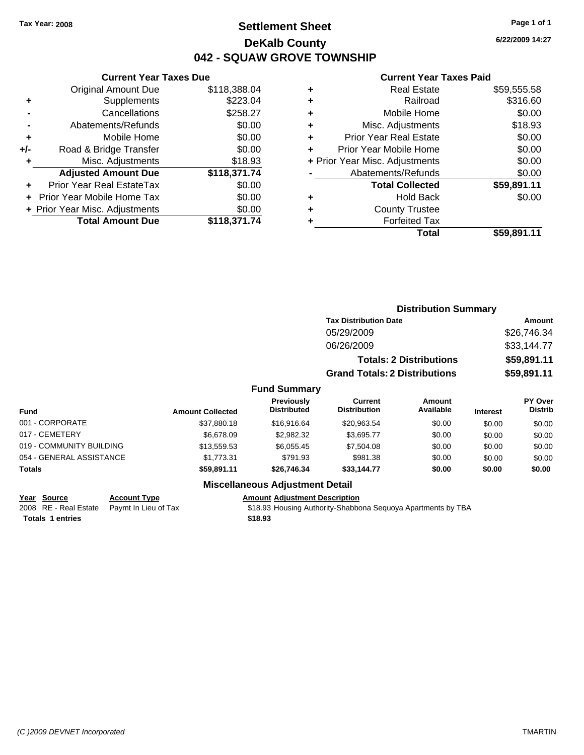# **Settlement Sheet Tax Year: 2008 Page 1 of 1 DeKalb County 042 - SQUAW GROVE TOWNSHIP**

## **Current Year Taxes Due**

|       | <b>Original Amount Due</b>     | \$118,388.04 |
|-------|--------------------------------|--------------|
| ٠     | Supplements                    | \$223.04     |
|       | Cancellations                  | \$258.27     |
|       | Abatements/Refunds             | \$0.00       |
| ٠     | Mobile Home                    | \$0.00       |
| $+/-$ | Road & Bridge Transfer         | \$0.00       |
| ٠     | Misc. Adjustments              | \$18.93      |
|       | <b>Adjusted Amount Due</b>     | \$118,371.74 |
|       | Prior Year Real EstateTax      | \$0.00       |
|       | Prior Year Mobile Home Tax     | \$0.00       |
|       | + Prior Year Misc. Adjustments | \$0.00       |
|       | <b>Total Amount Due</b>        | \$118,371.74 |

#### **Current Year Taxes Paid**

|   | <b>Real Estate</b>             | \$59,555.58 |
|---|--------------------------------|-------------|
| ٠ | Railroad                       | \$316.60    |
| ٠ | Mobile Home                    | \$0.00      |
| ٠ | Misc. Adjustments              | \$18.93     |
| ٠ | <b>Prior Year Real Estate</b>  | \$0.00      |
|   | Prior Year Mobile Home         | \$0.00      |
|   | + Prior Year Misc. Adjustments | \$0.00      |
|   | Abatements/Refunds             | \$0.00      |
|   | <b>Total Collected</b>         | \$59,891.11 |
| ٠ | <b>Hold Back</b>               | \$0.00      |
| ٠ | <b>County Trustee</b>          |             |
|   | <b>Forfeited Tax</b>           |             |
|   | Total                          | \$59,891.11 |
|   |                                |             |

|                          |                         |                                         | <b>Distribution Summary</b>          |                                |                 |                                  |
|--------------------------|-------------------------|-----------------------------------------|--------------------------------------|--------------------------------|-----------------|----------------------------------|
|                          |                         |                                         | <b>Tax Distribution Date</b>         |                                |                 | <b>Amount</b>                    |
|                          |                         |                                         | 05/29/2009                           |                                |                 | \$26,746.34                      |
|                          |                         |                                         | 06/26/2009                           |                                |                 | \$33,144.77                      |
|                          |                         |                                         |                                      | <b>Totals: 2 Distributions</b> |                 | \$59,891.11                      |
|                          |                         |                                         | <b>Grand Totals: 2 Distributions</b> |                                |                 | \$59,891.11                      |
|                          |                         | <b>Fund Summary</b>                     |                                      |                                |                 |                                  |
| <b>Fund</b>              | <b>Amount Collected</b> | <b>Previously</b><br><b>Distributed</b> | Current<br><b>Distribution</b>       | Amount<br>Available            | <b>Interest</b> | <b>PY Over</b><br><b>Distrib</b> |
| 001 - CORPORATE          | \$37,880.18             | \$16,916.64                             | \$20,963.54                          | \$0.00                         | \$0.00          | \$0.00                           |
| 017 - CEMETERY           | \$6,678.09              | \$2,982.32                              | \$3,695.77                           | \$0.00                         | \$0.00          | \$0.00                           |
| 019 - COMMUNITY BUILDING | \$13,559.53             | \$6,055.45                              | \$7,504.08                           | \$0.00                         | \$0.00          | \$0.00                           |
| 054 - GENERAL ASSISTANCE | \$1.773.31              | \$791.93                                | \$981.38                             | \$0.00                         | \$0.00          | \$0.00                           |
|                          |                         |                                         |                                      |                                |                 |                                  |

## **Miscellaneous Adjustment Detail**

**Year Source Account Type Amount Adjustment Description**<br>
2008 RE - Real Estate Paymt In Lieu of Tax \$18.93 Housing Authority-Shabbc

**Totals \$59,891.11 \$26,746.34 \$33,144.77 \$0.00 \$0.00 \$0.00**

\$18.93 Housing Authority-Shabbona Sequoya Apartments by TBA **Totals \$18.93 1 entries**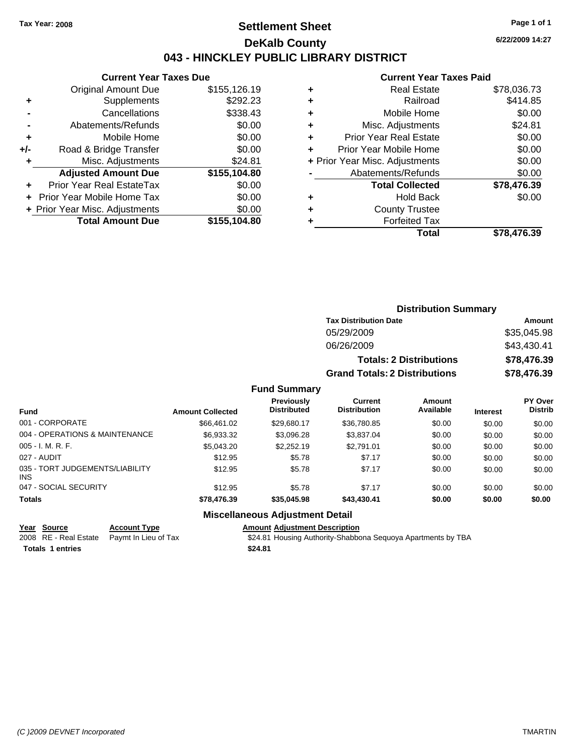# **Settlement Sheet Tax Year: 2008 Page 1 of 1 DeKalb County 043 - HINCKLEY PUBLIC LIBRARY DISTRICT**

## **Current Year Taxes Due**

|     | <b>Original Amount Due</b>       | \$155,126.19 |
|-----|----------------------------------|--------------|
| ٠   | Supplements                      | \$292.23     |
|     | Cancellations                    | \$338.43     |
|     | Abatements/Refunds               | \$0.00       |
| ٠   | Mobile Home                      | \$0.00       |
| +/- | Road & Bridge Transfer           | \$0.00       |
| ٠   | Misc. Adjustments                | \$24.81      |
|     | <b>Adjusted Amount Due</b>       | \$155,104.80 |
|     | <b>Prior Year Real EstateTax</b> | \$0.00       |
|     | Prior Year Mobile Home Tax       | \$0.00       |
|     | + Prior Year Misc. Adjustments   | \$0.00       |
|     | <b>Total Amount Due</b>          | \$155,104.80 |
|     |                                  |              |

#### **Current Year Taxes Paid**

| ٠ | <b>Real Estate</b>             | \$78,036.73 |
|---|--------------------------------|-------------|
| ٠ | Railroad                       | \$414.85    |
| ٠ | Mobile Home                    | \$0.00      |
| ٠ | Misc. Adjustments              | \$24.81     |
| ٠ | <b>Prior Year Real Estate</b>  | \$0.00      |
| ÷ | Prior Year Mobile Home         | \$0.00      |
|   | + Prior Year Misc. Adjustments | \$0.00      |
|   | Abatements/Refunds             | \$0.00      |
|   | <b>Total Collected</b>         | \$78,476.39 |
| ٠ | <b>Hold Back</b>               | \$0.00      |
| ٠ | <b>County Trustee</b>          |             |
| ٠ | <b>Forfeited Tax</b>           |             |
|   | Total                          | \$78,476.39 |
|   |                                |             |

| <b>Distribution Summary</b>          |             |
|--------------------------------------|-------------|
| <b>Tax Distribution Date</b>         | Amount      |
| 05/29/2009                           | \$35,045.98 |
| 06/26/2009                           | \$43,430.41 |
| <b>Totals: 2 Distributions</b>       | \$78,476.39 |
| <b>Grand Totals: 2 Distributions</b> | \$78,476.39 |

## **Fund Summary**

| <b>Fund</b>                             | <b>Amount Collected</b> | <b>Previously</b><br><b>Distributed</b> | Current<br><b>Distribution</b> | Amount<br>Available | <b>Interest</b> | <b>PY Over</b><br><b>Distrib</b> |
|-----------------------------------------|-------------------------|-----------------------------------------|--------------------------------|---------------------|-----------------|----------------------------------|
| 001 - CORPORATE                         | \$66,461.02             | \$29.680.17                             | \$36,780.85                    | \$0.00              | \$0.00          | \$0.00                           |
| 004 - OPERATIONS & MAINTENANCE          | \$6,933.32              | \$3,096.28                              | \$3,837.04                     | \$0.00              | \$0.00          | \$0.00                           |
| 005 - I. M. R. F.                       | \$5,043.20              | \$2,252.19                              | \$2,791.01                     | \$0.00              | \$0.00          | \$0.00                           |
| 027 - AUDIT                             | \$12.95                 | \$5.78                                  | \$7.17                         | \$0.00              | \$0.00          | \$0.00                           |
| 035 - TORT JUDGEMENTS/LIABILITY<br>INS. | \$12.95                 | \$5.78                                  | \$7.17                         | \$0.00              | \$0.00          | \$0.00                           |
| 047 - SOCIAL SECURITY                   | \$12.95                 | \$5.78                                  | \$7.17                         | \$0.00              | \$0.00          | \$0.00                           |
| <b>Totals</b>                           | \$78,476.39             | \$35,045.98                             | \$43,430.41                    | \$0.00              | \$0.00          | \$0.00                           |

## **Miscellaneous Adjustment Detail**

| Year Source             | <b>Account Type</b>                        | Amount  |
|-------------------------|--------------------------------------------|---------|
|                         | 2008 RE - Real Estate Paymt In Lieu of Tax | \$24.81 |
| <b>Totals 1 entries</b> |                                            | \$24.81 |

**Yearth Type Account Type Amount Adjustment Description** ymt In Lieu of Tax **Frace State State \$24.81 Housing Authority-Shabbona Sequoya Apartments by TBA**  **6/22/2009 14:27**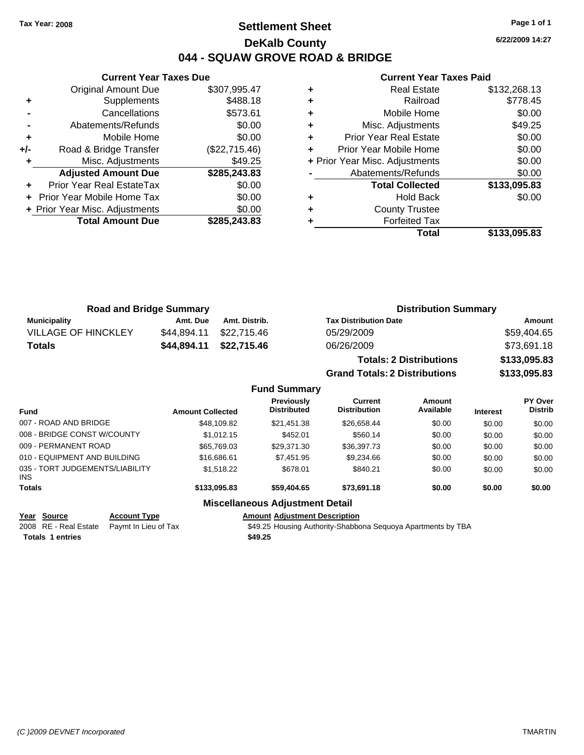# **Settlement Sheet Tax Year: 2008 Page 1 of 1 DeKalb County 044 - SQUAW GROVE ROAD & BRIDGE**

**6/22/2009 14:27**

# **Current Year Taxes Paid**

|     | <b>Current Year Taxes Due</b>  |               |
|-----|--------------------------------|---------------|
|     | <b>Original Amount Due</b>     | \$307,995.47  |
| ٠   | Supplements                    | \$488.18      |
|     | Cancellations                  | \$573.61      |
|     | Abatements/Refunds             | \$0.00        |
| ٠   | Mobile Home                    | \$0.00        |
| +/- | Road & Bridge Transfer         | (\$22,715.46) |
|     | Misc. Adjustments              | \$49.25       |
|     | <b>Adjusted Amount Due</b>     | \$285,243.83  |
|     | Prior Year Real EstateTax      | \$0.00        |
|     | Prior Year Mobile Home Tax     | \$0.00        |
|     | + Prior Year Misc. Adjustments | \$0.00        |
|     | <b>Total Amount Due</b>        | \$285,243,83  |
|     |                                |               |

|   | <b>Real Estate</b>             | \$132,268.13 |
|---|--------------------------------|--------------|
|   | Railroad                       | \$778.45     |
|   | Mobile Home                    | \$0.00       |
| ٠ | Misc. Adjustments              | \$49.25      |
| ٠ | <b>Prior Year Real Estate</b>  | \$0.00       |
|   | Prior Year Mobile Home         | \$0.00       |
|   | + Prior Year Misc. Adjustments | \$0.00       |
|   | Abatements/Refunds             | \$0.00       |
|   | <b>Total Collected</b>         | \$133,095.83 |
|   | <b>Hold Back</b>               | \$0.00       |
|   | <b>County Trustee</b>          |              |
|   | <b>Forfeited Tax</b>           |              |
|   | Total                          | \$133,095.83 |

**Grand Totals: 2 Distributions \$133,095.83**

| <b>Road and Bridge Summary</b> |             |               | <b>Distribution Summary</b>    |              |  |
|--------------------------------|-------------|---------------|--------------------------------|--------------|--|
| <b>Municipality</b>            | Amt. Due    | Amt. Distrib. | <b>Tax Distribution Date</b>   | Amount       |  |
| <b>VILLAGE OF HINCKLEY</b>     | \$44.894.11 | \$22.715.46   | 05/29/2009                     | \$59,404.65  |  |
| <b>Totals</b>                  | \$44.894.11 | \$22,715.46   | 06/26/2009                     | \$73,691.18  |  |
|                                |             |               | <b>Totals: 2 Distributions</b> | \$133,095.83 |  |

**Fund Summary Fund Interest Amount Collected Distributed PY Over Distrib Amount Available Current Distribution Previously** 007 - ROAD AND BRIDGE 60.00 \$48,109.82 \$21,451.38 \$26,658.44 \$0.00 \$0.00 \$0.00 008 - BRIDGE CONST W/COUNTY  $$1,012.15$   $$452.01$   $$560.14$   $$0.00$   $$0.00$   $$0.00$ 009 - PERMANENT ROAD \$65,769.03 \$29,371.30 \$36,397.73 \$0.00 \$0.00 \$0.00 010 - EQUIPMENT AND BUILDING \$16,686.61 \$7,451.95 \$9,234.66 \$0.00 \$0.00 \$0.00 \$0.00 035 - TORT JUDGEMENTS/LIABILITY INS \$1,518.22 \$678.01 \$840.21 \$0.00 \$0.00 \$0.00 **Totals \$133,095.83 \$59,404.65 \$73,691.18 \$0.00 \$0.00 \$0.00 Miscellaneous Adjustment Detail**

**Year Source Account Type Amount Adjustment Description**

2008 RE - Real Estate Paymt In Lieu of Tax **\$49.25 Housing Authority-Shabbona Sequoya Apartments by TBA** 

**Totals \$49.25 1 entries**

*(C )2009 DEVNET Incorporated* TMARTIN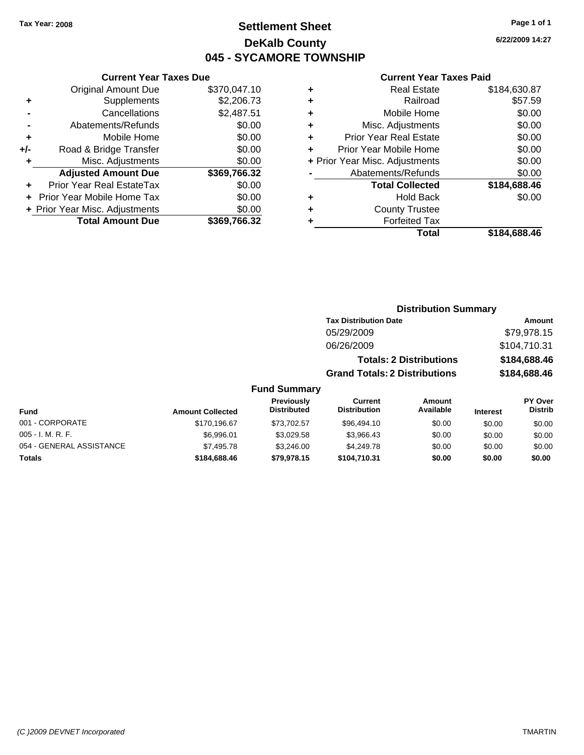# **Settlement Sheet Tax Year: 2008 Page 1 of 1 DeKalb County 045 - SYCAMORE TOWNSHIP**

## **Current Year Taxes Due**

|     | <b>Original Amount Due</b>       | \$370,047.10 |
|-----|----------------------------------|--------------|
|     | Supplements                      | \$2,206.73   |
|     | Cancellations                    | \$2,487.51   |
|     | Abatements/Refunds               | \$0.00       |
| ٠   | Mobile Home                      | \$0.00       |
| +/- | Road & Bridge Transfer           | \$0.00       |
| ٠   | Misc. Adjustments                | \$0.00       |
|     | <b>Adjusted Amount Due</b>       | \$369,766.32 |
|     | <b>Prior Year Real EstateTax</b> | \$0.00       |
|     | Prior Year Mobile Home Tax       | \$0.00       |
|     | + Prior Year Misc. Adjustments   | \$0.00       |
|     | <b>Total Amount Due</b>          | \$369,766.32 |

## **Current Year Taxes Paid**

| ٠ | <b>Real Estate</b>             | \$184,630.87 |
|---|--------------------------------|--------------|
| ٠ | Railroad                       | \$57.59      |
| ٠ | Mobile Home                    | \$0.00       |
| ٠ | Misc. Adjustments              | \$0.00       |
| ٠ | <b>Prior Year Real Estate</b>  | \$0.00       |
| ٠ | Prior Year Mobile Home         | \$0.00       |
|   | + Prior Year Misc. Adjustments | \$0.00       |
|   | Abatements/Refunds             | \$0.00       |
|   | <b>Total Collected</b>         | \$184,688.46 |
| ٠ | <b>Hold Back</b>               | \$0.00       |
| ٠ | <b>County Trustee</b>          |              |
| ٠ | <b>Forfeited Tax</b>           |              |
|   | Total                          | \$184,688.46 |
|   |                                |              |

| <b>Distribution Summary</b>          |              |
|--------------------------------------|--------------|
| <b>Tax Distribution Date</b>         | Amount       |
| 05/29/2009                           | \$79,978.15  |
| 06/26/2009                           | \$104,710.31 |
| <b>Totals: 2 Distributions</b>       | \$184,688.46 |
| <b>Grand Totals: 2 Distributions</b> | \$184,688.46 |

## **Fund Summary**

| Fund                     | <b>Amount Collected</b> | <b>Previously</b><br><b>Distributed</b> | Current<br><b>Distribution</b> | Amount<br>Available | <b>Interest</b> | <b>PY Over</b><br><b>Distrib</b> |
|--------------------------|-------------------------|-----------------------------------------|--------------------------------|---------------------|-----------------|----------------------------------|
| 001 - CORPORATE          | \$170,196.67            | \$73,702.57                             | \$96,494.10                    | \$0.00              | \$0.00          | \$0.00                           |
| $005 - I. M. R. F.$      | \$6.996.01              | \$3.029.58                              | \$3.966.43                     | \$0.00              | \$0.00          | \$0.00                           |
| 054 - GENERAL ASSISTANCE | \$7,495.78              | \$3,246,00                              | \$4,249.78                     | \$0.00              | \$0.00          | \$0.00                           |
| Totals                   | \$184,688,46            | \$79,978.15                             | \$104,710.31                   | \$0.00              | \$0.00          | \$0.00                           |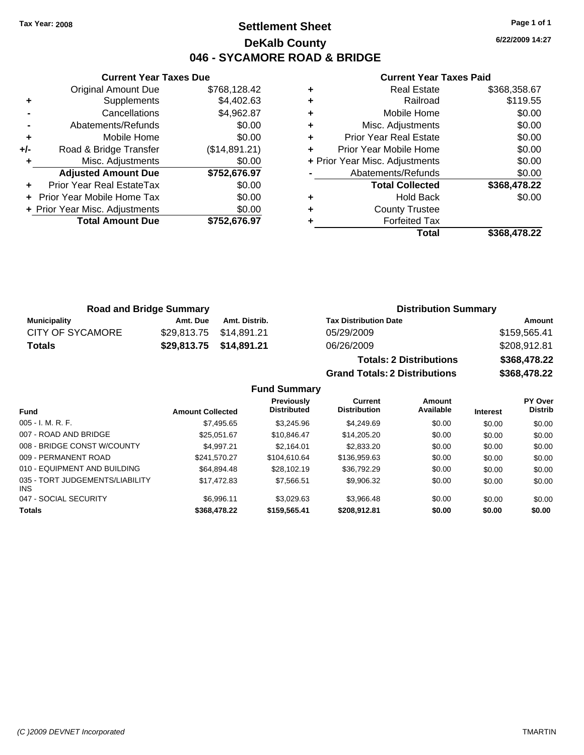# **Settlement Sheet Tax Year: 2008 Page 1 of 1 DeKalb County 046 - SYCAMORE ROAD & BRIDGE**

**6/22/2009 14:27**

#### **Current Year Taxes Paid**

|     | <b>Total Amount Due</b>          | \$752,676.97  |
|-----|----------------------------------|---------------|
|     | + Prior Year Misc. Adjustments   | \$0.00        |
|     | Prior Year Mobile Home Tax       | \$0.00        |
|     | <b>Prior Year Real EstateTax</b> | \$0.00        |
|     | <b>Adjusted Amount Due</b>       | \$752,676.97  |
| ٠   | Misc. Adjustments                | \$0.00        |
| +/- | Road & Bridge Transfer           | (\$14,891.21) |
| ÷   | Mobile Home                      | \$0.00        |
|     | Abatements/Refunds               | \$0.00        |
|     | Cancellations                    | \$4,962.87    |
| ٠   | Supplements                      | \$4,402.63    |
|     | <b>Original Amount Due</b>       | \$768,128.42  |
|     |                                  |               |

**Current Year Taxes Due**

|   | <b>Real Estate</b>             | \$368,358.67 |
|---|--------------------------------|--------------|
| ٠ | Railroad                       | \$119.55     |
| ٠ | Mobile Home                    | \$0.00       |
| ٠ | Misc. Adjustments              | \$0.00       |
| ÷ | <b>Prior Year Real Estate</b>  | \$0.00       |
| ÷ | Prior Year Mobile Home         | \$0.00       |
|   | + Prior Year Misc. Adjustments | \$0.00       |
|   | Abatements/Refunds             | \$0.00       |
|   | <b>Total Collected</b>         | \$368,478.22 |
| ٠ | Hold Back                      | \$0.00       |
| ٠ | <b>County Trustee</b>          |              |
|   | <b>Forfeited Tax</b>           |              |
|   | Total                          | \$368.478.22 |

**Grand Totals: 2 Distributions \$368,478.22**

| <b>Road and Bridge Summary</b> |          |                         | <b>Distribution Summary</b>    |              |  |
|--------------------------------|----------|-------------------------|--------------------------------|--------------|--|
| Municipality                   | Amt. Due | Amt. Distrib.           | <b>Tax Distribution Date</b>   | Amount       |  |
| <b>CITY OF SYCAMORE</b>        |          |                         | 05/29/2009                     | \$159,565.41 |  |
| Totals                         |          | \$29,813.75 \$14,891.21 | 06/26/2009                     | \$208,912.81 |  |
|                                |          |                         | <b>Totals: 2 Distributions</b> | \$368,478.22 |  |

**Fund Summary Fund Interest Amount Collected Distributed PY Over Distrib Amount Available Current Distribution Previously** 005 - I. M. R. F. \$7,495.65 \$3,245.96 \$4,249.69 \$0.00 \$0.00 \$0.00 007 - ROAD AND BRIDGE 60.00 \$25,051.67 \$10,846.47 \$14,205.20 \$0.00 \$0.00 \$0.00 \$0.00 008 - BRIDGE CONST W/COUNTY  $$4,997.21$   $$2,164.01$   $$2,833.20$   $$0.00$   $$0.00$   $$0.00$ 009 - PERMANENT ROAD \$241,570.27 \$104,610.64 \$136,959.63 \$0.00 \$0.00 \$0.00 \$0.00 010 - EQUIPMENT AND BUILDING \$64,894.48 \$28,102.19 \$36,792.29 \$0.00 \$0.00 \$0.00 035 - TORT JUDGEMENTS/LIABILITY INS \$17,472.83 \$7,566.51 \$9,906.32 \$0.00 \$0.00 \$0.00 047 - SOCIAL SECURITY 66,996.11 \$3,029.63 \$3,966.48 \$0.00 \$0.00 \$0.00 \$0.00 **Totals \$368,478.22 \$159,565.41 \$208,912.81 \$0.00 \$0.00 \$0.00**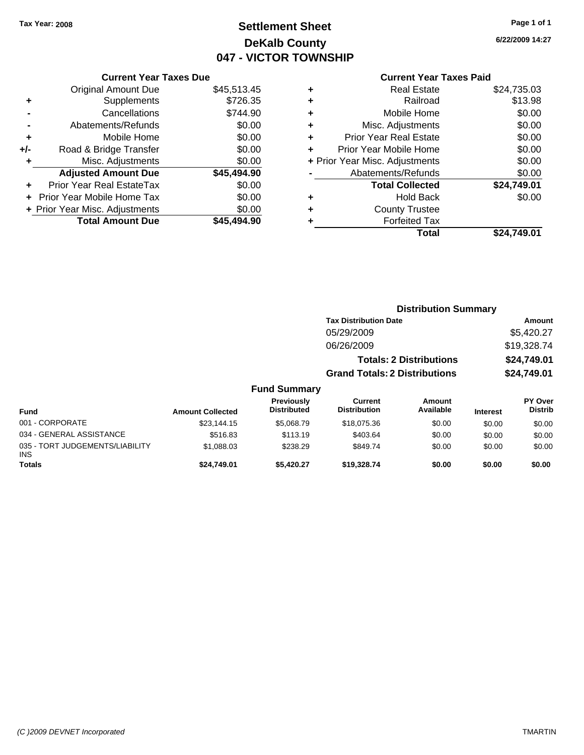# **Settlement Sheet Tax Year: 2008 Page 1 of 1 DeKalb County 047 - VICTOR TOWNSHIP**

**6/22/2009 14:27**

## **Current Year Taxes Paid**

|     | <b>Current Year Taxes Due</b>  |             |
|-----|--------------------------------|-------------|
|     | <b>Original Amount Due</b>     | \$45,513.45 |
| ٠   | Supplements                    | \$726.35    |
|     | Cancellations                  | \$744.90    |
|     | Abatements/Refunds             | \$0.00      |
| ٠   | Mobile Home                    | \$0.00      |
| +/- | Road & Bridge Transfer         | \$0.00      |
|     | Misc. Adjustments              | \$0.00      |
|     | <b>Adjusted Amount Due</b>     | \$45,494.90 |
| ٠   | Prior Year Real EstateTax      | \$0.00      |
|     | Prior Year Mobile Home Tax     | \$0.00      |
|     | + Prior Year Misc. Adjustments | \$0.00      |
|     | <b>Total Amount Due</b>        | \$45.494.90 |
|     |                                |             |

| ٠ | <b>Real Estate</b>             | \$24,735.03 |
|---|--------------------------------|-------------|
| ٠ | Railroad                       | \$13.98     |
| ٠ | Mobile Home                    | \$0.00      |
| ٠ | Misc. Adjustments              | \$0.00      |
| ٠ | <b>Prior Year Real Estate</b>  | \$0.00      |
|   | Prior Year Mobile Home         | \$0.00      |
|   | + Prior Year Misc. Adjustments | \$0.00      |
|   | Abatements/Refunds             | \$0.00      |
|   | <b>Total Collected</b>         | \$24,749.01 |
| ٠ | <b>Hold Back</b>               | \$0.00      |
| ٠ | <b>County Trustee</b>          |             |
| ٠ | <b>Forfeited Tax</b>           |             |
|   | Total                          | \$24,749.01 |
|   |                                |             |

|                                         |                         |                                  | <b>Distribution Summary</b>           |                                |                 |                           |
|-----------------------------------------|-------------------------|----------------------------------|---------------------------------------|--------------------------------|-----------------|---------------------------|
|                                         |                         |                                  | <b>Tax Distribution Date</b>          |                                |                 | Amount                    |
|                                         |                         |                                  | 05/29/2009                            |                                |                 | \$5,420.27                |
|                                         |                         |                                  | 06/26/2009                            |                                |                 | \$19,328.74               |
|                                         |                         |                                  |                                       | <b>Totals: 2 Distributions</b> |                 | \$24,749.01               |
|                                         |                         |                                  | <b>Grand Totals: 2 Distributions</b>  |                                |                 | \$24,749.01               |
|                                         |                         | <b>Fund Summary</b>              |                                       |                                |                 |                           |
| Fund                                    | <b>Amount Collected</b> | Previously<br><b>Distributed</b> | <b>Current</b><br><b>Distribution</b> | <b>Amount</b><br>Available     | <b>Interest</b> | PY Over<br><b>Distrib</b> |
| 001 - CORPORATE                         | \$23.144.15             | \$5,068.79                       | \$18,075.36                           | \$0.00                         | \$0.00          | \$0.00                    |
| 034 - GENERAL ASSISTANCE                | \$516.83                | \$113.19                         | \$403.64                              | \$0.00                         | \$0.00          | \$0.00                    |
| 035 - TORT JUDGEMENTS/LIABILITY<br>INS. | \$1,088.03              | \$238.29                         | \$849.74                              | \$0.00                         | \$0.00          | \$0.00                    |
| Totals                                  | \$24,749.01             | \$5,420.27                       | \$19,328.74                           | \$0.00                         | \$0.00          | \$0.00                    |
|                                         |                         |                                  |                                       |                                |                 |                           |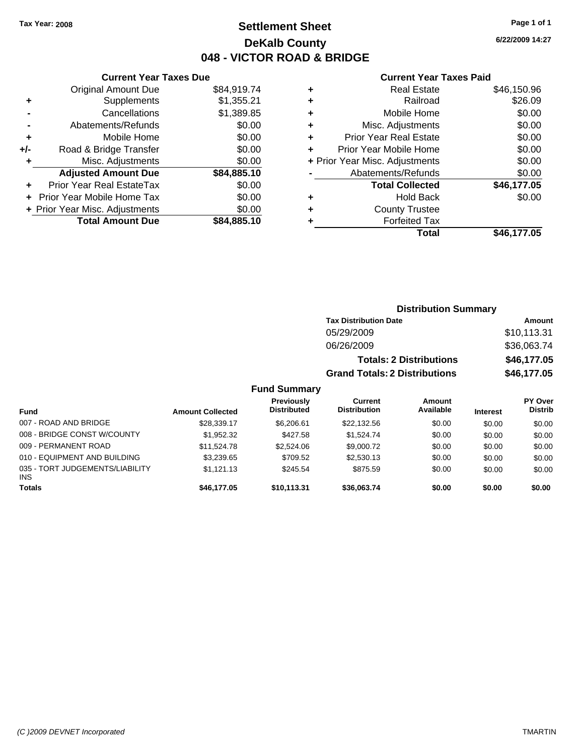# **Settlement Sheet Tax Year: 2008 Page 1 of 1 DeKalb County 048 - VICTOR ROAD & BRIDGE**

**6/22/2009 14:27**

## **Current Year Taxes Paid**

|     | <b>Current Year Taxes Due</b>  |             |
|-----|--------------------------------|-------------|
|     | <b>Original Amount Due</b>     | \$84,919.74 |
| ٠   | Supplements                    | \$1,355.21  |
|     | Cancellations                  | \$1,389.85  |
|     | Abatements/Refunds             | \$0.00      |
| ٠   | Mobile Home                    | \$0.00      |
| +/- | Road & Bridge Transfer         | \$0.00      |
|     | Misc. Adjustments              | \$0.00      |
|     | <b>Adjusted Amount Due</b>     | \$84,885.10 |
|     | Prior Year Real EstateTax      | \$0.00      |
|     | Prior Year Mobile Home Tax     | \$0.00      |
|     | + Prior Year Misc. Adjustments | \$0.00      |
|     | <b>Total Amount Due</b>        | \$84,885.10 |
|     |                                |             |

| ٠ | <b>Real Estate</b>             | \$46,150.96 |
|---|--------------------------------|-------------|
| ٠ | Railroad                       | \$26.09     |
| ٠ | Mobile Home                    | \$0.00      |
| ٠ | Misc. Adjustments              | \$0.00      |
| ٠ | <b>Prior Year Real Estate</b>  | \$0.00      |
|   | Prior Year Mobile Home         | \$0.00      |
|   | + Prior Year Misc. Adjustments | \$0.00      |
|   | Abatements/Refunds             | \$0.00      |
|   | <b>Total Collected</b>         | \$46,177.05 |
| ٠ | <b>Hold Back</b>               | \$0.00      |
| ٠ | <b>County Trustee</b>          |             |
| ٠ | <b>Forfeited Tax</b>           |             |
|   | Total                          | \$46,177.05 |
|   |                                |             |

|               |                                  |                                       | <b>Distribution Summary</b>    |                                               |                                               |
|---------------|----------------------------------|---------------------------------------|--------------------------------|-----------------------------------------------|-----------------------------------------------|
|               |                                  | <b>Tax Distribution Date</b>          |                                |                                               | Amount                                        |
|               |                                  | 05/29/2009                            |                                |                                               | \$10,113.31                                   |
|               |                                  | 06/26/2009                            |                                |                                               | \$36,063.74                                   |
|               |                                  |                                       | <b>Totals: 2 Distributions</b> |                                               | \$46,177.05                                   |
|               |                                  | <b>Grand Totals: 2 Distributions</b>  |                                |                                               | \$46,177.05                                   |
|               | <b>Fund Summary</b>              |                                       |                                |                                               |                                               |
| ed            | Previously<br><b>Distributed</b> | <b>Current</b><br><b>Distribution</b> | Amount<br>Available            | <b>Interest</b>                               | <b>PY Over</b><br><b>Distrib</b>              |
| $\rightarrow$ | 0.0000                           | 0.0010000                             | 0.00                           | $\mathbf{A} \mathbf{A} \mathbf{A} \mathbf{A}$ | $\mathbf{A} \mathbf{A} \mathbf{A} \mathbf{A}$ |

| <b>Fund</b>                                   | <b>Amount Collected</b> | <b>Distributed</b> | <b>Distribution</b> | Available | <b>Interest</b> | <b>Distrib</b> |
|-----------------------------------------------|-------------------------|--------------------|---------------------|-----------|-----------------|----------------|
| 007 - ROAD AND BRIDGE                         | \$28,339.17             | \$6.206.61         | \$22,132.56         | \$0.00    | \$0.00          | \$0.00         |
| 008 - BRIDGE CONST W/COUNTY                   | \$1.952.32              | \$427.58           | \$1.524.74          | \$0.00    | \$0.00          | \$0.00         |
| 009 - PERMANENT ROAD                          | \$11.524.78             | \$2,524.06         | \$9,000.72          | \$0.00    | \$0.00          | \$0.00         |
| 010 - EQUIPMENT AND BUILDING                  | \$3.239.65              | \$709.52           | \$2,530.13          | \$0.00    | \$0.00          | \$0.00         |
| 035 - TORT JUDGEMENTS/LIABILITY<br><b>INS</b> | \$1.121.13              | \$245.54           | \$875.59            | \$0.00    | \$0.00          | \$0.00         |
| <b>Totals</b>                                 | \$46,177,05             | \$10.113.31        | \$36,063,74         | \$0.00    | \$0.00          | \$0.00         |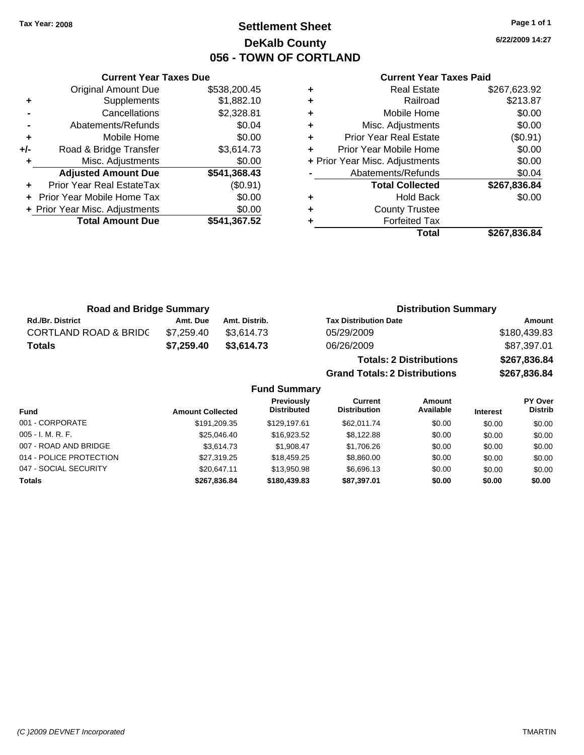# **Settlement Sheet Tax Year: 2008 Page 1 of 1 DeKalb County 056 - TOWN OF CORTLAND**

**6/22/2009 14:27**

## **Current Year Taxes Paid**

| <b>Current Yea</b>            |   |              | <b>Current Year Taxes Due</b>  |       |  |
|-------------------------------|---|--------------|--------------------------------|-------|--|
| Real Estat                    | ٠ | \$538,200.45 | <b>Original Amount Due</b>     |       |  |
| Railroa                       | ÷ | \$1,882.10   | Supplements                    | ٠     |  |
| Mobile Hom                    | ٠ | \$2,328.81   | Cancellations                  |       |  |
| Misc. Adjustment              | ÷ | \$0.04       | Abatements/Refunds             |       |  |
| Prior Year Real Estat         | ÷ | \$0.00       | Mobile Home                    | ٠     |  |
| Prior Year Mobile Hom         | ÷ | \$3,614.73   | Road & Bridge Transfer         | $+/-$ |  |
| + Prior Year Misc. Adjustment |   | \$0.00       | Misc. Adjustments              | ٠     |  |
| Abatements/Refund             |   | \$541,368.43 | <b>Adjusted Amount Due</b>     |       |  |
| <b>Total Collected</b>        |   | (\$0.91)     | Prior Year Real EstateTax      |       |  |
| <b>Hold Bac</b>               | ÷ | \$0.00       | + Prior Year Mobile Home Tax   |       |  |
| County Truste                 | ÷ | \$0.00       | + Prior Year Misc. Adjustments |       |  |
| <b>Forfeited Ta</b>           | ٠ | \$541,367.52 | <b>Total Amount Due</b>        |       |  |
| T <sub>0</sub>                |   |              |                                |       |  |

| <b>Real Estate</b>            | \$267,623.92                   |
|-------------------------------|--------------------------------|
| Railroad                      | \$213.87                       |
| Mobile Home                   | \$0.00                         |
| Misc. Adjustments             | \$0.00                         |
| <b>Prior Year Real Estate</b> | (\$0.91)                       |
| Prior Year Mobile Home        | \$0.00                         |
|                               | \$0.00                         |
| Abatements/Refunds            | \$0.04                         |
| <b>Total Collected</b>        | \$267,836.84                   |
| <b>Hold Back</b>              | \$0.00                         |
| <b>County Trustee</b>         |                                |
| <b>Forfeited Tax</b>          |                                |
| Total                         | \$267,836.84                   |
|                               | + Prior Year Misc. Adjustments |

**Grand Totals: 2 Distributions \$267,836.84**

| <b>Road and Bridge Summary</b>   |            |               | <b>Distribution Summary</b>    |              |  |
|----------------------------------|------------|---------------|--------------------------------|--------------|--|
| <b>Rd./Br. District</b>          | Amt. Due   | Amt. Distrib. | <b>Tax Distribution Date</b>   | Amount       |  |
| <b>CORTLAND ROAD &amp; BRIDC</b> | \$7.259.40 | \$3.614.73    | 05/29/2009                     | \$180,439.83 |  |
| Totals                           | \$7,259,40 | \$3,614.73    | 06/26/2009                     | \$87,397.01  |  |
|                                  |            |               | <b>Totals: 2 Distributions</b> | \$267,836.84 |  |

**Fund Summary Fund Interest Amount Collected Distributed PY Over Distrib Amount Available Current Distribution Previously** 001 - CORPORATE \$191,209.35 \$129,197.61 \$62,011.74 \$0.00 \$0.00 \$0.00 005 - I. M. R. F. \$25,046.40 \$16,923.52 \$8,122.88 \$0.00 \$0.00 \$0.00 007 - ROAD AND BRIDGE \$1,908.47 \$1,908.47 \$1,706.26 \$0.00 \$0.00 \$0.00 014 - POLICE PROTECTION  $$27,319.25$   $$18,459.25$   $$8,860.00$   $$0.00$   $$0.00$   $$0.00$ 047 - SOCIAL SECURITY \$20,647.11 \$13,950.98 \$6,696.13 \$0.00 \$0.00 \$0.00 **Totals \$267,836.84 \$180,439.83 \$87,397.01 \$0.00 \$0.00 \$0.00**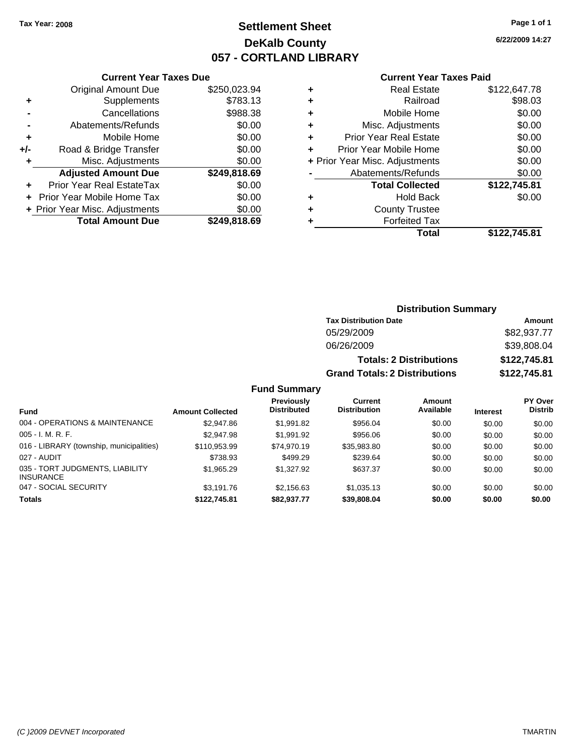# **Settlement Sheet Tax Year: 2008 Page 1 of 1 DeKalb County 057 - CORTLAND LIBRARY**

**6/22/2009 14:27**

## **Current Year Taxes Paid**

|       | <b>Current Year Taxes Due</b>  |              |
|-------|--------------------------------|--------------|
|       | <b>Original Amount Due</b>     | \$250,023.94 |
| ٠     | Supplements                    | \$783.13     |
|       | Cancellations                  | \$988.38     |
|       | Abatements/Refunds             | \$0.00       |
| ٠     | Mobile Home                    | \$0.00       |
| $+/-$ | Road & Bridge Transfer         | \$0.00       |
| ٠     | Misc. Adjustments              | \$0.00       |
|       | <b>Adjusted Amount Due</b>     | \$249,818.69 |
|       | Prior Year Real EstateTax      | \$0.00       |
|       | Prior Year Mobile Home Tax     | \$0.00       |
|       | + Prior Year Misc. Adjustments | \$0.00       |
|       | <b>Total Amount Due</b>        | \$249,818.69 |
|       |                                |              |

| ٠ | <b>Real Estate</b>             | \$122,647.78 |
|---|--------------------------------|--------------|
| ٠ | Railroad                       | \$98.03      |
| ٠ | Mobile Home                    | \$0.00       |
| ٠ | Misc. Adjustments              | \$0.00       |
| ÷ | <b>Prior Year Real Estate</b>  | \$0.00       |
| ÷ | Prior Year Mobile Home         | \$0.00       |
|   | + Prior Year Misc. Adjustments | \$0.00       |
|   | Abatements/Refunds             | \$0.00       |
|   | <b>Total Collected</b>         | \$122,745.81 |
| ٠ | Hold Back                      | \$0.00       |
| ٠ | <b>County Trustee</b>          |              |
| ٠ | <b>Forfeited Tax</b>           |              |
|   | Total                          | \$122,745.81 |
|   |                                |              |

## **Distribution Summary Tax Distribution Date Amount** 05/29/2009 \$82,937.77 06/26/2009 \$39,808.04 **Totals: 2 Distributions \$122,745.81 Grand Totals: 2 Distributions \$122,745.81**

### **Fund Summary**

| <b>Fund</b>                                         | <b>Amount Collected</b> | <b>Previously</b><br><b>Distributed</b> | Current<br><b>Distribution</b> | <b>Amount</b><br>Available | <b>Interest</b> | PY Over<br><b>Distrib</b> |
|-----------------------------------------------------|-------------------------|-----------------------------------------|--------------------------------|----------------------------|-----------------|---------------------------|
| 004 - OPERATIONS & MAINTENANCE                      | \$2,947.86              | \$1,991.82                              | \$956.04                       | \$0.00                     | \$0.00          | \$0.00                    |
| $005 - I. M. R. F.$                                 | \$2,947.98              | \$1.991.92                              | \$956.06                       | \$0.00                     | \$0.00          | \$0.00                    |
| 016 - LIBRARY (township, municipalities)            | \$110.953.99            | \$74.970.19                             | \$35,983.80                    | \$0.00                     | \$0.00          | \$0.00                    |
| 027 - AUDIT                                         | \$738.93                | \$499.29                                | \$239.64                       | \$0.00                     | \$0.00          | \$0.00                    |
| 035 - TORT JUDGMENTS, LIABILITY<br><b>INSURANCE</b> | \$1,965.29              | \$1,327.92                              | \$637.37                       | \$0.00                     | \$0.00          | \$0.00                    |
| 047 - SOCIAL SECURITY                               | \$3.191.76              | \$2.156.63                              | \$1,035.13                     | \$0.00                     | \$0.00          | \$0.00                    |
| <b>Totals</b>                                       | \$122,745.81            | \$82.937.77                             | \$39,808.04                    | \$0.00                     | \$0.00          | \$0.00                    |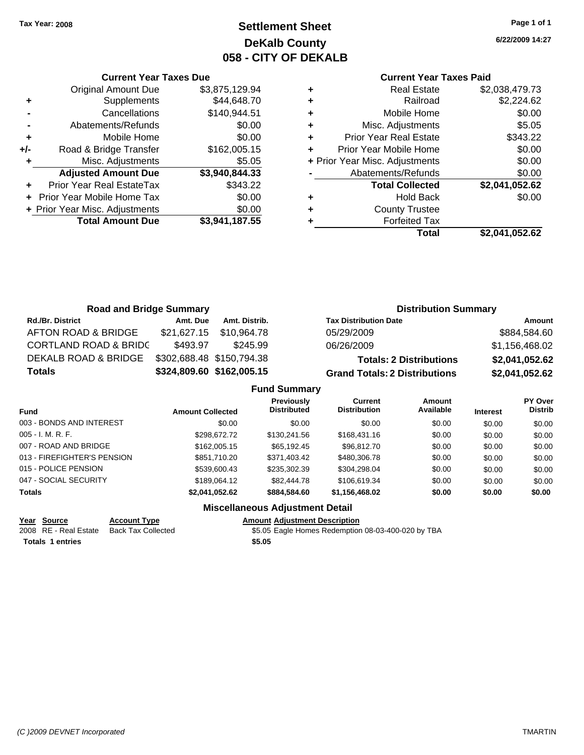**Original Amount Due** 

**Adjusted Amount Due** 

**Total Amount Due** 

**+** Supplements **-** Cancellations **-** Abatements/Refunds **+** Mobile Home **+/-** Road & Bridge Transfer **+** Misc. Adjustments

**+** Prior Year Real EstateTax **+** Prior Year Mobile Home Tax \$0.00 **+ Prior Year Misc. Adjustments** 

# **Settlement Sheet Tax Year: 2008 Page 1 of 1 DeKalb County 058 - CITY OF DEKALB**

**6/22/2009 14:27**

## **Current Year Taxes Paid**

| <b>Current Year Taxes Due</b>       |                |   | <b>Current Year Taxes Paid</b> |                |  |  |  |
|-------------------------------------|----------------|---|--------------------------------|----------------|--|--|--|
| ıl Amount Due                       | \$3,875,129.94 | ٠ | <b>Real Estate</b>             | \$2,038,479.73 |  |  |  |
| Supplements                         | \$44,648.70    | ٠ | Railroad                       | \$2,224.62     |  |  |  |
| Cancellations                       | \$140,944.51   | ٠ | Mobile Home                    | \$0.00         |  |  |  |
| าents/Refunds                       | \$0.00         | ÷ | Misc. Adjustments              | \$5.05         |  |  |  |
| Mobile Home                         | \$0.00         | ÷ | <b>Prior Year Real Estate</b>  | \$343.22       |  |  |  |
| ridge Transfer                      | \$162,005.15   | ÷ | Prior Year Mobile Home         | \$0.00         |  |  |  |
| . Adjustments                       | \$5.05         |   | + Prior Year Misc. Adjustments | \$0.00         |  |  |  |
| <b>Amount Due</b>                   | \$3,940,844.33 |   | Abatements/Refunds             | \$0.00         |  |  |  |
| eal EstateTax                       | \$343.22       |   | <b>Total Collected</b>         | \$2,041,052.62 |  |  |  |
| pile Home Tax                       | \$0.00         | ÷ | <b>Hold Back</b>               | \$0.00         |  |  |  |
| . Adjustments                       | \$0.00         | ÷ | <b>County Trustee</b>          |                |  |  |  |
| \$3,941,187.55<br><b>Amount Due</b> |                |   | <b>Forfeited Tax</b>           |                |  |  |  |
|                                     |                |   | Total                          | \$2,041,052.62 |  |  |  |

| <b>Road and Bridge Summary</b>   |             |                           | <b>Distribution Summary</b>          |                |  |  |
|----------------------------------|-------------|---------------------------|--------------------------------------|----------------|--|--|
| <b>Rd./Br. District</b>          | Amt. Due    | Amt. Distrib.             | <b>Tax Distribution Date</b>         | Amount         |  |  |
| AFTON ROAD & BRIDGE              | \$21,627.15 | \$10,964.78               | 05/29/2009                           | \$884,584.60   |  |  |
| <b>CORTLAND ROAD &amp; BRIDC</b> | \$493.97    | \$245.99                  | 06/26/2009                           | \$1,156,468.02 |  |  |
| DEKALB ROAD & BRIDGE             |             | \$302,688.48 \$150,794.38 | <b>Totals: 2 Distributions</b>       | \$2,041,052.62 |  |  |
| <b>Totals</b>                    |             | \$324,809.60 \$162,005.15 | <b>Grand Totals: 2 Distributions</b> | \$2,041,052.62 |  |  |
|                                  |             | <b>Fund Summary</b>       |                                      |                |  |  |

|                             |                         | UITU VUITIITUI Y                        |                                |                     |                 |                           |
|-----------------------------|-------------------------|-----------------------------------------|--------------------------------|---------------------|-----------------|---------------------------|
| <b>Fund</b>                 | <b>Amount Collected</b> | <b>Previously</b><br><b>Distributed</b> | Current<br><b>Distribution</b> | Amount<br>Available | <b>Interest</b> | PY Over<br><b>Distrib</b> |
| 003 - BONDS AND INTEREST    | \$0.00                  | \$0.00                                  | \$0.00                         | \$0.00              | \$0.00          | \$0.00                    |
| $005 - I. M. R. F.$         | \$298,672.72            | \$130,241.56                            | \$168,431.16                   | \$0.00              | \$0.00          | \$0.00                    |
| 007 - ROAD AND BRIDGE       | \$162,005.15            | \$65.192.45                             | \$96,812.70                    | \$0.00              | \$0.00          | \$0.00                    |
| 013 - FIREFIGHTER'S PENSION | \$851,710.20            | \$371,403.42                            | \$480,306.78                   | \$0.00              | \$0.00          | \$0.00                    |
| 015 - POLICE PENSION        | \$539,600.43            | \$235,302.39                            | \$304.298.04                   | \$0.00              | \$0.00          | \$0.00                    |
| 047 - SOCIAL SECURITY       | \$189,064.12            | \$82,444.78                             | \$106,619.34                   | \$0.00              | \$0.00          | \$0.00                    |
| <b>Totals</b>               | \$2,041,052.62          | \$884.584.60                            | \$1,156,468.02                 | \$0.00              | \$0.00          | \$0.00                    |
|                             |                         |                                         |                                |                     |                 |                           |

## **Miscellaneous Adjustment Detail**

**Year Source Account Type Amount Adjustment Description Totals \$5.05 1 entries**

2008 RE - Real Estate Back Tax Collected \$5.05 Eagle Homes Redemption 08-03-400-020 by TBA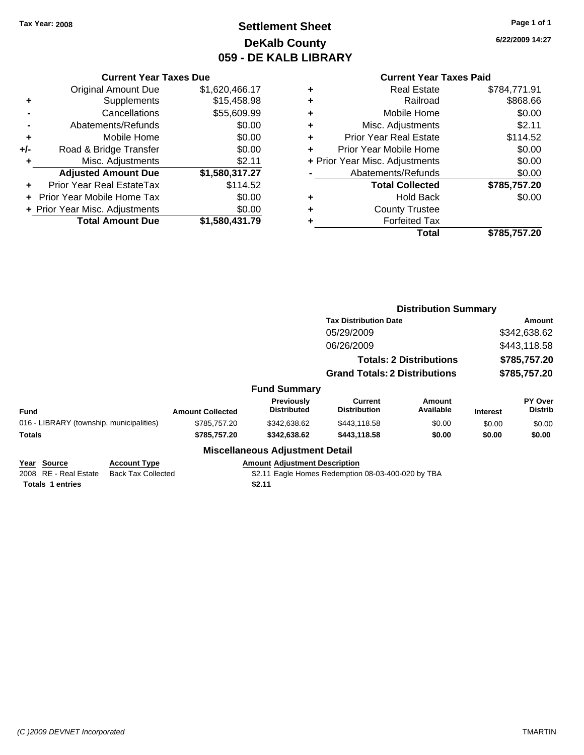# **Settlement Sheet Tax Year: 2008 Page 1 of 1 DeKalb County 059 - DE KALB LIBRARY**

**6/22/2009 14:27**

# **Current Year Taxes Due**

|       | Guilth Ital Taxts Dut          |                |
|-------|--------------------------------|----------------|
|       | <b>Original Amount Due</b>     | \$1,620,466.17 |
| ٠     | Supplements                    | \$15,458.98    |
|       | Cancellations                  | \$55,609.99    |
|       | Abatements/Refunds             | \$0.00         |
| ÷     | Mobile Home                    | \$0.00         |
| $+/-$ | Road & Bridge Transfer         | \$0.00         |
|       | Misc. Adjustments              | \$2.11         |
|       | <b>Adjusted Amount Due</b>     | \$1,580,317.27 |
|       | Prior Year Real EstateTax      | \$114.52       |
|       | Prior Year Mobile Home Tax     | \$0.00         |
|       | + Prior Year Misc. Adjustments | \$0.00         |
|       | <b>Total Amount Due</b>        | \$1,580,431.79 |
|       |                                |                |

## **Current Year Taxes Paid**

|   | <b>Real Estate</b>             | \$784,771.91 |
|---|--------------------------------|--------------|
| ٠ | Railroad                       | \$868.66     |
| ٠ | Mobile Home                    | \$0.00       |
| ٠ | Misc. Adjustments              | \$2.11       |
| ٠ | <b>Prior Year Real Estate</b>  | \$114.52     |
|   | Prior Year Mobile Home         | \$0.00       |
|   | + Prior Year Misc. Adjustments | \$0.00       |
|   | Abatements/Refunds             | \$0.00       |
|   | <b>Total Collected</b>         | \$785,757.20 |
| ٠ | Hold Back                      | \$0.00       |
| ٠ | <b>County Trustee</b>          |              |
|   | <b>Forfeited Tax</b>           |              |
|   | Total                          | \$785,757.20 |
|   |                                |              |

|                                                                                                                     |                         |                                                |                                                    |                                | <b>Distribution Summary</b> |                           |  |
|---------------------------------------------------------------------------------------------------------------------|-------------------------|------------------------------------------------|----------------------------------------------------|--------------------------------|-----------------------------|---------------------------|--|
|                                                                                                                     |                         |                                                | <b>Tax Distribution Date</b>                       |                                |                             | Amount                    |  |
|                                                                                                                     |                         |                                                | 05/29/2009                                         |                                |                             | \$342,638.62              |  |
|                                                                                                                     |                         |                                                | 06/26/2009                                         |                                |                             | \$443,118.58              |  |
|                                                                                                                     |                         |                                                |                                                    | <b>Totals: 2 Distributions</b> |                             | \$785,757.20              |  |
|                                                                                                                     |                         |                                                | <b>Grand Totals: 2 Distributions</b>               |                                |                             | \$785,757.20              |  |
|                                                                                                                     |                         | <b>Fund Summary</b>                            |                                                    |                                |                             |                           |  |
| <b>Fund</b>                                                                                                         | <b>Amount Collected</b> | <b>Previously</b><br><b>Distributed</b>        | Current<br><b>Distribution</b>                     | Amount<br>Available            | <b>Interest</b>             | PY Over<br><b>Distrib</b> |  |
| 016 - LIBRARY (township, municipalities)                                                                            | \$785,757.20            | \$342,638.62                                   | \$443,118.58                                       | \$0.00                         | \$0.00                      | \$0.00                    |  |
| Totals                                                                                                              | \$785,757.20            | \$342,638.62                                   | \$443.118.58                                       | \$0.00                         | \$0.00                      | \$0.00                    |  |
|                                                                                                                     |                         | <b>Miscellaneous Adjustment Detail</b>         |                                                    |                                |                             |                           |  |
| Year Source<br><b>Account Type</b><br>2008 RE - Real Estate<br><b>Back Tax Collected</b><br><b>Totals 1 entries</b> |                         | <b>Amount Adjustment Description</b><br>\$2.11 | \$2.11 Eagle Homes Redemption 08-03-400-020 by TBA |                                |                             |                           |  |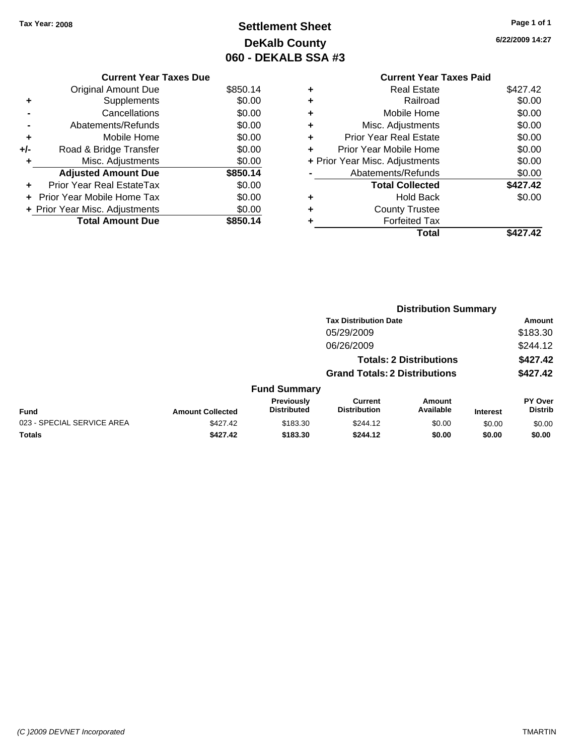# **Settlement Sheet Tax Year: 2008 Page 1 of 1 DeKalb County 060 - DEKALB SSA #3**

**6/22/2009 14:27**

|     | <b>Current Year Taxes Due</b>  |          |
|-----|--------------------------------|----------|
|     | Original Amount Due            | \$850.14 |
|     | Supplements                    | \$0.00   |
|     | Cancellations                  | \$0.00   |
|     | Abatements/Refunds             | \$0.00   |
| ٠   | Mobile Home                    | \$0.00   |
| +/- | Road & Bridge Transfer         | \$0.00   |
|     | Misc. Adjustments              | \$0.00   |
|     | <b>Adjusted Amount Due</b>     | \$850.14 |
|     | Prior Year Real EstateTax      | \$0.00   |
|     | Prior Year Mobile Home Tax     | \$0.00   |
|     | + Prior Year Misc. Adjustments | \$0.00   |
|     | <b>Total Amount Due</b>        | \$850.14 |
|     |                                |          |

## **Current Year Taxes Paid +** Real Estate \$427.42 **+** Railroad \$0.00 **+** Mobile Home \$0.00 **+** Misc. Adjustments \$0.00 **+** Prior Year Real Estate \$0.00 **+** Prior Year Mobile Home \$0.00 **+ Prior Year Misc. Adjustments**  $$0.00$ **-** Abatements/Refunds \$0.00 Total Collected \$427.42 **+** Hold Back \$0.00 **+** County Trustee **+** Forfeited Tax **Total \$427.42**

|                            |                         |                                         | <b>Distribution Summary</b>           |                                |                 |                                  |  |
|----------------------------|-------------------------|-----------------------------------------|---------------------------------------|--------------------------------|-----------------|----------------------------------|--|
|                            |                         |                                         | <b>Tax Distribution Date</b>          |                                |                 | Amount                           |  |
|                            |                         |                                         | 05/29/2009                            |                                |                 | \$183.30                         |  |
|                            |                         |                                         | 06/26/2009                            |                                |                 | \$244.12                         |  |
|                            |                         |                                         |                                       | <b>Totals: 2 Distributions</b> |                 | \$427.42                         |  |
|                            |                         |                                         | <b>Grand Totals: 2 Distributions</b>  |                                |                 | \$427.42                         |  |
|                            |                         | <b>Fund Summary</b>                     |                                       |                                |                 |                                  |  |
| Fund                       | <b>Amount Collected</b> | <b>Previously</b><br><b>Distributed</b> | <b>Current</b><br><b>Distribution</b> | Amount<br>Available            | <b>Interest</b> | <b>PY Over</b><br><b>Distrib</b> |  |
| 023 - SPECIAL SERVICE AREA | \$427.42                | \$183.30                                | \$244.12                              | \$0.00                         | \$0.00          | \$0.00                           |  |
| Totals                     | \$427.42                | \$183.30                                | \$244.12                              | \$0.00                         | \$0.00          | \$0.00                           |  |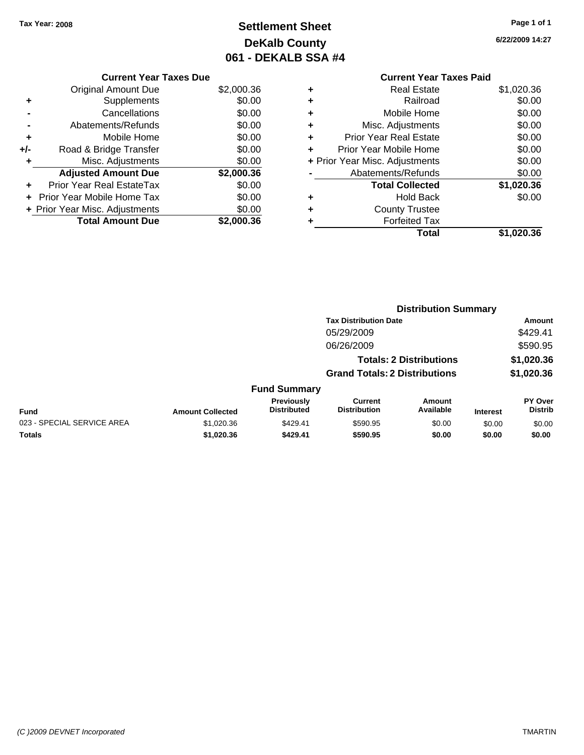# **Settlement Sheet Tax Year: 2008 Page 1 of 1 DeKalb County 061 - DEKALB SSA #4**

## **6/22/2009 14:27**

|   | <b>Current Year Taxes Paid</b> |            |
|---|--------------------------------|------------|
| ٠ | <b>Real Estate</b>             | \$1,020.36 |
| ٠ | Railroad                       | \$0.00     |
| ÷ | Mobile Home                    | \$0.00     |
| ٠ | Misc. Adjustments              | \$0.00     |
| ÷ | <b>Prior Year Real Estate</b>  | \$0.00     |
| ٠ | Prior Year Mobile Home         | \$0.00     |
|   | + Prior Year Misc. Adjustments | \$0.00     |
|   | Abatements/Refunds             | \$0.00     |
|   | <b>Total Collected</b>         | \$1,020.36 |
| ٠ | <b>Hold Back</b>               | \$0.00     |
| ٠ | <b>County Trustee</b>          |            |
| ٠ | <b>Forfeited Tax</b>           |            |
|   | Total                          | \$1.020.36 |
|   |                                |            |

| <b>Current Year Taxes Due</b>    |            |
|----------------------------------|------------|
| <b>Original Amount Due</b>       | \$2,000.36 |
| Supplements                      | \$0.00     |
| Cancellations                    | \$0.00     |
| Abatements/Refunds               | \$0.00     |
| Mobile Home                      | \$0.00     |
| Road & Bridge Transfer           | \$0.00     |
| Misc. Adjustments                | \$0.00     |
| <b>Adjusted Amount Due</b>       | \$2,000.36 |
| <b>Prior Year Real EstateTax</b> | \$0.00     |
| Prior Year Mobile Home Tax       | \$0.00     |
| + Prior Year Misc. Adjustments   | \$0.00     |
| <b>Total Amount Due</b>          | \$2.000.36 |
|                                  |            |

|                            |                         |                                  | <b>Distribution Summary</b>           |                                |                 |                                  |
|----------------------------|-------------------------|----------------------------------|---------------------------------------|--------------------------------|-----------------|----------------------------------|
|                            |                         |                                  | <b>Tax Distribution Date</b>          |                                |                 | Amount                           |
|                            |                         |                                  | 05/29/2009                            |                                |                 | \$429.41                         |
|                            |                         |                                  | 06/26/2009                            |                                |                 | \$590.95                         |
|                            |                         |                                  |                                       | <b>Totals: 2 Distributions</b> |                 | \$1,020.36                       |
|                            |                         |                                  | <b>Grand Totals: 2 Distributions</b>  |                                |                 | \$1,020.36                       |
|                            |                         | <b>Fund Summary</b>              |                                       |                                |                 |                                  |
| <b>Fund</b>                | <b>Amount Collected</b> | Previously<br><b>Distributed</b> | <b>Current</b><br><b>Distribution</b> | <b>Amount</b><br>Available     | <b>Interest</b> | <b>PY Over</b><br><b>Distrib</b> |
| 023 - SPECIAL SERVICE AREA | \$1,020.36              | \$429.41                         | \$590.95                              | \$0.00                         | \$0.00          | \$0.00                           |
| Totals                     | \$1,020.36              | \$429.41                         | \$590.95                              | \$0.00                         | \$0.00          | \$0.00                           |

#### *(C )2009 DEVNET Incorporated* TMARTIN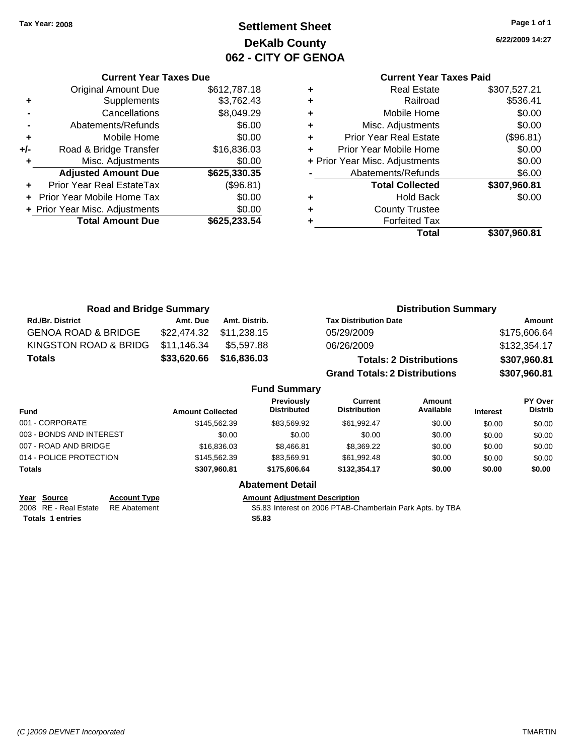# **Settlement Sheet Tax Year: 2008 Page 1 of 1 DeKalb County 062 - CITY OF GENOA**

**6/22/2009 14:27**

## **Current Year Taxes Paid**

|   | <b>Real Estate</b>             | \$307,527.21 |
|---|--------------------------------|--------------|
| ٠ | Railroad                       | \$536.41     |
| ٠ | Mobile Home                    | \$0.00       |
| ٠ | Misc. Adjustments              | \$0.00       |
| ٠ | <b>Prior Year Real Estate</b>  | (\$96.81)    |
| ٠ | Prior Year Mobile Home         | \$0.00       |
|   | + Prior Year Misc. Adjustments | \$0.00       |
|   | Abatements/Refunds             | \$6.00       |
|   | <b>Total Collected</b>         | \$307,960.81 |
| ٠ | <b>Hold Back</b>               | \$0.00       |
| ٠ | <b>County Trustee</b>          |              |
|   | <b>Forfeited Tax</b>           |              |
|   | Total                          | \$307,960.81 |

**Distribution Summary**

| \$612,787.18<br><b>Original Amount Due</b><br>\$3,762.43<br>Supplements<br>٠<br>\$8,049.29<br>Cancellations<br>\$6.00<br>Abatements/Refunds<br>\$0.00<br>Mobile Home<br>٠<br>Road & Bridge Transfer<br>\$16,836.03<br>+/-<br>\$0.00<br>Misc. Adjustments<br>٠<br><b>Adjusted Amount Due</b><br>\$625,330.35<br>(\$96.81)<br>Prior Year Real EstateTax<br>\$0.00<br>Prior Year Mobile Home Tax<br>\$0.00<br>+ Prior Year Misc. Adjustments<br><b>Total Amount Due</b> | <b>Current Year Taxes Due</b> |              |  |  |  |  |  |  |
|----------------------------------------------------------------------------------------------------------------------------------------------------------------------------------------------------------------------------------------------------------------------------------------------------------------------------------------------------------------------------------------------------------------------------------------------------------------------|-------------------------------|--------------|--|--|--|--|--|--|
|                                                                                                                                                                                                                                                                                                                                                                                                                                                                      |                               |              |  |  |  |  |  |  |
|                                                                                                                                                                                                                                                                                                                                                                                                                                                                      |                               |              |  |  |  |  |  |  |
|                                                                                                                                                                                                                                                                                                                                                                                                                                                                      |                               |              |  |  |  |  |  |  |
|                                                                                                                                                                                                                                                                                                                                                                                                                                                                      |                               |              |  |  |  |  |  |  |
|                                                                                                                                                                                                                                                                                                                                                                                                                                                                      |                               |              |  |  |  |  |  |  |
|                                                                                                                                                                                                                                                                                                                                                                                                                                                                      |                               |              |  |  |  |  |  |  |
|                                                                                                                                                                                                                                                                                                                                                                                                                                                                      |                               |              |  |  |  |  |  |  |
|                                                                                                                                                                                                                                                                                                                                                                                                                                                                      |                               |              |  |  |  |  |  |  |
|                                                                                                                                                                                                                                                                                                                                                                                                                                                                      |                               |              |  |  |  |  |  |  |
|                                                                                                                                                                                                                                                                                                                                                                                                                                                                      |                               |              |  |  |  |  |  |  |
|                                                                                                                                                                                                                                                                                                                                                                                                                                                                      |                               |              |  |  |  |  |  |  |
|                                                                                                                                                                                                                                                                                                                                                                                                                                                                      |                               | \$625,233.54 |  |  |  |  |  |  |

**Road and Bridge Summary**

| $1.944$ and $1.1490$ January   |                         |               |                                  |                                       |                                |                 |                           |
|--------------------------------|-------------------------|---------------|----------------------------------|---------------------------------------|--------------------------------|-----------------|---------------------------|
| Rd./Br. District               | Amt. Due                | Amt. Distrib. |                                  | <b>Tax Distribution Date</b>          |                                |                 | <b>Amount</b>             |
| <b>GENOA ROAD &amp; BRIDGE</b> | \$22,474.32             | \$11.238.15   |                                  | 05/29/2009                            |                                |                 | \$175,606.64              |
| KINGSTON ROAD & BRIDG          | \$11,146.34             | \$5,597.88    |                                  | 06/26/2009                            |                                |                 | \$132,354.17              |
| <b>Totals</b>                  | \$33,620.66             | \$16,836.03   |                                  |                                       | <b>Totals: 2 Distributions</b> |                 | \$307,960.81              |
|                                |                         |               |                                  | <b>Grand Totals: 2 Distributions</b>  |                                |                 | \$307,960.81              |
|                                |                         |               | <b>Fund Summary</b>              |                                       |                                |                 |                           |
| <b>Fund</b>                    | <b>Amount Collected</b> |               | Previously<br><b>Distributed</b> | <b>Current</b><br><b>Distribution</b> | <b>Amount</b><br>Available     | <b>Interest</b> | PY Over<br><b>Distrib</b> |
| 001 - CORPORATE                |                         | \$145,562,39  | \$83.569.92                      | \$61.992.47                           | \$0.00                         | \$0.00          | \$0.00                    |
| 003 - BONDS AND INTEREST       |                         | \$0.00        | \$0.00                           | \$0.00                                | \$0.00                         | \$0.00          | \$0.00                    |
| 007 - ROAD AND BRIDGE          |                         | \$16,836.03   | \$8,466.81                       | \$8,369.22                            | \$0.00                         | \$0.00          | \$0.00                    |
| 014 - POLICE PROTECTION        |                         | \$145,562,39  | \$83.569.91                      | \$61.992.48                           | \$0.00                         | \$0.00          | \$0.00                    |

## **Abatement Detail**

**Totals \$307,960.81 \$175,606.64 \$132,354.17 \$0.00 \$0.00 \$0.00**

**Year Source Account Type Amount Adjustment Description**<br>2008 RE - Real Estate RE Abatement **Amount** \$5.83 Interest on 2006 PTAB-CH

\$5.83 Interest on 2006 PTAB-Chamberlain Park Apts. by TBA

**Totals \$5.83 1 entries**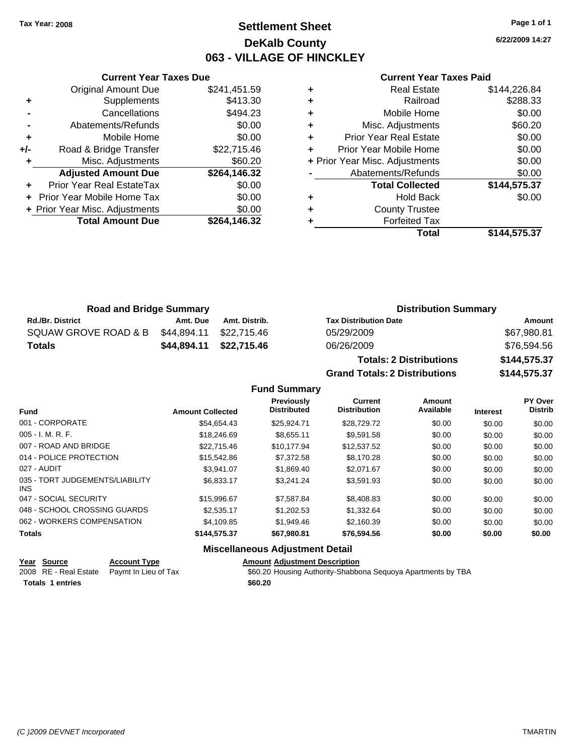# **Settlement Sheet Tax Year: 2008 Page 1 of 1 DeKalb County 063 - VILLAGE OF HINCKLEY**

**6/22/2009 14:27**

#### **Current Year Taxes Paid**

|       | <b>Current Year Taxes Due</b>            |              |  |  |  |  |  |  |
|-------|------------------------------------------|--------------|--|--|--|--|--|--|
|       | <b>Original Amount Due</b>               | \$241,451.59 |  |  |  |  |  |  |
| ٠     | Supplements                              | \$413.30     |  |  |  |  |  |  |
|       | Cancellations                            | \$494.23     |  |  |  |  |  |  |
|       | Abatements/Refunds                       | \$0.00       |  |  |  |  |  |  |
| ٠     | Mobile Home                              | \$0.00       |  |  |  |  |  |  |
| $+/-$ | Road & Bridge Transfer                   | \$22,715.46  |  |  |  |  |  |  |
|       | Misc. Adjustments                        | \$60.20      |  |  |  |  |  |  |
|       | <b>Adjusted Amount Due</b>               | \$264,146.32 |  |  |  |  |  |  |
| ÷     | <b>Prior Year Real EstateTax</b>         | \$0.00       |  |  |  |  |  |  |
|       | \$0.00<br>Prior Year Mobile Home Tax     |              |  |  |  |  |  |  |
|       | \$0.00<br>+ Prior Year Misc. Adjustments |              |  |  |  |  |  |  |
|       | <b>Total Amount Due</b>                  | \$264,146.32 |  |  |  |  |  |  |
|       |                                          |              |  |  |  |  |  |  |

| ٠ | <b>Real Estate</b>             | \$144,226.84 |
|---|--------------------------------|--------------|
| ÷ | Railroad                       | \$288.33     |
| ÷ | Mobile Home                    | \$0.00       |
| ٠ | Misc. Adjustments              | \$60.20      |
| ٠ | <b>Prior Year Real Estate</b>  | \$0.00       |
| ÷ | Prior Year Mobile Home         | \$0.00       |
|   | + Prior Year Misc. Adjustments | \$0.00       |
|   | Abatements/Refunds             | \$0.00       |
|   | <b>Total Collected</b>         | \$144,575.37 |
| ٠ | <b>Hold Back</b>               | \$0.00       |
| ٠ | <b>County Trustee</b>          |              |
|   | <b>Forfeited Tax</b>           |              |
|   | Total                          | \$144,575.37 |

| <b>Road and Bridge Summary</b> |          |                         | <b>Distribution Summary</b>  |             |  |
|--------------------------------|----------|-------------------------|------------------------------|-------------|--|
| <b>Rd./Br. District</b>        | Amt. Due | Amt. Distrib.           | <b>Tax Distribution Date</b> | Amount      |  |
| SQUAW GROVE ROAD & B           |          | \$44,894.11 \$22,715.46 | 05/29/2009                   | \$67,980.81 |  |
| <b>Totals</b>                  |          | \$44,894.11 \$22,715.46 | 06/26/2009                   | \$76,594.56 |  |
|                                |          |                         |                              |             |  |

**Totals: 2 Distributions \$144,575.37 Grand Totals: 2 Distributions \$144,575.37**

**Fund Summary Fund Interest Amount Collected Distributed Amount Available Current Distribution Previously** 001 - CORPORATE \$54,654.43 \$25,924.71 \$28,729.72 \$0.00 \$0.00 \$0.00

| <b>Totals</b>                                 | \$144,575.37 | \$67,980.81 | \$76,594.56 | \$0.00 | \$0.00       | \$0.00       |
|-----------------------------------------------|--------------|-------------|-------------|--------|--------------|--------------|
| 062 - WORKERS COMPENSATION                    | \$4,109.85   | \$1,949.46  | \$2,160.39  | \$0.00 | \$0.00       | \$0.00       |
| 048 - SCHOOL CROSSING GUARDS                  | \$2,535.17   | \$1,202.53  | \$1,332.64  | \$0.00 | \$0.00       | \$0.00       |
| 047 - SOCIAL SECURITY                         | \$15,996.67  | \$7,587.84  | \$8,408.83  | \$0.00 | \$0.00       | \$0.00       |
| 035 - TORT JUDGEMENTS/LIABILITY<br><b>INS</b> | \$6,833.17   | \$3.241.24  | \$3,591.93  | \$0.00 | \$0.00       | \$0.00       |
| 027 - AUDIT                                   | \$3,941.07   | \$1,869.40  | \$2,071.67  | \$0.00 | \$0.00       | \$0.00       |
| 014 - POLICE PROTECTION                       | \$15,542.86  | \$7,372.58  | \$8,170.28  | \$0.00 | \$0.00       | \$0.00       |
| 007 - ROAD AND BRIDGE                         | \$22,715.46  | \$10,177.94 | \$12,537.52 | \$0.00 | \$0.00       | \$0.00       |
| $005 - I. M. R. F.$                           | \$18,246.69  | \$8,655.11  | \$9,591.58  | \$0.00 | \$0.00       | \$0.00       |
|                                               | .            | .           | ----------  |        | <b>vo.oo</b> | <b>vo.oo</b> |

#### **Miscellaneous Adjustment Detail Year Source Account Type Amount Adjustment Description**

| $\frac{1 \text{ cal}}{2 \text{ O} \text{ U} \cdot \text{ C}}$ | <b>ACCOUNT IVPC</b>                        | Allivulli Aujustinent Description                            |
|---------------------------------------------------------------|--------------------------------------------|--------------------------------------------------------------|
|                                                               | 2008 RE - Real Estate Paymt In Lieu of Tax | \$60.20 Housing Authority-Shabbona Sequoya Apartments by TBA |
| <b>Totals 1 entries</b>                                       |                                            | \$60.20                                                      |

**PY Over Distrib**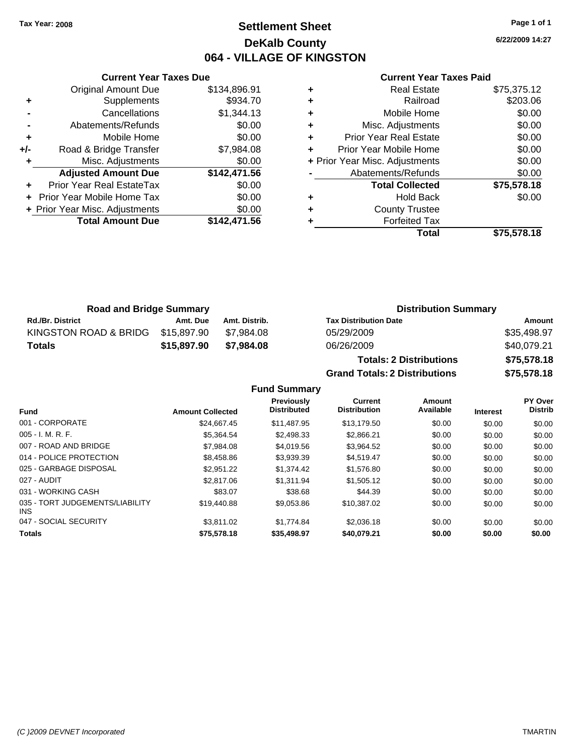# **Settlement Sheet Tax Year: 2008 Page 1 of 1 DeKalb County 064 - VILLAGE OF KINGSTON**

**6/22/2009 14:27**

#### **Current Year Taxes Paid**

|     | <b>Original Amount Due</b>     | \$134,896.91 |
|-----|--------------------------------|--------------|
| ٠   | Supplements                    | \$934.70     |
|     | Cancellations                  | \$1,344.13   |
|     | Abatements/Refunds             | \$0.00       |
| ÷   | Mobile Home                    | \$0.00       |
| +/- | Road & Bridge Transfer         | \$7,984.08   |
| ٠   | Misc. Adjustments              | \$0.00       |
|     | <b>Adjusted Amount Due</b>     | \$142,471.56 |
|     | Prior Year Real EstateTax      | \$0.00       |
|     | Prior Year Mobile Home Tax     | \$0.00       |
|     | + Prior Year Misc. Adjustments | \$0.00       |
|     | <b>Total Amount Due</b>        | \$142,471.56 |
|     |                                |              |

**Current Year Taxes Due**

| <b>Real Estate</b>             | \$75,375.12 |
|--------------------------------|-------------|
| Railroad                       | \$203.06    |
| Mobile Home                    | \$0.00      |
| Misc. Adjustments              | \$0.00      |
| <b>Prior Year Real Estate</b>  | \$0.00      |
| Prior Year Mobile Home         | \$0.00      |
| + Prior Year Misc. Adjustments | \$0.00      |
| Abatements/Refunds             | \$0.00      |
| <b>Total Collected</b>         | \$75,578.18 |
| <b>Hold Back</b>               | \$0.00      |
| <b>County Trustee</b>          |             |
| <b>Forfeited Tax</b>           |             |
| Total                          | \$75,578.18 |
|                                |             |

**Grand Totals: 2 Distributions \$75,578.18**

| <b>Road and Bridge Summary</b> |             |               | <b>Distribution Summary</b>    |             |  |
|--------------------------------|-------------|---------------|--------------------------------|-------------|--|
| <b>Rd./Br. District</b>        | Amt. Due    | Amt. Distrib. | <b>Tax Distribution Date</b>   | Amount      |  |
| KINGSTON ROAD & BRIDG          | \$15.897.90 | \$7.984.08    | 05/29/2009                     | \$35,498.97 |  |
| Totals                         | \$15,897.90 | \$7.984.08    | 06/26/2009                     | \$40,079.21 |  |
|                                |             |               | <b>Totals: 2 Distributions</b> | \$75,578.18 |  |

**Fund Summary Fund Interest Amount Collected Distributed PY Over Distrib Amount Available Current Distribution Previously** 001 - CORPORATE \$24,667.45 \$11,487.95 \$13,179.50 \$0.00 \$0.00 \$0.00 005 - I. M. R. F. Charles Communication (St. 1998.34 \$2,498.33 \$2,866.21 \$0.00 \$0.00 \$0.00 \$0.00 007 - ROAD AND BRIDGE \$1,084.08 \$4,019.56 \$3,964.52 \$0.00 \$0.00 \$0.00 \$0.00 014 - POLICE PROTECTION \$8,458.86 \$3,939.39 \$4,519.47 \$0.00 \$0.00 \$0.00 \$0.00 025 - GARBAGE DISPOSAL \$2,951.22 \$1,374.42 \$1,576.80 \$0.00 \$0.00 \$0.00 027 - AUDIT \$2,817.06 \$1,311.94 \$1,505.12 \$0.00 \$0.00 \$0.00 031 - WORKING CASH \$83.07 \$38.68 \$44.39 \$0.00 \$0.00 \$0.00 035 - TORT JUDGEMENTS/LIABILITY INS \$19,440.88 \$9,053.86 \$10,387.02 \$0.00 \$0.00 \$0.00 047 - SOCIAL SECURITY 63,811.02 \$1,774.84 \$2,036.18 \$0.00 \$0.00 \$0.00 \$0.00 **Totals \$75,578.18 \$35,498.97 \$40,079.21 \$0.00 \$0.00 \$0.00**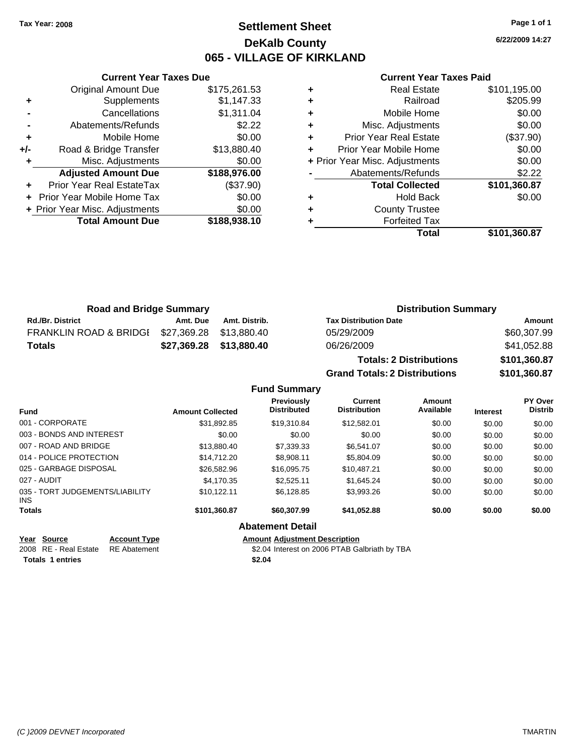# **Settlement Sheet Tax Year: 2008 Page 1 of 1 DeKalb County 065 - VILLAGE OF KIRKLAND**

**6/22/2009 14:27**

|  | <b>Current Year Taxes Paid</b> |  |  |  |
|--|--------------------------------|--|--|--|
|--|--------------------------------|--|--|--|

|   | Total                          | \$101,360.87 |
|---|--------------------------------|--------------|
| ٠ | <b>Forfeited Tax</b>           |              |
| ٠ | <b>County Trustee</b>          |              |
| ٠ | <b>Hold Back</b>               | \$0.00       |
|   | <b>Total Collected</b>         | \$101,360.87 |
|   | Abatements/Refunds             | \$2.22       |
|   | + Prior Year Misc. Adjustments | \$0.00       |
| ÷ | Prior Year Mobile Home         | \$0.00       |
| ٠ | <b>Prior Year Real Estate</b>  | (\$37.90)    |
| ٠ | Misc. Adjustments              | \$0.00       |
| ٠ | Mobile Home                    | \$0.00       |
| ٠ | Railroad                       | \$205.99     |
| ٠ | <b>Real Estate</b>             | \$101,195.00 |

| <b>Road and Bridge Summary</b>    |          |                         | <b>Distribution Summary</b>    |              |
|-----------------------------------|----------|-------------------------|--------------------------------|--------------|
| <b>Rd./Br. District</b>           | Amt. Due | Amt. Distrib.           | <b>Tax Distribution Date</b>   | Amount       |
| <b>FRANKLIN ROAD &amp; BRIDGI</b> |          | \$27,369.28 \$13,880.40 | 05/29/2009                     | \$60,307.99  |
| Totals                            |          | \$27,369.28 \$13,880.40 | 06/26/2009                     | \$41,052.88  |
|                                   |          |                         | <b>Totals: 2 Distributions</b> | \$101,360.87 |

**Grand Totals: 2 Distributions \$101,360.87**

|                                               |                         | <b>Fund Summary</b>                     |                                |                     |                 |                                  |
|-----------------------------------------------|-------------------------|-----------------------------------------|--------------------------------|---------------------|-----------------|----------------------------------|
| <b>Fund</b>                                   | <b>Amount Collected</b> | <b>Previously</b><br><b>Distributed</b> | Current<br><b>Distribution</b> | Amount<br>Available | <b>Interest</b> | <b>PY Over</b><br><b>Distrib</b> |
| 001 - CORPORATE                               | \$31,892.85             | \$19,310.84                             | \$12,582.01                    | \$0.00              | \$0.00          | \$0.00                           |
| 003 - BONDS AND INTEREST                      | \$0.00                  | \$0.00                                  | \$0.00                         | \$0.00              | \$0.00          | \$0.00                           |
| 007 - ROAD AND BRIDGE                         | \$13,880,40             | \$7.339.33                              | \$6.541.07                     | \$0.00              | \$0.00          | \$0.00                           |
| 014 - POLICE PROTECTION                       | \$14,712.20             | \$8.908.11                              | \$5,804.09                     | \$0.00              | \$0.00          | \$0.00                           |
| 025 - GARBAGE DISPOSAL                        | \$26,582.96             | \$16,095.75                             | \$10,487.21                    | \$0.00              | \$0.00          | \$0.00                           |
| 027 - AUDIT                                   | \$4.170.35              | \$2.525.11                              | \$1.645.24                     | \$0.00              | \$0.00          | \$0.00                           |
| 035 - TORT JUDGEMENTS/LIABILITY<br><b>INS</b> | \$10.122.11             | \$6.128.85                              | \$3,993.26                     | \$0.00              | \$0.00          | \$0.00                           |
| <b>Totals</b>                                 | \$101,360.87            | \$60,307.99                             | \$41,052.88                    | \$0.00              | \$0.00          | \$0.00                           |
|                                               |                         | <b>Abatement Detail</b>                 |                                |                     |                 |                                  |
| Year Source<br><b>Account Type</b>            |                         | <b>Amount Adiustment Description</b>    |                                |                     |                 |                                  |

**Totals \$2.04 1 entries**

**Current Year Taxes Due** Original Amount Due \$175,261.53

**Adjusted Amount Due \$188,976.00**

**Total Amount Due \$188,938.10**

**+** Supplements \$1,147.33 **-** Cancellations \$1,311.04 **-** Abatements/Refunds \$2.22 **+** Mobile Home \$0.00 **+/-** Road & Bridge Transfer \$13,880.40 **+** Misc. Adjustments \$0.00

**+** Prior Year Real EstateTax (\$37.90) **+** Prior Year Mobile Home Tax \$0.00 **+ Prior Year Misc. Adjustments**  $$0.00$ 

2008 RE - Real Estate RE Abatement S2.04 Interest on 2006 PTAB Galbriath by TBA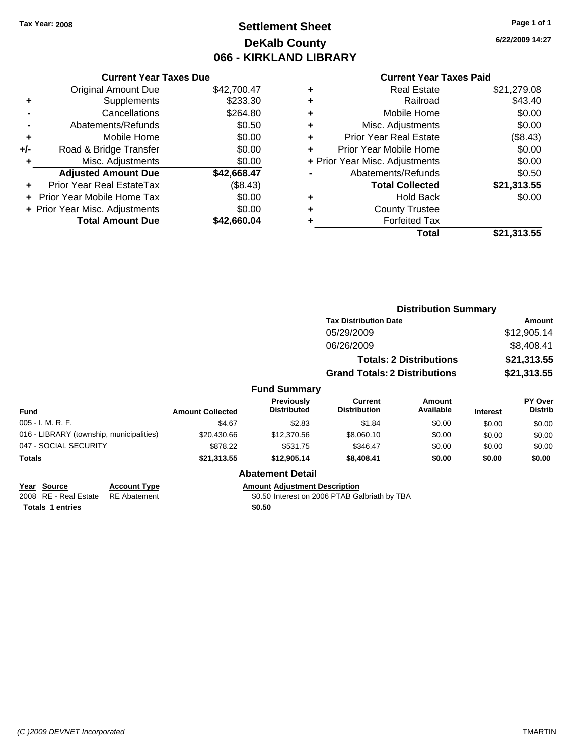# **Settlement Sheet Tax Year: 2008 Page 1 of 1 DeKalb County 066 - KIRKLAND LIBRARY**

**6/22/2009 14:27**

## **Current Year Taxes Paid**

|     | <b>Current Year Taxes Due</b>            |             |  |  |  |  |  |
|-----|------------------------------------------|-------------|--|--|--|--|--|
|     | <b>Original Amount Due</b>               | \$42,700.47 |  |  |  |  |  |
| ÷   | Supplements                              | \$233.30    |  |  |  |  |  |
|     | Cancellations                            | \$264.80    |  |  |  |  |  |
|     | Abatements/Refunds                       | \$0.50      |  |  |  |  |  |
| ٠   | Mobile Home                              | \$0.00      |  |  |  |  |  |
| +/- | Road & Bridge Transfer                   | \$0.00      |  |  |  |  |  |
|     | Misc. Adjustments                        | \$0.00      |  |  |  |  |  |
|     | <b>Adjusted Amount Due</b>               | \$42,668.47 |  |  |  |  |  |
| ٠   | Prior Year Real EstateTax                | (\$8.43)    |  |  |  |  |  |
|     | <b>Prior Year Mobile Home Tax</b>        | \$0.00      |  |  |  |  |  |
|     | \$0.00<br>+ Prior Year Misc. Adjustments |             |  |  |  |  |  |
|     | <b>Total Amount Due</b>                  | \$42,660.04 |  |  |  |  |  |
|     |                                          |             |  |  |  |  |  |

| ٠ | <b>Real Estate</b>             | \$21,279.08 |
|---|--------------------------------|-------------|
| ٠ | Railroad                       | \$43.40     |
| ٠ | Mobile Home                    | \$0.00      |
| ٠ | Misc. Adjustments              | \$0.00      |
| ٠ | <b>Prior Year Real Estate</b>  | (\$8.43)    |
| ÷ | Prior Year Mobile Home         | \$0.00      |
|   | + Prior Year Misc. Adjustments | \$0.00      |
|   | Abatements/Refunds             | \$0.50      |
|   | <b>Total Collected</b>         | \$21,313.55 |
| ٠ | <b>Hold Back</b>               | \$0.00      |
| ٠ | <b>County Trustee</b>          |             |
| ٠ | <b>Forfeited Tax</b>           |             |
|   | Total                          | \$21,313.55 |
|   |                                |             |

|                                          |                         |                                  | <b>Distribution Summary</b>          |                                |                 |                           |
|------------------------------------------|-------------------------|----------------------------------|--------------------------------------|--------------------------------|-----------------|---------------------------|
|                                          |                         |                                  | <b>Tax Distribution Date</b>         |                                |                 | <b>Amount</b>             |
|                                          |                         |                                  | 05/29/2009                           |                                |                 | \$12,905.14               |
|                                          |                         |                                  | 06/26/2009                           |                                |                 | \$8,408.41                |
|                                          |                         |                                  |                                      | <b>Totals: 2 Distributions</b> | \$21,313.55     |                           |
|                                          |                         |                                  | <b>Grand Totals: 2 Distributions</b> |                                |                 | \$21,313.55               |
|                                          |                         | <b>Fund Summary</b>              |                                      |                                |                 |                           |
| <b>Fund</b>                              | <b>Amount Collected</b> | Previously<br><b>Distributed</b> | Current<br><b>Distribution</b>       | Amount<br>Available            | <b>Interest</b> | PY Over<br><b>Distrib</b> |
| 005 - I. M. R. F.                        | \$4.67                  | \$2.83                           | \$1.84                               | \$0.00                         | \$0.00          | \$0.00                    |
| 016 - LIBRARY (township, municipalities) | \$20,430.66             | \$12,370.56                      | \$8,060.10                           | \$0.00                         | \$0.00          | \$0.00                    |
| 047 - SOCIAL SECURITY                    | \$878.22                | \$531.75                         | \$346.47                             | \$0.00                         | \$0.00          | \$0.00                    |
| Totals                                   | \$21,313.55             | \$12,905.14                      | \$8,408.41                           | \$0.00                         | \$0.00          | \$0.00                    |
|                                          |                         | <b>Abatement Detail</b>          |                                      |                                |                 |                           |

| Year Source                        | <b>Account Type</b> | Amount |
|------------------------------------|---------------------|--------|
| 2008 RE - Real Estate RE Abatement |                     | \$0.50 |
| <b>Totals 1 entries</b>            |                     | \$0.50 |

**Year Source Account Type Amount Adjustment Description**

2008 REAL Estate Transition Solomont Formula Solomont Solomont Space Transition Solomont Space Transition Space Transition Space Transition Space Transition Space Transition Space Transition Space Transition Space Transiti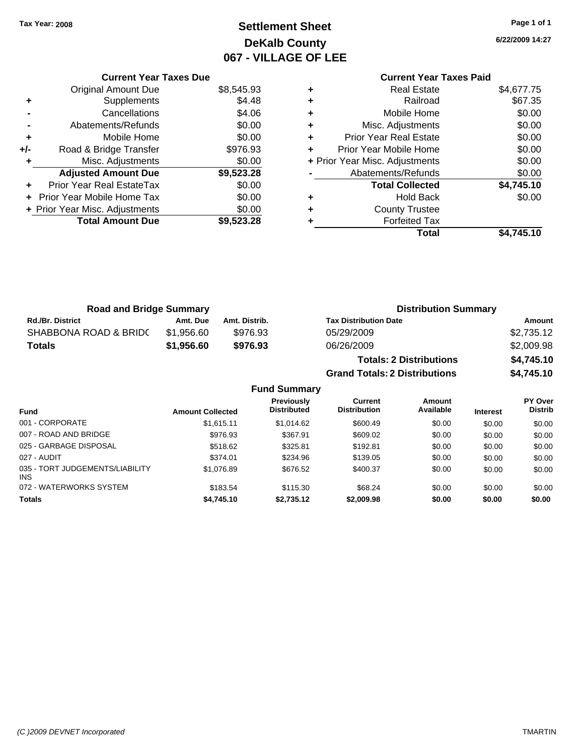**Current Year Taxes Due** Original Amount Due \$8,545.93

**Adjusted Amount Due \$9,523.28**

**Total Amount Due \$9,523.28**

**+** Supplements \$4.48 **-** Cancellations \$4.06 **-** Abatements/Refunds \$0.00 **+** Mobile Home \$0.00 **+/-** Road & Bridge Transfer \$976.93 **+** Misc. Adjustments \$0.00

**+** Prior Year Real EstateTax \$0.00 **+** Prior Year Mobile Home Tax \$0.00 **+ Prior Year Misc. Adjustments**  $$0.00$ 

# **Settlement Sheet Tax Year: 2008 Page 1 of 1 DeKalb County 067 - VILLAGE OF LEE**

**6/22/2009 14:27**

## **Current Year Taxes Paid +** Real Estate \$4,677.75 **+** Railroad \$67.35 **+** Mobile Home \$0.00 **+** Misc. Adjustments \$0.00 **+** Prior Year Real Estate \$0.00 **+** Prior Year Mobile Home \$0.00 **+** Prior Year Misc. Adjustments  $$0.00$ Abatements/Refunds \$0.00 **Total Collected \$4,745.10 +** Hold Back \$0.00 **+** County Trustee **+** Forfeited Tax **Total \$4,745.10**

**Grand Totals: 2 Distributions \$4,745.10**

| <b>Road and Bridge Summary</b> |            |               | <b>Distribution Summary</b>    |            |
|--------------------------------|------------|---------------|--------------------------------|------------|
| Rd./Br. District               | Amt. Due   | Amt. Distrib. | <b>Tax Distribution Date</b>   | Amount     |
| SHABBONA ROAD & BRIDC          | \$1,956.60 | \$976.93      | 05/29/2009                     | \$2,735.12 |
| Totals                         | \$1,956.60 | \$976.93      | 06/26/2009                     | \$2,009.98 |
|                                |            |               | <b>Totals: 2 Distributions</b> | \$4,745.10 |

**Fund Summary Fund Interest Amount Collected Distributed PY Over Distrib Amount Available Current Distribution Previously** 001 - CORPORATE \$1,615.11 \$1,014.62 \$600.49 \$0.00 \$0.00 \$0.00 007 - ROAD AND BRIDGE \$976.93 \$367.91 \$609.02 \$0.00 \$0.00 \$0.00 025 - GARBAGE DISPOSAL \$518.62 \$192.81 \$0.00 \$0.00 \$0.00 \$0.00 027 - AUDIT \$374.01 \$234.96 \$139.05 \$0.00 \$0.00 \$0.00 035 - TORT JUDGEMENTS/LIABILITY INS \$1,076.89 \$676.52 \$400.37 \$0.00 \$0.00 \$0.00 072 - WATERWORKS SYSTEM \$183.54 \$115.30 \$68.24 \$0.00 \$0.00 \$0.00 \$0.00 **Totals \$4,745.10 \$2,735.12 \$2,009.98 \$0.00 \$0.00 \$0.00**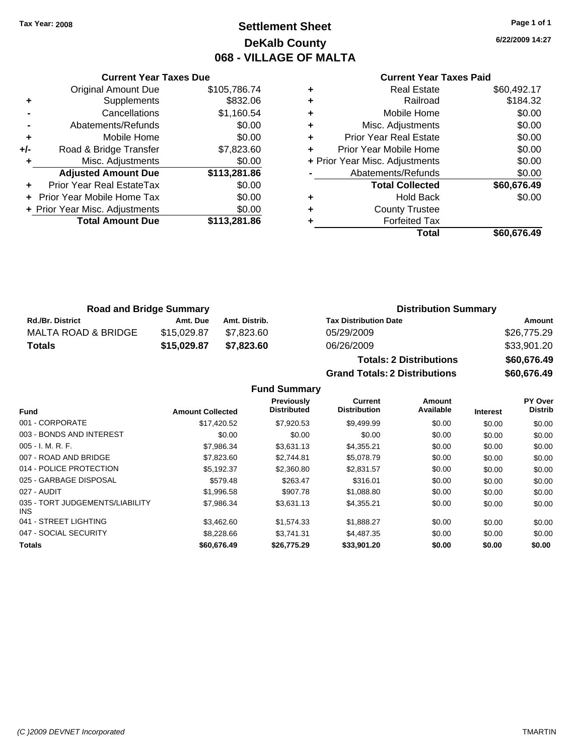# **Settlement Sheet Tax Year: 2008 Page 1 of 1 DeKalb County 068 - VILLAGE OF MALTA**

**6/22/2009 14:27**

#### **Current Year Taxes Paid**

|     | <b>Original Amount Due</b>     | \$105,786.74 |
|-----|--------------------------------|--------------|
| ٠   | Supplements                    | \$832.06     |
|     | Cancellations                  | \$1,160.54   |
|     | Abatements/Refunds             | \$0.00       |
| ٠   | Mobile Home                    | \$0.00       |
| +/- | Road & Bridge Transfer         | \$7,823.60   |
| ٠   | Misc. Adjustments              | \$0.00       |
|     | <b>Adjusted Amount Due</b>     | \$113,281.86 |
| ÷   | Prior Year Real EstateTax      | \$0.00       |
|     | Prior Year Mobile Home Tax     | \$0.00       |
|     | + Prior Year Misc. Adjustments | \$0.00       |
|     | <b>Total Amount Due</b>        | \$113,281.86 |
|     |                                |              |

**Current Year Taxes Due**

|   | <b>Real Estate</b>             | \$60,492.17 |
|---|--------------------------------|-------------|
| ٠ | Railroad                       | \$184.32    |
| ٠ | Mobile Home                    | \$0.00      |
| ٠ | Misc. Adjustments              | \$0.00      |
| ٠ | <b>Prior Year Real Estate</b>  | \$0.00      |
|   | Prior Year Mobile Home         | \$0.00      |
|   | + Prior Year Misc. Adjustments | \$0.00      |
|   | Abatements/Refunds             | \$0.00      |
|   | <b>Total Collected</b>         | \$60,676.49 |
| ٠ | <b>Hold Back</b>               | \$0.00      |
| ٠ | <b>County Trustee</b>          |             |
|   | <b>Forfeited Tax</b>           |             |
|   | Total                          | \$60,676.49 |
|   |                                |             |

**Grand Totals: 2 Distributions \$60,676.49**

| <b>Road and Bridge Summary</b> |             |               | <b>Distribution Summary</b>    |             |  |
|--------------------------------|-------------|---------------|--------------------------------|-------------|--|
| <b>Rd./Br. District</b>        | Amt. Due    | Amt. Distrib. | <b>Tax Distribution Date</b>   | Amount      |  |
| MALTA ROAD & BRIDGE            | \$15,029.87 | \$7.823.60    | 05/29/2009                     | \$26,775.29 |  |
| <b>Totals</b>                  | \$15,029.87 | \$7.823.60    | 06/26/2009                     | \$33,901.20 |  |
|                                |             |               | <b>Totals: 2 Distributions</b> | \$60,676.49 |  |

**Fund Summary Fund Interest Amount Collected Distributed PY Over Distrib Amount Available Current Distribution Previously** 001 - CORPORATE \$17,420.52 \$7,920.53 \$9,499.99 \$0.00 \$0.00 \$0.00 003 - BONDS AND INTEREST  $$0.00$   $$0.00$   $$0.00$   $$0.00$   $$0.00$   $$0.00$   $$0.00$   $$0.00$ 005 - I. M. R. F. Channel Communication (St. 1986.34 \$3,631.13 \$4,355.21 \$0.00 \$0.00 \$0.00 \$0.00 007 - ROAD AND BRIDGE \$7,823.60 \$2,744.81 \$5,078.79 \$0.00 \$0.00 \$0.00 014 - POLICE PROTECTION \$5,192.37 \$2,360.80 \$2,831.57 \$0.00 \$0.00 \$0.00 \$0.00 025 - GARBAGE DISPOSAL \$579.48 \$263.47 \$316.01 \$0.00 \$0.00 \$0.00 027 - AUDIT \$1,996.58 \$907.78 \$1,088.80 \$0.00 \$0.00 \$0.00 035 - TORT JUDGEMENTS/LIABILITY INS \$7,986.34 \$3,631.13 \$4,355.21 \$0.00 \$0.00 \$0.00 041 - STREET LIGHTING \$3,462.60 \$1,574.33 \$1,888.27 \$0.00 \$0.00 \$0.00 047 - SOCIAL SECURITY 68.228.66 \$3,741.31 \$4,487.35 \$0.00 \$0.00 \$0.00 \$0.00 **Totals \$60,676.49 \$26,775.29 \$33,901.20 \$0.00 \$0.00 \$0.00**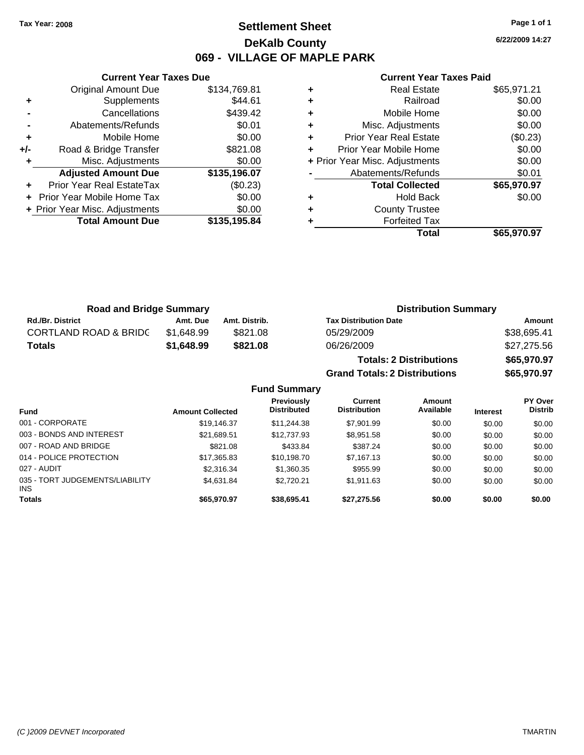# **Settlement Sheet Tax Year: 2008 Page 1 of 1 DeKalb County 069 - VILLAGE OF MAPLE PARK**

**6/22/2009 14:27**

## **Current Year Taxes Paid**

|     | <b>Current Year Taxes Due</b>    |              |  |  |  |  |  |
|-----|----------------------------------|--------------|--|--|--|--|--|
|     | <b>Original Amount Due</b>       | \$134,769.81 |  |  |  |  |  |
| ٠   | Supplements                      | \$44.61      |  |  |  |  |  |
|     | Cancellations                    | \$439.42     |  |  |  |  |  |
|     | Abatements/Refunds               | \$0.01       |  |  |  |  |  |
| ٠   | Mobile Home                      | \$0.00       |  |  |  |  |  |
| +/- | Road & Bridge Transfer           | \$821.08     |  |  |  |  |  |
| ٠   | Misc. Adjustments                | \$0.00       |  |  |  |  |  |
|     | <b>Adjusted Amount Due</b>       | \$135,196.07 |  |  |  |  |  |
|     | <b>Prior Year Real EstateTax</b> | (\$0.23)     |  |  |  |  |  |
|     | Prior Year Mobile Home Tax       | \$0.00       |  |  |  |  |  |
|     | + Prior Year Misc. Adjustments   | \$0.00       |  |  |  |  |  |
|     | <b>Total Amount Due</b>          | \$135,195.84 |  |  |  |  |  |
|     |                                  |              |  |  |  |  |  |

|   | <b>Real Estate</b>             | \$65,971.21 |
|---|--------------------------------|-------------|
| ٠ | Railroad                       | \$0.00      |
| ٠ | Mobile Home                    | \$0.00      |
| ٠ | Misc. Adjustments              | \$0.00      |
| ٠ | <b>Prior Year Real Estate</b>  | (\$0.23)    |
| ٠ | Prior Year Mobile Home         | \$0.00      |
|   | + Prior Year Misc. Adjustments | \$0.00      |
|   | Abatements/Refunds             | \$0.01      |
|   | <b>Total Collected</b>         | \$65,970.97 |
| ٠ | <b>Hold Back</b>               | \$0.00      |
| ٠ | <b>County Trustee</b>          |             |
|   | <b>Forfeited Tax</b>           |             |
|   | Total                          | \$65,970.97 |

| <b>Road and Bridge Summary</b>   |            |               | <b>Distribution Summary</b>    |             |  |
|----------------------------------|------------|---------------|--------------------------------|-------------|--|
| <b>Rd./Br. District</b>          | Amt. Due   | Amt. Distrib. | <b>Tax Distribution Date</b>   | Amount      |  |
| <b>CORTLAND ROAD &amp; BRIDC</b> | \$1.648.99 | \$821.08      | 05/29/2009                     | \$38,695.41 |  |
| <b>Totals</b>                    | \$1,648.99 | \$821.08      | 06/26/2009                     | \$27,275.56 |  |
|                                  |            |               | <b>Totals: 2 Distributions</b> | \$65,970.97 |  |

**Grand Totals: 2 Distributions \$65,970.97 Fund Summary**

| - - - - - - - - - - - - -               |                         |                                  |                                |                     |                 |                                  |  |
|-----------------------------------------|-------------------------|----------------------------------|--------------------------------|---------------------|-----------------|----------------------------------|--|
| Fund                                    | <b>Amount Collected</b> | Previously<br><b>Distributed</b> | Current<br><b>Distribution</b> | Amount<br>Available | <b>Interest</b> | <b>PY Over</b><br><b>Distrib</b> |  |
| 001 - CORPORATE                         | \$19,146.37             | \$11,244.38                      | \$7,901.99                     | \$0.00              | \$0.00          | \$0.00                           |  |
| 003 - BONDS AND INTEREST                | \$21,689.51             | \$12,737.93                      | \$8,951.58                     | \$0.00              | \$0.00          | \$0.00                           |  |
| 007 - ROAD AND BRIDGE                   | \$821.08                | \$433.84                         | \$387.24                       | \$0.00              | \$0.00          | \$0.00                           |  |
| 014 - POLICE PROTECTION                 | \$17,365.83             | \$10,198.70                      | \$7.167.13                     | \$0.00              | \$0.00          | \$0.00                           |  |
| 027 - AUDIT                             | \$2,316.34              | \$1,360.35                       | \$955.99                       | \$0.00              | \$0.00          | \$0.00                           |  |
| 035 - TORT JUDGEMENTS/LIABILITY<br>INS. | \$4,631.84              | \$2.720.21                       | \$1.911.63                     | \$0.00              | \$0.00          | \$0.00                           |  |
| <b>Totals</b>                           | \$65.970.97             | \$38,695.41                      | \$27,275.56                    | \$0.00              | \$0.00          | \$0.00                           |  |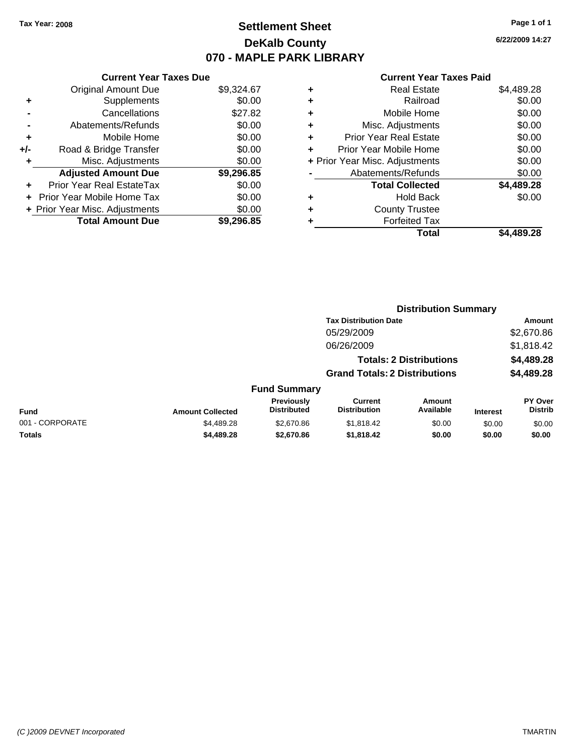# **Settlement Sheet Tax Year: 2008 Page 1 of 1 DeKalb County 070 - MAPLE PARK LIBRARY**

**6/22/2009 14:27**

## **Current Year Taxes Paid**

| <b>Current Year Taxes Due</b>  |            |  |  |  |  |  |  |
|--------------------------------|------------|--|--|--|--|--|--|
| <b>Original Amount Due</b>     | \$9,324.67 |  |  |  |  |  |  |
| Supplements                    | \$0.00     |  |  |  |  |  |  |
| Cancellations                  | \$27.82    |  |  |  |  |  |  |
| Abatements/Refunds             | \$0.00     |  |  |  |  |  |  |
| Mobile Home                    | \$0.00     |  |  |  |  |  |  |
| Road & Bridge Transfer         | \$0.00     |  |  |  |  |  |  |
| Misc. Adjustments              | \$0.00     |  |  |  |  |  |  |
| <b>Adjusted Amount Due</b>     | \$9,296.85 |  |  |  |  |  |  |
| Prior Year Real EstateTax      | \$0.00     |  |  |  |  |  |  |
| Prior Year Mobile Home Tax     | \$0.00     |  |  |  |  |  |  |
| + Prior Year Misc. Adjustments | \$0.00     |  |  |  |  |  |  |
| <b>Total Amount Due</b>        | \$9.296.85 |  |  |  |  |  |  |
|                                |            |  |  |  |  |  |  |

| ٠ | <b>Real Estate</b>             | \$4,489.28 |
|---|--------------------------------|------------|
| ٠ | Railroad                       | \$0.00     |
| ٠ | Mobile Home                    | \$0.00     |
| ٠ | Misc. Adjustments              | \$0.00     |
| ÷ | <b>Prior Year Real Estate</b>  | \$0.00     |
| ÷ | Prior Year Mobile Home         | \$0.00     |
|   | + Prior Year Misc. Adjustments | \$0.00     |
|   | Abatements/Refunds             | \$0.00     |
|   | <b>Total Collected</b>         | \$4,489.28 |
| ٠ | <b>Hold Back</b>               | \$0.00     |
| ٠ | <b>County Trustee</b>          |            |
| ٠ | <b>Forfeited Tax</b>           |            |
|   | Total                          | \$4,489.28 |
|   |                                |            |

|                 |                         |                                  | <b>Distribution Summary</b>           |                                |                 |                                  |
|-----------------|-------------------------|----------------------------------|---------------------------------------|--------------------------------|-----------------|----------------------------------|
|                 |                         |                                  | <b>Tax Distribution Date</b>          |                                |                 | Amount                           |
|                 |                         |                                  | 05/29/2009                            |                                |                 | \$2,670.86                       |
|                 |                         |                                  | 06/26/2009                            |                                |                 | \$1,818.42                       |
|                 |                         |                                  |                                       | <b>Totals: 2 Distributions</b> |                 | \$4,489.28                       |
|                 |                         |                                  | <b>Grand Totals: 2 Distributions</b>  |                                |                 | \$4,489.28                       |
|                 |                         | <b>Fund Summary</b>              |                                       |                                |                 |                                  |
| <b>Fund</b>     | <b>Amount Collected</b> | Previously<br><b>Distributed</b> | <b>Current</b><br><b>Distribution</b> | <b>Amount</b><br>Available     | <b>Interest</b> | <b>PY Over</b><br><b>Distrib</b> |
| 001 - CORPORATE | \$4,489.28              | \$2,670.86                       | \$1,818.42                            | \$0.00                         | \$0.00          | \$0.00                           |
| Totals          | \$4,489.28              | \$2,670.86                       | \$1,818.42                            | \$0.00                         | \$0.00          | \$0.00                           |
|                 |                         |                                  |                                       |                                |                 |                                  |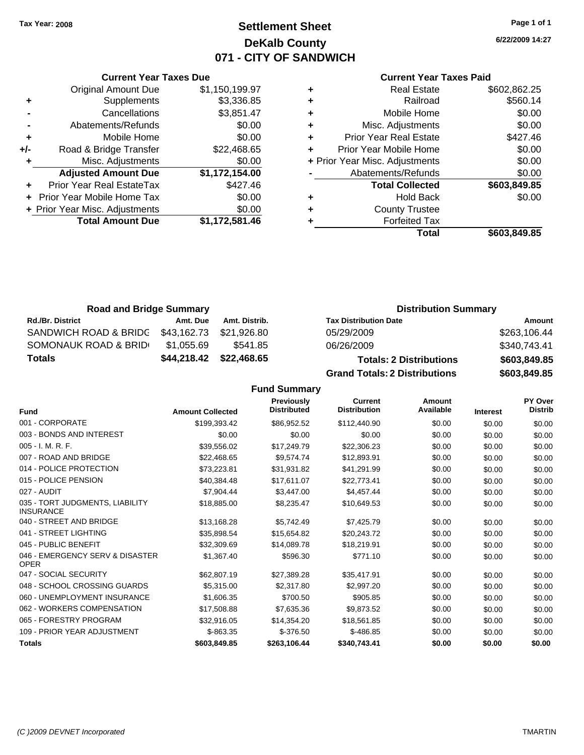# **Settlement Sheet Tax Year: 2008 Page 1 of 1 DeKalb County 071 - CITY OF SANDWICH**

**6/22/2009 14:27**

## **Current Year Taxes Paid**

|     | <b>Current Year Taxes Due</b>     |                |  |  |  |  |  |  |
|-----|-----------------------------------|----------------|--|--|--|--|--|--|
|     | <b>Original Amount Due</b>        | \$1,150,199.97 |  |  |  |  |  |  |
| ٠   | Supplements                       | \$3,336.85     |  |  |  |  |  |  |
|     | Cancellations                     | \$3,851.47     |  |  |  |  |  |  |
|     | Abatements/Refunds                | \$0.00         |  |  |  |  |  |  |
| ٠   | Mobile Home                       | \$0.00         |  |  |  |  |  |  |
| +/- | Road & Bridge Transfer            | \$22,468.65    |  |  |  |  |  |  |
| ٠   | Misc. Adjustments                 | \$0.00         |  |  |  |  |  |  |
|     | <b>Adjusted Amount Due</b>        | \$1,172,154.00 |  |  |  |  |  |  |
|     | Prior Year Real EstateTax         | \$427.46       |  |  |  |  |  |  |
|     | <b>Prior Year Mobile Home Tax</b> | \$0.00         |  |  |  |  |  |  |
|     | + Prior Year Misc. Adjustments    | \$0.00         |  |  |  |  |  |  |
|     | <b>Total Amount Due</b>           | \$1,172,581.46 |  |  |  |  |  |  |
|     |                                   |                |  |  |  |  |  |  |

| <b>Road and Bridge Summary</b> |             |               | <b>Distribution Summary</b>          |              |  |
|--------------------------------|-------------|---------------|--------------------------------------|--------------|--|
| <b>Rd./Br. District</b>        | Amt. Due    | Amt. Distrib. | <b>Tax Distribution Date</b>         | Amount       |  |
| SANDWICH ROAD & BRIDG          | \$43,162.73 | \$21,926.80   | 05/29/2009                           | \$263,106.44 |  |
| SOMONAUK ROAD & BRID           | \$1,055.69  | \$541.85      | 06/26/2009                           | \$340,743.41 |  |
| Totals                         | \$44,218.42 | \$22,468.65   | <b>Totals: 2 Distributions</b>       | \$603,849.85 |  |
|                                |             |               | <b>Grand Totals: 2 Distributions</b> | \$603,849.85 |  |

**Fund Summary**

| <b>Fund</b>                                         | <b>Amount Collected</b> | <b>Previously</b><br><b>Distributed</b> | <b>Current</b><br><b>Distribution</b> | Amount<br>Available | <b>Interest</b> | PY Over<br><b>Distrib</b> |
|-----------------------------------------------------|-------------------------|-----------------------------------------|---------------------------------------|---------------------|-----------------|---------------------------|
| 001 - CORPORATE                                     | \$199,393.42            | \$86,952.52                             | \$112,440.90                          | \$0.00              | \$0.00          | \$0.00                    |
| 003 - BONDS AND INTEREST                            |                         |                                         |                                       |                     |                 |                           |
|                                                     | \$0.00                  | \$0.00                                  | \$0.00                                | \$0.00              | \$0.00          | \$0.00                    |
| 005 - I. M. R. F.                                   | \$39,556.02             | \$17,249.79                             | \$22,306.23                           | \$0.00              | \$0.00          | \$0.00                    |
| 007 - ROAD AND BRIDGE                               | \$22,468.65             | \$9,574.74                              | \$12,893.91                           | \$0.00              | \$0.00          | \$0.00                    |
| 014 - POLICE PROTECTION                             | \$73,223.81             | \$31,931.82                             | \$41,291.99                           | \$0.00              | \$0.00          | \$0.00                    |
| 015 - POLICE PENSION                                | \$40,384.48             | \$17,611.07                             | \$22,773.41                           | \$0.00              | \$0.00          | \$0.00                    |
| 027 - AUDIT                                         | \$7,904.44              | \$3,447.00                              | \$4,457.44                            | \$0.00              | \$0.00          | \$0.00                    |
| 035 - TORT JUDGMENTS, LIABILITY<br><b>INSURANCE</b> | \$18,885.00             | \$8,235.47                              | \$10,649.53                           | \$0.00              | \$0.00          | \$0.00                    |
| 040 - STREET AND BRIDGE                             | \$13,168.28             | \$5,742.49                              | \$7,425.79                            | \$0.00              | \$0.00          | \$0.00                    |
| 041 - STREET LIGHTING                               | \$35,898.54             | \$15,654.82                             | \$20.243.72                           | \$0.00              | \$0.00          | \$0.00                    |
| 045 - PUBLIC BENEFIT                                | \$32,309.69             | \$14,089.78                             | \$18,219.91                           | \$0.00              | \$0.00          | \$0.00                    |
| 046 - EMERGENCY SERV & DISASTER<br><b>OPER</b>      | \$1,367.40              | \$596.30                                | \$771.10                              | \$0.00              | \$0.00          | \$0.00                    |
| 047 - SOCIAL SECURITY                               | \$62,807.19             | \$27,389.28                             | \$35,417.91                           | \$0.00              | \$0.00          | \$0.00                    |
| 048 - SCHOOL CROSSING GUARDS                        | \$5,315.00              | \$2,317.80                              | \$2,997.20                            | \$0.00              | \$0.00          | \$0.00                    |
| 060 - UNEMPLOYMENT INSURANCE                        | \$1,606.35              | \$700.50                                | \$905.85                              | \$0.00              | \$0.00          | \$0.00                    |
| 062 - WORKERS COMPENSATION                          | \$17,508.88             | \$7,635.36                              | \$9,873.52                            | \$0.00              | \$0.00          | \$0.00                    |
| 065 - FORESTRY PROGRAM                              | \$32,916.05             | \$14.354.20                             | \$18.561.85                           | \$0.00              | \$0.00          | \$0.00                    |
| 109 - PRIOR YEAR ADJUSTMENT                         | $$-863.35$              | $$-376.50$                              | $$-486.85$                            | \$0.00              | \$0.00          | \$0.00                    |
| <b>Totals</b>                                       | \$603,849.85            | \$263,106.44                            | \$340,743.41                          | \$0.00              | \$0.00          | \$0.00                    |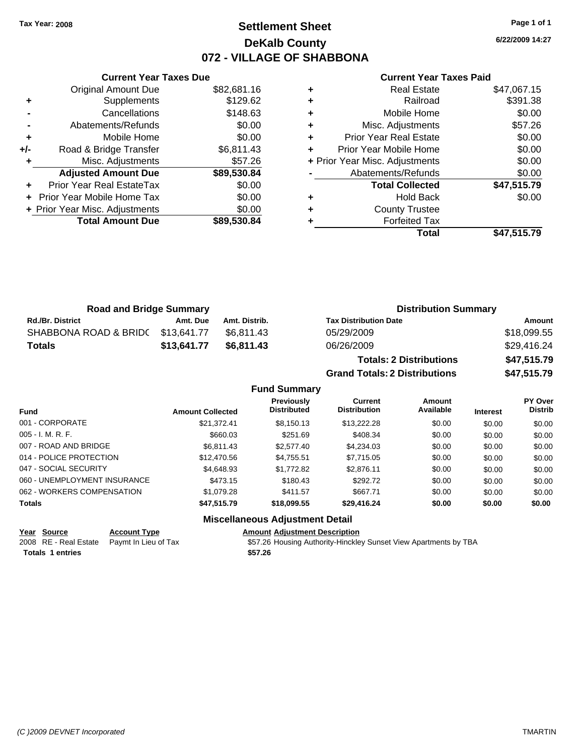# **Settlement Sheet Tax Year: 2008 Page 1 of 1 DeKalb County 072 - VILLAGE OF SHABBONA**

**6/22/2009 14:27**

#### **Current Year Taxes Paid**

|     | <b>Original Amount Due</b>     | \$82,681.16 |
|-----|--------------------------------|-------------|
| ÷   | Supplements                    | \$129.62    |
|     | Cancellations                  | \$148.63    |
|     | Abatements/Refunds             | \$0.00      |
| ÷   | Mobile Home                    | \$0.00      |
| +/- | Road & Bridge Transfer         | \$6,811.43  |
|     | Misc. Adjustments              | \$57.26     |
|     | <b>Adjusted Amount Due</b>     | \$89,530.84 |
|     | Prior Year Real EstateTax      | \$0.00      |
|     | Prior Year Mobile Home Tax     | \$0.00      |
|     | + Prior Year Misc. Adjustments | \$0.00      |
|     | <b>Total Amount Due</b>        | \$89,530.84 |
|     |                                |             |

**Current Year Taxes Due**

|   | <b>Real Estate</b>             | \$47,067.15 |
|---|--------------------------------|-------------|
| ٠ | Railroad                       | \$391.38    |
| ٠ | Mobile Home                    | \$0.00      |
| ٠ | Misc. Adjustments              | \$57.26     |
| ÷ | <b>Prior Year Real Estate</b>  | \$0.00      |
| ٠ | Prior Year Mobile Home         | \$0.00      |
|   | + Prior Year Misc. Adjustments | \$0.00      |
|   | Abatements/Refunds             | \$0.00      |
|   | <b>Total Collected</b>         | \$47,515.79 |
| ٠ | <b>Hold Back</b>               | \$0.00      |
| ٠ | <b>County Trustee</b>          |             |
|   | <b>Forfeited Tax</b>           |             |
|   | Total                          | \$47.515.79 |

| <b>Road and Bridge Summary</b> |             |               | <b>Distribution Summary</b>    |             |  |
|--------------------------------|-------------|---------------|--------------------------------|-------------|--|
| <b>Rd./Br. District</b>        | Amt. Due    | Amt. Distrib. | <b>Tax Distribution Date</b>   | Amount      |  |
| SHABBONA ROAD & BRIDC          | \$13.641.77 | \$6.811.43    | 05/29/2009                     | \$18,099.55 |  |
| <b>Totals</b>                  | \$13,641.77 | \$6,811.43    | 06/26/2009                     | \$29,416.24 |  |
|                                |             |               | <b>Totals: 2 Distributions</b> | \$47,515.79 |  |

**Grand Totals: 2 Distributions \$47,515.79 Fund Summary Fund Interest Amount Collected Distributed PY Over Distrib Amount Available Current Distribution Previously** 001 - CORPORATE \$21,372.41 \$8,150.13 \$13,222.28 \$0.00 \$0.00 \$0.00 005 - I. M. R. F. Channel Communication of the State of State State State State State State State State State S 007 - ROAD AND BRIDGE \$6,811.43 \$6,811.43 \$2,577.40 \$4,234.03 \$0.00 \$0.00 \$0.00 \$0.00 014 - POLICE PROTECTION \$12,470.56 \$4,755.51 \$7,715.05 \$0.00 \$0.00 \$0.00 \$0.00 047 - SOCIAL SECURITY \$4,648.93 \$1,772.82 \$2,876.11 \$0.00 \$0.00 \$0.00 060 - UNEMPLOYMENT INSURANCE \$473.15 \$180.43 \$292.72 \$0.00 \$0.00 \$0.00 062 - WORKERS COMPENSATION \$1,079.28 \$411.57 \$667.71 \$0.00 \$0.00 \$0.00 \$0.00 **Totals \$47,515.79 \$18,099.55 \$29,416.24 \$0.00 \$0.00 \$0.00**

## **Miscellaneous Adjustment Detail**

**Year Source Account Type Amount Adjustment Description** 2008 RE - Real Estate Paymt In Lieu of Tax **557.26 Housing Authority-Hinckley Sunset View Apartments by TBA Totals \$57.26 1 entries**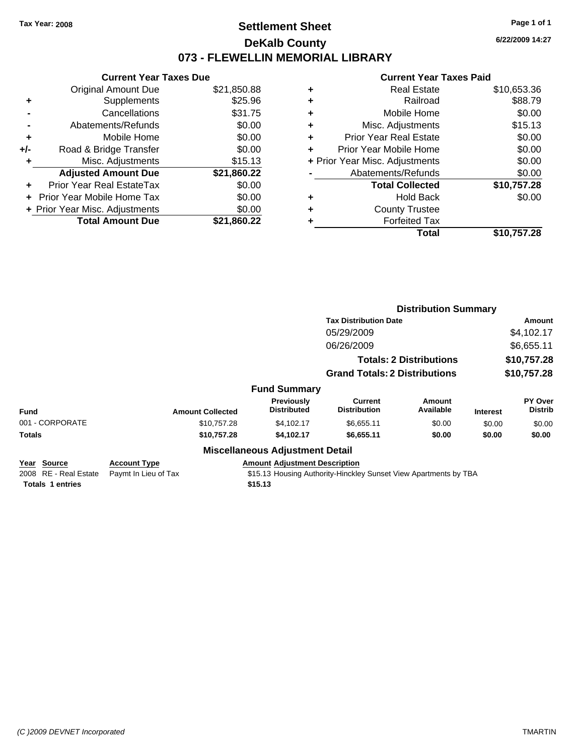# **Settlement Sheet Tax Year: 2008 Page 1 of 1 DeKalb County 073 - FLEWELLIN MEMORIAL LIBRARY**

**6/22/2009 14:27**

## **Current Year Taxes Paid**

| <b>Current Year Taxes Due</b> |                                |  |  |  |  |
|-------------------------------|--------------------------------|--|--|--|--|
| <b>Original Amount Due</b>    | \$21,850.88                    |  |  |  |  |
| Supplements                   | \$25.96                        |  |  |  |  |
| Cancellations                 | \$31.75                        |  |  |  |  |
| Abatements/Refunds            | \$0.00                         |  |  |  |  |
| Mobile Home                   | \$0.00                         |  |  |  |  |
| Road & Bridge Transfer        | \$0.00                         |  |  |  |  |
| Misc. Adjustments             | \$15.13                        |  |  |  |  |
| <b>Adjusted Amount Due</b>    | \$21,860.22                    |  |  |  |  |
| Prior Year Real EstateTax     | \$0.00                         |  |  |  |  |
| Prior Year Mobile Home Tax    | \$0.00                         |  |  |  |  |
|                               | \$0.00                         |  |  |  |  |
| <b>Total Amount Due</b>       | \$21,860.22                    |  |  |  |  |
|                               | + Prior Year Misc. Adjustments |  |  |  |  |

|   | <b>Real Estate</b>             | \$10,653.36 |
|---|--------------------------------|-------------|
| ٠ | Railroad                       | \$88.79     |
| ٠ | Mobile Home                    | \$0.00      |
| ٠ | Misc. Adjustments              | \$15.13     |
| ٠ | Prior Year Real Estate         | \$0.00      |
| ÷ | Prior Year Mobile Home         | \$0.00      |
|   | + Prior Year Misc. Adjustments | \$0.00      |
|   | Abatements/Refunds             | \$0.00      |
|   | <b>Total Collected</b>         | \$10,757.28 |
| ٠ | <b>Hold Back</b>               | \$0.00      |
| ٠ | <b>County Trustee</b>          |             |
| ٠ | <b>Forfeited Tax</b>           |             |
|   | Total                          | \$10,757.28 |
|   |                                |             |

|                                                                 |                                             |                                                 | <b>Distribution Summary</b>                                      |                                |                 |                           |
|-----------------------------------------------------------------|---------------------------------------------|-------------------------------------------------|------------------------------------------------------------------|--------------------------------|-----------------|---------------------------|
|                                                                 |                                             |                                                 | <b>Tax Distribution Date</b>                                     |                                | Amount          |                           |
|                                                                 |                                             |                                                 | 05/29/2009                                                       |                                |                 | \$4,102.17                |
|                                                                 |                                             |                                                 | 06/26/2009                                                       |                                |                 | \$6,655.11                |
|                                                                 |                                             |                                                 |                                                                  | <b>Totals: 2 Distributions</b> |                 | \$10,757.28               |
|                                                                 |                                             |                                                 | <b>Grand Totals: 2 Distributions</b>                             |                                |                 | \$10,757.28               |
|                                                                 |                                             | <b>Fund Summary</b>                             |                                                                  |                                |                 |                           |
| <b>Fund</b>                                                     | <b>Amount Collected</b>                     | Previously<br><b>Distributed</b>                | Current<br><b>Distribution</b>                                   | Amount<br>Available            | <b>Interest</b> | PY Over<br><b>Distrib</b> |
| 001 - CORPORATE                                                 | \$10,757.28                                 | \$4,102.17                                      | \$6,655.11                                                       | \$0.00                         | \$0.00          | \$0.00                    |
| <b>Totals</b>                                                   | \$10,757.28                                 | \$4,102.17                                      | \$6,655.11                                                       | \$0.00                         | \$0.00          | \$0.00                    |
|                                                                 |                                             | <b>Miscellaneous Adjustment Detail</b>          |                                                                  |                                |                 |                           |
| Year Source<br>2008 RE - Real Estate<br><b>Totals 1 entries</b> | <b>Account Type</b><br>Paymt In Lieu of Tax | <b>Amount Adjustment Description</b><br>\$15.13 | \$15.13 Housing Authority-Hinckley Sunset View Apartments by TBA |                                |                 |                           |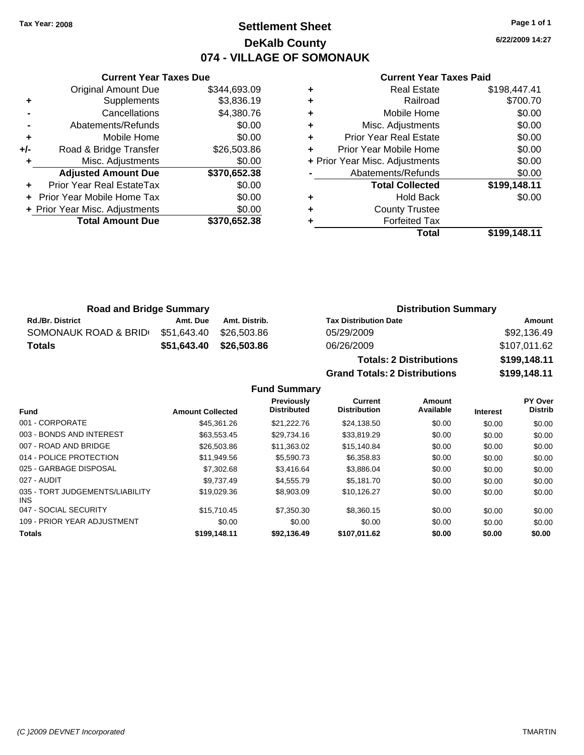**Current Year Taxes Due**

# **Settlement Sheet Tax Year: 2008 Page 1 of 1 DeKalb County 074 - VILLAGE OF SOMONAUK**

**6/22/2009 14:27**

## **Current Year Taxes Paid**

|     |                                |              |   | <b>Total</b>                   | \$199,148.11 |
|-----|--------------------------------|--------------|---|--------------------------------|--------------|
|     | <b>Total Amount Due</b>        | \$370,652.38 |   | <b>Forfeited Tax</b>           |              |
|     | + Prior Year Misc. Adjustments | \$0.00       | ٠ | <b>County Trustee</b>          |              |
|     | + Prior Year Mobile Home Tax   | \$0.00       | ٠ | <b>Hold Back</b>               | \$0.00       |
| ÷.  | Prior Year Real EstateTax      | \$0.00       |   | <b>Total Collected</b>         | \$199,148.11 |
|     | <b>Adjusted Amount Due</b>     | \$370,652.38 |   | Abatements/Refunds             | \$0.00       |
|     | Misc. Adjustments              | \$0.00       |   | + Prior Year Misc. Adjustments | \$0.00       |
| +/- | Road & Bridge Transfer         | \$26,503.86  | ٠ | Prior Year Mobile Home         | \$0.00       |
| ÷   | Mobile Home                    | \$0.00       | ٠ | <b>Prior Year Real Estate</b>  | \$0.00       |
|     | Abatements/Refunds             | \$0.00       | ٠ | Misc. Adjustments              | \$0.00       |
|     | Cancellations                  | \$4,380.76   | ٠ | Mobile Home                    | \$0.00       |
| ٠   | <b>Supplements</b>             | \$3,836.19   | ٠ | Railroad                       | \$700.70     |
|     | Original Amount Due            | \$344,693.09 | ٠ | <b>Real Estate</b>             | \$198,447.41 |

| <b>Road and Bridge Summary</b> |             |               | <b>Distribution Summary</b>    |              |  |
|--------------------------------|-------------|---------------|--------------------------------|--------------|--|
| <b>Rd./Br. District</b>        | Amt. Due    | Amt. Distrib. | <b>Tax Distribution Date</b>   | Amount       |  |
| SOMONAUK ROAD & BRID           | \$51.643.40 | \$26.503.86   | 05/29/2009                     | \$92,136.49  |  |
| <b>Totals</b>                  | \$51.643.40 | \$26.503.86   | 06/26/2009                     | \$107,011.62 |  |
|                                |             |               | <b>Totals: 2 Distributions</b> | \$199,148.11 |  |

**Grand Totals: 2 Distributions \$199,148.11**

|  | <b>Fund Summary</b> |
|--|---------------------|
|--|---------------------|

|                                         |                         | <b>Previously</b>  | Current             | Amount    |                 | PY Over        |
|-----------------------------------------|-------------------------|--------------------|---------------------|-----------|-----------------|----------------|
| <b>Fund</b>                             | <b>Amount Collected</b> | <b>Distributed</b> | <b>Distribution</b> | Available | <b>Interest</b> | <b>Distrib</b> |
| 001 - CORPORATE                         | \$45,361.26             | \$21.222.76        | \$24.138.50         | \$0.00    | \$0.00          | \$0.00         |
| 003 - BONDS AND INTEREST                | \$63,553.45             | \$29.734.16        | \$33,819.29         | \$0.00    | \$0.00          | \$0.00         |
| 007 - ROAD AND BRIDGE                   | \$26,503.86             | \$11,363.02        | \$15,140.84         | \$0.00    | \$0.00          | \$0.00         |
| 014 - POLICE PROTECTION                 | \$11.949.56             | \$5,590.73         | \$6,358.83          | \$0.00    | \$0.00          | \$0.00         |
| 025 - GARBAGE DISPOSAL                  | \$7,302.68              | \$3,416.64         | \$3,886.04          | \$0.00    | \$0.00          | \$0.00         |
| 027 - AUDIT                             | \$9.737.49              | \$4,555,79         | \$5.181.70          | \$0.00    | \$0.00          | \$0.00         |
| 035 - TORT JUDGEMENTS/LIABILITY<br>INS. | \$19,029.36             | \$8,903.09         | \$10.126.27         | \$0.00    | \$0.00          | \$0.00         |
| 047 - SOCIAL SECURITY                   | \$15,710.45             | \$7,350,30         | \$8,360.15          | \$0.00    | \$0.00          | \$0.00         |
| 109 - PRIOR YEAR ADJUSTMENT             | \$0.00                  | \$0.00             | \$0.00              | \$0.00    | \$0.00          | \$0.00         |
| <b>Totals</b>                           | \$199,148.11            | \$92.136.49        | \$107,011.62        | \$0.00    | \$0.00          | \$0.00         |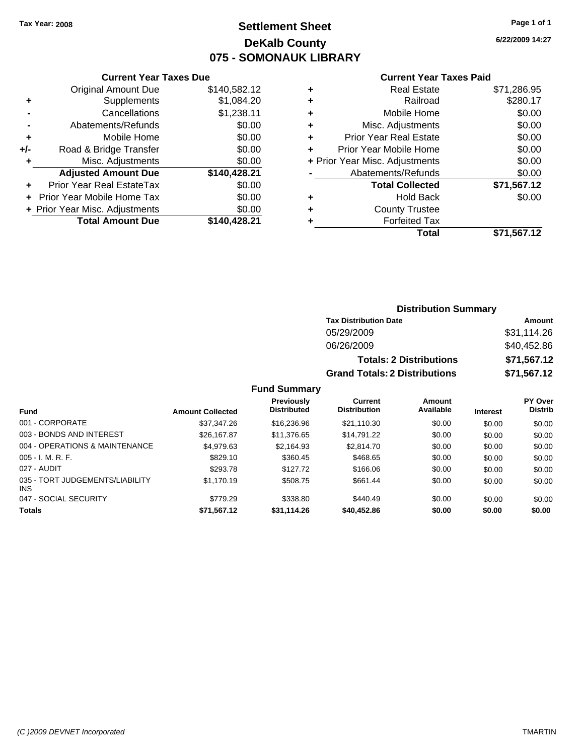# **Settlement Sheet Tax Year: 2008 Page 1 of 1 DeKalb County 075 - SOMONAUK LIBRARY**

**6/22/2009 14:27**

## **Current Year Taxes Paid**

|     | <b>Current Year Taxes Due</b>  |              |  |  |  |  |
|-----|--------------------------------|--------------|--|--|--|--|
|     | <b>Original Amount Due</b>     | \$140,582.12 |  |  |  |  |
| ٠   | Supplements                    | \$1,084.20   |  |  |  |  |
|     | Cancellations                  | \$1,238.11   |  |  |  |  |
|     | Abatements/Refunds             | \$0.00       |  |  |  |  |
| ٠   | Mobile Home                    | \$0.00       |  |  |  |  |
| +/- | Road & Bridge Transfer         | \$0.00       |  |  |  |  |
|     | \$0.00<br>Misc. Adjustments    |              |  |  |  |  |
|     | <b>Adjusted Amount Due</b>     | \$140,428.21 |  |  |  |  |
|     | Prior Year Real EstateTax      | \$0.00       |  |  |  |  |
|     | Prior Year Mobile Home Tax     | \$0.00       |  |  |  |  |
|     | + Prior Year Misc. Adjustments | \$0.00       |  |  |  |  |
|     | <b>Total Amount Due</b>        | \$140,428.21 |  |  |  |  |
|     |                                |              |  |  |  |  |

|   | <b>Real Estate</b>             | \$71,286.95 |
|---|--------------------------------|-------------|
| ٠ | Railroad                       | \$280.17    |
| ٠ | Mobile Home                    | \$0.00      |
| ÷ | Misc. Adjustments              | \$0.00      |
| ٠ | <b>Prior Year Real Estate</b>  | \$0.00      |
|   | Prior Year Mobile Home         | \$0.00      |
|   | + Prior Year Misc. Adjustments | \$0.00      |
|   | Abatements/Refunds             | \$0.00      |
|   | <b>Total Collected</b>         | \$71,567.12 |
| ٠ | <b>Hold Back</b>               | \$0.00      |
| ٠ | <b>County Trustee</b>          |             |
|   | <b>Forfeited Tax</b>           |             |
|   | Total                          | \$71,567.12 |
|   |                                |             |

## **Distribution Summary**

| <b>Tax Distribution Date</b>         | Amount      |
|--------------------------------------|-------------|
| 05/29/2009                           | \$31,114.26 |
| 06/26/2009                           | \$40,452.86 |
| <b>Totals: 2 Distributions</b>       | \$71,567.12 |
| <b>Grand Totals: 2 Distributions</b> | \$71,567.12 |

## **Fund Summary**

| <b>Fund</b>                                   | <b>Amount Collected</b> | Previously<br><b>Distributed</b> | Current<br><b>Distribution</b> | Amount<br>Available | <b>Interest</b> | PY Over<br><b>Distrib</b> |
|-----------------------------------------------|-------------------------|----------------------------------|--------------------------------|---------------------|-----------------|---------------------------|
| 001 - CORPORATE                               | \$37,347.26             | \$16,236.96                      | \$21,110.30                    | \$0.00              | \$0.00          | \$0.00                    |
| 003 - BONDS AND INTEREST                      | \$26,167.87             | \$11,376.65                      | \$14.791.22                    | \$0.00              | \$0.00          | \$0.00                    |
| 004 - OPERATIONS & MAINTENANCE                | \$4,979.63              | \$2.164.93                       | \$2,814.70                     | \$0.00              | \$0.00          | \$0.00                    |
| $005 - I. M. R. F.$                           | \$829.10                | \$360.45                         | \$468.65                       | \$0.00              | \$0.00          | \$0.00                    |
| 027 - AUDIT                                   | \$293.78                | \$127.72                         | \$166.06                       | \$0.00              | \$0.00          | \$0.00                    |
| 035 - TORT JUDGEMENTS/LIABILITY<br><b>INS</b> | \$1,170.19              | \$508.75                         | \$661.44                       | \$0.00              | \$0.00          | \$0.00                    |
| 047 - SOCIAL SECURITY                         | \$779.29                | \$338.80                         | \$440.49                       | \$0.00              | \$0.00          | \$0.00                    |
| <b>Totals</b>                                 | \$71,567.12             | \$31,114.26                      | \$40,452.86                    | \$0.00              | \$0.00          | \$0.00                    |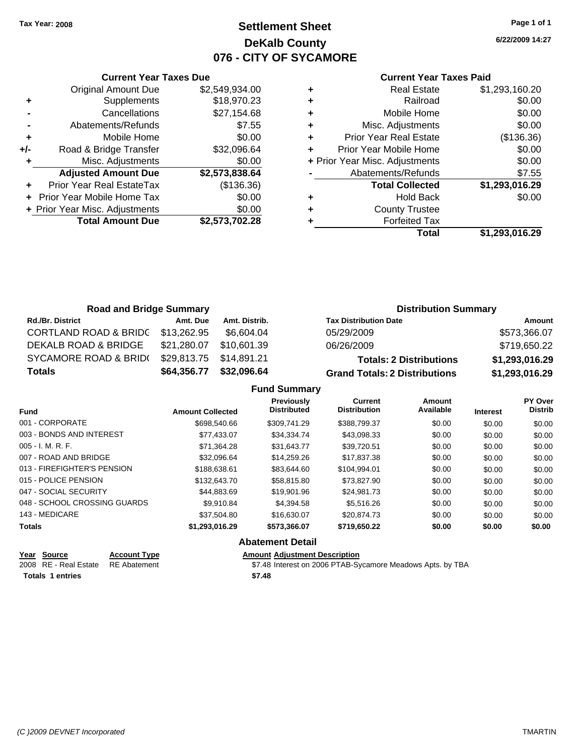# **Settlement Sheet Tax Year: 2008 Page 1 of 1 DeKalb County 076 - CITY OF SYCAMORE**

**6/22/2009 14:27**

#### **Current Year Taxes Paid**

|     | <b>Current Year Taxes Due</b>  |                |  |  |  |  |
|-----|--------------------------------|----------------|--|--|--|--|
|     | <b>Original Amount Due</b>     | \$2,549,934.00 |  |  |  |  |
| ٠   | Supplements                    | \$18,970.23    |  |  |  |  |
|     | Cancellations                  | \$27,154.68    |  |  |  |  |
|     | Abatements/Refunds             | \$7.55         |  |  |  |  |
| ٠   | Mobile Home                    | \$0.00         |  |  |  |  |
| +/- | Road & Bridge Transfer         | \$32,096.64    |  |  |  |  |
|     | Misc. Adjustments              | \$0.00         |  |  |  |  |
|     | <b>Adjusted Amount Due</b>     | \$2,573,838.64 |  |  |  |  |
|     | Prior Year Real EstateTax      | (\$136.36)     |  |  |  |  |
|     | Prior Year Mobile Home Tax     | \$0.00         |  |  |  |  |
|     | + Prior Year Misc. Adjustments | \$0.00         |  |  |  |  |
|     | <b>Total Amount Due</b>        | \$2,573,702.28 |  |  |  |  |
|     |                                |                |  |  |  |  |

|   | <b>Real Estate</b>             | \$1,293,160.20 |
|---|--------------------------------|----------------|
| ٠ | Railroad                       | \$0.00         |
| ٠ | Mobile Home                    | \$0.00         |
| ٠ | Misc. Adjustments              | \$0.00         |
| ٠ | <b>Prior Year Real Estate</b>  | (\$136.36)     |
| ٠ | Prior Year Mobile Home         | \$0.00         |
|   | + Prior Year Misc. Adjustments | \$0.00         |
|   | Abatements/Refunds             | \$7.55         |
|   | <b>Total Collected</b>         | \$1,293,016.29 |
| ٠ | <b>Hold Back</b>               | \$0.00         |
| ٠ | <b>County Trustee</b>          |                |
|   | <b>Forfeited Tax</b>           |                |
|   | Total                          | \$1,293,016.29 |

| <b>Road and Bridge Summary</b>   |             |               | <b>Distribution Summary</b>          |                |
|----------------------------------|-------------|---------------|--------------------------------------|----------------|
| <b>Rd./Br. District</b>          | Amt. Due    | Amt. Distrib. | <b>Tax Distribution Date</b>         | Amount         |
| <b>CORTLAND ROAD &amp; BRIDC</b> | \$13,262.95 | \$6.604.04    | 05/29/2009                           | \$573,366.07   |
| DEKALB ROAD & BRIDGE             | \$21,280.07 | \$10.601.39   | 06/26/2009                           | \$719,650.22   |
| SYCAMORE ROAD & BRID(            | \$29,813.75 | \$14,891.21   | <b>Totals: 2 Distributions</b>       | \$1,293,016.29 |
| <b>Totals</b>                    | \$64,356.77 | \$32,096.64   | <b>Grand Totals: 2 Distributions</b> | \$1,293,016.29 |

## **Fund Summary**

| <b>Fund</b>                  | <b>Amount Collected</b> | <b>Previously</b><br><b>Distributed</b> | Current<br><b>Distribution</b> | Amount<br>Available | <b>Interest</b> | <b>PY Over</b><br><b>Distrib</b> |
|------------------------------|-------------------------|-----------------------------------------|--------------------------------|---------------------|-----------------|----------------------------------|
| 001 - CORPORATE              | \$698,540.66            | \$309.741.29                            | \$388.799.37                   | \$0.00              | \$0.00          | \$0.00                           |
| 003 - BONDS AND INTEREST     | \$77.433.07             | \$34.334.74                             | \$43,098.33                    | \$0.00              | \$0.00          | \$0.00                           |
| $005 - I. M. R. F.$          | \$71.364.28             | \$31.643.77                             | \$39,720.51                    | \$0.00              | \$0.00          | \$0.00                           |
| 007 - ROAD AND BRIDGE        | \$32,096.64             | \$14.259.26                             | \$17,837,38                    | \$0.00              | \$0.00          | \$0.00                           |
| 013 - FIREFIGHTER'S PENSION  | \$188,638,61            | \$83.644.60                             | \$104.994.01                   | \$0.00              | \$0.00          | \$0.00                           |
| 015 - POLICE PENSION         | \$132,643.70            | \$58,815.80                             | \$73,827.90                    | \$0.00              | \$0.00          | \$0.00                           |
| 047 - SOCIAL SECURITY        | \$44,883,69             | \$19,901.96                             | \$24.981.73                    | \$0.00              | \$0.00          | \$0.00                           |
| 048 - SCHOOL CROSSING GUARDS | \$9.910.84              | \$4,394.58                              | \$5.516.26                     | \$0.00              | \$0.00          | \$0.00                           |
| 143 - MEDICARE               | \$37.504.80             | \$16,630.07                             | \$20,874.73                    | \$0.00              | \$0.00          | \$0.00                           |
| <b>Totals</b>                | \$1,293,016.29          | \$573,366.07                            | \$719,650.22                   | \$0.00              | \$0.00          | \$0.00                           |
|                              |                         | Alexandria Detail                       |                                |                     |                 |                                  |

## **Abatement Detail**

| Year Source                        | <b>Account Type</b> | <b>Amount Adiustment Description</b>                       |
|------------------------------------|---------------------|------------------------------------------------------------|
| 2008 RE - Real Estate RE Abatement |                     | \$7.48 Interest on 2006 PTAB-Sycamore Meadows Apts. by TBA |
| <b>Totals 1 entries</b>            |                     | \$7.48                                                     |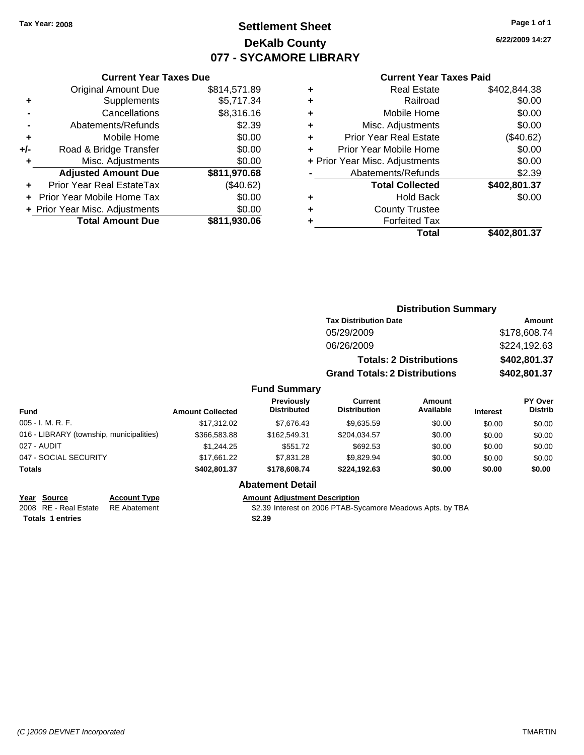**Current Year Taxes Due** Original Amount Due \$814,571.89

**Adjusted Amount Due \$811,970.68**

**Total Amount Due \$811,930.06**

**+** Supplements \$5,717.34 **-** Cancellations \$8,316.16 **-** Abatements/Refunds \$2.39 **+** Mobile Home \$0.00 **+/-** Road & Bridge Transfer \$0.00 **+** Misc. Adjustments \$0.00

**+** Prior Year Real EstateTax (\$40.62) **+** Prior Year Mobile Home Tax \$0.00 **+ Prior Year Misc. Adjustments**  $$0.00$ 

# **Settlement Sheet Tax Year: 2008 Page 1 of 1 DeKalb County 077 - SYCAMORE LIBRARY**

**6/22/2009 14:27**

#### **Current Year Taxes Paid**

|   | Total                          | \$402.801.37 |
|---|--------------------------------|--------------|
|   | <b>Forfeited Tax</b>           |              |
| ٠ | <b>County Trustee</b>          |              |
| ٠ | <b>Hold Back</b>               | \$0.00       |
|   | <b>Total Collected</b>         | \$402,801.37 |
|   | Abatements/Refunds             | \$2.39       |
|   | + Prior Year Misc. Adjustments | \$0.00       |
| ÷ | Prior Year Mobile Home         | \$0.00       |
| ٠ | <b>Prior Year Real Estate</b>  | (\$40.62)    |
| ٠ | Misc. Adjustments              | \$0.00       |
| ٠ | Mobile Home                    | \$0.00       |
| ÷ | Railroad                       | \$0.00       |
| ٠ | <b>Real Estate</b>             | \$402,844.38 |

|                                          |                         |                                         | <b>Distribution Summary</b>           |                                |                 |                                  |
|------------------------------------------|-------------------------|-----------------------------------------|---------------------------------------|--------------------------------|-----------------|----------------------------------|
|                                          |                         |                                         | <b>Tax Distribution Date</b>          |                                | Amount          |                                  |
|                                          |                         |                                         | 05/29/2009                            |                                |                 | \$178,608.74                     |
|                                          |                         |                                         | 06/26/2009                            |                                |                 | \$224,192.63                     |
|                                          |                         |                                         |                                       | <b>Totals: 2 Distributions</b> |                 | \$402,801.37                     |
|                                          |                         |                                         | <b>Grand Totals: 2 Distributions</b>  |                                |                 | \$402,801.37                     |
|                                          |                         | <b>Fund Summary</b>                     |                                       |                                |                 |                                  |
| Fund                                     | <b>Amount Collected</b> | <b>Previously</b><br><b>Distributed</b> | <b>Current</b><br><b>Distribution</b> | <b>Amount</b><br>Available     | <b>Interest</b> | <b>PY Over</b><br><b>Distrib</b> |
| 005 - I. M. R. F.                        | \$17,312.02             | \$7,676.43                              | \$9,635.59                            | \$0.00                         | \$0.00          | \$0.00                           |
| 016 - LIBRARY (township, municipalities) | \$366,583.88            | \$162,549.31                            | \$204,034.57                          | \$0.00                         | \$0.00          | \$0.00                           |
| 027 - AUDIT                              | \$1,244.25              | \$551.72                                | \$692.53                              | \$0.00                         | \$0.00          | \$0.00                           |
| 047 - SOCIAL SECURITY                    | \$17,661.22             | \$7,831.28                              | \$9,829.94                            | \$0.00                         | \$0.00          | \$0.00                           |
| Totals                                   | \$402,801.37            | \$178,608.74                            | \$224,192.63                          | \$0.00                         | \$0.00          | \$0.00                           |
|                                          |                         | Ahatamant Datail                        |                                       |                                |                 |                                  |

## **Abatement Detail**

**Year Source Account Type Amount Adjustment Description**

RE Abatement **2008 REAL ESTATE STATE STATE STATE STATE ARE Abatement** SAD REAL Abatement

**Totals \$2.39 1 entries**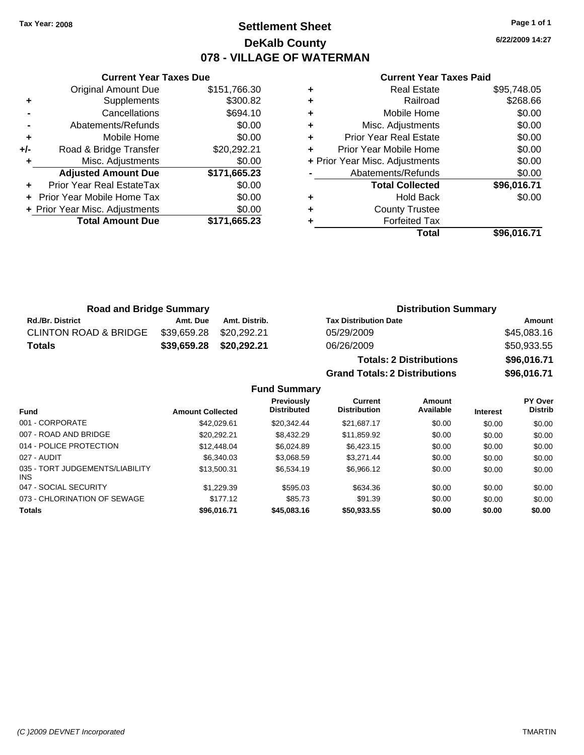# **Settlement Sheet Tax Year: 2008 Page 1 of 1 DeKalb County 078 - VILLAGE OF WATERMAN**

**6/22/2009 14:27**

#### **Current Year Taxes Paid**

|     | <b>Current Year Taxes Due</b>  |              |
|-----|--------------------------------|--------------|
|     | <b>Original Amount Due</b>     | \$151,766.30 |
| ٠   | Supplements                    | \$300.82     |
|     | Cancellations                  | \$694.10     |
|     | Abatements/Refunds             | \$0.00       |
| ٠   | Mobile Home                    | \$0.00       |
| +/- | Road & Bridge Transfer         | \$20,292.21  |
| ٠   | Misc. Adjustments              | \$0.00       |
|     | <b>Adjusted Amount Due</b>     | \$171,665.23 |
|     | Prior Year Real EstateTax      | \$0.00       |
|     | Prior Year Mobile Home Tax     | \$0.00       |
|     | + Prior Year Misc. Adjustments | \$0.00       |
|     | <b>Total Amount Due</b>        | \$171,665.23 |
|     |                                |              |

| <b>Real Estate</b>            | \$95,748.05                    |
|-------------------------------|--------------------------------|
| Railroad                      | \$268.66                       |
| Mobile Home                   | \$0.00                         |
| Misc. Adjustments             | \$0.00                         |
| <b>Prior Year Real Estate</b> | \$0.00                         |
| Prior Year Mobile Home        | \$0.00                         |
|                               | \$0.00                         |
| Abatements/Refunds            | \$0.00                         |
| <b>Total Collected</b>        | \$96,016.71                    |
| <b>Hold Back</b>              | \$0.00                         |
| <b>County Trustee</b>         |                                |
| <b>Forfeited Tax</b>          |                                |
| Total                         | \$96,016.71                    |
|                               | + Prior Year Misc. Adjustments |

**Grand Totals: 2 Distributions \$96,016.71**

| <b>Road and Bridge Summary</b>   |                         |               | <b>Distribution Summary</b>    |             |  |
|----------------------------------|-------------------------|---------------|--------------------------------|-------------|--|
| <b>Rd./Br. District</b>          | Amt. Due                | Amt. Distrib. | <b>Tax Distribution Date</b>   | Amount      |  |
| <b>CLINTON ROAD &amp; BRIDGE</b> | \$39,659.28 \$20,292.21 |               | 05/29/2009                     | \$45,083.16 |  |
| <b>Totals</b>                    | \$39,659.28             | \$20,292.21   | 06/26/2009                     | \$50,933.55 |  |
|                                  |                         |               | <b>Totals: 2 Distributions</b> | \$96,016.71 |  |

**Fund Summary Fund Interest Amount Collected Distributed PY Over Distrib Amount Available Current Distribution Previously** 001 - CORPORATE 6000 \$42,029.61 \$20,342.44 \$21,687.17 \$0.00 \$0.00 \$0.00 \$0.00 007 - ROAD AND BRIDGE \$20,292.21 \$8,432.29 \$11,859.92 \$0.00 \$0.00 \$0.00 014 - POLICE PROTECTION \$12,448.04 \$6,024.89 \$6,423.15 \$0.00 \$0.00 \$0.00 \$0.00 027 - AUDIT \$6,340.03 \$3,068.59 \$3,271.44 \$0.00 \$0.00 \$0.00 035 - TORT JUDGEMENTS/LIABILITY \$13,500.31 \$6,534.19 \$6,966.12 \$0.00 \$0.00 \$0.00 047 - SOCIAL SECURITY \$1,229.39 \$595.03 \$634.36 \$0.00 \$0.00 \$0.00 073 - CHLORINATION OF SEWAGE \$177.12 \$85.73 \$91.39 \$0.00 \$0.00 \$0.00 \$0.00

**Totals \$96,016.71 \$45,083.16 \$50,933.55 \$0.00 \$0.00 \$0.00**

INS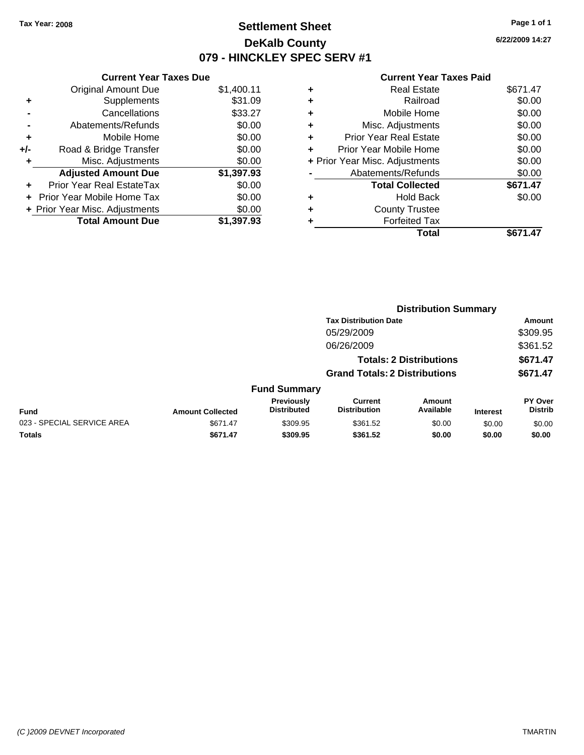### **Settlement Sheet Tax Year: 2008 Page 1 of 1 DeKalb County 079 - HINCKLEY SPEC SERV #1**

**6/22/2009 14:27**

|     | <b>Current Year Taxes Due</b>  |            |
|-----|--------------------------------|------------|
|     | <b>Original Amount Due</b>     | \$1,400.11 |
| ٠   | Supplements                    | \$31.09    |
|     | Cancellations                  | \$33.27    |
|     | Abatements/Refunds             | \$0.00     |
| ٠   | Mobile Home                    | \$0.00     |
| +/- | Road & Bridge Transfer         | \$0.00     |
|     | Misc. Adjustments              | \$0.00     |
|     | <b>Adjusted Amount Due</b>     | \$1,397.93 |
| ٠   | Prior Year Real EstateTax      | \$0.00     |
|     | Prior Year Mobile Home Tax     | \$0.00     |
|     | + Prior Year Misc. Adjustments | \$0.00     |
|     | <b>Total Amount Due</b>        | \$1,397.93 |

| ٠ | <b>Real Estate</b>             | \$671.47 |
|---|--------------------------------|----------|
| ٠ | Railroad                       | \$0.00   |
| ٠ | Mobile Home                    | \$0.00   |
| ٠ | Misc. Adjustments              | \$0.00   |
| ٠ | <b>Prior Year Real Estate</b>  | \$0.00   |
| ٠ | Prior Year Mobile Home         | \$0.00   |
|   | + Prior Year Misc. Adjustments | \$0.00   |
|   | Abatements/Refunds             | \$0.00   |
|   | <b>Total Collected</b>         | \$671.47 |
| ٠ | <b>Hold Back</b>               | \$0.00   |
| ٠ | <b>County Trustee</b>          |          |
| ٠ | <b>Forfeited Tax</b>           |          |
|   | Total                          | \$671.47 |
|   |                                |          |

|                            |                         |                                  | <b>Distribution Summary</b>           |                                |                 |                           |  |
|----------------------------|-------------------------|----------------------------------|---------------------------------------|--------------------------------|-----------------|---------------------------|--|
|                            |                         |                                  | <b>Tax Distribution Date</b>          |                                |                 | Amount                    |  |
|                            |                         |                                  | 05/29/2009                            |                                |                 | \$309.95                  |  |
|                            |                         |                                  | 06/26/2009                            |                                |                 | \$361.52                  |  |
|                            |                         |                                  |                                       | <b>Totals: 2 Distributions</b> |                 | \$671.47                  |  |
|                            |                         |                                  | <b>Grand Totals: 2 Distributions</b>  |                                |                 | \$671.47                  |  |
|                            |                         | <b>Fund Summary</b>              |                                       |                                |                 |                           |  |
| <b>Fund</b>                | <b>Amount Collected</b> | Previously<br><b>Distributed</b> | <b>Current</b><br><b>Distribution</b> | Amount<br>Available            | <b>Interest</b> | PY Over<br><b>Distrib</b> |  |
| 023 - SPECIAL SERVICE AREA | \$671.47                | \$309.95                         | \$361.52                              | \$0.00                         | \$0.00          | \$0.00                    |  |
| Totals                     | \$671.47                | \$309.95                         | \$361.52                              | \$0.00                         | \$0.00          | \$0.00                    |  |
|                            |                         |                                  |                                       |                                |                 |                           |  |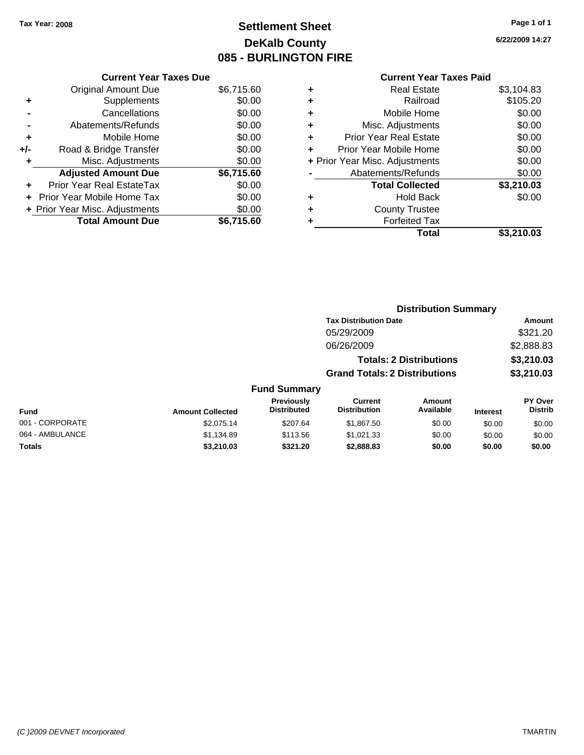# **Settlement Sheet Tax Year: 2008 Page 1 of 1 DeKalb County 085 - BURLINGTON FIRE**

**6/22/2009 14:27**

|     | <b>Current Year Taxes Due</b>     |            |
|-----|-----------------------------------|------------|
|     | <b>Original Amount Due</b>        | \$6,715.60 |
| ٠   | Supplements                       | \$0.00     |
|     | Cancellations                     | \$0.00     |
|     | Abatements/Refunds                | \$0.00     |
| ٠   | Mobile Home                       | \$0.00     |
| +/- | Road & Bridge Transfer            | \$0.00     |
|     | Misc. Adjustments                 | \$0.00     |
|     | <b>Adjusted Amount Due</b>        | \$6,715.60 |
|     | <b>Prior Year Real EstateTax</b>  | \$0.00     |
|     | <b>Prior Year Mobile Home Tax</b> | \$0.00     |
|     | + Prior Year Misc. Adjustments    | \$0.00     |
|     | <b>Total Amount Due</b>           | \$6.715.60 |

| ٠ | <b>Real Estate</b>             | \$3,104.83 |
|---|--------------------------------|------------|
| ٠ | Railroad                       | \$105.20   |
| ٠ | Mobile Home                    | \$0.00     |
| ٠ | Misc. Adjustments              | \$0.00     |
| ÷ | <b>Prior Year Real Estate</b>  | \$0.00     |
|   | Prior Year Mobile Home         | \$0.00     |
|   | + Prior Year Misc. Adjustments | \$0.00     |
|   | Abatements/Refunds             | \$0.00     |
|   | <b>Total Collected</b>         | \$3,210.03 |
| ٠ | <b>Hold Back</b>               | \$0.00     |
| ٠ | <b>County Trustee</b>          |            |
|   | <b>Forfeited Tax</b>           |            |
|   | Total                          | \$3,210.03 |
|   |                                |            |

|                 |                         |                                  | <b>Distribution Summary</b>           |                                |                 |                                  |
|-----------------|-------------------------|----------------------------------|---------------------------------------|--------------------------------|-----------------|----------------------------------|
|                 |                         |                                  | <b>Tax Distribution Date</b>          |                                |                 | Amount                           |
|                 |                         |                                  | 05/29/2009                            |                                |                 | \$321.20                         |
|                 |                         |                                  | 06/26/2009                            |                                |                 | \$2,888.83                       |
|                 |                         |                                  |                                       | <b>Totals: 2 Distributions</b> |                 | \$3,210.03                       |
|                 |                         |                                  | <b>Grand Totals: 2 Distributions</b>  |                                |                 | \$3,210.03                       |
|                 |                         | <b>Fund Summary</b>              |                                       |                                |                 |                                  |
| Fund            | <b>Amount Collected</b> | Previously<br><b>Distributed</b> | <b>Current</b><br><b>Distribution</b> | <b>Amount</b><br>Available     | <b>Interest</b> | <b>PY Over</b><br><b>Distrib</b> |
| 001 - CORPORATE | \$2.075.14              | \$207.64                         | \$1,867.50                            | \$0.00                         | \$0.00          | \$0.00                           |
| 064 - AMBULANCE | \$1,134.89              | \$113.56                         | \$1,021.33                            | \$0.00                         | \$0.00          | \$0.00                           |
| Totals          | \$3,210.03              | \$321.20                         | \$2,888.83                            | \$0.00                         | \$0.00          | \$0.00                           |
|                 |                         |                                  |                                       |                                |                 |                                  |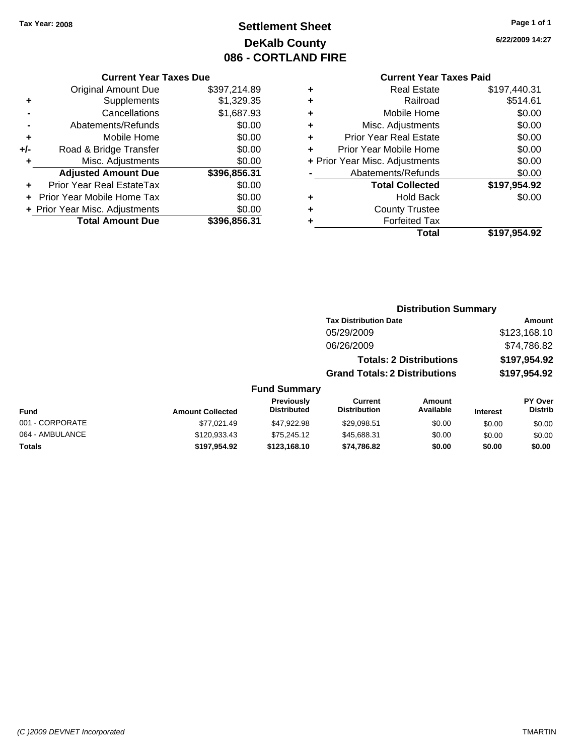# **Settlement Sheet Tax Year: 2008 Page 1 of 1 DeKalb County 086 - CORTLAND FIRE**

#### **Current Year Taxes Due**

|     | <b>Original Amount Due</b>        | \$397,214.89 |
|-----|-----------------------------------|--------------|
| ٠   | Supplements                       | \$1,329.35   |
|     | Cancellations                     | \$1,687.93   |
|     | Abatements/Refunds                | \$0.00       |
| ٠   | Mobile Home                       | \$0.00       |
| +/- | Road & Bridge Transfer            | \$0.00       |
| ٠   | Misc. Adjustments                 | \$0.00       |
|     | <b>Adjusted Amount Due</b>        | \$396,856.31 |
|     | <b>Prior Year Real EstateTax</b>  | \$0.00       |
|     | <b>Prior Year Mobile Home Tax</b> | \$0.00       |
|     | + Prior Year Misc. Adjustments    | \$0.00       |
|     | <b>Total Amount Due</b>           | \$396.856.31 |

#### **Current Year Taxes Paid**

|   | <b>Real Estate</b>             | \$197,440.31 |
|---|--------------------------------|--------------|
| ٠ | Railroad                       | \$514.61     |
| ٠ | Mobile Home                    | \$0.00       |
| ٠ | Misc. Adjustments              | \$0.00       |
| ٠ | Prior Year Real Estate         | \$0.00       |
| ÷ | Prior Year Mobile Home         | \$0.00       |
|   | + Prior Year Misc. Adjustments | \$0.00       |
|   | Abatements/Refunds             | \$0.00       |
|   | <b>Total Collected</b>         | \$197,954.92 |
| ٠ | <b>Hold Back</b>               | \$0.00       |
| ٠ | <b>County Trustee</b>          |              |
| ٠ | <b>Forfeited Tax</b>           |              |
|   | Total                          | \$197,954.92 |
|   |                                |              |

**6/22/2009 14:27**

| <b>Distribution Summary</b> |  |
|-----------------------------|--|
|-----------------------------|--|

| <b>Tax Distribution Date</b>         | Amount       |
|--------------------------------------|--------------|
| 05/29/2009                           | \$123,168.10 |
| 06/26/2009                           | \$74,786.82  |
| <b>Totals: 2 Distributions</b>       | \$197,954.92 |
| <b>Grand Totals: 2 Distributions</b> | \$197,954.92 |

| Fund            | <b>Amount Collected</b> | <b>Previously</b><br><b>Distributed</b> | Current<br><b>Distribution</b> | Amount<br>Available | <b>Interest</b> | PY Over<br><b>Distrib</b> |
|-----------------|-------------------------|-----------------------------------------|--------------------------------|---------------------|-----------------|---------------------------|
| 001 - CORPORATE | \$77,021.49             | \$47,922.98                             | \$29.098.51                    | \$0.00              | \$0.00          | \$0.00                    |
| 064 - AMBULANCE | \$120,933.43            | \$75,245.12                             | \$45,688.31                    | \$0.00              | \$0.00          | \$0.00                    |
| Totals          | \$197.954.92            | \$123,168,10                            | \$74.786.82                    | \$0.00              | \$0.00          | \$0.00                    |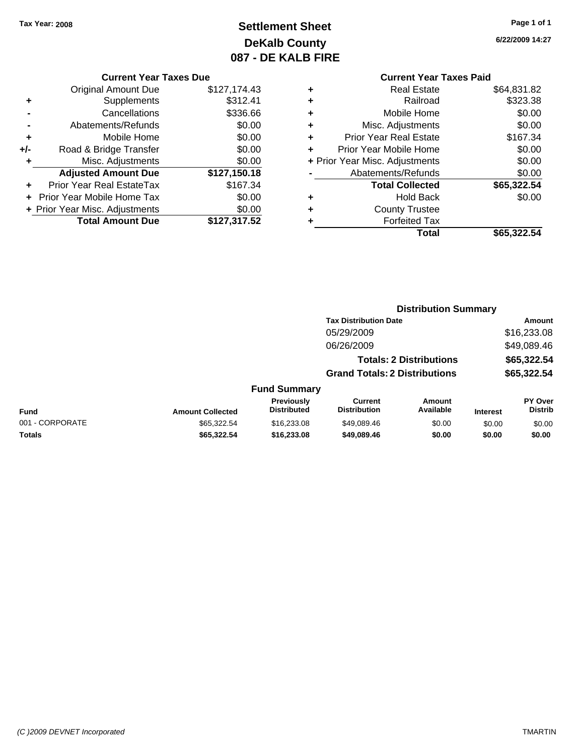# **Settlement Sheet Tax Year: 2008 Page 1 of 1 DeKalb County 087 - DE KALB FIRE**

**6/22/2009 14:27**

#### **Current Year Taxes Due**

|     | <b>Original Amount Due</b>       | \$127,174.43 |
|-----|----------------------------------|--------------|
|     | Supplements                      | \$312.41     |
|     | Cancellations                    | \$336.66     |
|     | Abatements/Refunds               | \$0.00       |
| ٠   | Mobile Home                      | \$0.00       |
| +/- | Road & Bridge Transfer           | \$0.00       |
| ٠   | Misc. Adjustments                | \$0.00       |
|     | <b>Adjusted Amount Due</b>       | \$127,150.18 |
|     | <b>Prior Year Real EstateTax</b> | \$167.34     |
|     | Prior Year Mobile Home Tax       | \$0.00       |
|     | + Prior Year Misc. Adjustments   | \$0.00       |
|     | <b>Total Amount Due</b>          | \$127,317.52 |

| ٠ | <b>Real Estate</b>             | \$64,831.82 |
|---|--------------------------------|-------------|
| ÷ | Railroad                       | \$323.38    |
| ٠ | Mobile Home                    | \$0.00      |
| ٠ | Misc. Adjustments              | \$0.00      |
| ٠ | <b>Prior Year Real Estate</b>  | \$167.34    |
| ÷ | Prior Year Mobile Home         | \$0.00      |
|   | + Prior Year Misc. Adjustments | \$0.00      |
|   | Abatements/Refunds             | \$0.00      |
|   | <b>Total Collected</b>         | \$65,322.54 |
| ٠ | <b>Hold Back</b>               | \$0.00      |
| ٠ | <b>County Trustee</b>          |             |
| ٠ | <b>Forfeited Tax</b>           |             |
|   | Total                          | \$65,322.54 |
|   |                                |             |

|                 |                         |                                  | <b>Distribution Summary</b>           |                                |                 |                                  |
|-----------------|-------------------------|----------------------------------|---------------------------------------|--------------------------------|-----------------|----------------------------------|
|                 |                         |                                  | <b>Tax Distribution Date</b>          |                                |                 | Amount                           |
|                 |                         |                                  | 05/29/2009                            |                                |                 | \$16,233.08                      |
|                 |                         |                                  | 06/26/2009                            |                                |                 | \$49,089.46                      |
|                 |                         |                                  |                                       | <b>Totals: 2 Distributions</b> |                 | \$65,322.54                      |
|                 |                         |                                  | <b>Grand Totals: 2 Distributions</b>  |                                |                 | \$65,322.54                      |
|                 |                         | <b>Fund Summary</b>              |                                       |                                |                 |                                  |
| <b>Fund</b>     | <b>Amount Collected</b> | Previously<br><b>Distributed</b> | <b>Current</b><br><b>Distribution</b> | Amount<br>Available            | <b>Interest</b> | <b>PY Over</b><br><b>Distrib</b> |
| 001 - CORPORATE | \$65,322.54             | \$16,233,08                      | \$49.089.46                           | \$0.00                         | \$0.00          | \$0.00                           |
| Totals          | \$65,322.54             | \$16,233.08                      | \$49,089.46                           | \$0.00                         | \$0.00          | \$0.00                           |
|                 |                         |                                  |                                       |                                |                 |                                  |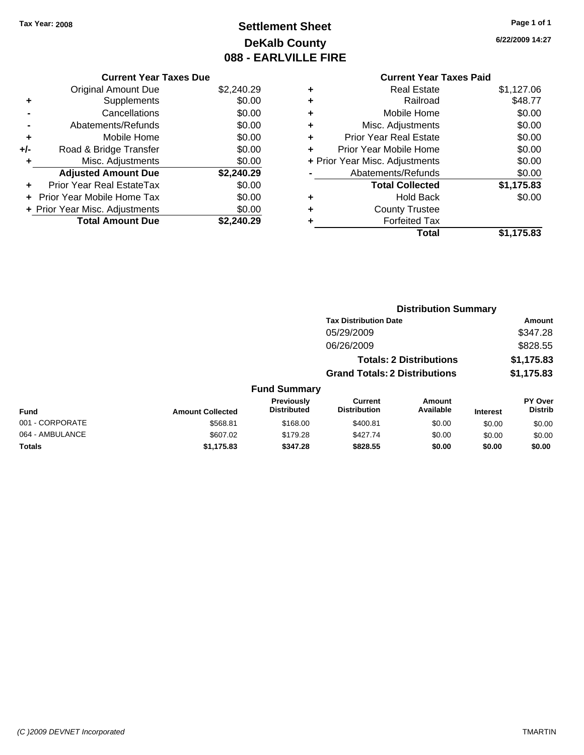# **Settlement Sheet Tax Year: 2008 Page 1 of 1 DeKalb County 088 - EARLVILLE FIRE**

**6/22/2009 14:27**

|     | <b>Current Year Taxes Due</b>     |            |
|-----|-----------------------------------|------------|
|     | <b>Original Amount Due</b>        | \$2,240.29 |
| ٠   | Supplements                       | \$0.00     |
|     | Cancellations                     | \$0.00     |
|     | Abatements/Refunds                | \$0.00     |
| ٠   | Mobile Home                       | \$0.00     |
| +/- | Road & Bridge Transfer            | \$0.00     |
|     | Misc. Adjustments                 | \$0.00     |
|     | <b>Adjusted Amount Due</b>        | \$2,240.29 |
|     | Prior Year Real EstateTax         | \$0.00     |
|     | <b>Prior Year Mobile Home Tax</b> | \$0.00     |
|     | + Prior Year Misc. Adjustments    | \$0.00     |
|     | <b>Total Amount Due</b>           | \$2,240.29 |
|     |                                   |            |

|   | <b>Real Estate</b>             | \$1,127.06 |
|---|--------------------------------|------------|
| ٠ | Railroad                       | \$48.77    |
| ٠ | Mobile Home                    | \$0.00     |
| ٠ | Misc. Adjustments              | \$0.00     |
| ٠ | <b>Prior Year Real Estate</b>  | \$0.00     |
|   | Prior Year Mobile Home         | \$0.00     |
|   | + Prior Year Misc. Adjustments | \$0.00     |
|   | Abatements/Refunds             | \$0.00     |
|   | <b>Total Collected</b>         | \$1,175.83 |
| ٠ | Hold Back                      | \$0.00     |
| ٠ | <b>County Trustee</b>          |            |
|   | <b>Forfeited Tax</b>           |            |
|   | Total                          | \$1,175.83 |
|   |                                |            |

|                 | <b>Distribution Summary</b> |                                         |                                       |                                |                 |                                  |
|-----------------|-----------------------------|-----------------------------------------|---------------------------------------|--------------------------------|-----------------|----------------------------------|
|                 |                             |                                         | <b>Tax Distribution Date</b>          |                                |                 | Amount                           |
|                 |                             |                                         | 05/29/2009                            |                                |                 | \$347.28                         |
|                 |                             |                                         | 06/26/2009                            |                                |                 | \$828.55                         |
|                 |                             |                                         |                                       | <b>Totals: 2 Distributions</b> |                 | \$1,175.83                       |
|                 |                             |                                         | <b>Grand Totals: 2 Distributions</b>  |                                |                 | \$1,175.83                       |
|                 |                             | <b>Fund Summary</b>                     |                                       |                                |                 |                                  |
| <b>Fund</b>     | <b>Amount Collected</b>     | <b>Previously</b><br><b>Distributed</b> | <b>Current</b><br><b>Distribution</b> | Amount<br>Available            | <b>Interest</b> | <b>PY Over</b><br><b>Distrib</b> |
| 001 - CORPORATE | \$568.81                    | \$168.00                                | \$400.81                              | \$0.00                         | \$0.00          | \$0.00                           |
| 064 - AMBULANCE | \$607.02                    | \$179.28                                | \$427.74                              | \$0.00                         | \$0.00          | \$0.00                           |
| Totals          | \$1,175.83                  | \$347.28                                | \$828.55                              | \$0.00                         | \$0.00          | \$0.00                           |
|                 |                             |                                         |                                       |                                |                 |                                  |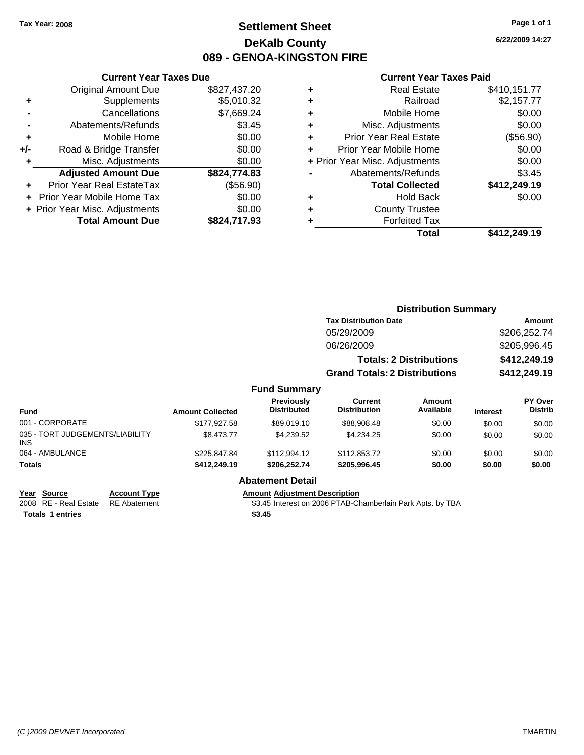### **Settlement Sheet Tax Year: 2008 Page 1 of 1 DeKalb County 089 - GENOA-KINGSTON FIRE**

**6/22/2009 14:27**

|     | <b>Current Year Taxes Due</b>  |              |  |
|-----|--------------------------------|--------------|--|
|     | <b>Original Amount Due</b>     | \$827,437.20 |  |
| ٠   | Supplements                    | \$5,010.32   |  |
|     | Cancellations                  | \$7,669.24   |  |
|     | Abatements/Refunds             | \$3.45       |  |
| ٠   | Mobile Home                    | \$0.00       |  |
| +/- | Road & Bridge Transfer         | \$0.00       |  |
| ٠   | Misc. Adjustments              | \$0.00       |  |
|     | <b>Adjusted Amount Due</b>     | \$824,774.83 |  |
| ٠   | Prior Year Real EstateTax      | (\$56.90)    |  |
|     | Prior Year Mobile Home Tax     | \$0.00       |  |
|     | + Prior Year Misc. Adjustments | \$0.00       |  |
|     | <b>Total Amount Due</b>        | \$824.717.93 |  |
|     |                                |              |  |

| ٠ | <b>Real Estate</b>             | \$410,151.77 |
|---|--------------------------------|--------------|
| ٠ | Railroad                       | \$2,157.77   |
| ٠ | Mobile Home                    | \$0.00       |
| ÷ | Misc. Adjustments              | \$0.00       |
| ٠ | <b>Prior Year Real Estate</b>  | (\$56.90)    |
| ÷ | Prior Year Mobile Home         | \$0.00       |
|   | + Prior Year Misc. Adjustments | \$0.00       |
|   | Abatements/Refunds             | \$3.45       |
|   | <b>Total Collected</b>         | \$412,249.19 |
| ٠ | Hold Back                      | \$0.00       |
| ٠ | <b>County Trustee</b>          |              |
| ٠ | <b>Forfeited Tax</b>           |              |
|   | Total                          | \$412,249.19 |
|   |                                |              |

|                                               |                         |                                  | <b>Distribution Summary</b>           |                                |                 |                           |
|-----------------------------------------------|-------------------------|----------------------------------|---------------------------------------|--------------------------------|-----------------|---------------------------|
|                                               |                         |                                  | <b>Tax Distribution Date</b>          |                                | Amount          |                           |
|                                               |                         |                                  | 05/29/2009                            |                                |                 | \$206,252.74              |
|                                               |                         |                                  | 06/26/2009                            |                                |                 | \$205,996.45              |
|                                               |                         |                                  |                                       | <b>Totals: 2 Distributions</b> |                 | \$412,249.19              |
|                                               |                         |                                  | <b>Grand Totals: 2 Distributions</b>  |                                |                 | \$412,249.19              |
|                                               |                         | <b>Fund Summary</b>              |                                       |                                |                 |                           |
| Fund                                          | <b>Amount Collected</b> | Previously<br><b>Distributed</b> | <b>Current</b><br><b>Distribution</b> | Amount<br>Available            | <b>Interest</b> | PY Over<br><b>Distrib</b> |
| 001 - CORPORATE                               | \$177,927.58            | \$89,019.10                      | \$88,908.48                           | \$0.00                         | \$0.00          | \$0.00                    |
| 035 - TORT JUDGEMENTS/LIABILITY<br><b>INS</b> | \$8,473.77              | \$4,239.52                       | \$4,234.25                            | \$0.00                         | \$0.00          | \$0.00                    |
| 064 - AMBULANCE                               | \$225,847.84            | \$112,994.12                     | \$112,853.72                          | \$0.00                         | \$0.00          | \$0.00                    |
| <b>Totals</b>                                 | \$412,249.19            | \$206,252.74                     | \$205,996.45                          | \$0.00                         | \$0.00          | \$0.00                    |
|                                               |                         | <b>Abatement Detail</b>          |                                       |                                |                 |                           |

| Year Source                        | <b>Account Type</b> | <b>Amount Adiustment Description</b>                       |
|------------------------------------|---------------------|------------------------------------------------------------|
| 2008 RE - Real Estate RE Abatement |                     | \$3.45 Interest on 2006 PTAB-Chamberlain Park Apts. by TBA |
| <b>Totals 1 entries</b>            |                     | \$3.45                                                     |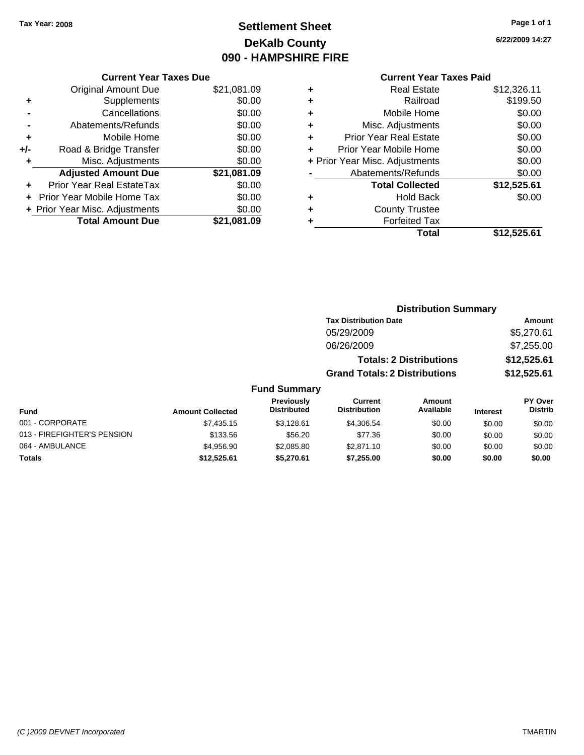# **Settlement Sheet Tax Year: 2008 Page 1 of 1 DeKalb County 090 - HAMPSHIRE FIRE**

**6/22/2009 14:27**

| <b>Current Year Taxes Due</b>     |             |
|-----------------------------------|-------------|
| <b>Original Amount Due</b>        | \$21,081.09 |
| Supplements                       | \$0.00      |
| Cancellations                     | \$0.00      |
| Abatements/Refunds                | \$0.00      |
| Mobile Home                       | \$0.00      |
| Road & Bridge Transfer            | \$0.00      |
| Misc. Adjustments                 | \$0.00      |
| <b>Adjusted Amount Due</b>        | \$21,081.09 |
| Prior Year Real EstateTax         | \$0.00      |
| <b>Prior Year Mobile Home Tax</b> | \$0.00      |
| + Prior Year Misc. Adjustments    | \$0.00      |
| <b>Total Amount Due</b>           | \$21.081.09 |
|                                   |             |

|   | <b>Real Estate</b>             | \$12,326.11 |
|---|--------------------------------|-------------|
| ٠ | Railroad                       | \$199.50    |
| ٠ | Mobile Home                    | \$0.00      |
| ٠ | Misc. Adjustments              | \$0.00      |
| ٠ | <b>Prior Year Real Estate</b>  | \$0.00      |
|   | Prior Year Mobile Home         | \$0.00      |
|   | + Prior Year Misc. Adjustments | \$0.00      |
|   | Abatements/Refunds             | \$0.00      |
|   | <b>Total Collected</b>         | \$12,525.61 |
| ٠ | <b>Hold Back</b>               | \$0.00      |
| ٠ | <b>County Trustee</b>          |             |
| ٠ | <b>Forfeited Tax</b>           |             |
|   | Total                          | \$12,525.61 |
|   |                                |             |

|                     | <b>Distribution Summary</b>          |             |
|---------------------|--------------------------------------|-------------|
|                     | <b>Tax Distribution Date</b>         | Amount      |
|                     | 05/29/2009                           | \$5,270.61  |
|                     | 06/26/2009                           | \$7,255.00  |
|                     | <b>Totals: 2 Distributions</b>       | \$12,525.61 |
|                     | <b>Grand Totals: 2 Distributions</b> | \$12,525.61 |
| <b>Fund Summary</b> |                                      |             |

| <b>Fund</b>                 | <b>Amount Collected</b> | <b>Previously</b><br><b>Distributed</b> | Current<br><b>Distribution</b> | Amount<br>Available | <b>Interest</b> | <b>PY Over</b><br><b>Distrib</b> |
|-----------------------------|-------------------------|-----------------------------------------|--------------------------------|---------------------|-----------------|----------------------------------|
| 001 - CORPORATE             | \$7,435.15              | \$3.128.61                              | \$4,306.54                     | \$0.00              | \$0.00          | \$0.00                           |
| 013 - FIREFIGHTER'S PENSION | \$133.56                | \$56.20                                 | \$77.36                        | \$0.00              | \$0.00          | \$0.00                           |
| 064 - AMBULANCE             | \$4,956.90              | \$2,085.80                              | \$2,871.10                     | \$0.00              | \$0.00          | \$0.00                           |
| Totals                      | \$12.525.61             | \$5.270.61                              | \$7,255,00                     | \$0.00              | \$0.00          | \$0.00                           |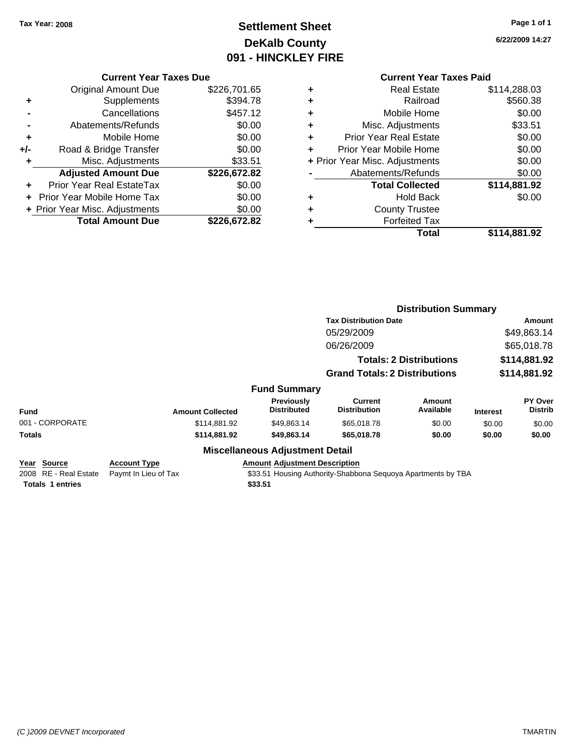# **Settlement Sheet Tax Year: 2008 Page 1 of 1 DeKalb County 091 - HINCKLEY FIRE**

**6/22/2009 14:27**

#### **Current Year Taxes Due**

|     | <b>Original Amount Due</b>     | \$226,701.65 |
|-----|--------------------------------|--------------|
| ٠   | Supplements                    | \$394.78     |
|     | Cancellations                  | \$457.12     |
|     | Abatements/Refunds             | \$0.00       |
| ٠   | Mobile Home                    | \$0.00       |
| +/- | Road & Bridge Transfer         | \$0.00       |
| ٠   | Misc. Adjustments              | \$33.51      |
|     | <b>Adjusted Amount Due</b>     | \$226,672.82 |
|     | Prior Year Real EstateTax      | \$0.00       |
|     | Prior Year Mobile Home Tax     | \$0.00       |
|     | + Prior Year Misc. Adjustments | \$0.00       |
|     | <b>Total Amount Due</b>        | \$226,672.82 |

|   | <b>Real Estate</b>             | \$114,288.03 |
|---|--------------------------------|--------------|
| ٠ | Railroad                       | \$560.38     |
| ٠ | Mobile Home                    | \$0.00       |
| ٠ | Misc. Adjustments              | \$33.51      |
| ٠ | <b>Prior Year Real Estate</b>  | \$0.00       |
| ٠ | Prior Year Mobile Home         | \$0.00       |
|   | + Prior Year Misc. Adjustments | \$0.00       |
|   | Abatements/Refunds             | \$0.00       |
|   | <b>Total Collected</b>         | \$114,881.92 |
| ٠ | <b>Hold Back</b>               | \$0.00       |
| ٠ | <b>County Trustee</b>          |              |
| ٠ | <b>Forfeited Tax</b>           |              |
|   | Total                          | \$114,881.92 |
|   |                                |              |

|                                      |                                             |                                         | <b>Distribution Summary</b>                                  |                                |                 |                           |
|--------------------------------------|---------------------------------------------|-----------------------------------------|--------------------------------------------------------------|--------------------------------|-----------------|---------------------------|
|                                      |                                             |                                         | <b>Tax Distribution Date</b>                                 |                                |                 | Amount                    |
|                                      |                                             |                                         | 05/29/2009                                                   |                                |                 | \$49,863.14               |
|                                      |                                             |                                         | 06/26/2009                                                   |                                |                 | \$65,018.78               |
|                                      |                                             |                                         |                                                              | <b>Totals: 2 Distributions</b> |                 | \$114,881.92              |
|                                      |                                             |                                         | <b>Grand Totals: 2 Distributions</b>                         |                                | \$114,881.92    |                           |
|                                      |                                             | <b>Fund Summary</b>                     |                                                              |                                |                 |                           |
| Fund                                 | <b>Amount Collected</b>                     | <b>Previously</b><br><b>Distributed</b> | Current<br><b>Distribution</b>                               | Amount<br>Available            | <b>Interest</b> | PY Over<br><b>Distrib</b> |
| 001 - CORPORATE                      | \$114.881.92                                | \$49,863.14                             | \$65,018.78                                                  | \$0.00                         | \$0.00          | \$0.00                    |
| <b>Totals</b>                        | \$114,881.92                                | \$49,863.14                             | \$65,018.78                                                  | \$0.00                         | \$0.00          | \$0.00                    |
|                                      |                                             | <b>Miscellaneous Adjustment Detail</b>  |                                                              |                                |                 |                           |
| Year Source<br>2008 RE - Real Estate | <b>Account Type</b><br>Paymt In Lieu of Tax | <b>Amount Adjustment Description</b>    | \$33.51 Housing Authority-Shabbona Sequoya Apartments by TBA |                                |                 |                           |
| <b>Totals 1 entries</b>              |                                             | \$33.51                                 |                                                              |                                |                 |                           |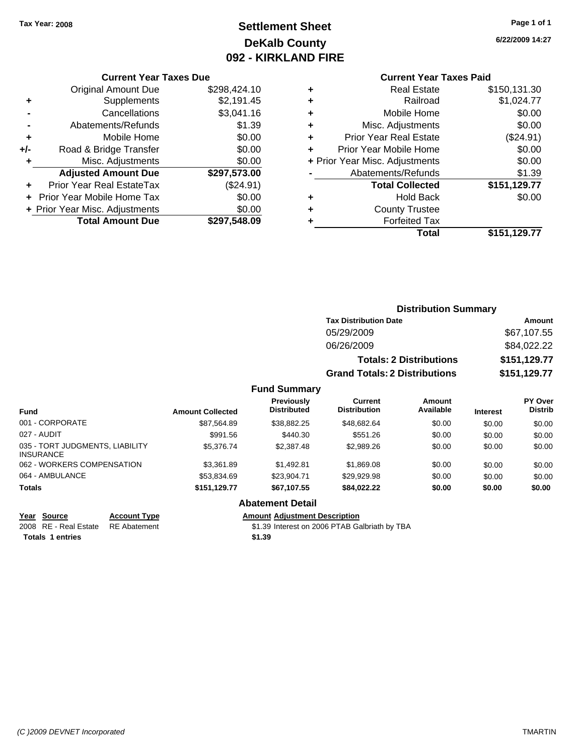# **Settlement Sheet Tax Year: 2008 Page 1 of 1 DeKalb County 092 - KIRKLAND FIRE**

**6/22/2009 14:27**

|     | <b>Current Year Taxes Due</b>    |              |
|-----|----------------------------------|--------------|
|     | <b>Original Amount Due</b>       | \$298,424.10 |
| ٠   | Supplements                      | \$2,191.45   |
|     | Cancellations                    | \$3,041.16   |
|     | Abatements/Refunds               | \$1.39       |
| ٠   | Mobile Home                      | \$0.00       |
| +/- | Road & Bridge Transfer           | \$0.00       |
| ٠   | Misc. Adjustments                | \$0.00       |
|     | <b>Adjusted Amount Due</b>       | \$297,573.00 |
|     | <b>Prior Year Real EstateTax</b> | (\$24.91)    |
|     | Prior Year Mobile Home Tax       | \$0.00       |
|     | + Prior Year Misc. Adjustments   | \$0.00       |
|     | <b>Total Amount Due</b>          | \$297,548.09 |

|   | <b>Current Year Taxes Paid</b> |              |
|---|--------------------------------|--------------|
| ٠ | <b>Real Estate</b>             | \$150,131.30 |
|   | Railroad                       | \$1,024.77   |
| ٠ | Mobile Home                    | \$0.00       |
| ÷ | Misc. Adjustments              | \$0.00       |
| ÷ | <b>Prior Year Real Estate</b>  | (\$24.91)    |
| ÷ | Prior Year Mobile Home         | \$0.00       |
|   | + Prior Year Misc. Adjustments | \$0.00       |
|   | Abatements/Refunds             | \$1.39       |
|   | <b>Total Collected</b>         | \$151,129.77 |
|   | <b>Hold Back</b>               | \$0.00       |
|   | <b>County Trustee</b>          |              |
|   | <b>Forfeited Tax</b>           |              |
|   | Total                          | \$151,129.77 |
|   |                                |              |

|                                                     |                         |                                  |                                      | <b>Distribution Summary</b>    |          |                           |
|-----------------------------------------------------|-------------------------|----------------------------------|--------------------------------------|--------------------------------|----------|---------------------------|
|                                                     |                         |                                  | <b>Tax Distribution Date</b>         |                                |          | Amount                    |
|                                                     |                         |                                  | 05/29/2009                           |                                |          | \$67,107.55               |
|                                                     |                         |                                  | 06/26/2009                           |                                |          | \$84,022.22               |
|                                                     |                         |                                  |                                      | <b>Totals: 2 Distributions</b> |          | \$151,129.77              |
|                                                     |                         |                                  | <b>Grand Totals: 2 Distributions</b> |                                |          | \$151,129.77              |
|                                                     |                         | <b>Fund Summary</b>              |                                      |                                |          |                           |
| <b>Fund</b>                                         | <b>Amount Collected</b> | Previously<br><b>Distributed</b> | Current<br><b>Distribution</b>       | Amount<br>Available            | Interest | PY Over<br><b>Distrib</b> |
| 001 - CORPORATE                                     | \$87,564.89             | \$38,882.25                      | \$48,682.64                          | \$0.00                         | \$0.00   | \$0.00                    |
| 027 - AUDIT                                         | \$991.56                | \$440.30                         | \$551.26                             | \$0.00                         | \$0.00   | \$0.00                    |
| 035 - TORT JUDGMENTS, LIABILITY<br><b>INSURANCE</b> | \$5,376.74              | \$2,387.48                       | \$2,989.26                           | \$0.00                         | \$0.00   | \$0.00                    |
| 062 - WORKERS COMPENSATION                          | \$3,361.89              | \$1,492.81                       | \$1,869.08                           | \$0.00                         | \$0.00   | \$0.00                    |
| 064 - AMBULANCE                                     | \$53,834.69             | \$23,904.71                      | \$29,929.98                          | \$0.00                         | \$0.00   | \$0.00                    |
| <b>Totals</b>                                       | \$151,129.77            | \$67,107.55                      | \$84,022.22                          | \$0.00                         | \$0.00   | \$0.00                    |

#### **Abatement Detail**

**Year Source Account Type Amount Adjustment Description**

**Totals 1 entries** \$1.39

2008 RE - Real Estate RE Abatement S1.39 Interest on 2006 PTAB Galbriath by TBA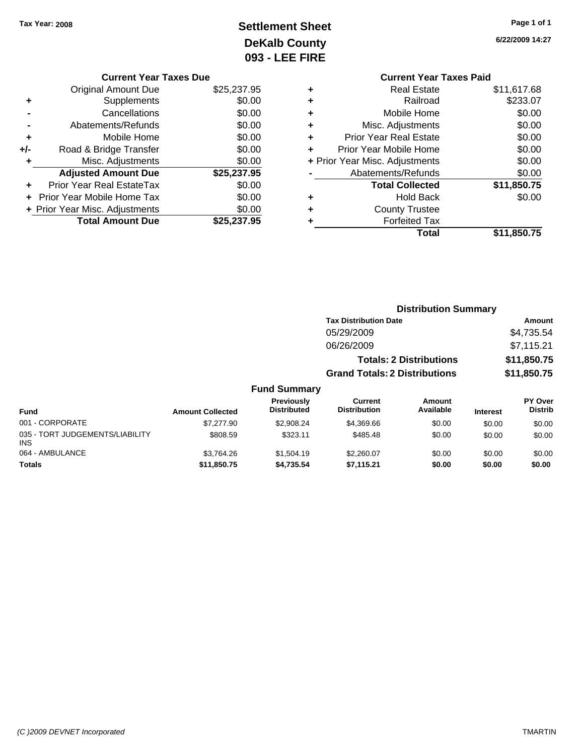# **Settlement Sheet Tax Year: 2008 Page 1 of 1 DeKalb County 093 - LEE FIRE**

**6/22/2009 14:27**

|                               | UYJ - LEE I |
|-------------------------------|-------------|
| <b>Current Year Taxes Due</b> |             |

|     | <b>Original Amount Due</b>     | \$25,237.95 |
|-----|--------------------------------|-------------|
| ٠   | Supplements                    | \$0.00      |
|     | Cancellations                  | \$0.00      |
|     | Abatements/Refunds             | \$0.00      |
| ٠   | Mobile Home                    | \$0.00      |
| +/- | Road & Bridge Transfer         | \$0.00      |
| ٠   | Misc. Adjustments              | \$0.00      |
|     | <b>Adjusted Amount Due</b>     | \$25,237.95 |
| ÷   | Prior Year Real EstateTax      | \$0.00      |
|     | Prior Year Mobile Home Tax     | \$0.00      |
|     | + Prior Year Misc. Adjustments | \$0.00      |
|     | <b>Total Amount Due</b>        | \$25,237.95 |
|     |                                |             |

|   | <b>Current Year Taxes Paid</b> |             |
|---|--------------------------------|-------------|
| ٠ | <b>Real Estate</b>             | \$11,617.68 |
| ٠ | Railroad                       | \$233.07    |
| ٠ | Mobile Home                    | \$0.00      |
| ٠ | Misc. Adjustments              | \$0.00      |
| ٠ | <b>Prior Year Real Estate</b>  | \$0.00      |
| ٠ | Prior Year Mobile Home         | \$0.00      |
|   | + Prior Year Misc. Adjustments | \$0.00      |
|   | Abatements/Refunds             | \$0.00      |
|   | <b>Total Collected</b>         | \$11,850.75 |
|   | <b>Hold Back</b>               | \$0.00      |
| ٠ | <b>County Trustee</b>          |             |
|   | <b>Forfeited Tax</b>           |             |
|   | Total                          | \$11,850.75 |

|                                         |                         |                                  | <b>Distribution Summary</b>          |                                |                 |                           |
|-----------------------------------------|-------------------------|----------------------------------|--------------------------------------|--------------------------------|-----------------|---------------------------|
|                                         |                         |                                  | <b>Tax Distribution Date</b>         |                                |                 | Amount                    |
|                                         |                         |                                  | 05/29/2009                           |                                |                 | \$4,735.54                |
|                                         |                         |                                  | 06/26/2009                           |                                |                 | \$7,115.21                |
|                                         |                         |                                  |                                      | <b>Totals: 2 Distributions</b> |                 | \$11,850.75               |
|                                         |                         |                                  | <b>Grand Totals: 2 Distributions</b> |                                |                 | \$11,850.75               |
|                                         |                         | <b>Fund Summary</b>              |                                      |                                |                 |                           |
| <b>Fund</b>                             | <b>Amount Collected</b> | Previously<br><b>Distributed</b> | Current<br><b>Distribution</b>       | Amount<br>Available            | <b>Interest</b> | PY Over<br><b>Distrib</b> |
| 001 - CORPORATE                         | \$7,277.90              | \$2,908.24                       | \$4,369.66                           | \$0.00                         | \$0.00          | \$0.00                    |
| 035 - TORT JUDGEMENTS/LIABILITY<br>INS. | \$808.59                | \$323.11                         | \$485.48                             | \$0.00                         | \$0.00          | \$0.00                    |
| 064 - AMBULANCE                         | \$3.764.26              | \$1,504.19                       | \$2,260.07                           | \$0.00                         | \$0.00          | \$0.00                    |
| Totals                                  | \$11,850.75             | \$4,735.54                       | \$7,115.21                           | \$0.00                         | \$0.00          | \$0.00                    |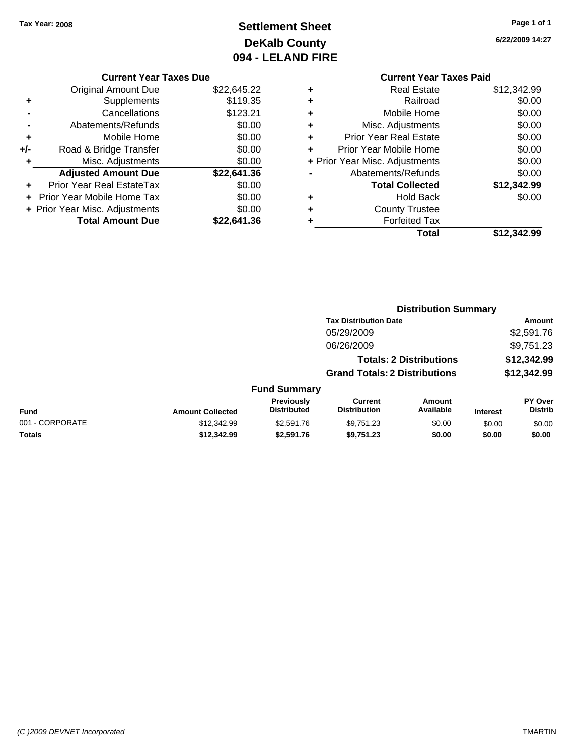# **Settlement Sheet Tax Year: 2008 Page 1 of 1 DeKalb County 094 - LELAND FIRE**

**6/22/2009 14:27**

#### **Current Year Taxes Due**

|       | <b>Original Amount Due</b>     | \$22,645.22 |
|-------|--------------------------------|-------------|
| ٠     | Supplements                    | \$119.35    |
|       | Cancellations                  | \$123.21    |
|       | Abatements/Refunds             | \$0.00      |
| ٠     | Mobile Home                    | \$0.00      |
| $+/-$ | Road & Bridge Transfer         | \$0.00      |
| ٠     | Misc. Adjustments              | \$0.00      |
|       | <b>Adjusted Amount Due</b>     | \$22,641.36 |
|       | Prior Year Real EstateTax      | \$0.00      |
|       | + Prior Year Mobile Home Tax   | \$0.00      |
|       | + Prior Year Misc. Adjustments | \$0.00      |
|       | <b>Total Amount Due</b>        | \$22.641.36 |

### **Current Year Taxes Paid +** Real Estate \$12,342.99 **+** Railroad \$0.00 **+** Mobile Home \$0.00 **+** Misc. Adjustments \$0.00 **+** Prior Year Real Estate \$0.00 **+** Prior Year Mobile Home \$0.00 **+** Prior Year Misc. Adjustments  $$0.00$ **-** Abatements/Refunds \$0.00 **Total Collected \$12,342.99**

**+** Hold Back \$0.00

**+** County Trustee

| ٠ | <b>Forfeited Tax</b> |             |
|---|----------------------|-------------|
|   | Total                | \$12,342.99 |

|                 |                         |                                  | <b>Distribution Summary</b>           |                                |                 |                                  |
|-----------------|-------------------------|----------------------------------|---------------------------------------|--------------------------------|-----------------|----------------------------------|
|                 |                         |                                  | <b>Tax Distribution Date</b>          |                                |                 | Amount                           |
|                 |                         |                                  | 05/29/2009                            |                                |                 | \$2,591.76                       |
|                 |                         |                                  | 06/26/2009                            |                                |                 | \$9,751.23                       |
|                 |                         |                                  |                                       | <b>Totals: 2 Distributions</b> |                 | \$12,342.99                      |
|                 |                         |                                  | <b>Grand Totals: 2 Distributions</b>  |                                |                 | \$12,342.99                      |
|                 |                         | <b>Fund Summary</b>              |                                       |                                |                 |                                  |
| Fund            | <b>Amount Collected</b> | Previously<br><b>Distributed</b> | <b>Current</b><br><b>Distribution</b> | Amount<br>Available            | <b>Interest</b> | <b>PY Over</b><br><b>Distrib</b> |
| 001 - CORPORATE | \$12,342.99             | \$2,591.76                       | \$9,751.23                            | \$0.00                         | \$0.00          | \$0.00                           |
| Totals          | \$12,342.99             | \$2,591.76                       | \$9,751.23                            | \$0.00                         | \$0.00          | \$0.00                           |
|                 |                         |                                  |                                       |                                |                 |                                  |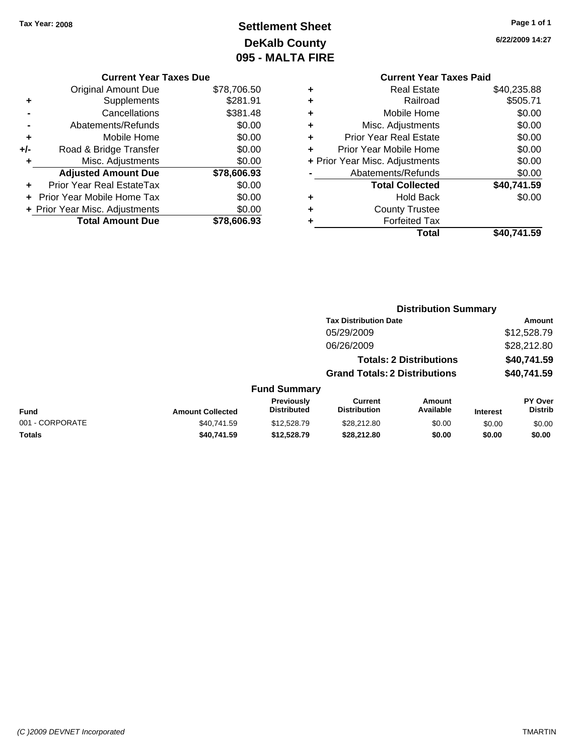# **Settlement Sheet Tax Year: 2008 Page 1 of 1 DeKalb County 095 - MALTA FIRE**

**6/22/2009 14:27**

|   | <b>Current Year Taxes Paid</b> |             |
|---|--------------------------------|-------------|
| ٠ | <b>Real Estate</b>             | \$40,235.88 |
| ٠ | Railroad                       | \$505.71    |
| ٠ | Mobile Home                    | \$0.00      |
| ٠ | Misc. Adjustments              | \$0.00      |
| ٠ | <b>Prior Year Real Estate</b>  | \$0.00      |
| ÷ | Prior Year Mobile Home         | \$0.00      |
|   | + Prior Year Misc. Adjustments | \$0.00      |
|   | Abatements/Refunds             | \$0.00      |
|   | <b>Total Collected</b>         | \$40,741.59 |
| ٠ | <b>Hold Back</b>               | \$0.00      |
| ٠ | <b>County Trustee</b>          |             |
| ٠ | <b>Forfeited Tax</b>           |             |
|   | Total                          | \$40,741.59 |
|   |                                |             |

**Distribution Summary Tax Distribution Date Amount**

|     | <b>Current Year Taxes Due</b>  |             |
|-----|--------------------------------|-------------|
|     | <b>Original Amount Due</b>     | \$78,706.50 |
| ٠   | Supplements                    | \$281.91    |
|     | Cancellations                  | \$381.48    |
|     | Abatements/Refunds             | \$0.00      |
| ٠   | Mobile Home                    | \$0.00      |
| +/- | Road & Bridge Transfer         | \$0.00      |
| ٠   | Misc. Adjustments              | \$0.00      |
|     | <b>Adjusted Amount Due</b>     | \$78,606.93 |
|     | Prior Year Real EstateTax      | \$0.00      |
|     | Prior Year Mobile Home Tax     | \$0.00      |
|     | + Prior Year Misc. Adjustments | \$0.00      |
|     | <b>Total Amount Due</b>        | \$78,606.93 |

|                         |                                  | 05/29/2009                            |                     |                                                                        | \$12,528.79                      |
|-------------------------|----------------------------------|---------------------------------------|---------------------|------------------------------------------------------------------------|----------------------------------|
|                         |                                  | 06/26/2009                            |                     |                                                                        | \$28,212.80                      |
|                         |                                  |                                       |                     |                                                                        | \$40,741.59                      |
|                         |                                  |                                       |                     |                                                                        | \$40,741.59                      |
|                         |                                  |                                       |                     |                                                                        |                                  |
| <b>Amount Collected</b> | Previously<br><b>Distributed</b> | <b>Current</b><br><b>Distribution</b> | Amount<br>Available | <b>Interest</b>                                                        | <b>PY Over</b><br><b>Distrib</b> |
| \$40.741.59             | \$12,528.79                      | \$28,212.80                           | \$0.00              | \$0.00                                                                 | \$0.00                           |
| \$40,741.59             | \$12,528.79                      | \$28,212.80                           | \$0.00              | \$0.00                                                                 | \$0.00                           |
|                         |                                  |                                       | <b>Fund Summary</b> | <b>Totals: 2 Distributions</b><br><b>Grand Totals: 2 Distributions</b> |                                  |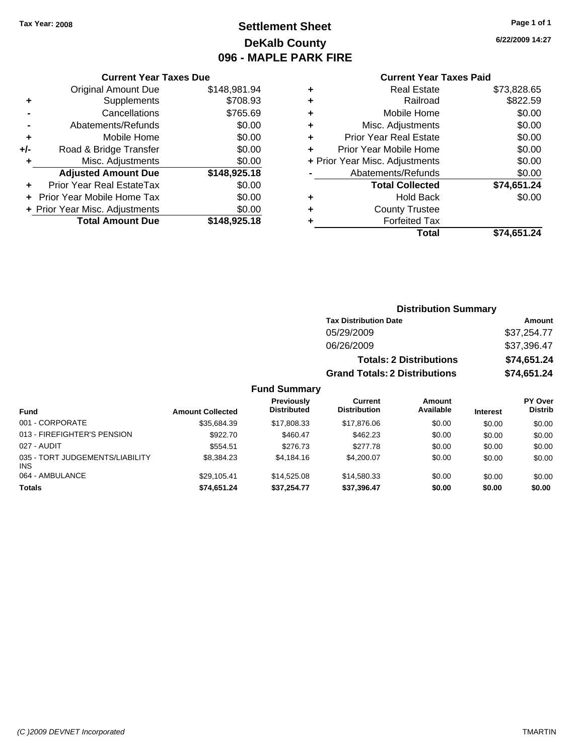# **Settlement Sheet Tax Year: 2008 Page 1 of 1 DeKalb County 096 - MAPLE PARK FIRE**

|     | <b>Current Year Taxes Due</b>            |              |  |  |
|-----|------------------------------------------|--------------|--|--|
|     | <b>Original Amount Due</b>               | \$148,981.94 |  |  |
| ٠   | Supplements                              | \$708.93     |  |  |
|     | Cancellations                            | \$765.69     |  |  |
|     | Abatements/Refunds                       | \$0.00       |  |  |
| ٠   | Mobile Home                              | \$0.00       |  |  |
| +/- | Road & Bridge Transfer                   | \$0.00       |  |  |
|     | Misc. Adjustments                        | \$0.00       |  |  |
|     | <b>Adjusted Amount Due</b>               | \$148,925.18 |  |  |
|     | <b>Prior Year Real EstateTax</b>         | \$0.00       |  |  |
|     | Prior Year Mobile Home Tax               | \$0.00       |  |  |
|     | \$0.00<br>+ Prior Year Misc. Adjustments |              |  |  |
|     | <b>Total Amount Due</b>                  | \$148,925.18 |  |  |

|   | <b>Current Year Taxes Paid</b> |             |
|---|--------------------------------|-------------|
| ٠ | <b>Real Estate</b>             | \$73,828.65 |
|   | Railroad                       | \$822.59    |
| ٠ | Mobile Home                    | \$0.00      |
| ٠ | Misc. Adjustments              | \$0.00      |
| ٠ | <b>Prior Year Real Estate</b>  | \$0.00      |
| ٠ | Prior Year Mobile Home         | \$0.00      |
|   | + Prior Year Misc. Adjustments | \$0.00      |
|   | Abatements/Refunds             | \$0.00      |
|   | <b>Total Collected</b>         | \$74,651.24 |
|   | <b>Hold Back</b>               | \$0.00      |
|   | <b>County Trustee</b>          |             |
|   | <b>Forfeited Tax</b>           |             |
|   | Total                          | \$74,651.24 |

|     |                                         |                                      | <b>Distribution Summary</b>    |                 |                                  |  |
|-----|-----------------------------------------|--------------------------------------|--------------------------------|-----------------|----------------------------------|--|
|     |                                         | <b>Tax Distribution Date</b>         |                                |                 | Amount                           |  |
|     |                                         | 05/29/2009                           |                                |                 | \$37,254.77                      |  |
|     |                                         | 06/26/2009                           |                                |                 | \$37,396.47                      |  |
|     |                                         |                                      | <b>Totals: 2 Distributions</b> |                 | \$74,651.24                      |  |
|     |                                         | <b>Grand Totals: 2 Distributions</b> |                                |                 | \$74,651.24                      |  |
|     | <b>Fund Summary</b>                     |                                      |                                |                 |                                  |  |
| ted | <b>Previously</b><br><b>Distributed</b> | Current<br><b>Distribution</b>       | Amount<br>Available            | <b>Interest</b> | <b>PY Over</b><br><b>Distrib</b> |  |

| <b>Fund</b>                            | <b>Amount Collected</b> | . . <del>.</del><br><b>Distributed</b> | <b>Distribution</b> | Available | <b>Interest</b> | <b>Distrib</b> |
|----------------------------------------|-------------------------|----------------------------------------|---------------------|-----------|-----------------|----------------|
| 001 - CORPORATE                        | \$35,684.39             | \$17,808.33                            | \$17,876,06         | \$0.00    | \$0.00          | \$0.00         |
| 013 - FIREFIGHTER'S PENSION            | \$922.70                | \$460.47                               | \$462.23            | \$0.00    | \$0.00          | \$0.00         |
| 027 - AUDIT                            | \$554.51                | \$276.73                               | \$277.78            | \$0.00    | \$0.00          | \$0.00         |
| 035 - TORT JUDGEMENTS/LIABILITY<br>INS | \$8,384.23              | \$4,184,16                             | \$4,200.07          | \$0.00    | \$0.00          | \$0.00         |
| 064 - AMBULANCE                        | \$29,105.41             | \$14,525,08                            | \$14,580,33         | \$0.00    | \$0.00          | \$0.00         |
| <b>Totals</b>                          | \$74,651.24             | \$37,254.77                            | \$37,396.47         | \$0.00    | \$0.00          | \$0.00         |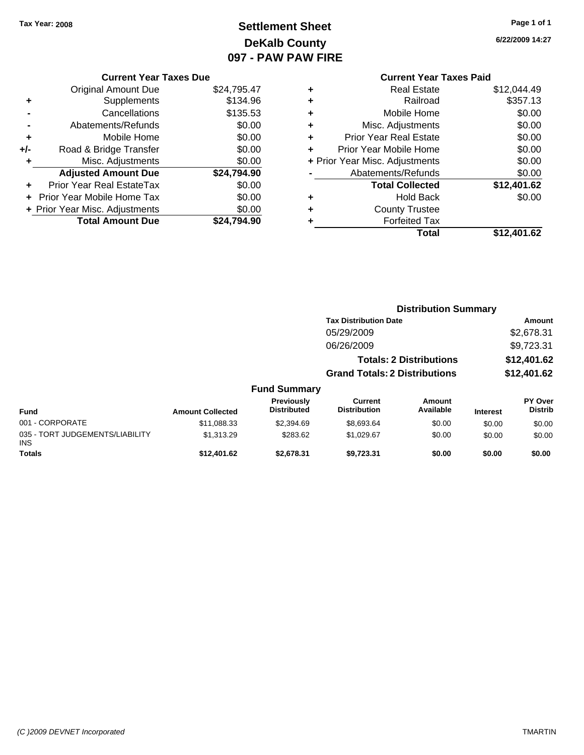# **Settlement Sheet Tax Year: 2008 Page 1 of 1 DeKalb County 097 - PAW PAW FIRE**

**6/22/2009 14:27**

|       | <b>Current Year Taxes Due</b>  |             |
|-------|--------------------------------|-------------|
|       | <b>Original Amount Due</b>     | \$24,795.47 |
|       | Supplements                    | \$134.96    |
|       | Cancellations                  | \$135.53    |
|       | Abatements/Refunds             | \$0.00      |
| ٠     | Mobile Home                    | \$0.00      |
| $+/-$ | Road & Bridge Transfer         | \$0.00      |
| ٠     | Misc. Adjustments              | \$0.00      |
|       | <b>Adjusted Amount Due</b>     | \$24,794.90 |
|       | Prior Year Real EstateTax      | \$0.00      |
|       | Prior Year Mobile Home Tax     | \$0.00      |
|       | + Prior Year Misc. Adjustments | \$0.00      |
|       | <b>Total Amount Due</b>        | \$24.794.90 |
|       |                                |             |

### **Current Year Taxes Paid +** Real Estate \$12,044.49 **+** Railroad \$357.13 **+** Mobile Home \$0.00 **+** Misc. Adjustments \$0.00 **+** Prior Year Real Estate \$0.00 **+** Prior Year Mobile Home \$0.00 **+** Prior Year Misc. Adjustments  $$0.00$ **-** Abatements/Refunds \$0.00 **Total Collected \$12,401.62 +** Hold Back \$0.00 **+** County Trustee **+** Forfeited Tax

**Total \$12,401.62**

|                                         |                         |                                  |                                      | <b>Distribution Summary</b>    |                 |                           |
|-----------------------------------------|-------------------------|----------------------------------|--------------------------------------|--------------------------------|-----------------|---------------------------|
|                                         |                         |                                  | <b>Tax Distribution Date</b>         |                                |                 | Amount                    |
|                                         |                         |                                  | 05/29/2009                           |                                |                 | \$2,678.31                |
|                                         |                         |                                  | 06/26/2009                           |                                |                 | \$9,723.31                |
|                                         |                         |                                  |                                      | <b>Totals: 2 Distributions</b> |                 | \$12,401.62               |
|                                         |                         |                                  | <b>Grand Totals: 2 Distributions</b> |                                |                 | \$12,401.62               |
|                                         |                         | <b>Fund Summary</b>              |                                      |                                |                 |                           |
| <b>Fund</b>                             | <b>Amount Collected</b> | Previously<br><b>Distributed</b> | Current<br><b>Distribution</b>       | Amount<br>Available            | <b>Interest</b> | PY Over<br><b>Distrib</b> |
| 001 - CORPORATE                         | \$11,088.33             | \$2,394.69                       | \$8,693.64                           | \$0.00                         | \$0.00          | \$0.00                    |
| 035 - TORT JUDGEMENTS/LIABILITY<br>INS. | \$1,313.29              | \$283.62                         | \$1,029.67                           | \$0.00                         | \$0.00          | \$0.00                    |
| <b>Totals</b>                           | \$12,401.62             | \$2,678.31                       | \$9,723.31                           | \$0.00                         | \$0.00          | \$0.00                    |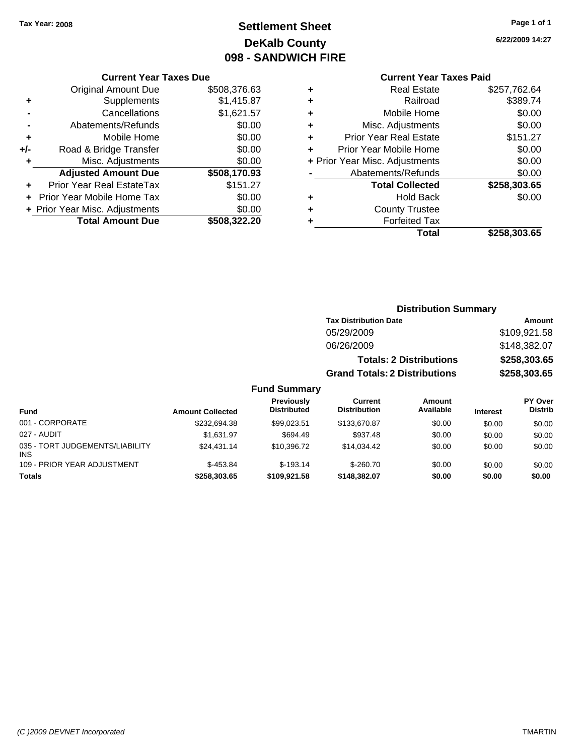# **Settlement Sheet Tax Year: 2008 Page 1 of 1 DeKalb County 098 - SANDWICH FIRE**

**6/22/2009 14:27**

### **Current Year Taxes Paid**

| ٠ | <b>Real Estate</b>             | \$257,762.64 |
|---|--------------------------------|--------------|
| ٠ | Railroad                       | \$389.74     |
| ٠ | Mobile Home                    | \$0.00       |
| ٠ | Misc. Adjustments              | \$0.00       |
| ٠ | <b>Prior Year Real Estate</b>  | \$151.27     |
| ٠ | Prior Year Mobile Home         | \$0.00       |
|   | + Prior Year Misc. Adjustments | \$0.00       |
|   | Abatements/Refunds             | \$0.00       |
|   | <b>Total Collected</b>         | \$258,303.65 |
| ٠ | <b>Hold Back</b>               | \$0.00       |
| ٠ | <b>County Trustee</b>          |              |
|   | <b>Forfeited Tax</b>           |              |
|   | Total                          | \$258.303.65 |

|     | <b>Current Year Taxes Due</b>     |              |
|-----|-----------------------------------|--------------|
|     | <b>Original Amount Due</b>        | \$508,376.63 |
| ٠   | Supplements                       | \$1,415.87   |
|     | Cancellations                     | \$1,621.57   |
|     | Abatements/Refunds                | \$0.00       |
| ٠   | Mobile Home                       | \$0.00       |
| +/- | Road & Bridge Transfer            | \$0.00       |
| ٠   | Misc. Adjustments                 | \$0.00       |
|     | <b>Adjusted Amount Due</b>        | \$508,170.93 |
|     | <b>Prior Year Real EstateTax</b>  | \$151.27     |
|     | <b>Prior Year Mobile Home Tax</b> | \$0.00       |
|     | + Prior Year Misc. Adjustments    | \$0.00       |
|     | <b>Total Amount Due</b>           | \$508,322.20 |

### **Distribution Summary**

| <b>Tax Distribution Date</b>         | Amount       |
|--------------------------------------|--------------|
| 05/29/2009                           | \$109,921.58 |
| 06/26/2009                           | \$148,382.07 |
| <b>Totals: 2 Distributions</b>       | \$258,303.65 |
| <b>Grand Totals: 2 Distributions</b> | \$258,303.65 |

| <b>Fund</b>                                   | <b>Amount Collected</b> | Previously<br><b>Distributed</b> | Current<br><b>Distribution</b> | <b>Amount</b><br>Available | <b>Interest</b> | PY Over<br><b>Distrib</b> |
|-----------------------------------------------|-------------------------|----------------------------------|--------------------------------|----------------------------|-----------------|---------------------------|
| 001 - CORPORATE                               | \$232,694.38            | \$99.023.51                      | \$133,670.87                   | \$0.00                     | \$0.00          | \$0.00                    |
| 027 - AUDIT                                   | \$1.631.97              | \$694.49                         | \$937.48                       | \$0.00                     | \$0.00          | \$0.00                    |
| 035 - TORT JUDGEMENTS/LIABILITY<br><b>INS</b> | \$24,431.14             | \$10.396.72                      | \$14.034.42                    | \$0.00                     | \$0.00          | \$0.00                    |
| 109 - PRIOR YEAR ADJUSTMENT                   | $$-453.84$              | $$-193.14$                       | $$-260.70$                     | \$0.00                     | \$0.00          | \$0.00                    |
| <b>Totals</b>                                 | \$258,303,65            | \$109,921,58                     | \$148,382.07                   | \$0.00                     | \$0.00          | \$0.00                    |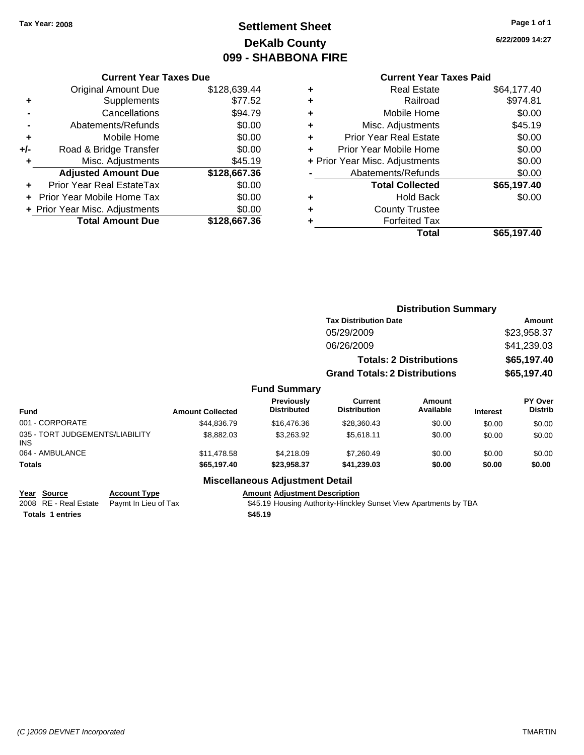# **Settlement Sheet Tax Year: 2008 Page 1 of 1 DeKalb County 099 - SHABBONA FIRE**

#### **Current Year Taxes Due**

|       | <b>Original Amount Due</b>       | \$128,639.44 |
|-------|----------------------------------|--------------|
| ٠     | Supplements                      | \$77.52      |
|       | Cancellations                    | \$94.79      |
|       | Abatements/Refunds               | \$0.00       |
| ٠     | Mobile Home                      | \$0.00       |
| $+/-$ | Road & Bridge Transfer           | \$0.00       |
| ÷     | Misc. Adjustments                | \$45.19      |
|       | <b>Adjusted Amount Due</b>       | \$128,667.36 |
|       | <b>Prior Year Real EstateTax</b> | \$0.00       |
|       | Prior Year Mobile Home Tax       | \$0.00       |
|       | + Prior Year Misc. Adjustments   | \$0.00       |
|       |                                  |              |

### **Current Year Taxes Paid**

|   | <b>Real Estate</b>             | \$64,177.40 |
|---|--------------------------------|-------------|
| ٠ | Railroad                       | \$974.81    |
| ٠ | Mobile Home                    | \$0.00      |
| ٠ | Misc. Adjustments              | \$45.19     |
| ٠ | <b>Prior Year Real Estate</b>  | \$0.00      |
| ÷ | Prior Year Mobile Home         | \$0.00      |
|   | + Prior Year Misc. Adjustments | \$0.00      |
|   | Abatements/Refunds             | \$0.00      |
|   | <b>Total Collected</b>         | \$65,197.40 |
| ٠ | <b>Hold Back</b>               | \$0.00      |
| ٠ | <b>County Trustee</b>          |             |
| ٠ | <b>Forfeited Tax</b>           |             |
|   | Total                          | \$65,197.40 |
|   |                                |             |

|                                               |                         |                                  |                                       | <b>Distribution Summary</b>    |                 |                           |  |
|-----------------------------------------------|-------------------------|----------------------------------|---------------------------------------|--------------------------------|-----------------|---------------------------|--|
|                                               |                         |                                  | <b>Tax Distribution Date</b>          |                                |                 | Amount                    |  |
|                                               |                         |                                  | 05/29/2009                            |                                |                 | \$23,958.37               |  |
|                                               |                         |                                  | 06/26/2009                            |                                |                 | \$41,239.03               |  |
|                                               |                         |                                  |                                       | <b>Totals: 2 Distributions</b> |                 | \$65,197.40               |  |
|                                               |                         |                                  | <b>Grand Totals: 2 Distributions</b>  |                                | \$65,197.40     |                           |  |
|                                               |                         | <b>Fund Summary</b>              |                                       |                                |                 |                           |  |
| <b>Fund</b>                                   | <b>Amount Collected</b> | Previously<br><b>Distributed</b> | <b>Current</b><br><b>Distribution</b> | Amount<br>Available            | <b>Interest</b> | PY Over<br><b>Distrib</b> |  |
| 001 - CORPORATE                               | \$44,836,79             | \$16,476.36                      | \$28,360.43                           | \$0.00                         | \$0.00          | \$0.00                    |  |
| 035 - TORT JUDGEMENTS/LIABILITY<br><b>INS</b> | \$8,882.03              | \$3,263.92                       | \$5,618.11                            | \$0.00                         | \$0.00          | \$0.00                    |  |
| 064 - AMBULANCE                               | \$11.478.58             | \$4.218.09                       | \$7.260.49                            | \$0.00                         | \$0.00          | \$0.00                    |  |

#### **Miscellaneous Adjustment Detail Year Source Account Type Amount Adjustment Description** 2008 RE - Real Estate Paymt In Lieu of Tax **\$45.19 Housing Authority-Hinckley Sunset View Apartments by TBA Totals \$45.19 1 entries**

**Totals \$65,197.40 \$23,958.37 \$41,239.03 \$0.00 \$0.00 \$0.00**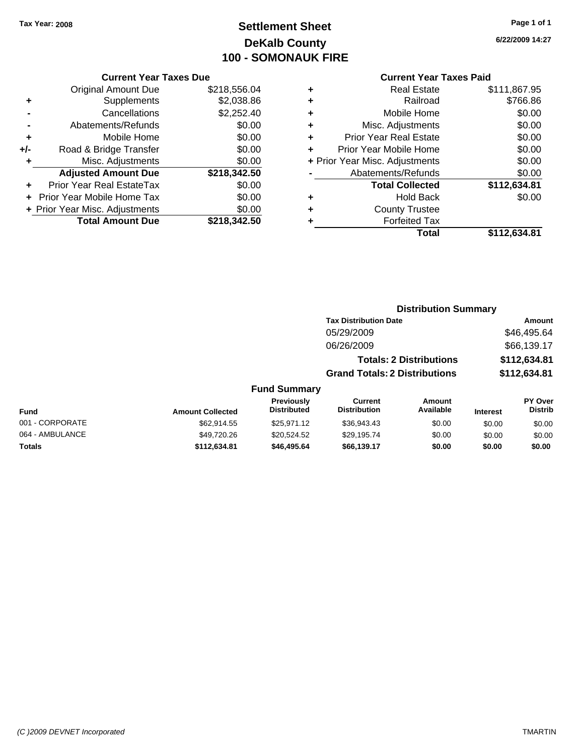# **Settlement Sheet Tax Year: 2008 Page 1 of 1 DeKalb County 100 - SOMONAUK FIRE**

**6/22/2009 14:27**

#### **Current Year Taxes Due**

|     | <b>Original Amount Due</b>     | \$218,556.04 |
|-----|--------------------------------|--------------|
| ٠   | Supplements                    | \$2,038.86   |
|     | Cancellations                  | \$2,252.40   |
|     | Abatements/Refunds             | \$0.00       |
| ٠   | Mobile Home                    | \$0.00       |
| +/- | Road & Bridge Transfer         | \$0.00       |
| ÷   | Misc. Adjustments              | \$0.00       |
|     | <b>Adjusted Amount Due</b>     | \$218,342.50 |
|     | Prior Year Real EstateTax      | \$0.00       |
|     | Prior Year Mobile Home Tax     | \$0.00       |
|     | + Prior Year Misc. Adjustments | \$0.00       |
|     | <b>Total Amount Due</b>        | \$218,342.50 |

#### **Current Year Taxes Paid**

| ٠ | <b>Real Estate</b>             | \$111,867.95 |
|---|--------------------------------|--------------|
| ٠ | Railroad                       | \$766.86     |
| ٠ | Mobile Home                    | \$0.00       |
| ٠ | Misc. Adjustments              | \$0.00       |
| ٠ | Prior Year Real Estate         | \$0.00       |
| ÷ | Prior Year Mobile Home         | \$0.00       |
|   | + Prior Year Misc. Adjustments | \$0.00       |
|   | Abatements/Refunds             | \$0.00       |
|   | <b>Total Collected</b>         | \$112,634.81 |
| ٠ | Hold Back                      | \$0.00       |
| ٠ | <b>County Trustee</b>          |              |
| ٠ | <b>Forfeited Tax</b>           |              |
|   | Total                          | \$112,634.81 |
|   |                                |              |

#### **Distribution Summary Tax Distribution Date Amount** 05/29/2009 \$46,495.64 06/26/2009 \$66,139.17 **Totals: 2 Distributions \$112,634.81 Grand Totals: 2 Distributions \$112,634.81 Fund Summary PY Over Distrib Amount Available Current Distribution Previously**

| <b>Fund</b>     | <b>Amount Collected</b> | <b>FICVIOUSIV</b><br><b>Distributed</b> | <b>GUILEIR</b><br><b>Distribution</b> | Allivulit<br>Available | <b>Interest</b> | г і мег<br><b>Distrib</b> |
|-----------------|-------------------------|-----------------------------------------|---------------------------------------|------------------------|-----------------|---------------------------|
| 001 - CORPORATE | \$62,914.55             | \$25.971.12                             | \$36,943.43                           | \$0.00                 | \$0.00          | \$0.00                    |
| 064 - AMBULANCE | \$49.720.26             | \$20,524.52                             | \$29.195.74                           | \$0.00                 | \$0.00          | \$0.00                    |
| <b>Totals</b>   | \$112,634.81            | \$46.495.64                             | \$66.139.17                           | \$0.00                 | \$0.00          | \$0.00                    |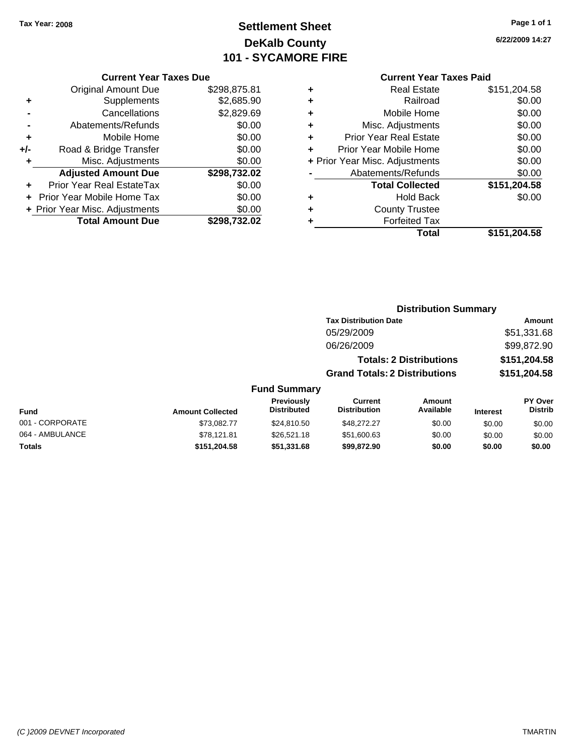# **Settlement Sheet Tax Year: 2008 Page 1 of 1 DeKalb County 101 - SYCAMORE FIRE**

**6/22/2009 14:27**

|     | <b>Current Year Taxes Due</b>     |              |
|-----|-----------------------------------|--------------|
|     | <b>Original Amount Due</b>        | \$298,875.81 |
| ٠   | Supplements                       | \$2,685.90   |
|     | Cancellations                     | \$2,829.69   |
|     | Abatements/Refunds                | \$0.00       |
| ٠   | Mobile Home                       | \$0.00       |
| +/- | Road & Bridge Transfer            | \$0.00       |
| ٠   | Misc. Adjustments                 | \$0.00       |
|     | <b>Adjusted Amount Due</b>        | \$298,732.02 |
|     | Prior Year Real EstateTax         | \$0.00       |
|     | <b>Prior Year Mobile Home Tax</b> | \$0.00       |
|     | + Prior Year Misc. Adjustments    | \$0.00       |
|     | <b>Total Amount Due</b>           | \$298.732.02 |

|   | <b>Real Estate</b>             | \$151,204.58 |
|---|--------------------------------|--------------|
| ٠ | Railroad                       | \$0.00       |
| ٠ | Mobile Home                    | \$0.00       |
| ٠ | Misc. Adjustments              | \$0.00       |
| ٠ | <b>Prior Year Real Estate</b>  | \$0.00       |
| ÷ | Prior Year Mobile Home         | \$0.00       |
|   | + Prior Year Misc. Adjustments | \$0.00       |
|   | Abatements/Refunds             | \$0.00       |
|   | <b>Total Collected</b>         | \$151,204.58 |
| ٠ | <b>Hold Back</b>               | \$0.00       |
|   | <b>County Trustee</b>          |              |
| ٠ | <b>Forfeited Tax</b>           |              |
|   | Total                          | \$151,204.58 |
|   |                                |              |

|        |                     |                                      | <b>Distribution Summary</b>    |                 |                |
|--------|---------------------|--------------------------------------|--------------------------------|-----------------|----------------|
|        |                     | <b>Tax Distribution Date</b>         |                                |                 | <b>Amount</b>  |
|        |                     | 05/29/2009                           |                                |                 | \$51,331.68    |
|        |                     | 06/26/2009                           |                                |                 | \$99,872.90    |
|        |                     |                                      | <b>Totals: 2 Distributions</b> |                 | \$151,204.58   |
|        |                     | <b>Grand Totals: 2 Distributions</b> |                                |                 | \$151,204.58   |
|        | <b>Fund Summary</b> |                                      |                                |                 |                |
|        | <b>Previously</b>   | Current                              | Amount                         |                 | <b>PY Over</b> |
| lected | <b>Distributed</b>  | <b>Distribution</b>                  | Available                      | <b>Interest</b> | <b>Distrib</b> |

| Fund            | <b>Amount Collected</b> | <b>Previously</b><br><b>Distributed</b> | Current<br><b>Distribution</b> | Amount<br>Available | <b>Interest</b> | PY Over<br><b>Distrib</b> |
|-----------------|-------------------------|-----------------------------------------|--------------------------------|---------------------|-----------------|---------------------------|
| 001 - CORPORATE | \$73.082.77             | \$24.810.50                             | \$48,272,27                    | \$0.00              | \$0.00          | \$0.00                    |
| 064 - AMBULANCE | \$78.121.81             | \$26,521.18                             | \$51,600.63                    | \$0.00              | \$0.00          | \$0.00                    |
| <b>Totals</b>   | \$151,204.58            | \$51,331.68                             | \$99.872.90                    | \$0.00              | \$0.00          | \$0.00                    |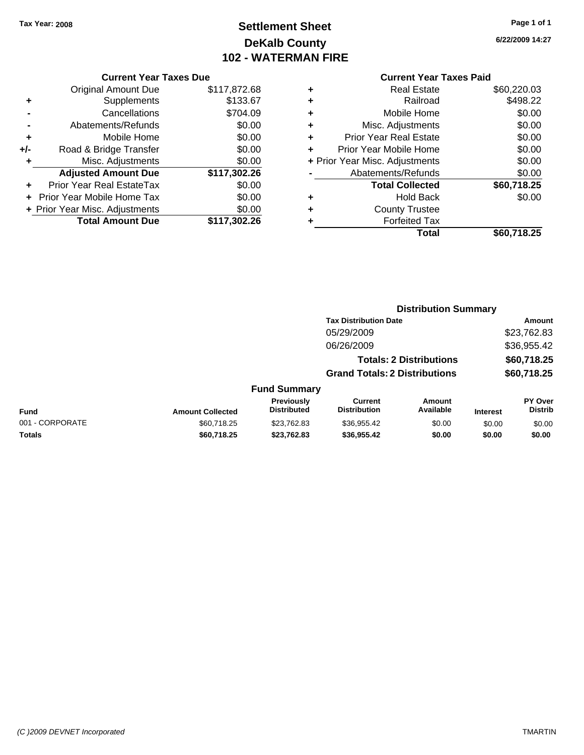# **Settlement Sheet Tax Year: 2008 Page 1 of 1 DeKalb County 102 - WATERMAN FIRE**

**6/22/2009 14:27**

| <b>Current Year Taxes Due</b> |
|-------------------------------|
|-------------------------------|

|     | <b>Original Amount Due</b>        | \$117,872.68 |
|-----|-----------------------------------|--------------|
| ٠   | Supplements                       | \$133.67     |
|     | Cancellations                     | \$704.09     |
|     | Abatements/Refunds                | \$0.00       |
| ٠   | Mobile Home                       | \$0.00       |
| +/- | Road & Bridge Transfer            | \$0.00       |
| ٠   | Misc. Adjustments                 | \$0.00       |
|     | <b>Adjusted Amount Due</b>        | \$117,302.26 |
|     | <b>Prior Year Real EstateTax</b>  | \$0.00       |
|     | <b>Prior Year Mobile Home Tax</b> | \$0.00       |
|     | + Prior Year Misc. Adjustments    | \$0.00       |
|     | <b>Total Amount Due</b>           | \$117,302.26 |

|   | <b>Real Estate</b>             | \$60,220.03 |
|---|--------------------------------|-------------|
| ٠ | Railroad                       | \$498.22    |
| ٠ | Mobile Home                    | \$0.00      |
| ٠ | Misc. Adjustments              | \$0.00      |
| ٠ | Prior Year Real Estate         | \$0.00      |
| ÷ | Prior Year Mobile Home         | \$0.00      |
|   | + Prior Year Misc. Adjustments | \$0.00      |
|   | Abatements/Refunds             | \$0.00      |
|   | <b>Total Collected</b>         | \$60,718.25 |
| ٠ | Hold Back                      | \$0.00      |
| ٠ | <b>County Trustee</b>          |             |
| ٠ | <b>Forfeited Tax</b>           |             |
|   | Total                          | \$60,718.25 |
|   |                                |             |

|                 |                         |                                  |                                       | <b>Distribution Summary</b>    |                 |                           |
|-----------------|-------------------------|----------------------------------|---------------------------------------|--------------------------------|-----------------|---------------------------|
|                 |                         |                                  | <b>Tax Distribution Date</b>          |                                |                 | Amount                    |
|                 |                         |                                  | 05/29/2009                            |                                |                 | \$23,762.83               |
|                 |                         |                                  | 06/26/2009                            |                                |                 | \$36,955.42               |
|                 |                         |                                  |                                       | <b>Totals: 2 Distributions</b> |                 | \$60,718.25               |
|                 |                         |                                  | <b>Grand Totals: 2 Distributions</b>  |                                |                 | \$60,718.25               |
|                 |                         | <b>Fund Summary</b>              |                                       |                                |                 |                           |
| <b>Fund</b>     | <b>Amount Collected</b> | Previously<br><b>Distributed</b> | <b>Current</b><br><b>Distribution</b> | <b>Amount</b><br>Available     | <b>Interest</b> | PY Over<br><b>Distrib</b> |
| 001 - CORPORATE | \$60.718.25             | \$23,762.83                      | \$36,955.42                           | \$0.00                         | \$0.00          | \$0.00                    |
| Totals          | \$60,718.25             | \$23,762.83                      | \$36,955.42                           | \$0.00                         | \$0.00          | \$0.00                    |
|                 |                         |                                  |                                       |                                |                 |                           |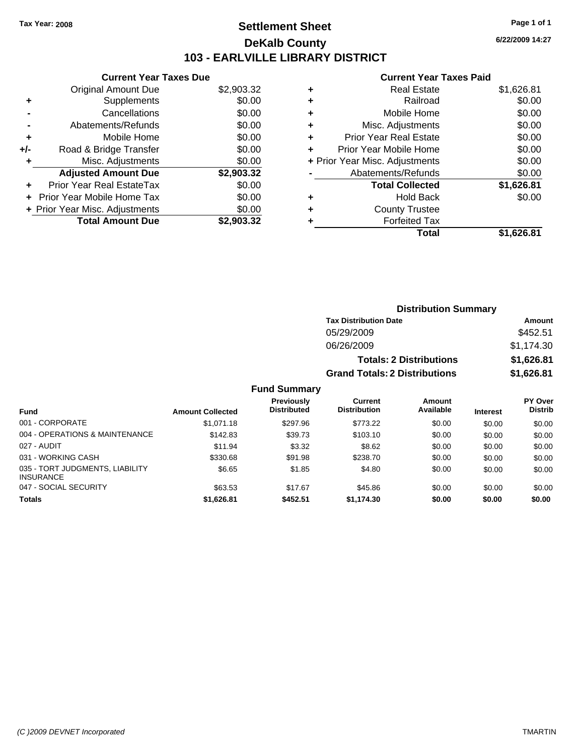### **Settlement Sheet Tax Year: 2008 Page 1 of 1 DeKalb County 103 - EARLVILLE LIBRARY DISTRICT**

**6/22/2009 14:27**

| Original Amount Due<br>\$2,903.32<br>\$0.00<br>Supplements<br>\$0.00<br>Cancellations<br>\$0.00<br>Abatements/Refunds<br>\$0.00<br>Mobile Home<br>٠<br>\$0.00<br>Road & Bridge Transfer<br>+/-<br>\$0.00<br>Misc. Adjustments<br>٠<br><b>Adjusted Amount Due</b><br>\$2,903.32<br>\$0.00<br>Prior Year Real EstateTax<br>٠<br>\$0.00<br>Prior Year Mobile Home Tax<br>\$0.00<br>+ Prior Year Misc. Adjustments | <b>Current Year Taxes Due</b> |            |
|----------------------------------------------------------------------------------------------------------------------------------------------------------------------------------------------------------------------------------------------------------------------------------------------------------------------------------------------------------------------------------------------------------------|-------------------------------|------------|
|                                                                                                                                                                                                                                                                                                                                                                                                                |                               |            |
|                                                                                                                                                                                                                                                                                                                                                                                                                |                               |            |
|                                                                                                                                                                                                                                                                                                                                                                                                                |                               |            |
|                                                                                                                                                                                                                                                                                                                                                                                                                |                               |            |
|                                                                                                                                                                                                                                                                                                                                                                                                                |                               |            |
|                                                                                                                                                                                                                                                                                                                                                                                                                |                               |            |
|                                                                                                                                                                                                                                                                                                                                                                                                                |                               |            |
|                                                                                                                                                                                                                                                                                                                                                                                                                |                               |            |
|                                                                                                                                                                                                                                                                                                                                                                                                                |                               |            |
|                                                                                                                                                                                                                                                                                                                                                                                                                |                               |            |
|                                                                                                                                                                                                                                                                                                                                                                                                                |                               |            |
|                                                                                                                                                                                                                                                                                                                                                                                                                | <b>Total Amount Due</b>       | \$2.903.32 |

| ٠ | <b>Real Estate</b>             | \$1,626.81 |
|---|--------------------------------|------------|
| ٠ | Railroad                       | \$0.00     |
| ٠ | Mobile Home                    | \$0.00     |
| ٠ | Misc. Adjustments              | \$0.00     |
| ÷ | Prior Year Real Estate         | \$0.00     |
| ÷ | Prior Year Mobile Home         | \$0.00     |
|   | + Prior Year Misc. Adjustments | \$0.00     |
|   | Abatements/Refunds             | \$0.00     |
|   | <b>Total Collected</b>         | \$1,626.81 |
| ٠ | <b>Hold Back</b>               | \$0.00     |
| ٠ | <b>County Trustee</b>          |            |
| ٠ | <b>Forfeited Tax</b>           |            |
|   | Total                          | \$1.626.81 |
|   |                                |            |

|                     | <b>Distribution Summary</b>          |            |
|---------------------|--------------------------------------|------------|
|                     | <b>Tax Distribution Date</b>         | Amount     |
|                     | 05/29/2009                           | \$452.51   |
|                     | 06/26/2009                           | \$1,174.30 |
|                     | <b>Totals: 2 Distributions</b>       | \$1,626.81 |
|                     | <b>Grand Totals: 2 Distributions</b> | \$1,626.81 |
| <b>Fund Summary</b> |                                      |            |

|                                                     |                         | - - - - - - - - - - - - -               |                                |                     |                 |                           |
|-----------------------------------------------------|-------------------------|-----------------------------------------|--------------------------------|---------------------|-----------------|---------------------------|
| <b>Fund</b>                                         | <b>Amount Collected</b> | <b>Previously</b><br><b>Distributed</b> | Current<br><b>Distribution</b> | Amount<br>Available | <b>Interest</b> | PY Over<br><b>Distrib</b> |
| 001 - CORPORATE                                     | \$1,071.18              | \$297.96                                | \$773.22                       | \$0.00              | \$0.00          | \$0.00                    |
| 004 - OPERATIONS & MAINTENANCE                      | \$142.83                | \$39.73                                 | \$103.10                       | \$0.00              | \$0.00          | \$0.00                    |
| 027 - AUDIT                                         | \$11.94                 | \$3.32                                  | \$8.62                         | \$0.00              | \$0.00          | \$0.00                    |
| 031 - WORKING CASH                                  | \$330.68                | \$91.98                                 | \$238.70                       | \$0.00              | \$0.00          | \$0.00                    |
| 035 - TORT JUDGMENTS, LIABILITY<br><b>INSURANCE</b> | \$6.65                  | \$1.85                                  | \$4.80                         | \$0.00              | \$0.00          | \$0.00                    |
| 047 - SOCIAL SECURITY                               | \$63.53                 | \$17.67                                 | \$45.86                        | \$0.00              | \$0.00          | \$0.00                    |
| <b>Totals</b>                                       | \$1,626.81              | \$452.51                                | \$1,174.30                     | \$0.00              | \$0.00          | \$0.00                    |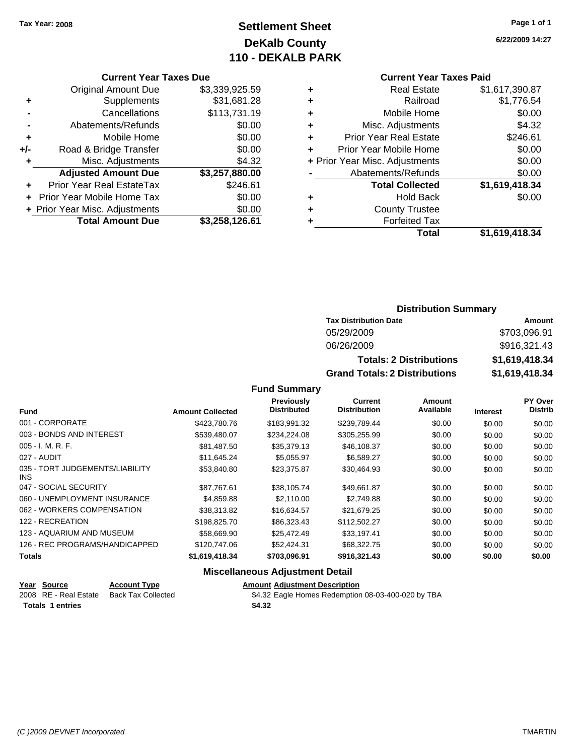# **Settlement Sheet Tax Year: 2008 Page 1 of 1 DeKalb County 110 - DEKALB PARK**

#### **Current Year Taxes Due**

|     | <b>Original Amount Due</b>        | \$3,339,925.59 |
|-----|-----------------------------------|----------------|
| ٠   | Supplements                       | \$31,681.28    |
|     | Cancellations                     | \$113,731.19   |
|     | Abatements/Refunds                | \$0.00         |
| ÷   | Mobile Home                       | \$0.00         |
| +/- | Road & Bridge Transfer            | \$0.00         |
| ٠   | Misc. Adjustments                 | \$4.32         |
|     | <b>Adjusted Amount Due</b>        | \$3,257,880.00 |
|     | <b>Prior Year Real EstateTax</b>  | \$246.61       |
|     | <b>Prior Year Mobile Home Tax</b> | \$0.00         |
|     | + Prior Year Misc. Adjustments    | \$0.00         |
|     | <b>Total Amount Due</b>           | \$3,258,126.61 |

### **Current Year Taxes Paid**

| ٠ | <b>Real Estate</b>             | \$1,617,390.87 |
|---|--------------------------------|----------------|
| ٠ | Railroad                       | \$1,776.54     |
| ٠ | Mobile Home                    | \$0.00         |
| ٠ | Misc. Adjustments              | \$4.32         |
| ÷ | <b>Prior Year Real Estate</b>  | \$246.61       |
|   | Prior Year Mobile Home         | \$0.00         |
|   | + Prior Year Misc. Adjustments | \$0.00         |
|   | Abatements/Refunds             | \$0.00         |
|   | <b>Total Collected</b>         | \$1,619,418.34 |
| ٠ | <b>Hold Back</b>               | \$0.00         |
| ٠ | <b>County Trustee</b>          |                |
| ٠ | <b>Forfeited Tax</b>           |                |
|   | Total                          | \$1,619,418.34 |
|   |                                |                |

### **Distribution Summary**

| <b>Tax Distribution Date</b>         | Amount         |  |  |
|--------------------------------------|----------------|--|--|
| 05/29/2009                           | \$703,096.91   |  |  |
| 06/26/2009                           | \$916,321.43   |  |  |
| <b>Totals: 2 Distributions</b>       | \$1,619,418.34 |  |  |
| <b>Grand Totals: 2 Distributions</b> | \$1,619,418.34 |  |  |

### **Fund Summary**

|                                               |                         | Previously<br><b>Distributed</b> | Current<br><b>Distribution</b> | Amount<br>Available |                 | PY Over<br><b>Distrib</b> |
|-----------------------------------------------|-------------------------|----------------------------------|--------------------------------|---------------------|-----------------|---------------------------|
| <b>Fund</b>                                   | <b>Amount Collected</b> |                                  |                                |                     | <b>Interest</b> |                           |
| 001 - CORPORATE                               | \$423,780.76            | \$183.991.32                     | \$239.789.44                   | \$0.00              | \$0.00          | \$0.00                    |
| 003 - BONDS AND INTEREST                      | \$539,480.07            | \$234,224.08                     | \$305,255.99                   | \$0.00              | \$0.00          | \$0.00                    |
| $005 - I. M. R. F.$                           | \$81,487.50             | \$35,379.13                      | \$46,108.37                    | \$0.00              | \$0.00          | \$0.00                    |
| 027 - AUDIT                                   | \$11,645.24             | \$5,055.97                       | \$6,589.27                     | \$0.00              | \$0.00          | \$0.00                    |
| 035 - TORT JUDGEMENTS/LIABILITY<br><b>INS</b> | \$53,840.80             | \$23,375.87                      | \$30.464.93                    | \$0.00              | \$0.00          | \$0.00                    |
| 047 - SOCIAL SECURITY                         | \$87.767.61             | \$38.105.74                      | \$49.661.87                    | \$0.00              | \$0.00          | \$0.00                    |
| 060 - UNEMPLOYMENT INSURANCE                  | \$4,859.88              | \$2,110.00                       | \$2,749.88                     | \$0.00              | \$0.00          | \$0.00                    |
| 062 - WORKERS COMPENSATION                    | \$38,313.82             | \$16.634.57                      | \$21.679.25                    | \$0.00              | \$0.00          | \$0.00                    |
| 122 - RECREATION                              | \$198,825.70            | \$86,323.43                      | \$112,502.27                   | \$0.00              | \$0.00          | \$0.00                    |
| 123 - AQUARIUM AND MUSEUM                     | \$58,669.90             | \$25.472.49                      | \$33,197.41                    | \$0.00              | \$0.00          | \$0.00                    |
| 126 - REC PROGRAMS/HANDICAPPED                | \$120,747.06            | \$52,424.31                      | \$68,322.75                    | \$0.00              | \$0.00          | \$0.00                    |
| <b>Totals</b>                                 | \$1,619,418.34          | \$703,096.91                     | \$916,321.43                   | \$0.00              | \$0.00          | \$0.00                    |

### **Miscellaneous Adjustment Detail**

| Year Source             | <b>Account Type</b>                      | <b>Amount Adiustment Description</b>               |
|-------------------------|------------------------------------------|----------------------------------------------------|
|                         | 2008 RE - Real Estate Back Tax Collected | \$4.32 Eagle Homes Redemption 08-03-400-020 by TBA |
| <b>Totals 1 entries</b> |                                          | \$4.32                                             |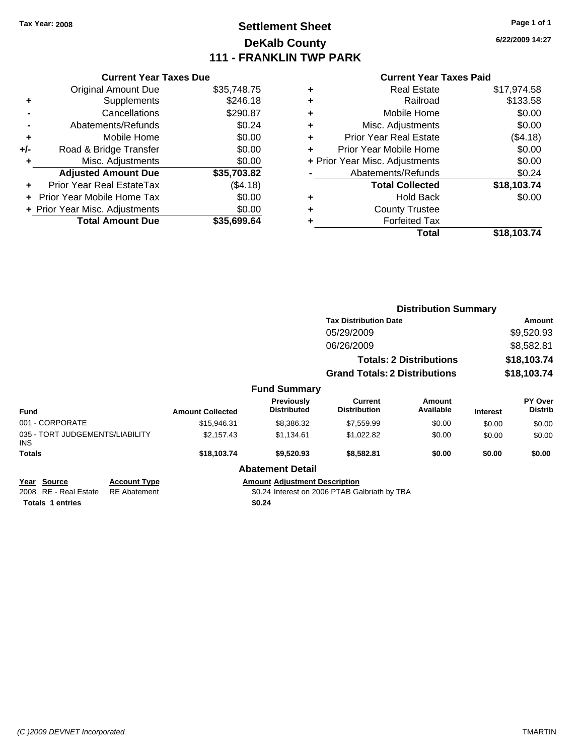# **Settlement Sheet Tax Year: 2008 Page 1 of 1 DeKalb County 111 - FRANKLIN TWP PARK**

**6/22/2009 14:27**

#### **Current Year Taxes Paid**

| <b>Current Year Taxes Due</b>            |             |  |  |  |  |
|------------------------------------------|-------------|--|--|--|--|
| <b>Original Amount Due</b>               | \$35,748.75 |  |  |  |  |
| Supplements<br>٠                         | \$246.18    |  |  |  |  |
| Cancellations                            | \$290.87    |  |  |  |  |
| Abatements/Refunds                       | \$0.24      |  |  |  |  |
| Mobile Home<br>٠                         | \$0.00      |  |  |  |  |
| Road & Bridge Transfer<br>+/-            | \$0.00      |  |  |  |  |
| Misc. Adjustments                        | \$0.00      |  |  |  |  |
| <b>Adjusted Amount Due</b>               | \$35,703.82 |  |  |  |  |
| Prior Year Real EstateTax                | (\$4.18)    |  |  |  |  |
| Prior Year Mobile Home Tax               | \$0.00      |  |  |  |  |
| \$0.00<br>+ Prior Year Misc. Adjustments |             |  |  |  |  |
| <b>Total Amount Due</b>                  | \$35.699.64 |  |  |  |  |

| ٠ | <b>Real Estate</b>             | \$17,974.58 |
|---|--------------------------------|-------------|
| ٠ | Railroad                       | \$133.58    |
| ٠ | Mobile Home                    | \$0.00      |
| ٠ | Misc. Adjustments              | \$0.00      |
| ٠ | <b>Prior Year Real Estate</b>  | (\$4.18)    |
| ٠ | Prior Year Mobile Home         | \$0.00      |
|   | + Prior Year Misc. Adjustments | \$0.00      |
|   | Abatements/Refunds             | \$0.24      |
|   | <b>Total Collected</b>         | \$18,103.74 |
| ٠ | <b>Hold Back</b>               | \$0.00      |
| ٠ | <b>County Trustee</b>          |             |
| ٠ | <b>Forfeited Tax</b>           |             |
|   | Total                          | \$18,103.74 |
|   |                                |             |

|                                         |                     |                         |                                      |                                               | <b>Distribution Summary</b>    |                 |                                  |
|-----------------------------------------|---------------------|-------------------------|--------------------------------------|-----------------------------------------------|--------------------------------|-----------------|----------------------------------|
|                                         |                     |                         |                                      | <b>Tax Distribution Date</b>                  |                                |                 | <b>Amount</b>                    |
|                                         |                     |                         |                                      | 05/29/2009                                    |                                |                 | \$9,520.93                       |
|                                         |                     |                         |                                      | 06/26/2009                                    |                                | \$8,582.81      |                                  |
|                                         |                     |                         |                                      |                                               | <b>Totals: 2 Distributions</b> |                 | \$18,103.74                      |
|                                         |                     |                         |                                      | <b>Grand Totals: 2 Distributions</b>          |                                |                 | \$18,103.74                      |
|                                         |                     |                         | <b>Fund Summary</b>                  |                                               |                                |                 |                                  |
| Fund                                    |                     | <b>Amount Collected</b> | Previously<br><b>Distributed</b>     | Current<br><b>Distribution</b>                | <b>Amount</b><br>Available     | <b>Interest</b> | <b>PY Over</b><br><b>Distrib</b> |
| 001 - CORPORATE                         |                     | \$15,946.31             | \$8,386.32                           | \$7,559.99                                    | \$0.00                         | \$0.00          | \$0.00                           |
| 035 - TORT JUDGEMENTS/LIABILITY<br>INS. |                     | \$2,157.43              | \$1,134.61                           | \$1,022.82                                    | \$0.00                         | \$0.00          | \$0.00                           |
| Totals                                  |                     | \$18,103.74             | \$9,520.93                           | \$8,582.81                                    | \$0.00                         | \$0.00          | \$0.00                           |
|                                         |                     |                         | <b>Abatement Detail</b>              |                                               |                                |                 |                                  |
| Year Source                             | <b>Account Type</b> |                         | <b>Amount Adjustment Description</b> |                                               |                                |                 |                                  |
| 2008 RE - Real Estate                   | <b>RE</b> Abatement |                         |                                      | \$0.24 Interest on 2006 PTAB Galbriath by TBA |                                |                 |                                  |

**Totals \$0.24 1 entries**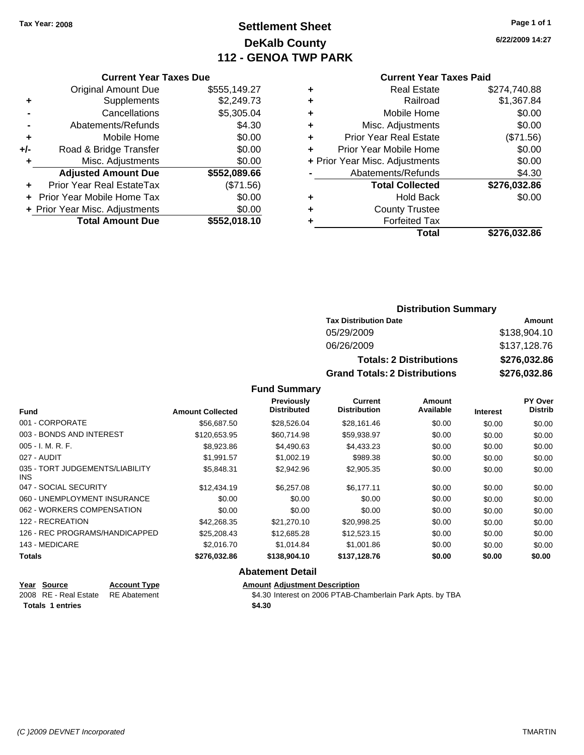# **Settlement Sheet Tax Year: 2008 Page 1 of 1 DeKalb County 112 - GENOA TWP PARK**

**6/22/2009 14:27**

#### **Current Year Taxes Paid**

|     | <b>Current Year Taxes Due</b>  |              |
|-----|--------------------------------|--------------|
|     | <b>Original Amount Due</b>     | \$555,149.27 |
| ٠   | Supplements                    | \$2,249.73   |
|     | Cancellations                  | \$5,305.04   |
|     | Abatements/Refunds             | \$4.30       |
| ٠   | Mobile Home                    | \$0.00       |
| +/- | Road & Bridge Transfer         | \$0.00       |
| ٠   | Misc. Adjustments              | \$0.00       |
|     | <b>Adjusted Amount Due</b>     | \$552,089.66 |
| ٠   | Prior Year Real EstateTax      | (\$71.56)    |
|     | Prior Year Mobile Home Tax     | \$0.00       |
|     | + Prior Year Misc. Adjustments | \$0.00       |
|     | <b>Total Amount Due</b>        | \$552,018.10 |
|     |                                |              |

| ٠ | <b>Real Estate</b>             | \$274.740.88 |
|---|--------------------------------|--------------|
| ٠ | Railroad                       | \$1,367.84   |
| ٠ | Mobile Home                    | \$0.00       |
| ٠ | Misc. Adjustments              | \$0.00       |
| ٠ | <b>Prior Year Real Estate</b>  | (\$71.56)    |
| ٠ | Prior Year Mobile Home         | \$0.00       |
|   | + Prior Year Misc. Adjustments | \$0.00       |
|   | Abatements/Refunds             | \$4.30       |
|   | <b>Total Collected</b>         | \$276,032.86 |
| ٠ | <b>Hold Back</b>               | \$0.00       |
| ٠ | <b>County Trustee</b>          |              |
| ٠ | <b>Forfeited Tax</b>           |              |
|   | Total                          | \$276,032.86 |
|   |                                |              |

### **Distribution Summary**

| <b>Tax Distribution Date</b>         | Amount       |
|--------------------------------------|--------------|
| 05/29/2009                           | \$138,904.10 |
| 06/26/2009                           | \$137,128.76 |
| <b>Totals: 2 Distributions</b>       | \$276,032.86 |
| <b>Grand Totals: 2 Distributions</b> | \$276,032.86 |

### **Fund Summary**

|                                         |                         | <b>Previously</b>  | Current             | Amount    |                 | PY Over        |
|-----------------------------------------|-------------------------|--------------------|---------------------|-----------|-----------------|----------------|
| <b>Fund</b>                             | <b>Amount Collected</b> | <b>Distributed</b> | <b>Distribution</b> | Available | <b>Interest</b> | <b>Distrib</b> |
| 001 - CORPORATE                         | \$56.687.50             | \$28.526.04        | \$28.161.46         | \$0.00    | \$0.00          | \$0.00         |
| 003 - BONDS AND INTEREST                | \$120.653.95            | \$60,714.98        | \$59,938.97         | \$0.00    | \$0.00          | \$0.00         |
| $005 - I. M. R. F.$                     | \$8,923.86              | \$4,490.63         | \$4,433.23          | \$0.00    | \$0.00          | \$0.00         |
| 027 - AUDIT                             | \$1,991.57              | \$1,002.19         | \$989.38            | \$0.00    | \$0.00          | \$0.00         |
| 035 - TORT JUDGEMENTS/LIABILITY<br>INS. | \$5,848.31              | \$2,942.96         | \$2,905.35          | \$0.00    | \$0.00          | \$0.00         |
| 047 - SOCIAL SECURITY                   | \$12,434.19             | \$6,257.08         | \$6.177.11          | \$0.00    | \$0.00          | \$0.00         |
| 060 - UNEMPLOYMENT INSURANCE            | \$0.00                  | \$0.00             | \$0.00              | \$0.00    | \$0.00          | \$0.00         |
| 062 - WORKERS COMPENSATION              | \$0.00                  | \$0.00             | \$0.00              | \$0.00    | \$0.00          | \$0.00         |
| 122 - RECREATION                        | \$42,268.35             | \$21,270.10        | \$20,998.25         | \$0.00    | \$0.00          | \$0.00         |
| 126 - REC PROGRAMS/HANDICAPPED          | \$25,208.43             | \$12,685.28        | \$12,523.15         | \$0.00    | \$0.00          | \$0.00         |
| 143 - MEDICARE                          | \$2,016.70              | \$1.014.84         | \$1,001.86          | \$0.00    | \$0.00          | \$0.00         |
| Totals                                  | \$276,032.86            | \$138,904.10       | \$137,128.76        | \$0.00    | \$0.00          | \$0.00         |

### **Abatement Detail**

| Year Source                        | <b>Account Type</b> | <b>Amount Adiustment Description</b>                       |
|------------------------------------|---------------------|------------------------------------------------------------|
| 2008 RE - Real Estate RE Abatement |                     | \$4.30 Interest on 2006 PTAB-Chamberlain Park Apts. by TBA |
| <b>Totals 1 entries</b>            |                     | \$4.30                                                     |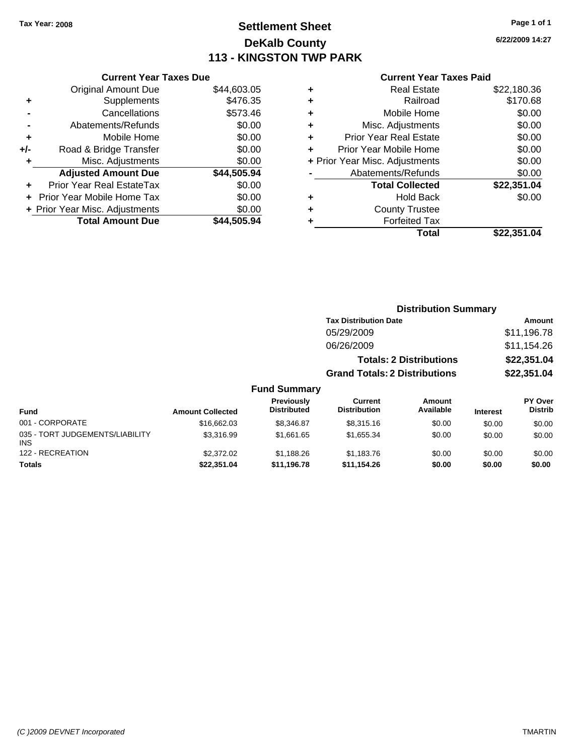# **Settlement Sheet Tax Year: 2008 Page 1 of 1 DeKalb County 113 - KINGSTON TWP PARK**

**6/22/2009 14:27**

#### **Current Year Taxes Paid**

|     | <b>Current Year Taxes Due</b>        |             |  |  |  |  |
|-----|--------------------------------------|-------------|--|--|--|--|
|     | <b>Original Amount Due</b>           | \$44,603.05 |  |  |  |  |
| ٠   | Supplements                          | \$476.35    |  |  |  |  |
|     | Cancellations                        | \$573.46    |  |  |  |  |
|     | Abatements/Refunds                   | \$0.00      |  |  |  |  |
| ٠   | Mobile Home                          | \$0.00      |  |  |  |  |
| +/- | Road & Bridge Transfer               | \$0.00      |  |  |  |  |
|     | Misc. Adjustments                    | \$0.00      |  |  |  |  |
|     | <b>Adjusted Amount Due</b>           | \$44,505.94 |  |  |  |  |
| ÷   | Prior Year Real EstateTax            | \$0.00      |  |  |  |  |
|     | \$0.00<br>Prior Year Mobile Home Tax |             |  |  |  |  |
|     | + Prior Year Misc. Adjustments       | \$0.00      |  |  |  |  |
|     | <b>Total Amount Due</b>              | \$44.505.94 |  |  |  |  |
|     |                                      |             |  |  |  |  |

| ٠ | <b>Real Estate</b>             | \$22,180.36 |
|---|--------------------------------|-------------|
| ٠ | Railroad                       | \$170.68    |
| ٠ | Mobile Home                    | \$0.00      |
| ٠ | Misc. Adjustments              | \$0.00      |
| ٠ | <b>Prior Year Real Estate</b>  | \$0.00      |
|   | Prior Year Mobile Home         | \$0.00      |
|   | + Prior Year Misc. Adjustments | \$0.00      |
|   | Abatements/Refunds             | \$0.00      |
|   | <b>Total Collected</b>         | \$22,351.04 |
| ٠ | Hold Back                      | \$0.00      |
| ٠ | <b>County Trustee</b>          |             |
| ٠ | <b>Forfeited Tax</b>           |             |
|   | Total                          | \$22,351.04 |
|   |                                |             |

### **Distribution Summary Tax Distribution Date Amount** 05/29/2009 \$11,196.78 06/26/2009 \$11,154.26 **Totals: 2 Distributions \$22,351.04 Grand Totals: 2 Distributions \$22,351.04**

| <b>Fund</b>                                   | <b>Amount Collected</b> | Previously<br><b>Distributed</b> | Current<br><b>Distribution</b> | Amount<br>Available | <b>Interest</b> | PY Over<br><b>Distrib</b> |
|-----------------------------------------------|-------------------------|----------------------------------|--------------------------------|---------------------|-----------------|---------------------------|
| 001 - CORPORATE                               | \$16,662.03             | \$8.346.87                       | \$8,315.16                     | \$0.00              | \$0.00          | \$0.00                    |
| 035 - TORT JUDGEMENTS/LIABILITY<br><b>INS</b> | \$3,316.99              | \$1.661.65                       | \$1.655.34                     | \$0.00              | \$0.00          | \$0.00                    |
| 122 - RECREATION                              | \$2,372.02              | \$1.188.26                       | \$1,183.76                     | \$0.00              | \$0.00          | \$0.00                    |
| Totals                                        | \$22,351.04             | \$11,196.78                      | \$11.154.26                    | \$0.00              | \$0.00          | \$0.00                    |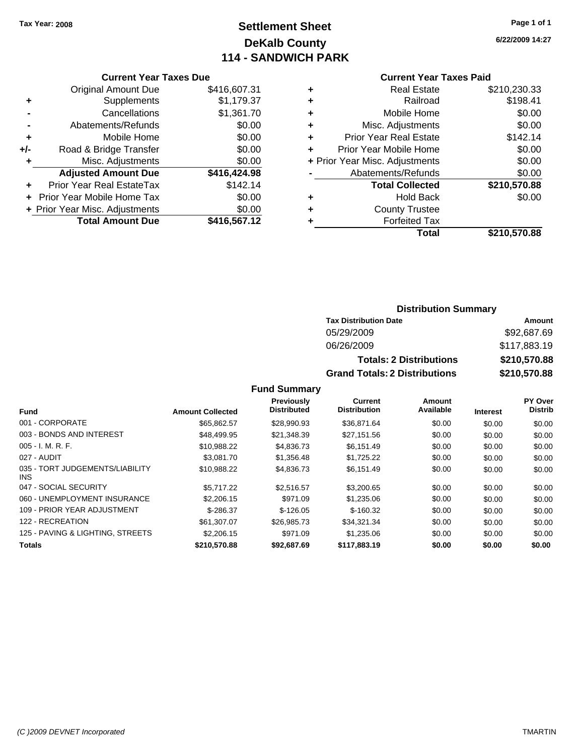# **Settlement Sheet Tax Year: 2008 Page 1 of 1 DeKalb County 114 - SANDWICH PARK**

**6/22/2009 14:27**

### **Current Year Taxes Paid**

|     | <b>Current Year Taxes Due</b>  |              |
|-----|--------------------------------|--------------|
|     | <b>Original Amount Due</b>     | \$416,607.31 |
| ٠   | Supplements                    | \$1,179.37   |
|     | Cancellations                  | \$1,361.70   |
|     | Abatements/Refunds             | \$0.00       |
| ٠   | Mobile Home                    | \$0.00       |
| +/- | Road & Bridge Transfer         | \$0.00       |
| ٠   | Misc. Adjustments              | \$0.00       |
|     | <b>Adjusted Amount Due</b>     | \$416,424.98 |
| ٠   | Prior Year Real EstateTax      | \$142.14     |
|     | Prior Year Mobile Home Tax     | \$0.00       |
|     | + Prior Year Misc. Adjustments | \$0.00       |
|     | <b>Total Amount Due</b>        | \$416,567.12 |
|     |                                |              |

| ٠ | <b>Real Estate</b>             | \$210,230.33 |
|---|--------------------------------|--------------|
| ٠ | Railroad                       | \$198.41     |
| ٠ | Mobile Home                    | \$0.00       |
| ٠ | Misc. Adjustments              | \$0.00       |
| ÷ | <b>Prior Year Real Estate</b>  | \$142.14     |
| ٠ | Prior Year Mobile Home         | \$0.00       |
|   | + Prior Year Misc. Adjustments | \$0.00       |
|   | Abatements/Refunds             | \$0.00       |
|   | <b>Total Collected</b>         | \$210,570.88 |
| ٠ | <b>Hold Back</b>               | \$0.00       |
| ٠ | <b>County Trustee</b>          |              |
| ٠ | <b>Forfeited Tax</b>           |              |
|   | Total                          | \$210,570.88 |
|   |                                |              |

### **Distribution Summary**

| <b>Tax Distribution Date</b>         | Amount       |
|--------------------------------------|--------------|
| 05/29/2009                           | \$92,687.69  |
| 06/26/2009                           | \$117,883.19 |
| <b>Totals: 2 Distributions</b>       | \$210,570.88 |
| <b>Grand Totals: 2 Distributions</b> | \$210,570.88 |

|                                         |                         | <b>Previously</b>  | Current             | <b>Amount</b> |                 | PY Over        |
|-----------------------------------------|-------------------------|--------------------|---------------------|---------------|-----------------|----------------|
| <b>Fund</b>                             | <b>Amount Collected</b> | <b>Distributed</b> | <b>Distribution</b> | Available     | <b>Interest</b> | <b>Distrib</b> |
| 001 - CORPORATE                         | \$65.862.57             | \$28,990.93        | \$36.871.64         | \$0.00        | \$0.00          | \$0.00         |
| 003 - BONDS AND INTEREST                | \$48,499.95             | \$21,348.39        | \$27,151.56         | \$0.00        | \$0.00          | \$0.00         |
| $005 - I. M. R. F.$                     | \$10,988.22             | \$4,836.73         | \$6,151.49          | \$0.00        | \$0.00          | \$0.00         |
| 027 - AUDIT                             | \$3.081.70              | \$1,356.48         | \$1.725.22          | \$0.00        | \$0.00          | \$0.00         |
| 035 - TORT JUDGEMENTS/LIABILITY<br>INS. | \$10,988.22             | \$4,836.73         | \$6,151.49          | \$0.00        | \$0.00          | \$0.00         |
| 047 - SOCIAL SECURITY                   | \$5,717.22              | \$2.516.57         | \$3,200.65          | \$0.00        | \$0.00          | \$0.00         |
| 060 - UNEMPLOYMENT INSURANCE            | \$2,206.15              | \$971.09           | \$1,235.06          | \$0.00        | \$0.00          | \$0.00         |
| 109 - PRIOR YEAR ADJUSTMENT             | $$-286.37$              | $$-126.05$         | $$-160.32$          | \$0.00        | \$0.00          | \$0.00         |
| 122 - RECREATION                        | \$61,307.07             | \$26,985.73        | \$34,321.34         | \$0.00        | \$0.00          | \$0.00         |
| 125 - PAVING & LIGHTING, STREETS        | \$2,206.15              | \$971.09           | \$1,235.06          | \$0.00        | \$0.00          | \$0.00         |
| <b>Totals</b>                           | \$210,570.88            | \$92,687.69        | \$117.883.19        | \$0.00        | \$0.00          | \$0.00         |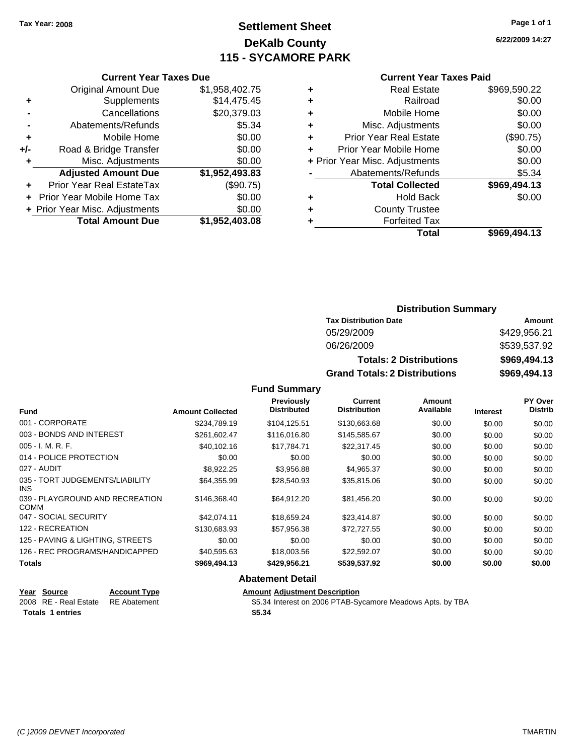# **Settlement Sheet Tax Year: 2008 Page 1 of 1 DeKalb County 115 - SYCAMORE PARK**

**6/22/2009 14:27**

#### **Current Year Taxes Paid**

| ٠ | <b>Real Estate</b>             | \$969,590.22 |
|---|--------------------------------|--------------|
| ٠ | Railroad                       | \$0.00       |
| ٠ | Mobile Home                    | \$0.00       |
| ٠ | Misc. Adjustments              | \$0.00       |
| ٠ | <b>Prior Year Real Estate</b>  | (\$90.75)    |
| ٠ | Prior Year Mobile Home         | \$0.00       |
|   | + Prior Year Misc. Adjustments | \$0.00       |
|   | Abatements/Refunds             | \$5.34       |
|   | <b>Total Collected</b>         | \$969,494.13 |
| ٠ | <b>Hold Back</b>               | \$0.00       |
| ٠ | <b>County Trustee</b>          |              |
|   | <b>Forfeited Tax</b>           |              |
|   | Total                          | \$969.494.13 |

### **Current Year Taxes Due** Original Amount Due \$1,958,402.75 **+** Supplements \$14,475.45 **-** Cancellations \$20,379.03 **-** Abatements/Refunds \$5.34 **+** Mobile Home \$0.00 **+/-** Road & Bridge Transfer \$0.00 **+** Misc. Adjustments \$0.00 **Adjusted Amount Due \$1,952,493.83 +** Prior Year Real EstateTax (\$90.75) **+** Prior Year Mobile Home Tax \$0.00 **+ Prior Year Misc. Adjustments**  $$0.00$ **Total Amount Due \$1,952,403.08**

### **Distribution Summary**

| <b>Tax Distribution Date</b>         | Amount       |
|--------------------------------------|--------------|
| 05/29/2009                           | \$429,956.21 |
| 06/26/2009                           | \$539,537.92 |
| <b>Totals: 2 Distributions</b>       | \$969,494.13 |
| <b>Grand Totals: 2 Distributions</b> | \$969,494.13 |

**Fund Summary**

| <b>Fund</b>                                    | <b>Amount Collected</b> | <b>Previously</b><br><b>Distributed</b> | <b>Current</b><br><b>Distribution</b> | Amount<br>Available | <b>Interest</b> | PY Over<br><b>Distrib</b> |
|------------------------------------------------|-------------------------|-----------------------------------------|---------------------------------------|---------------------|-----------------|---------------------------|
| 001 - CORPORATE                                | \$234.789.19            | \$104,125.51                            | \$130,663.68                          | \$0.00              | \$0.00          | \$0.00                    |
| 003 - BONDS AND INTEREST                       | \$261,602.47            | \$116,016.80                            | \$145,585.67                          | \$0.00              | \$0.00          | \$0.00                    |
| $005 - I. M. R. F.$                            | \$40,102.16             | \$17,784.71                             | \$22,317.45                           | \$0.00              | \$0.00          | \$0.00                    |
| 014 - POLICE PROTECTION                        | \$0.00                  | \$0.00                                  | \$0.00                                | \$0.00              | \$0.00          | \$0.00                    |
| 027 - AUDIT                                    | \$8,922.25              | \$3,956.88                              | \$4,965.37                            | \$0.00              | \$0.00          | \$0.00                    |
| 035 - TORT JUDGEMENTS/LIABILITY<br>INS.        | \$64,355.99             | \$28,540.93                             | \$35,815.06                           | \$0.00              | \$0.00          | \$0.00                    |
| 039 - PLAYGROUND AND RECREATION<br><b>COMM</b> | \$146,368,40            | \$64.912.20                             | \$81,456.20                           | \$0.00              | \$0.00          | \$0.00                    |
| 047 - SOCIAL SECURITY                          | \$42.074.11             | \$18.659.24                             | \$23,414.87                           | \$0.00              | \$0.00          | \$0.00                    |
| 122 - RECREATION                               | \$130,683.93            | \$57,956.38                             | \$72,727.55                           | \$0.00              | \$0.00          | \$0.00                    |
| 125 - PAVING & LIGHTING, STREETS               | \$0.00                  | \$0.00                                  | \$0.00                                | \$0.00              | \$0.00          | \$0.00                    |
| 126 - REC PROGRAMS/HANDICAPPED                 | \$40,595.63             | \$18,003.56                             | \$22,592.07                           | \$0.00              | \$0.00          | \$0.00                    |
| <b>Totals</b>                                  | \$969,494.13            | \$429,956.21                            | \$539,537.92                          | \$0.00              | \$0.00          | \$0.00                    |
|                                                |                         | Alexandria Detail                       |                                       |                     |                 |                           |

### **Abatement Detail**

### **Year Source Account Type Amount Adjustment Description**

**Totals \$5.34 1 entries**

2008 RE - Real Estate RE Abatement St.34 Interest on 2006 PTAB-Sycamore Meadows Apts. by TBA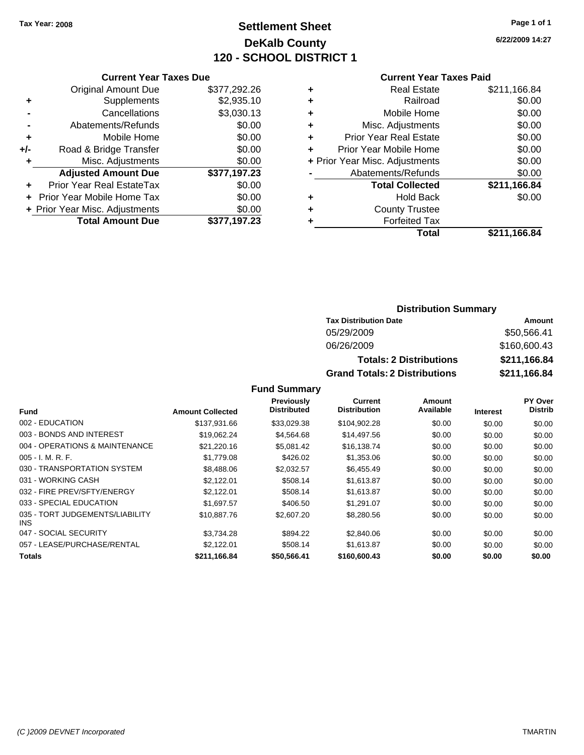# **Settlement Sheet Tax Year: 2008 Page 1 of 1 DeKalb County 120 - SCHOOL DISTRICT 1**

**6/22/2009 14:27**

#### **Current Year Taxes Paid**

|     | <b>Current Year Taxes Due</b>  |              |
|-----|--------------------------------|--------------|
|     | <b>Original Amount Due</b>     | \$377,292.26 |
| ٠   | Supplements                    | \$2,935.10   |
|     | Cancellations                  | \$3,030.13   |
|     | Abatements/Refunds             | \$0.00       |
| ٠   | Mobile Home                    | \$0.00       |
| +/- | Road & Bridge Transfer         | \$0.00       |
|     | Misc. Adjustments              | \$0.00       |
|     | <b>Adjusted Amount Due</b>     | \$377,197.23 |
|     | Prior Year Real EstateTax      | \$0.00       |
|     | Prior Year Mobile Home Tax     | \$0.00       |
|     | + Prior Year Misc. Adjustments | \$0.00       |
|     | <b>Total Amount Due</b>        | \$377.197.23 |
|     |                                |              |

|   | <b>Real Estate</b>             | \$211,166.84 |
|---|--------------------------------|--------------|
| ٠ | Railroad                       | \$0.00       |
| ٠ | Mobile Home                    | \$0.00       |
| ٠ | Misc. Adjustments              | \$0.00       |
| ٠ | <b>Prior Year Real Estate</b>  | \$0.00       |
| ٠ | Prior Year Mobile Home         | \$0.00       |
|   | + Prior Year Misc. Adjustments | \$0.00       |
|   | Abatements/Refunds             | \$0.00       |
|   | <b>Total Collected</b>         | \$211,166.84 |
| ٠ | <b>Hold Back</b>               | \$0.00       |
| ٠ | <b>County Trustee</b>          |              |
| ٠ | <b>Forfeited Tax</b>           |              |
|   | Total                          | \$211,166.84 |
|   |                                |              |

### **Distribution Summary**

| <b>Tax Distribution Date</b>         | Amount       |
|--------------------------------------|--------------|
| 05/29/2009                           | \$50,566.41  |
| 06/26/2009                           | \$160,600.43 |
| <b>Totals: 2 Distributions</b>       | \$211,166.84 |
| <b>Grand Totals: 2 Distributions</b> | \$211,166.84 |

|                                         |                         | Previously         | Current             | Amount    |                 | PY Over        |
|-----------------------------------------|-------------------------|--------------------|---------------------|-----------|-----------------|----------------|
| <b>Fund</b>                             | <b>Amount Collected</b> | <b>Distributed</b> | <b>Distribution</b> | Available | <b>Interest</b> | <b>Distrib</b> |
| 002 - EDUCATION                         | \$137,931.66            | \$33,029.38        | \$104,902.28        | \$0.00    | \$0.00          | \$0.00         |
| 003 - BONDS AND INTEREST                | \$19.062.24             | \$4,564.68         | \$14,497.56         | \$0.00    | \$0.00          | \$0.00         |
| 004 - OPERATIONS & MAINTENANCE          | \$21.220.16             | \$5.081.42         | \$16.138.74         | \$0.00    | \$0.00          | \$0.00         |
| $005 - I. M. R. F.$                     | \$1,779.08              | \$426.02           | \$1,353.06          | \$0.00    | \$0.00          | \$0.00         |
| 030 - TRANSPORTATION SYSTEM             | \$8,488.06              | \$2,032.57         | \$6,455.49          | \$0.00    | \$0.00          | \$0.00         |
| 031 - WORKING CASH                      | \$2.122.01              | \$508.14           | \$1,613.87          | \$0.00    | \$0.00          | \$0.00         |
| 032 - FIRE PREV/SFTY/ENERGY             | \$2,122.01              | \$508.14           | \$1,613.87          | \$0.00    | \$0.00          | \$0.00         |
| 033 - SPECIAL EDUCATION                 | \$1.697.57              | \$406.50           | \$1.291.07          | \$0.00    | \$0.00          | \$0.00         |
| 035 - TORT JUDGEMENTS/LIABILITY<br>INS. | \$10,887.76             | \$2,607.20         | \$8,280.56          | \$0.00    | \$0.00          | \$0.00         |
| 047 - SOCIAL SECURITY                   | \$3.734.28              | \$894.22           | \$2,840.06          | \$0.00    | \$0.00          | \$0.00         |
| 057 - LEASE/PURCHASE/RENTAL             | \$2,122.01              | \$508.14           | \$1,613.87          | \$0.00    | \$0.00          | \$0.00         |
| <b>Totals</b>                           | \$211,166.84            | \$50,566.41        | \$160,600.43        | \$0.00    | \$0.00          | \$0.00         |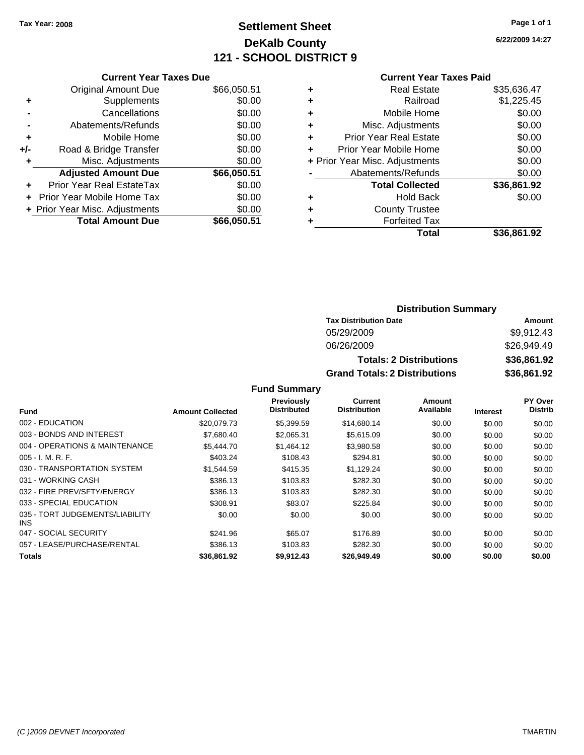# **Settlement Sheet Tax Year: 2008 Page 1 of 1 DeKalb County 121 - SCHOOL DISTRICT 9**

**6/22/2009 14:27**

|  |  | Curr |
|--|--|------|
|  |  |      |
|  |  |      |

|   | <b>Current Year Taxes Paid</b> |             |
|---|--------------------------------|-------------|
| ٠ | <b>Real Estate</b>             | \$35,636.47 |
|   | Railroad                       | \$1,225.45  |
| ٠ | Mobile Home                    | \$0.00      |
| ٠ | Misc. Adjustments              | \$0.00      |
| ÷ | <b>Prior Year Real Estate</b>  | \$0.00      |
|   | Prior Year Mobile Home         | \$0.00      |
|   | + Prior Year Misc. Adjustments | \$0.00      |
|   | Abatements/Refunds             | \$0.00      |
|   | <b>Total Collected</b>         | \$36,861.92 |
| ٠ | <b>Hold Back</b>               | \$0.00      |
|   | <b>County Trustee</b>          |             |
|   | <b>Forfeited Tax</b>           |             |
|   | Total                          | \$36.861.92 |

|     | <b>Current Year Taxes Due</b>  |             |
|-----|--------------------------------|-------------|
|     | <b>Original Amount Due</b>     | \$66,050.51 |
| ٠   | Supplements                    | \$0.00      |
|     | Cancellations                  | \$0.00      |
|     | Abatements/Refunds             | \$0.00      |
| ٠   | Mobile Home                    | \$0.00      |
| +/- | Road & Bridge Transfer         | \$0.00      |
| ٠   | Misc. Adjustments              | \$0.00      |
|     | <b>Adjusted Amount Due</b>     | \$66,050.51 |
|     | Prior Year Real EstateTax      | \$0.00      |
|     | Prior Year Mobile Home Tax     | \$0.00      |
|     | + Prior Year Misc. Adjustments | \$0.00      |
|     | <b>Total Amount Due</b>        | \$66.050.51 |

### **Distribution Summary**

| <b>Tax Distribution Date</b>         | Amount      |  |  |  |
|--------------------------------------|-------------|--|--|--|
| 05/29/2009                           | \$9,912.43  |  |  |  |
| 06/26/2009                           | \$26,949.49 |  |  |  |
| <b>Totals: 2 Distributions</b>       | \$36,861.92 |  |  |  |
| <b>Grand Totals: 2 Distributions</b> | \$36,861.92 |  |  |  |

|                                         |                         | <b>Previously</b>  | Current             | Amount    |                 | PY Over        |
|-----------------------------------------|-------------------------|--------------------|---------------------|-----------|-----------------|----------------|
| <b>Fund</b>                             | <b>Amount Collected</b> | <b>Distributed</b> | <b>Distribution</b> | Available | <b>Interest</b> | <b>Distrib</b> |
| 002 - EDUCATION                         | \$20,079.73             | \$5,399.59         | \$14,680.14         | \$0.00    | \$0.00          | \$0.00         |
| 003 - BONDS AND INTEREST                | \$7,680.40              | \$2,065.31         | \$5,615.09          | \$0.00    | \$0.00          | \$0.00         |
| 004 - OPERATIONS & MAINTENANCE          | \$5,444.70              | \$1,464.12         | \$3,980.58          | \$0.00    | \$0.00          | \$0.00         |
| $005 - I. M. R. F.$                     | \$403.24                | \$108.43           | \$294.81            | \$0.00    | \$0.00          | \$0.00         |
| 030 - TRANSPORTATION SYSTEM             | \$1,544.59              | \$415.35           | \$1,129.24          | \$0.00    | \$0.00          | \$0.00         |
| 031 - WORKING CASH                      | \$386.13                | \$103.83           | \$282.30            | \$0.00    | \$0.00          | \$0.00         |
| 032 - FIRE PREV/SFTY/ENERGY             | \$386.13                | \$103.83           | \$282.30            | \$0.00    | \$0.00          | \$0.00         |
| 033 - SPECIAL EDUCATION                 | \$308.91                | \$83.07            | \$225.84            | \$0.00    | \$0.00          | \$0.00         |
| 035 - TORT JUDGEMENTS/LIABILITY<br>INS. | \$0.00                  | \$0.00             | \$0.00              | \$0.00    | \$0.00          | \$0.00         |
| 047 - SOCIAL SECURITY                   | \$241.96                | \$65.07            | \$176.89            | \$0.00    | \$0.00          | \$0.00         |
| 057 - LEASE/PURCHASE/RENTAL             | \$386.13                | \$103.83           | \$282.30            | \$0.00    | \$0.00          | \$0.00         |
| <b>Totals</b>                           | \$36,861.92             | \$9.912.43         | \$26,949.49         | \$0.00    | \$0.00          | \$0.00         |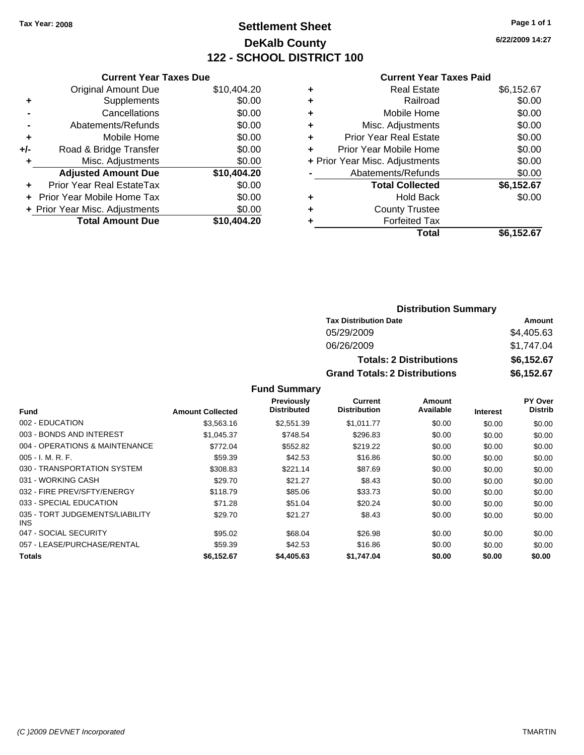# **Settlement Sheet Tax Year: 2008 Page 1 of 1 DeKalb County 122 - SCHOOL DISTRICT 100**

**6/22/2009 14:27**

### **Current Year Taxes Paid**

|       | <b>Current Year Taxes Due</b>  |             |
|-------|--------------------------------|-------------|
|       | <b>Original Amount Due</b>     | \$10,404.20 |
| ٠     | Supplements                    | \$0.00      |
|       | Cancellations                  | \$0.00      |
|       | Abatements/Refunds             | \$0.00      |
| ٠     | Mobile Home                    | \$0.00      |
| $+/-$ | Road & Bridge Transfer         | \$0.00      |
| ٠     | Misc. Adjustments              | \$0.00      |
|       | <b>Adjusted Amount Due</b>     | \$10,404.20 |
| ٠     | Prior Year Real EstateTax      | \$0.00      |
|       | Prior Year Mobile Home Tax     | \$0.00      |
|       | + Prior Year Misc. Adjustments | \$0.00      |
|       | <b>Total Amount Due</b>        | \$10,404.20 |
|       |                                |             |

| \$6,152.67 |
|------------|
| \$0.00     |
| \$0.00     |
| \$0.00     |
| \$0.00     |
| \$0.00     |
| \$0.00     |
| \$0.00     |
| \$6,152.67 |
| \$0.00     |
|            |
|            |
| \$6,152.67 |
|            |

### **Distribution Summary Tax Distribution Date Amount** 05/29/2009 \$4,405.63 06/26/2009 \$1,747.04 **Totals: 2 Distributions \$6,152.67 Grand Totals: 2 Distributions \$6,152.67**

|                                         |                         | Previously         | Current             | Amount    |                 | PY Over        |
|-----------------------------------------|-------------------------|--------------------|---------------------|-----------|-----------------|----------------|
| <b>Fund</b>                             | <b>Amount Collected</b> | <b>Distributed</b> | <b>Distribution</b> | Available | <b>Interest</b> | <b>Distrib</b> |
| 002 - EDUCATION                         | \$3,563.16              | \$2,551.39         | \$1,011.77          | \$0.00    | \$0.00          | \$0.00         |
| 003 - BONDS AND INTEREST                | \$1,045.37              | \$748.54           | \$296.83            | \$0.00    | \$0.00          | \$0.00         |
| 004 - OPERATIONS & MAINTENANCE          | \$772.04                | \$552.82           | \$219.22            | \$0.00    | \$0.00          | \$0.00         |
| $005 - I. M. R. F.$                     | \$59.39                 | \$42.53            | \$16.86             | \$0.00    | \$0.00          | \$0.00         |
| 030 - TRANSPORTATION SYSTEM             | \$308.83                | \$221.14           | \$87.69             | \$0.00    | \$0.00          | \$0.00         |
| 031 - WORKING CASH                      | \$29.70                 | \$21.27            | \$8.43              | \$0.00    | \$0.00          | \$0.00         |
| 032 - FIRE PREV/SFTY/ENERGY             | \$118.79                | \$85.06            | \$33.73             | \$0.00    | \$0.00          | \$0.00         |
| 033 - SPECIAL EDUCATION                 | \$71.28                 | \$51.04            | \$20.24             | \$0.00    | \$0.00          | \$0.00         |
| 035 - TORT JUDGEMENTS/LIABILITY<br>INS. | \$29.70                 | \$21.27            | \$8.43              | \$0.00    | \$0.00          | \$0.00         |
| 047 - SOCIAL SECURITY                   | \$95.02                 | \$68.04            | \$26.98             | \$0.00    | \$0.00          | \$0.00         |
| 057 - LEASE/PURCHASE/RENTAL             | \$59.39                 | \$42.53            | \$16.86             | \$0.00    | \$0.00          | \$0.00         |
| <b>Totals</b>                           | \$6,152.67              | \$4,405.63         | \$1,747.04          | \$0.00    | \$0.00          | \$0.00         |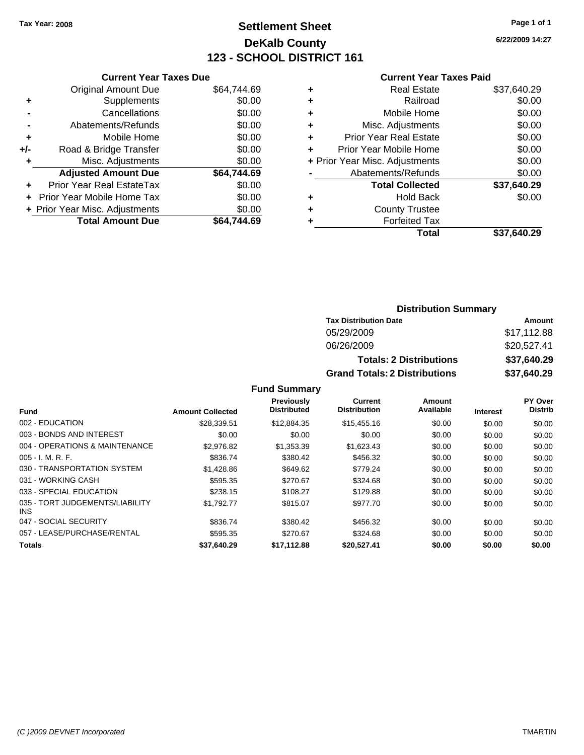# **Settlement Sheet Tax Year: 2008 Page 1 of 1 DeKalb County 123 - SCHOOL DISTRICT 161**

**6/22/2009 14:27**

#### **Current Year Taxes Paid**

|     | <b>Current Year Taxes Due</b>  |             |
|-----|--------------------------------|-------------|
|     | <b>Original Amount Due</b>     | \$64,744.69 |
| ٠   | Supplements                    | \$0.00      |
|     | Cancellations                  | \$0.00      |
|     | Abatements/Refunds             | \$0.00      |
| ٠   | Mobile Home                    | \$0.00      |
| +/- | Road & Bridge Transfer         | \$0.00      |
| ٠   | Misc. Adjustments              | \$0.00      |
|     | <b>Adjusted Amount Due</b>     | \$64,744.69 |
| ٠   | Prior Year Real EstateTax      | \$0.00      |
|     | Prior Year Mobile Home Tax     | \$0.00      |
|     | + Prior Year Misc. Adjustments | \$0.00      |
|     | <b>Total Amount Due</b>        | \$64,744.69 |
|     |                                |             |

| ٠ | Real Estate                    | \$37,640.29 |
|---|--------------------------------|-------------|
| ٠ | Railroad                       | \$0.00      |
| ٠ | Mobile Home                    | \$0.00      |
| ٠ | Misc. Adjustments              | \$0.00      |
| ٠ | <b>Prior Year Real Estate</b>  | \$0.00      |
| ٠ | Prior Year Mobile Home         | \$0.00      |
|   | + Prior Year Misc. Adjustments | \$0.00      |
|   | Abatements/Refunds             | \$0.00      |
|   | <b>Total Collected</b>         | \$37,640.29 |
| ٠ | Hold Back                      | \$0.00      |
| ٠ | <b>County Trustee</b>          |             |
| ٠ | <b>Forfeited Tax</b>           |             |
|   | Total                          | \$37,640.29 |
|   |                                |             |

### **Distribution Summary**

| <b>Tax Distribution Date</b>         | Amount      |  |  |  |
|--------------------------------------|-------------|--|--|--|
| 05/29/2009                           | \$17,112.88 |  |  |  |
| 06/26/2009                           | \$20,527.41 |  |  |  |
| <b>Totals: 2 Distributions</b>       | \$37,640.29 |  |  |  |
| <b>Grand Totals: 2 Distributions</b> | \$37,640.29 |  |  |  |

|                                         |                         | <b>Previously</b>  | Current             | Amount    |          | PY Over        |
|-----------------------------------------|-------------------------|--------------------|---------------------|-----------|----------|----------------|
| Fund                                    | <b>Amount Collected</b> | <b>Distributed</b> | <b>Distribution</b> | Available | Interest | <b>Distrib</b> |
| 002 - EDUCATION                         | \$28.339.51             | \$12,884.35        | \$15,455.16         | \$0.00    | \$0.00   | \$0.00         |
| 003 - BONDS AND INTEREST                | \$0.00                  | \$0.00             | \$0.00              | \$0.00    | \$0.00   | \$0.00         |
| 004 - OPERATIONS & MAINTENANCE          | \$2,976.82              | \$1.353.39         | \$1.623.43          | \$0.00    | \$0.00   | \$0.00         |
| $005 - I. M. R. F.$                     | \$836.74                | \$380.42           | \$456.32            | \$0.00    | \$0.00   | \$0.00         |
| 030 - TRANSPORTATION SYSTEM             | \$1,428.86              | \$649.62           | \$779.24            | \$0.00    | \$0.00   | \$0.00         |
| 031 - WORKING CASH                      | \$595.35                | \$270.67           | \$324.68            | \$0.00    | \$0.00   | \$0.00         |
| 033 - SPECIAL EDUCATION                 | \$238.15                | \$108.27           | \$129.88            | \$0.00    | \$0.00   | \$0.00         |
| 035 - TORT JUDGEMENTS/LIABILITY<br>INS. | \$1.792.77              | \$815.07           | \$977.70            | \$0.00    | \$0.00   | \$0.00         |
| 047 - SOCIAL SECURITY                   | \$836.74                | \$380.42           | \$456.32            | \$0.00    | \$0.00   | \$0.00         |
| 057 - LEASE/PURCHASE/RENTAL             | \$595.35                | \$270.67           | \$324.68            | \$0.00    | \$0.00   | \$0.00         |
| Totals                                  | \$37,640.29             | \$17,112.88        | \$20,527.41         | \$0.00    | \$0.00   | \$0.00         |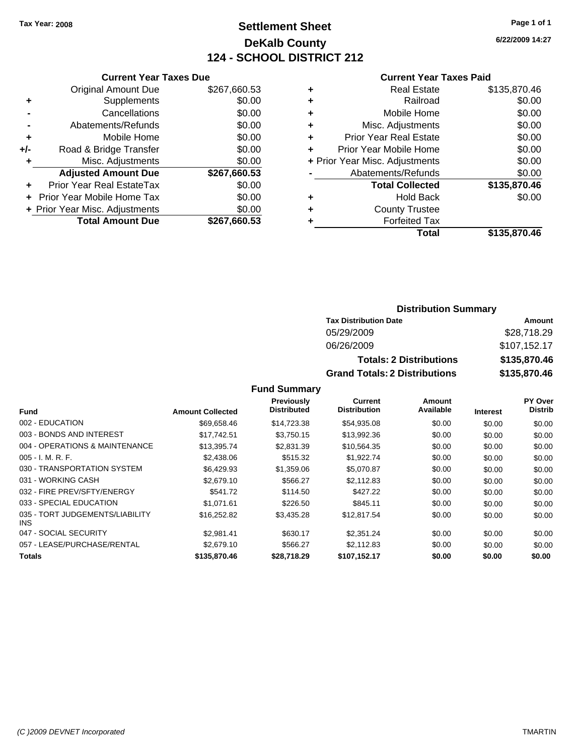# **Settlement Sheet Tax Year: 2008 Page 1 of 1 DeKalb County 124 - SCHOOL DISTRICT 212**

**6/22/2009 14:27**

#### **Current Year Taxes Paid**

|     | <b>Current Year Taxes Due</b>    |              |  |
|-----|----------------------------------|--------------|--|
|     | <b>Original Amount Due</b>       | \$267,660.53 |  |
| ٠   | Supplements                      | \$0.00       |  |
|     | Cancellations                    | \$0.00       |  |
|     | Abatements/Refunds               | \$0.00       |  |
| ٠   | Mobile Home                      | \$0.00       |  |
| +/- | Road & Bridge Transfer           | \$0.00       |  |
| ٠   | Misc. Adjustments                | \$0.00       |  |
|     | <b>Adjusted Amount Due</b>       | \$267,660.53 |  |
| ٠   | <b>Prior Year Real EstateTax</b> | \$0.00       |  |
|     | Prior Year Mobile Home Tax       | \$0.00       |  |
|     | + Prior Year Misc. Adjustments   | \$0.00       |  |
|     | <b>Total Amount Due</b>          | \$267,660.53 |  |
|     |                                  |              |  |

|   | <b>Real Estate</b>             | \$135,870.46 |
|---|--------------------------------|--------------|
| ٠ | Railroad                       | \$0.00       |
| ٠ | Mobile Home                    | \$0.00       |
| ٠ | Misc. Adjustments              | \$0.00       |
| ÷ | <b>Prior Year Real Estate</b>  | \$0.00       |
| ٠ | Prior Year Mobile Home         | \$0.00       |
|   | + Prior Year Misc. Adjustments | \$0.00       |
|   | Abatements/Refunds             | \$0.00       |
|   | <b>Total Collected</b>         | \$135,870.46 |
| ٠ | Hold Back                      | \$0.00       |
| ٠ | <b>County Trustee</b>          |              |
| ٠ | <b>Forfeited Tax</b>           |              |
|   | Total                          | \$135,870.46 |
|   |                                |              |

### **Distribution Summary**

| <b>Tax Distribution Date</b>         | Amount       |
|--------------------------------------|--------------|
| 05/29/2009                           | \$28,718.29  |
| 06/26/2009                           | \$107,152.17 |
| <b>Totals: 2 Distributions</b>       | \$135,870,46 |
| <b>Grand Totals: 2 Distributions</b> | \$135,870.46 |

|                                         |                         | Previously         | Current             | Amount    |                 | PY Over        |
|-----------------------------------------|-------------------------|--------------------|---------------------|-----------|-----------------|----------------|
| <b>Fund</b>                             | <b>Amount Collected</b> | <b>Distributed</b> | <b>Distribution</b> | Available | <b>Interest</b> | <b>Distrib</b> |
| 002 - EDUCATION                         | \$69,658.46             | \$14,723.38        | \$54,935.08         | \$0.00    | \$0.00          | \$0.00         |
| 003 - BONDS AND INTEREST                | \$17.742.51             | \$3,750.15         | \$13,992.36         | \$0.00    | \$0.00          | \$0.00         |
| 004 - OPERATIONS & MAINTENANCE          | \$13.395.74             | \$2,831.39         | \$10,564.35         | \$0.00    | \$0.00          | \$0.00         |
| $005 - I. M. R. F.$                     | \$2,438.06              | \$515.32           | \$1,922.74          | \$0.00    | \$0.00          | \$0.00         |
| 030 - TRANSPORTATION SYSTEM             | \$6,429.93              | \$1,359.06         | \$5,070.87          | \$0.00    | \$0.00          | \$0.00         |
| 031 - WORKING CASH                      | \$2,679.10              | \$566.27           | \$2,112.83          | \$0.00    | \$0.00          | \$0.00         |
| 032 - FIRE PREV/SFTY/ENERGY             | \$541.72                | \$114.50           | \$427.22            | \$0.00    | \$0.00          | \$0.00         |
| 033 - SPECIAL EDUCATION                 | \$1,071.61              | \$226.50           | \$845.11            | \$0.00    | \$0.00          | \$0.00         |
| 035 - TORT JUDGEMENTS/LIABILITY<br>INS. | \$16,252.82             | \$3,435.28         | \$12,817.54         | \$0.00    | \$0.00          | \$0.00         |
| 047 - SOCIAL SECURITY                   | \$2.981.41              | \$630.17           | \$2,351.24          | \$0.00    | \$0.00          | \$0.00         |
| 057 - LEASE/PURCHASE/RENTAL             | \$2,679.10              | \$566.27           | \$2,112.83          | \$0.00    | \$0.00          | \$0.00         |
| <b>Totals</b>                           | \$135,870,46            | \$28,718,29        | \$107.152.17        | \$0.00    | \$0.00          | \$0.00         |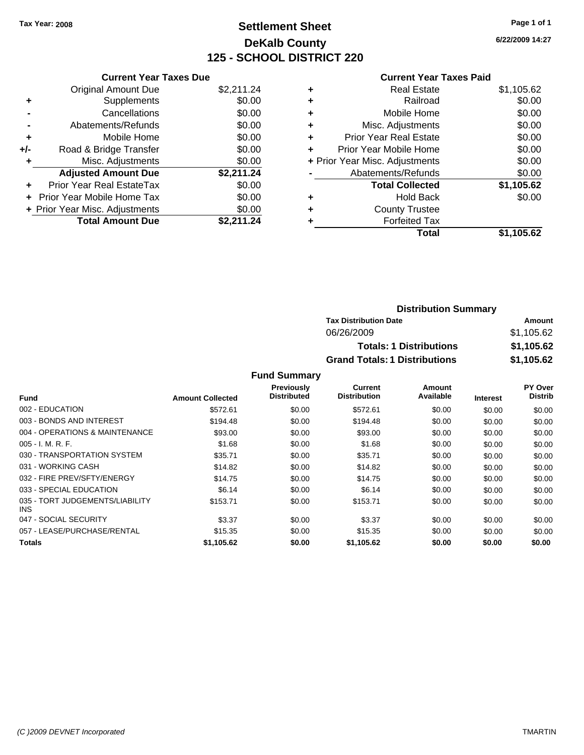# **Settlement Sheet Tax Year: 2008 Page 1 of 1 DeKalb County 125 - SCHOOL DISTRICT 220**

**6/22/2009 14:27**

|                | <b>Current Year Taxes Due</b> |            |  |
|----------------|-------------------------------|------------|--|
|                | <b>Original Amount Due</b>    | \$2,211.24 |  |
| ٠              | Supplements                   | \$0.00     |  |
| $\blacksquare$ | Cancellations                 | \$0.00     |  |
| $\blacksquare$ | Abatements/Refunds            | \$0.00     |  |
| ٠              | Mobile Home                   | \$0.00     |  |
|                | Dood 8 Dridge Tropofor        | ሮስ ሰሰ      |  |

| +/- | Road & Bridge Transfer         | \$0.00     |
|-----|--------------------------------|------------|
| ٠   | Misc. Adjustments              | \$0.00     |
|     | <b>Adjusted Amount Due</b>     | \$2,211.24 |
|     | Prior Year Real EstateTax      | \$0.00     |
|     | + Prior Year Mobile Home Tax   | \$0.00     |
|     | + Prior Year Misc. Adjustments | \$0.00     |
|     | <b>Total Amount Due</b>        | \$2,211.24 |
|     |                                |            |

#### **Current Year Taxes Paid**

| <b>Real Estate</b>            | \$1,105.62                     |
|-------------------------------|--------------------------------|
| Railroad                      | \$0.00                         |
| Mobile Home                   | \$0.00                         |
| Misc. Adjustments             | \$0.00                         |
| <b>Prior Year Real Estate</b> | \$0.00                         |
| Prior Year Mobile Home        | \$0.00                         |
|                               | \$0.00                         |
| Abatements/Refunds            | \$0.00                         |
| <b>Total Collected</b>        | \$1,105.62                     |
| <b>Hold Back</b>              | \$0.00                         |
| <b>County Trustee</b>         |                                |
| <b>Forfeited Tax</b>          |                                |
| Total                         | \$1,105.62                     |
|                               | + Prior Year Misc. Adjustments |

### **Distribution Summary Tax Distribution Date Amount** 06/26/2009 \$1,105.62 **Totals: 1 Distributions \$1,105.62 Grand Totals: 1 Distributions \$1,105.62**

|                                         |                         | <b>Previously</b>  | Current             | Amount    |                 | <b>PY Over</b> |
|-----------------------------------------|-------------------------|--------------------|---------------------|-----------|-----------------|----------------|
| <b>Fund</b>                             | <b>Amount Collected</b> | <b>Distributed</b> | <b>Distribution</b> | Available | <b>Interest</b> | <b>Distrib</b> |
| 002 - EDUCATION                         | \$572.61                | \$0.00             | \$572.61            | \$0.00    | \$0.00          | \$0.00         |
| 003 - BONDS AND INTEREST                | \$194.48                | \$0.00             | \$194.48            | \$0.00    | \$0.00          | \$0.00         |
| 004 - OPERATIONS & MAINTENANCE          | \$93.00                 | \$0.00             | \$93.00             | \$0.00    | \$0.00          | \$0.00         |
| $005 - I. M. R. F.$                     | \$1.68                  | \$0.00             | \$1.68              | \$0.00    | \$0.00          | \$0.00         |
| 030 - TRANSPORTATION SYSTEM             | \$35.71                 | \$0.00             | \$35.71             | \$0.00    | \$0.00          | \$0.00         |
| 031 - WORKING CASH                      | \$14.82                 | \$0.00             | \$14.82             | \$0.00    | \$0.00          | \$0.00         |
| 032 - FIRE PREV/SFTY/ENERGY             | \$14.75                 | \$0.00             | \$14.75             | \$0.00    | \$0.00          | \$0.00         |
| 033 - SPECIAL EDUCATION                 | \$6.14                  | \$0.00             | \$6.14              | \$0.00    | \$0.00          | \$0.00         |
| 035 - TORT JUDGEMENTS/LIABILITY<br>INS. | \$153.71                | \$0.00             | \$153.71            | \$0.00    | \$0.00          | \$0.00         |
| 047 - SOCIAL SECURITY                   | \$3.37                  | \$0.00             | \$3.37              | \$0.00    | \$0.00          | \$0.00         |
| 057 - LEASE/PURCHASE/RENTAL             | \$15.35                 | \$0.00             | \$15.35             | \$0.00    | \$0.00          | \$0.00         |
| <b>Totals</b>                           | \$1,105.62              | \$0.00             | \$1.105.62          | \$0.00    | \$0.00          | \$0.00         |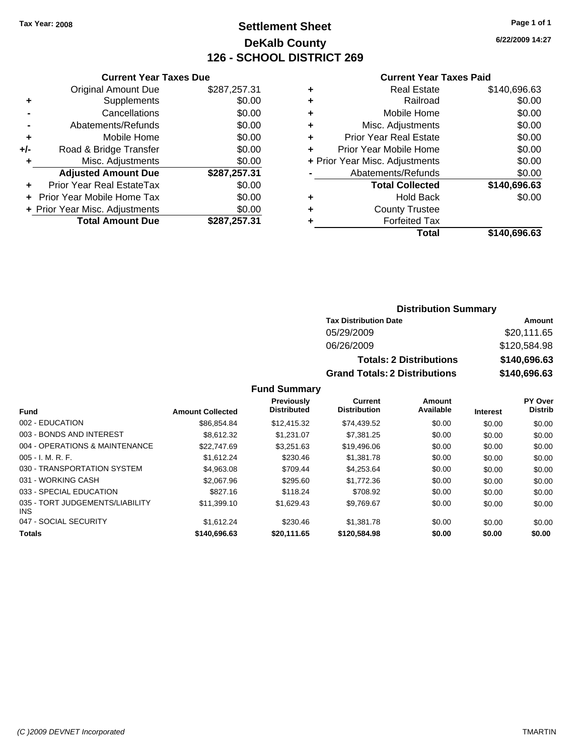# **Settlement Sheet Tax Year: 2008 Page 1 of 1 DeKalb County 126 - SCHOOL DISTRICT 269**

**6/22/2009 14:27**

|                | <b>Current Year Taxes Due</b> |              |  |  |
|----------------|-------------------------------|--------------|--|--|
|                | <b>Original Amount Due</b>    | \$287,257.31 |  |  |
|                | Supplements                   | \$0.00       |  |  |
|                | Cancellations                 | \$0.00       |  |  |
| $\blacksquare$ | Abatements/Refunds            | \$0.00       |  |  |
| ٠              | Mobile Home                   | \$0.00       |  |  |
| +/-            | Road & Bridge Transfer        | \$0.00       |  |  |
| ٠              | Misc. Adjustments             | \$0.00       |  |  |

**Adjusted Amount Due \$287,257.31**

**Total Amount Due \$287,257.31**

**+** Prior Year Real EstateTax \$0.00 **+** Prior Year Mobile Home Tax \$0.00 **+ Prior Year Misc. Adjustments**  $$0.00$ 

#### **Current Year Taxes Paid**

| ٠ | Real Estate                    | \$140,696.63 |
|---|--------------------------------|--------------|
| ٠ | Railroad                       | \$0.00       |
| ٠ | Mobile Home                    | \$0.00       |
| ٠ | Misc. Adjustments              | \$0.00       |
| ٠ | <b>Prior Year Real Estate</b>  | \$0.00       |
| ٠ | Prior Year Mobile Home         | \$0.00       |
|   | + Prior Year Misc. Adjustments | \$0.00       |
|   | Abatements/Refunds             | \$0.00       |
|   | <b>Total Collected</b>         | \$140,696.63 |
| ٠ | <b>Hold Back</b>               | \$0.00       |
| ٠ | <b>County Trustee</b>          |              |
| ٠ | <b>Forfeited Tax</b>           |              |
|   | Total                          | \$140,696.63 |
|   |                                |              |

**Distribution Summary Tax Distribution Date Amount**

|                                         |                         |                                         | 05/29/2009                     |                                      |                 | \$20,111.65                      |  |
|-----------------------------------------|-------------------------|-----------------------------------------|--------------------------------|--------------------------------------|-----------------|----------------------------------|--|
|                                         |                         |                                         | 06/26/2009                     |                                      |                 | \$120,584.98                     |  |
|                                         |                         |                                         |                                | <b>Totals: 2 Distributions</b>       |                 | \$140,696.63                     |  |
|                                         |                         |                                         |                                | <b>Grand Totals: 2 Distributions</b> |                 | \$140,696.63                     |  |
|                                         |                         | <b>Fund Summary</b>                     |                                |                                      |                 |                                  |  |
| Fund                                    | <b>Amount Collected</b> | <b>Previously</b><br><b>Distributed</b> | Current<br><b>Distribution</b> | Amount<br>Available                  | <b>Interest</b> | <b>PY Over</b><br><b>Distrib</b> |  |
| 002 - EDUCATION                         | \$86,854.84             | \$12,415.32                             | \$74,439.52                    | \$0.00                               | \$0.00          | \$0.00                           |  |
| 003 - BONDS AND INTEREST                | \$8,612.32              | \$1,231.07                              | \$7,381.25                     | \$0.00                               | \$0.00          | \$0.00                           |  |
| 004 - OPERATIONS & MAINTENANCE          | \$22,747.69             | \$3,251.63                              | \$19,496.06                    | \$0.00                               | \$0.00          | \$0.00                           |  |
| 005 - I. M. R. F.                       | \$1,612.24              | \$230.46                                | \$1,381.78                     | \$0.00                               | \$0.00          | \$0.00                           |  |
| 030 - TRANSPORTATION SYSTEM             | \$4,963.08              | \$709.44                                | \$4,253.64                     | \$0.00                               | \$0.00          | \$0.00                           |  |
| 031 - WORKING CASH                      | \$2,067.96              | \$295.60                                | \$1,772.36                     | \$0.00                               | \$0.00          | \$0.00                           |  |
| 033 - SPECIAL EDUCATION                 | \$827.16                | \$118.24                                | \$708.92                       | \$0.00                               | \$0.00          | \$0.00                           |  |
| 035 - TORT JUDGEMENTS/LIABILITY<br>INS. | \$11,399.10             | \$1,629.43                              | \$9,769.67                     | \$0.00                               | \$0.00          | \$0.00                           |  |
| 047 - SOCIAL SECURITY                   | \$1,612.24              | \$230.46                                | \$1,381.78                     | \$0.00                               | \$0.00          | \$0.00                           |  |
| Totals                                  | \$140,696.63            | \$20,111.65                             | \$120,584.98                   | \$0.00                               | \$0.00          | \$0.00                           |  |

INS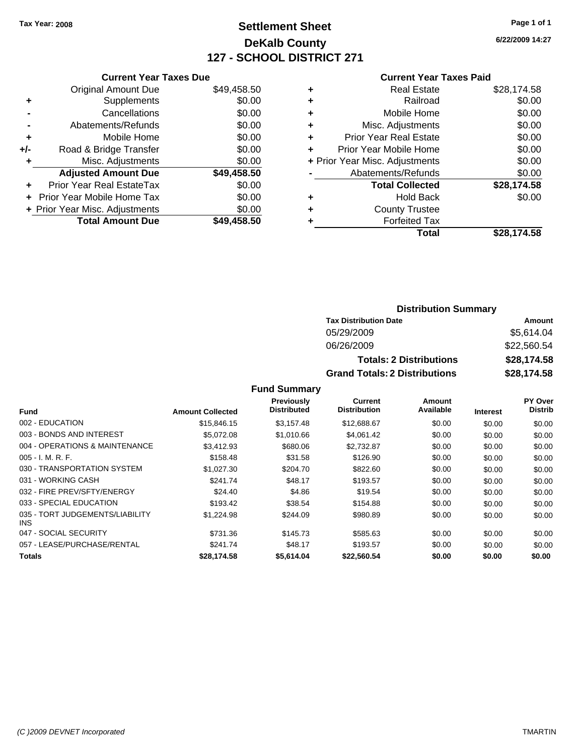# **Settlement Sheet Tax Year: 2008 Page 1 of 1 DeKalb County 127 - SCHOOL DISTRICT 271**

**6/22/2009 14:27**

| יים |  |  |  |
|-----|--|--|--|

| <b>Current Year Taxes Due</b>  |             |
|--------------------------------|-------------|
| <b>Original Amount Due</b>     | \$49,458.50 |
| Supplements                    | \$0.00      |
| Cancellations                  | \$0.00      |
| Abatements/Refunds             | \$0.00      |
| Mobile Home                    | \$0.00      |
| Road & Bridge Transfer         | \$0.00      |
| Misc. Adjustments              | \$0.00      |
| <b>Adjusted Amount Due</b>     | \$49,458.50 |
| Prior Year Real EstateTax      | \$0.00      |
| Prior Year Mobile Home Tax     | \$0.00      |
| + Prior Year Misc. Adjustments | \$0.00      |
| <b>Total Amount Due</b>        | \$49.458.50 |
|                                |             |

#### **Current Year Taxes Paid**

| ٠ | <b>Real Estate</b>             | \$28,174.58 |
|---|--------------------------------|-------------|
| ٠ | Railroad                       | \$0.00      |
| ٠ | Mobile Home                    | \$0.00      |
| ÷ | Misc. Adjustments              | \$0.00      |
| ٠ | Prior Year Real Estate         | \$0.00      |
| ÷ | Prior Year Mobile Home         | \$0.00      |
|   | + Prior Year Misc. Adjustments | \$0.00      |
|   | Abatements/Refunds             | \$0.00      |
|   | <b>Total Collected</b>         | \$28,174.58 |
| ٠ | Hold Back                      | \$0.00      |
| ٠ | <b>County Trustee</b>          |             |
| ٠ | <b>Forfeited Tax</b>           |             |
|   | Total                          | \$28,174.58 |
|   |                                |             |

### **Distribution Summary**

| <b>Tax Distribution Date</b>         | Amount      |
|--------------------------------------|-------------|
| 05/29/2009                           | \$5,614.04  |
| 06/26/2009                           | \$22,560.54 |
| <b>Totals: 2 Distributions</b>       | \$28,174.58 |
| <b>Grand Totals: 2 Distributions</b> | \$28,174.58 |

|                                         |                         | <b>Previously</b>  | Current             | Amount    |                 | PY Over        |
|-----------------------------------------|-------------------------|--------------------|---------------------|-----------|-----------------|----------------|
| Fund                                    | <b>Amount Collected</b> | <b>Distributed</b> | <b>Distribution</b> | Available | <b>Interest</b> | <b>Distrib</b> |
| 002 - EDUCATION                         | \$15,846.15             | \$3.157.48         | \$12,688.67         | \$0.00    | \$0.00          | \$0.00         |
| 003 - BONDS AND INTEREST                | \$5,072.08              | \$1,010.66         | \$4.061.42          | \$0.00    | \$0.00          | \$0.00         |
| 004 - OPERATIONS & MAINTENANCE          | \$3.412.93              | \$680.06           | \$2.732.87          | \$0.00    | \$0.00          | \$0.00         |
| $005 - I. M. R. F.$                     | \$158.48                | \$31.58            | \$126.90            | \$0.00    | \$0.00          | \$0.00         |
| 030 - TRANSPORTATION SYSTEM             | \$1,027.30              | \$204.70           | \$822.60            | \$0.00    | \$0.00          | \$0.00         |
| 031 - WORKING CASH                      | \$241.74                | \$48.17            | \$193.57            | \$0.00    | \$0.00          | \$0.00         |
| 032 - FIRE PREV/SFTY/ENERGY             | \$24.40                 | \$4.86             | \$19.54             | \$0.00    | \$0.00          | \$0.00         |
| 033 - SPECIAL EDUCATION                 | \$193.42                | \$38.54            | \$154.88            | \$0.00    | \$0.00          | \$0.00         |
| 035 - TORT JUDGEMENTS/LIABILITY<br>INS. | \$1,224.98              | \$244.09           | \$980.89            | \$0.00    | \$0.00          | \$0.00         |
| 047 - SOCIAL SECURITY                   | \$731.36                | \$145.73           | \$585.63            | \$0.00    | \$0.00          | \$0.00         |
| 057 - LEASE/PURCHASE/RENTAL             | \$241.74                | \$48.17            | \$193.57            | \$0.00    | \$0.00          | \$0.00         |
| <b>Totals</b>                           | \$28,174.58             | \$5,614.04         | \$22.560.54         | \$0.00    | \$0.00          | \$0.00         |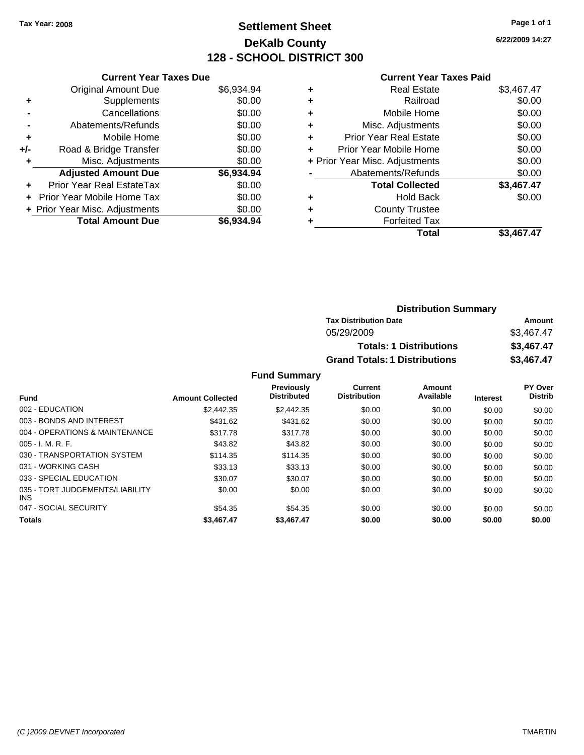# **Settlement Sheet Tax Year: 2008 Page 1 of 1 DeKalb County 128 - SCHOOL DISTRICT 300**

**6/22/2009 14:27**

### **Current Year Taxes Paid**

| <b>Current Year Taxes Due</b>     |                                |
|-----------------------------------|--------------------------------|
| <b>Original Amount Due</b>        | \$6,934.94                     |
| Supplements                       | \$0.00                         |
| Cancellations                     | \$0.00                         |
| Abatements/Refunds                | \$0.00                         |
| Mobile Home                       | \$0.00                         |
| Road & Bridge Transfer            | \$0.00                         |
| Misc. Adjustments                 | \$0.00                         |
| <b>Adjusted Amount Due</b>        | \$6,934.94                     |
| Prior Year Real EstateTax         | \$0.00                         |
| <b>Prior Year Mobile Home Tax</b> | \$0.00                         |
|                                   | \$0.00                         |
| <b>Total Amount Due</b>           | \$6.934.94                     |
|                                   | + Prior Year Misc. Adjustments |

| <b>Real Estate</b>             | \$3,467.47 |
|--------------------------------|------------|
| Railroad                       | \$0.00     |
| Mobile Home                    | \$0.00     |
| Misc. Adjustments              | \$0.00     |
| <b>Prior Year Real Estate</b>  | \$0.00     |
| Prior Year Mobile Home         | \$0.00     |
| + Prior Year Misc. Adjustments | \$0.00     |
| Abatements/Refunds             | \$0.00     |
| <b>Total Collected</b>         | \$3,467.47 |
| <b>Hold Back</b>               | \$0.00     |
| <b>County Trustee</b>          |            |
| <b>Forfeited Tax</b>           |            |
| Total                          | \$3,467.47 |
|                                |            |

| <b>Distribution Summary</b>          |            |
|--------------------------------------|------------|
| <b>Tax Distribution Date</b>         | Amount     |
| 05/29/2009                           | \$3,467.47 |
| <b>Totals: 1 Distributions</b>       | \$3,467.47 |
| <b>Grand Totals: 1 Distributions</b> | \$3,467.47 |

| <b>Fund</b>                                   | <b>Amount Collected</b> | <b>Previously</b><br><b>Distributed</b> | <b>Current</b><br><b>Distribution</b> | Amount<br>Available | <b>Interest</b> | PY Over<br><b>Distrib</b> |
|-----------------------------------------------|-------------------------|-----------------------------------------|---------------------------------------|---------------------|-----------------|---------------------------|
| 002 - EDUCATION                               | \$2,442.35              | \$2,442.35                              | \$0.00                                | \$0.00              | \$0.00          | \$0.00                    |
| 003 - BONDS AND INTEREST                      | \$431.62                | \$431.62                                | \$0.00                                | \$0.00              | \$0.00          | \$0.00                    |
| 004 - OPERATIONS & MAINTENANCE                | \$317.78                | \$317.78                                | \$0.00                                | \$0.00              | \$0.00          | \$0.00                    |
| $005 - I. M. R. F.$                           | \$43.82                 | \$43.82                                 | \$0.00                                | \$0.00              | \$0.00          | \$0.00                    |
| 030 - TRANSPORTATION SYSTEM                   | \$114.35                | \$114.35                                | \$0.00                                | \$0.00              | \$0.00          | \$0.00                    |
| 031 - WORKING CASH                            | \$33.13                 | \$33.13                                 | \$0.00                                | \$0.00              | \$0.00          | \$0.00                    |
| 033 - SPECIAL EDUCATION                       | \$30.07                 | \$30.07                                 | \$0.00                                | \$0.00              | \$0.00          | \$0.00                    |
| 035 - TORT JUDGEMENTS/LIABILITY<br><b>INS</b> | \$0.00                  | \$0.00                                  | \$0.00                                | \$0.00              | \$0.00          | \$0.00                    |
| 047 - SOCIAL SECURITY                         | \$54.35                 | \$54.35                                 | \$0.00                                | \$0.00              | \$0.00          | \$0.00                    |
| <b>Totals</b>                                 | \$3,467.47              | \$3,467.47                              | \$0.00                                | \$0.00              | \$0.00          | \$0.00                    |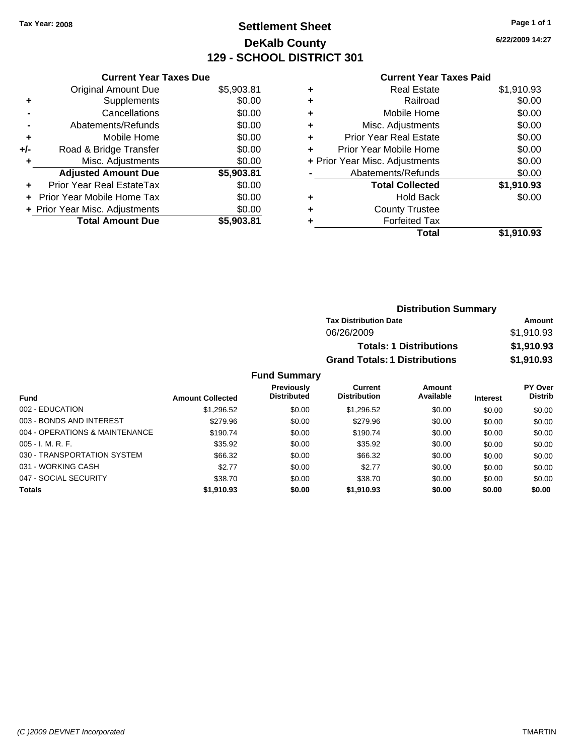# **Settlement Sheet Tax Year: 2008 Page 1 of 1 DeKalb County 129 - SCHOOL DISTRICT 301**

**6/22/2009 14:27**

#### **Current Year Taxes Paid**

|     | <b>Current Year Taxes Due</b>  |            |
|-----|--------------------------------|------------|
|     | <b>Original Amount Due</b>     | \$5,903.81 |
| ٠   | Supplements                    | \$0.00     |
|     | Cancellations                  | \$0.00     |
|     | Abatements/Refunds             | \$0.00     |
| ٠   | Mobile Home                    | \$0.00     |
| +/- | Road & Bridge Transfer         | \$0.00     |
|     | Misc. Adjustments              | \$0.00     |
|     | <b>Adjusted Amount Due</b>     | \$5,903.81 |
| ÷   | Prior Year Real EstateTax      | \$0.00     |
| ÷   | Prior Year Mobile Home Tax     | \$0.00     |
|     | + Prior Year Misc. Adjustments | \$0.00     |
|     | <b>Total Amount Due</b>        | \$5.903.81 |

| \$1,910.93 |
|------------|
| \$0.00     |
| \$0.00     |
| \$0.00     |
| \$0.00     |
| \$0.00     |
| \$0.00     |
| \$0.00     |
| \$1,910.93 |
| \$0.00     |
|            |
|            |
| \$1.910.93 |
|            |

| <b>Distribution Summary</b>          |            |
|--------------------------------------|------------|
| <b>Tax Distribution Date</b>         | Amount     |
| 06/26/2009                           | \$1,910.93 |
| <b>Totals: 1 Distributions</b>       | \$1,910.93 |
| <b>Grand Totals: 1 Distributions</b> | \$1,910.93 |

|                                |                         | <b>Previously</b>  | Current             | Amount    |                 | <b>PY Over</b> |
|--------------------------------|-------------------------|--------------------|---------------------|-----------|-----------------|----------------|
| <b>Fund</b>                    | <b>Amount Collected</b> | <b>Distributed</b> | <b>Distribution</b> | Available | <b>Interest</b> | <b>Distrib</b> |
| 002 - EDUCATION                | \$1,296.52              | \$0.00             | \$1,296.52          | \$0.00    | \$0.00          | \$0.00         |
| 003 - BONDS AND INTEREST       | \$279.96                | \$0.00             | \$279.96            | \$0.00    | \$0.00          | \$0.00         |
| 004 - OPERATIONS & MAINTENANCE | \$190.74                | \$0.00             | \$190.74            | \$0.00    | \$0.00          | \$0.00         |
| $005 - I. M. R. F.$            | \$35.92                 | \$0.00             | \$35.92             | \$0.00    | \$0.00          | \$0.00         |
| 030 - TRANSPORTATION SYSTEM    | \$66.32                 | \$0.00             | \$66.32             | \$0.00    | \$0.00          | \$0.00         |
| 031 - WORKING CASH             | \$2.77                  | \$0.00             | \$2.77              | \$0.00    | \$0.00          | \$0.00         |
| 047 - SOCIAL SECURITY          | \$38.70                 | \$0.00             | \$38.70             | \$0.00    | \$0.00          | \$0.00         |
| <b>Totals</b>                  | \$1,910.93              | \$0.00             | \$1,910.93          | \$0.00    | \$0.00          | \$0.00         |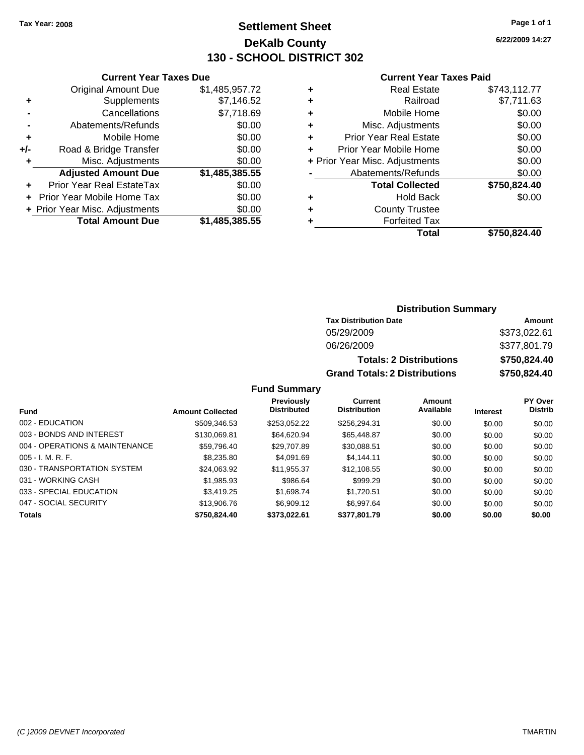### **Settlement Sheet Tax Year: 2008 Page 1 of 1 DeKalb County 130 - SCHOOL DISTRICT 302**

**6/22/2009 14:27**

#### **Current Year Taxes Paid**

| Total<br>\$750,824.40                    |
|------------------------------------------|
| <b>Forfeited Tax</b>                     |
| <b>County Trustee</b>                    |
| \$0.00<br><b>Hold Back</b>               |
| \$750,824.40<br><b>Total Collected</b>   |
| Abatements/Refunds<br>\$0.00             |
| \$0.00<br>+ Prior Year Misc. Adjustments |
| \$0.00<br>Prior Year Mobile Home         |
| <b>Prior Year Real Estate</b><br>\$0.00  |
| \$0.00<br>Misc. Adjustments              |
| Mobile Home<br>\$0.00                    |
| \$7,711.63<br>Railroad                   |
| \$743,112.77<br><b>Real Estate</b>       |
|                                          |

| <b>Distribution Summary</b> |  |
|-----------------------------|--|
|-----------------------------|--|

| <b>Tax Distribution Date</b>         | Amount       |
|--------------------------------------|--------------|
| 05/29/2009                           | \$373,022.61 |
| 06/26/2009                           | \$377,801.79 |
| <b>Totals: 2 Distributions</b>       | \$750,824.40 |
| <b>Grand Totals: 2 Distributions</b> | \$750,824.40 |

**Fund Summary**

|                                |                         | <b>Previously</b>  | Current             | Amount    |                 | <b>PY Over</b> |
|--------------------------------|-------------------------|--------------------|---------------------|-----------|-----------------|----------------|
| <b>Fund</b>                    | <b>Amount Collected</b> | <b>Distributed</b> | <b>Distribution</b> | Available | <b>Interest</b> | <b>Distrib</b> |
| 002 - EDUCATION                | \$509,346.53            | \$253.052.22       | \$256.294.31        | \$0.00    | \$0.00          | \$0.00         |
| 003 - BONDS AND INTEREST       | \$130.069.81            | \$64.620.94        | \$65,448.87         | \$0.00    | \$0.00          | \$0.00         |
| 004 - OPERATIONS & MAINTENANCE | \$59,796.40             | \$29,707.89        | \$30,088.51         | \$0.00    | \$0.00          | \$0.00         |
| $005 - I. M. R. F.$            | \$8,235.80              | \$4,091.69         | \$4.144.11          | \$0.00    | \$0.00          | \$0.00         |
| 030 - TRANSPORTATION SYSTEM    | \$24,063.92             | \$11,955.37        | \$12,108.55         | \$0.00    | \$0.00          | \$0.00         |
| 031 - WORKING CASH             | \$1,985.93              | \$986.64           | \$999.29            | \$0.00    | \$0.00          | \$0.00         |
| 033 - SPECIAL EDUCATION        | \$3.419.25              | \$1,698.74         | \$1.720.51          | \$0.00    | \$0.00          | \$0.00         |
| 047 - SOCIAL SECURITY          | \$13,906.76             | \$6,909.12         | \$6.997.64          | \$0.00    | \$0.00          | \$0.00         |
| <b>Totals</b>                  | \$750.824.40            | \$373,022.61       | \$377,801.79        | \$0.00    | \$0.00          | \$0.00         |

**+/-** Road & Bridge Transfer \$0.00 **+** Misc. Adjustments \$0.00

**+** Prior Year Real EstateTax \$0.00 **+** Prior Year Mobile Home Tax \$0.00 **+ Prior Year Misc. Adjustments**  $$0.00$ 

**Adjusted Amount Due \$1,485,385.55**

**Total Amount Due \$1,485,385.55**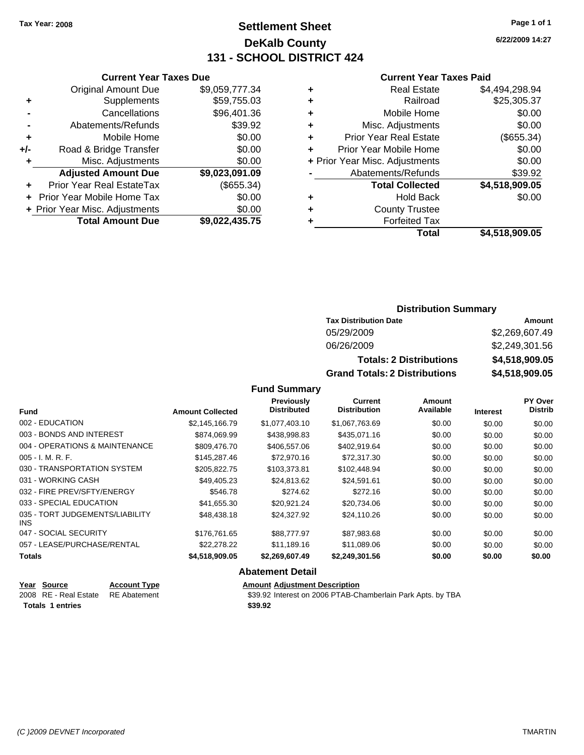### **Settlement Sheet Tax Year: 2008 Page 1 of 1 DeKalb County 131 - SCHOOL DISTRICT 424**

**6/22/2009 14:27**

#### **Current Year Taxes Paid**

| ٠ | <b>Real Estate</b>             | \$4,494,298.94 |
|---|--------------------------------|----------------|
| ٠ | Railroad                       | \$25,305.37    |
| ٠ | Mobile Home                    | \$0.00         |
| ٠ | Misc. Adjustments              | \$0.00         |
| ٠ | <b>Prior Year Real Estate</b>  | (\$655.34)     |
|   | Prior Year Mobile Home         | \$0.00         |
|   | + Prior Year Misc. Adjustments | \$0.00         |
|   | Abatements/Refunds             | \$39.92        |
|   | <b>Total Collected</b>         | \$4,518,909.05 |
| ٠ | <b>Hold Back</b>               | \$0.00         |
| ٠ | <b>County Trustee</b>          |                |
|   | <b>Forfeited Tax</b>           |                |
|   | Total                          | \$4,518,909.05 |

|     | <b>Current Year Taxes Due</b>  |                |  |  |  |
|-----|--------------------------------|----------------|--|--|--|
|     | <b>Original Amount Due</b>     | \$9,059,777.34 |  |  |  |
| ٠   | Supplements                    | \$59,755.03    |  |  |  |
|     | Cancellations                  | \$96,401.36    |  |  |  |
|     | Abatements/Refunds             | \$39.92        |  |  |  |
| ٠   | Mobile Home                    | \$0.00         |  |  |  |
| +/- | Road & Bridge Transfer         | \$0.00         |  |  |  |
| ٠   | Misc. Adjustments              | \$0.00         |  |  |  |
|     | <b>Adjusted Amount Due</b>     | \$9,023,091.09 |  |  |  |
| ٠   | Prior Year Real EstateTax      | (\$655.34)     |  |  |  |
|     | Prior Year Mobile Home Tax     | \$0.00         |  |  |  |
|     | + Prior Year Misc. Adjustments | \$0.00         |  |  |  |
|     | <b>Total Amount Due</b>        | \$9,022,435.75 |  |  |  |
|     |                                |                |  |  |  |

### **Distribution Summary**

| <b>Tax Distribution Date</b>         | Amount         |
|--------------------------------------|----------------|
| 05/29/2009                           | \$2,269,607.49 |
| 06/26/2009                           | \$2,249,301.56 |
| <b>Totals: 2 Distributions</b>       | \$4,518,909.05 |
| <b>Grand Totals: 2 Distributions</b> | \$4,518,909.05 |

**Fund Summary**

|                                         |                         | Previously<br><b>Distributed</b> | Current<br><b>Distribution</b> | Amount<br>Available |                 | PY Over<br><b>Distrib</b> |
|-----------------------------------------|-------------------------|----------------------------------|--------------------------------|---------------------|-----------------|---------------------------|
| <b>Fund</b>                             | <b>Amount Collected</b> |                                  |                                |                     | <b>Interest</b> |                           |
| 002 - EDUCATION                         | \$2.145.166.79          | \$1,077,403.10                   | \$1,067,763.69                 | \$0.00              | \$0.00          | \$0.00                    |
| 003 - BONDS AND INTEREST                | \$874.069.99            | \$438,998.83                     | \$435,071.16                   | \$0.00              | \$0.00          | \$0.00                    |
| 004 - OPERATIONS & MAINTENANCE          | \$809,476.70            | \$406,557.06                     | \$402.919.64                   | \$0.00              | \$0.00          | \$0.00                    |
| $005 - I. M. R. F.$                     | \$145,287.46            | \$72,970.16                      | \$72,317.30                    | \$0.00              | \$0.00          | \$0.00                    |
| 030 - TRANSPORTATION SYSTEM             | \$205,822.75            | \$103,373.81                     | \$102,448.94                   | \$0.00              | \$0.00          | \$0.00                    |
| 031 - WORKING CASH                      | \$49.405.23             | \$24.813.62                      | \$24.591.61                    | \$0.00              | \$0.00          | \$0.00                    |
| 032 - FIRE PREV/SFTY/ENERGY             | \$546.78                | \$274.62                         | \$272.16                       | \$0.00              | \$0.00          | \$0.00                    |
| 033 - SPECIAL EDUCATION                 | \$41,655.30             | \$20.921.24                      | \$20.734.06                    | \$0.00              | \$0.00          | \$0.00                    |
| 035 - TORT JUDGEMENTS/LIABILITY<br>INS. | \$48,438.18             | \$24,327.92                      | \$24.110.26                    | \$0.00              | \$0.00          | \$0.00                    |
| 047 - SOCIAL SECURITY                   | \$176.761.65            | \$88,777.97                      | \$87.983.68                    | \$0.00              | \$0.00          | \$0.00                    |
| 057 - LEASE/PURCHASE/RENTAL             | \$22,278.22             | \$11,189.16                      | \$11,089.06                    | \$0.00              | \$0.00          | \$0.00                    |
| <b>Totals</b>                           | \$4,518,909.05          | \$2,269,607.49                   | \$2,249,301.56                 | \$0.00              | \$0.00          | \$0.00                    |

#### **Abatement Detail**

| Year Source                        | <b>Account Type</b> | <b>Amount Adiustment Description</b>                        |
|------------------------------------|---------------------|-------------------------------------------------------------|
| 2008 RE - Real Estate RE Abatement |                     | \$39.92 Interest on 2006 PTAB-Chamberlain Park Apts. by TBA |
| <b>Totals 1 entries</b>            |                     | \$39.92                                                     |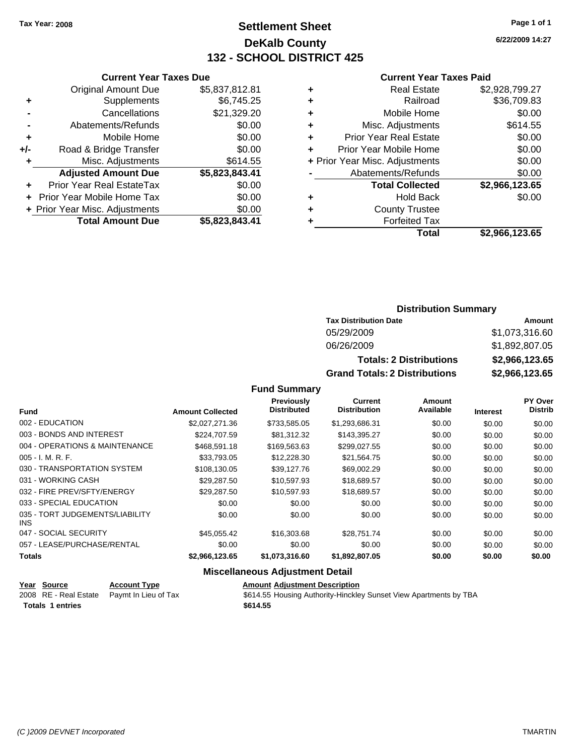**Current Year Taxes Due** Original Amount Due \$5,837,812.81

**Adjusted Amount Due \$5,823,843.41**

**+** Supplements \$6,745.25 **-** Cancellations \$21,329.20 **-** Abatements/Refunds \$0.00 **+** Mobile Home \$0.00 **+/-** Road & Bridge Transfer \$0.00 **+** Misc. Adjustments \$614.55

**+** Prior Year Real EstateTax \$0.00 **+** Prior Year Mobile Home Tax \$0.00 **+ Prior Year Misc. Adjustments \$0.00<br>Total Amount Due \$5,823,843.41** 

**Total Amount Due** 

### **Settlement Sheet Tax Year: 2008 Page 1 of 1 DeKalb County 132 - SCHOOL DISTRICT 425**

**6/22/2009 14:27**

#### **Current Year Taxes Paid**

| <b>Tax Distribution Date</b>         | Amount         |
|--------------------------------------|----------------|
| 05/29/2009                           | \$1,073,316.60 |
| 06/26/2009                           | \$1,892,807.05 |
| <b>Totals: 2 Distributions</b>       | \$2,966,123.65 |
| <b>Grand Totals: 2 Distributions</b> | \$2,966,123.65 |

**Fund Summary**

|                                         |                         | Previously         | Current             | Amount    |                 | PY Over        |
|-----------------------------------------|-------------------------|--------------------|---------------------|-----------|-----------------|----------------|
| <b>Fund</b>                             | <b>Amount Collected</b> | <b>Distributed</b> | <b>Distribution</b> | Available | <b>Interest</b> | <b>Distrib</b> |
| 002 - EDUCATION                         | \$2,027,271,36          | \$733,585.05       | \$1,293,686.31      | \$0.00    | \$0.00          | \$0.00         |
| 003 - BONDS AND INTEREST                | \$224,707.59            | \$81,312.32        | \$143,395.27        | \$0.00    | \$0.00          | \$0.00         |
| 004 - OPERATIONS & MAINTENANCE          | \$468,591.18            | \$169,563.63       | \$299,027.55        | \$0.00    | \$0.00          | \$0.00         |
| $005 - I. M. R. F.$                     | \$33,793.05             | \$12,228.30        | \$21,564.75         | \$0.00    | \$0.00          | \$0.00         |
| 030 - TRANSPORTATION SYSTEM             | \$108,130.05            | \$39,127.76        | \$69,002.29         | \$0.00    | \$0.00          | \$0.00         |
| 031 - WORKING CASH                      | \$29,287.50             | \$10,597.93        | \$18,689.57         | \$0.00    | \$0.00          | \$0.00         |
| 032 - FIRE PREV/SFTY/ENERGY             | \$29,287.50             | \$10.597.93        | \$18,689.57         | \$0.00    | \$0.00          | \$0.00         |
| 033 - SPECIAL EDUCATION                 | \$0.00                  | \$0.00             | \$0.00              | \$0.00    | \$0.00          | \$0.00         |
| 035 - TORT JUDGEMENTS/LIABILITY<br>INS. | \$0.00                  | \$0.00             | \$0.00              | \$0.00    | \$0.00          | \$0.00         |
| 047 - SOCIAL SECURITY                   | \$45,055,42             | \$16,303,68        | \$28.751.74         | \$0.00    | \$0.00          | \$0.00         |
| 057 - LEASE/PURCHASE/RENTAL             | \$0.00                  | \$0.00             | \$0.00              | \$0.00    | \$0.00          | \$0.00         |
| <b>Totals</b>                           | \$2,966,123.65          | \$1,073,316.60     | \$1,892,807.05      | \$0.00    | \$0.00          | \$0.00         |

#### **Miscellaneous Adjustment Detail**

| Year Source             | <b>Account Type</b>  | <b>Amount Adiustment Description</b>                              |
|-------------------------|----------------------|-------------------------------------------------------------------|
| 2008 RE - Real Estate   | Pavmt In Lieu of Tax | \$614.55 Housing Authority-Hinckley Sunset View Apartments by TBA |
| <b>Totals 1 entries</b> |                      | \$614.55                                                          |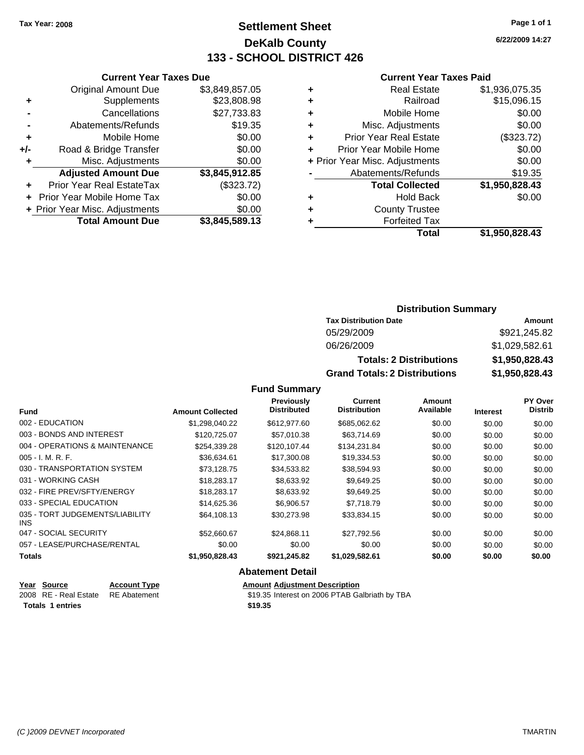**Current Year Taxes Due** Original Amount Due \$3,849,857.05

**Adjusted Amount Due \$3,845,912.85**

**Total Amount Due \$3,845,589.13**

**+** Supplements \$23,808.98 **-** Cancellations \$27,733.83 **-** Abatements/Refunds \$19.35 **+** Mobile Home \$0.00 **+/-** Road & Bridge Transfer \$0.00 **+** Misc. Adjustments \$0.00

**+** Prior Year Real EstateTax (\$323.72) **+** Prior Year Mobile Home Tax \$0.00 **+ Prior Year Misc. Adjustments**  $$0.00$ 

### **Settlement Sheet Tax Year: 2008 Page 1 of 1 DeKalb County 133 - SCHOOL DISTRICT 426**

**6/22/2009 14:27**

#### **Current Year Taxes Paid**

| ٠ | <b>Real Estate</b>             | \$1,936,075.35 |
|---|--------------------------------|----------------|
| ٠ | Railroad                       | \$15,096.15    |
| ÷ | Mobile Home                    | \$0.00         |
| ÷ | Misc. Adjustments              | \$0.00         |
| ٠ | <b>Prior Year Real Estate</b>  | (\$323.72)     |
| ÷ | Prior Year Mobile Home         | \$0.00         |
|   | + Prior Year Misc. Adjustments | \$0.00         |
|   | Abatements/Refunds             | \$19.35        |
|   | <b>Total Collected</b>         | \$1,950,828.43 |
| ٠ | <b>Hold Back</b>               | \$0.00         |
| ٠ | <b>County Trustee</b>          |                |
| ٠ | <b>Forfeited Tax</b>           |                |
|   | Total                          | \$1.950.828.43 |

| <b>Distribution Summary</b> |  |
|-----------------------------|--|
|-----------------------------|--|

| <b>Tax Distribution Date</b>         | Amount         |
|--------------------------------------|----------------|
| 05/29/2009                           | \$921,245.82   |
| 06/26/2009                           | \$1,029,582.61 |
| <b>Totals: 2 Distributions</b>       | \$1,950,828.43 |
| <b>Grand Totals: 2 Distributions</b> | \$1,950,828.43 |

**Fund Summary**

|                                         |                         | Previously<br><b>Distributed</b> | <b>Current</b><br><b>Distribution</b> | <b>Amount</b><br>Available |                 | <b>PY Over</b><br><b>Distrib</b> |
|-----------------------------------------|-------------------------|----------------------------------|---------------------------------------|----------------------------|-----------------|----------------------------------|
| <b>Fund</b>                             | <b>Amount Collected</b> |                                  |                                       |                            | <b>Interest</b> |                                  |
| 002 - EDUCATION                         | \$1,298,040.22          | \$612,977.60                     | \$685,062.62                          | \$0.00                     | \$0.00          | \$0.00                           |
| 003 - BONDS AND INTEREST                | \$120,725.07            | \$57,010.38                      | \$63,714.69                           | \$0.00                     | \$0.00          | \$0.00                           |
| 004 - OPERATIONS & MAINTENANCE          | \$254,339.28            | \$120,107.44                     | \$134,231.84                          | \$0.00                     | \$0.00          | \$0.00                           |
| $005 - I. M. R. F.$                     | \$36,634.61             | \$17,300.08                      | \$19,334.53                           | \$0.00                     | \$0.00          | \$0.00                           |
| 030 - TRANSPORTATION SYSTEM             | \$73,128.75             | \$34,533.82                      | \$38,594.93                           | \$0.00                     | \$0.00          | \$0.00                           |
| 031 - WORKING CASH                      | \$18,283.17             | \$8,633.92                       | \$9,649.25                            | \$0.00                     | \$0.00          | \$0.00                           |
| 032 - FIRE PREV/SFTY/ENERGY             | \$18,283.17             | \$8,633.92                       | \$9,649.25                            | \$0.00                     | \$0.00          | \$0.00                           |
| 033 - SPECIAL EDUCATION                 | \$14,625.36             | \$6,906.57                       | \$7,718.79                            | \$0.00                     | \$0.00          | \$0.00                           |
| 035 - TORT JUDGEMENTS/LIABILITY<br>INS. | \$64,108.13             | \$30,273.98                      | \$33,834.15                           | \$0.00                     | \$0.00          | \$0.00                           |
| 047 - SOCIAL SECURITY                   | \$52,660.67             | \$24,868.11                      | \$27,792.56                           | \$0.00                     | \$0.00          | \$0.00                           |
| 057 - LEASE/PURCHASE/RENTAL             | \$0.00                  | \$0.00                           | \$0.00                                | \$0.00                     | \$0.00          | \$0.00                           |
| <b>Totals</b>                           | \$1,950,828.43          | \$921,245.82                     | \$1,029,582.61                        | \$0.00                     | \$0.00          | \$0.00                           |
|                                         |                         |                                  |                                       |                            |                 |                                  |

#### **Abatement Detail**

| Year Source                        | <b>Account Type</b> | <b>Amount Adiustment Description</b>           |
|------------------------------------|---------------------|------------------------------------------------|
| 2008 RE - Real Estate RE Abatement |                     | \$19.35 Interest on 2006 PTAB Galbriath by TBA |
| <b>Totals 1 entries</b>            |                     | \$19.35                                        |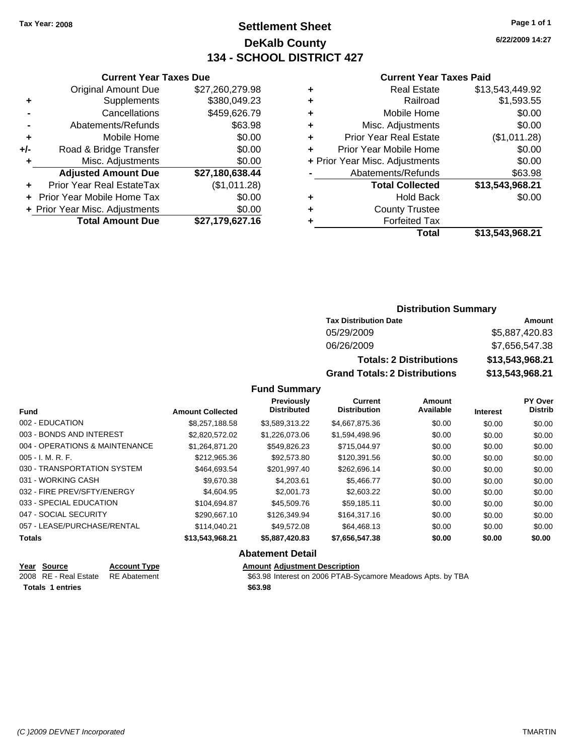### **Settlement Sheet Tax Year: 2008 Page 1 of 1 DeKalb County 134 - SCHOOL DISTRICT 427**

**6/22/2009 14:27**

#### **Current Year Taxes Paid**

| <b>Current Year Taxes Due</b>  |                 |
|--------------------------------|-----------------|
| <b>Original Amount Due</b>     | \$27,260,279.98 |
| Supplements                    | \$380,049.23    |
| Cancellations                  | \$459,626.79    |
| Abatements/Refunds             | \$63.98         |
| Mobile Home                    | \$0.00          |
| Road & Bridge Transfer         | \$0.00          |
| Misc. Adjustments              | \$0.00          |
| <b>Adjusted Amount Due</b>     | \$27,180,638.44 |
| Prior Year Real EstateTax      | (\$1,011.28)    |
| Prior Year Mobile Home Tax     | \$0.00          |
| + Prior Year Misc. Adjustments | \$0.00          |
|                                |                 |
|                                |                 |

| <b>Real Estate</b>             | \$13,543,449.92 |
|--------------------------------|-----------------|
| Railroad                       | \$1,593.55      |
| Mobile Home                    | \$0.00          |
| Misc. Adjustments              | \$0.00          |
| <b>Prior Year Real Estate</b>  | (\$1,011.28)    |
| Prior Year Mobile Home         | \$0.00          |
| + Prior Year Misc. Adjustments | \$0.00          |
| Abatements/Refunds             | \$63.98         |
| <b>Total Collected</b>         | \$13,543,968.21 |
| <b>Hold Back</b>               | \$0.00          |
| <b>County Trustee</b>          |                 |
| <b>Forfeited Tax</b>           |                 |
| Total                          | \$13,543,968.21 |
|                                |                 |

### **Distribution Summary**

| <b>Tax Distribution Date</b>         | Amount          |  |  |
|--------------------------------------|-----------------|--|--|
| 05/29/2009                           | \$5,887,420.83  |  |  |
| 06/26/2009                           | \$7,656,547.38  |  |  |
| <b>Totals: 2 Distributions</b>       | \$13,543,968.21 |  |  |
| <b>Grand Totals: 2 Distributions</b> | \$13,543,968.21 |  |  |

**Fund Summary**

|                         | <b>Previously</b> | Current            | <b>Amount</b>       |                 | <b>PY Over</b> |
|-------------------------|-------------------|--------------------|---------------------|-----------------|----------------|
| <b>Amount Collected</b> |                   |                    |                     | <b>Interest</b> | <b>Distrib</b> |
| \$8.257.188.58          | \$3.589.313.22    | \$4,667,875.36     | \$0.00              | \$0.00          | \$0.00         |
| \$2,820,572.02          | \$1,226,073.06    | \$1,594,498.96     | \$0.00              | \$0.00          | \$0.00         |
| \$1,264,871.20          | \$549,826.23      | \$715,044.97       | \$0.00              | \$0.00          | \$0.00         |
| \$212,965.36            | \$92,573.80       | \$120,391.56       | \$0.00              | \$0.00          | \$0.00         |
| \$464,693.54            | \$201.997.40      | \$262,696.14       | \$0.00              | \$0.00          | \$0.00         |
| \$9,670.38              | \$4,203.61        | \$5,466.77         | \$0.00              | \$0.00          | \$0.00         |
| \$4,604.95              | \$2,001.73        | \$2,603.22         | \$0.00              | \$0.00          | \$0.00         |
| \$104.694.87            | \$45,509.76       | \$59.185.11        | \$0.00              | \$0.00          | \$0.00         |
| \$290.667.10            | \$126,349.94      | \$164,317.16       | \$0.00              | \$0.00          | \$0.00         |
| \$114,040.21            | \$49.572.08       | \$64,468.13        | \$0.00              | \$0.00          | \$0.00         |
| \$13,543,968.21         | \$5,887,420.83    | \$7,656,547.38     | \$0.00              | \$0.00          | \$0.00         |
|                         |                   | <b>Distributed</b> | <b>Distribution</b> | Available       |                |

#### **Abatement Detail**

| Year Source             | <b>Account Type</b> | <b>Amount Adjustment Description</b>                        |
|-------------------------|---------------------|-------------------------------------------------------------|
| 2008 RE - Real Estate   | RE Abatement        | \$63.98 Interest on 2006 PTAB-Sycamore Meadows Apts. by TBA |
| <b>Totals 1 entries</b> |                     | \$63.98                                                     |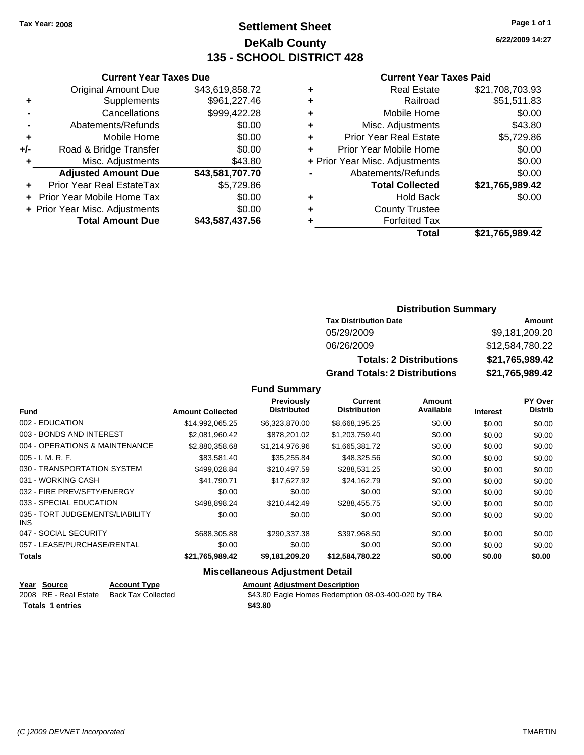### **Settlement Sheet Tax Year: 2008 Page 1 of 1 DeKalb County 135 - SCHOOL DISTRICT 428**

**6/22/2009 14:27**

#### **Current Year Taxes Paid**

|   | Total                          | \$21,765,989.42 |
|---|--------------------------------|-----------------|
| ٠ | <b>Forfeited Tax</b>           |                 |
| ٠ | <b>County Trustee</b>          |                 |
| ٠ | <b>Hold Back</b>               | \$0.00          |
|   | <b>Total Collected</b>         | \$21,765,989.42 |
|   | Abatements/Refunds             | \$0.00          |
|   | + Prior Year Misc. Adjustments | \$0.00          |
| ÷ | Prior Year Mobile Home         | \$0.00          |
| ÷ | <b>Prior Year Real Estate</b>  | \$5,729.86      |
| ÷ | Misc. Adjustments              | \$43.80         |
| ٠ | Mobile Home                    | \$0.00          |
| ٠ | Railroad                       | \$51,511.83     |
| ٠ | <b>Real Estate</b>             | \$21,708,703.93 |
|   |                                |                 |

|     | <b>Current Year Taxes Due</b>  |                 |
|-----|--------------------------------|-----------------|
|     | <b>Original Amount Due</b>     | \$43,619,858.72 |
| ٠   | Supplements                    | \$961,227.46    |
|     | Cancellations                  | \$999,422.28    |
|     | Abatements/Refunds             | \$0.00          |
| ٠   | Mobile Home                    | \$0.00          |
| +/- | Road & Bridge Transfer         | \$0.00          |
| ٠   | Misc. Adjustments              | \$43.80         |
|     | <b>Adjusted Amount Due</b>     | \$43,581,707.70 |
|     | Prior Year Real EstateTax      | \$5,729.86      |
|     | Prior Year Mobile Home Tax     | \$0.00          |
|     | + Prior Year Misc. Adjustments | \$0.00          |
|     | <b>Total Amount Due</b>        | \$43,587,437.56 |
|     |                                |                 |

### **Distribution Summary**

| <b>Tax Distribution Date</b>         | Amount          |  |  |
|--------------------------------------|-----------------|--|--|
| 05/29/2009                           | \$9.181.209.20  |  |  |
| 06/26/2009                           | \$12,584,780.22 |  |  |
| <b>Totals: 2 Distributions</b>       | \$21,765,989.42 |  |  |
| <b>Grand Totals: 2 Distributions</b> | \$21,765,989.42 |  |  |

**Fund Summary**

|                                         |                         | Previously         | Current             | Amount    |                 | PY Over        |
|-----------------------------------------|-------------------------|--------------------|---------------------|-----------|-----------------|----------------|
| <b>Fund</b>                             | <b>Amount Collected</b> | <b>Distributed</b> | <b>Distribution</b> | Available | <b>Interest</b> | <b>Distrib</b> |
| 002 - EDUCATION                         | \$14,992,065.25         | \$6,323,870.00     | \$8,668,195.25      | \$0.00    | \$0.00          | \$0.00         |
| 003 - BONDS AND INTEREST                | \$2,081,960.42          | \$878,201.02       | \$1,203,759.40      | \$0.00    | \$0.00          | \$0.00         |
| 004 - OPERATIONS & MAINTENANCE          | \$2,880,358.68          | \$1,214,976.96     | \$1,665,381.72      | \$0.00    | \$0.00          | \$0.00         |
| $005 - I. M. R. F.$                     | \$83,581.40             | \$35,255.84        | \$48,325.56         | \$0.00    | \$0.00          | \$0.00         |
| 030 - TRANSPORTATION SYSTEM             | \$499,028.84            | \$210,497.59       | \$288,531.25        | \$0.00    | \$0.00          | \$0.00         |
| 031 - WORKING CASH                      | \$41.790.71             | \$17,627.92        | \$24,162.79         | \$0.00    | \$0.00          | \$0.00         |
| 032 - FIRE PREV/SFTY/ENERGY             | \$0.00                  | \$0.00             | \$0.00              | \$0.00    | \$0.00          | \$0.00         |
| 033 - SPECIAL EDUCATION                 | \$498.898.24            | \$210,442.49       | \$288.455.75        | \$0.00    | \$0.00          | \$0.00         |
| 035 - TORT JUDGEMENTS/LIABILITY<br>INS. | \$0.00                  | \$0.00             | \$0.00              | \$0.00    | \$0.00          | \$0.00         |
| 047 - SOCIAL SECURITY                   | \$688,305.88            | \$290,337.38       | \$397,968.50        | \$0.00    | \$0.00          | \$0.00         |
| 057 - LEASE/PURCHASE/RENTAL             | \$0.00                  | \$0.00             | \$0.00              | \$0.00    | \$0.00          | \$0.00         |
| <b>Totals</b>                           | \$21,765,989.42         | \$9,181,209.20     | \$12,584,780.22     | \$0.00    | \$0.00          | \$0.00         |

#### **Miscellaneous Adjustment Detail**

| Year Source             | <b>Account Type</b> | <b>Amount Adiustment Description</b>                |
|-------------------------|---------------------|-----------------------------------------------------|
| 2008 RE - Real Estate   | Back Tax Collected  | \$43.80 Eagle Homes Redemption 08-03-400-020 by TBA |
| <b>Totals 1 entries</b> |                     | \$43.80                                             |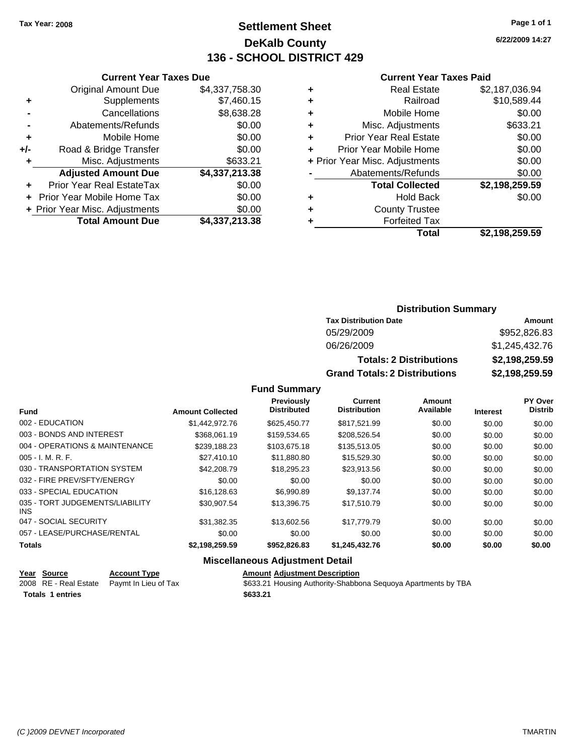### **Settlement Sheet Tax Year: 2008 Page 1 of 1 DeKalb County 136 - SCHOOL DISTRICT 429**

**6/22/2009 14:27**

#### **Current Year Taxes Paid**

|     | <b>Current Year Taxes Due</b>  |                |  |  |  |
|-----|--------------------------------|----------------|--|--|--|
|     | <b>Original Amount Due</b>     | \$4,337,758.30 |  |  |  |
| ٠   | Supplements                    | \$7,460.15     |  |  |  |
|     | Cancellations                  | \$8,638.28     |  |  |  |
|     | Abatements/Refunds             | \$0.00         |  |  |  |
| ٠   | Mobile Home                    | \$0.00         |  |  |  |
| +/- | Road & Bridge Transfer         | \$0.00         |  |  |  |
| ٠   | Misc. Adjustments              | \$633.21       |  |  |  |
|     | <b>Adjusted Amount Due</b>     | \$4,337,213.38 |  |  |  |
|     | Prior Year Real EstateTax      | \$0.00         |  |  |  |
|     | Prior Year Mobile Home Tax     | \$0.00         |  |  |  |
|     | + Prior Year Misc. Adjustments | \$0.00         |  |  |  |
|     | <b>Total Amount Due</b>        | \$4,337,213.38 |  |  |  |
|     |                                |                |  |  |  |

| <b>Real Estate</b><br>\$2,187,036.94     |
|------------------------------------------|
| \$10,589.44<br>Railroad                  |
| \$0.00<br>Mobile Home                    |
| \$633.21<br>Misc. Adjustments            |
| \$0.00<br><b>Prior Year Real Estate</b>  |
| \$0.00<br>Prior Year Mobile Home         |
| \$0.00<br>+ Prior Year Misc. Adjustments |
| \$0.00<br>Abatements/Refunds             |
| \$2,198,259.59<br><b>Total Collected</b> |
| \$0.00<br><b>Hold Back</b>               |
| <b>County Trustee</b>                    |
| <b>Forfeited Tax</b>                     |
| Total<br>\$2,198,259.59                  |
|                                          |

### **Distribution Summary**

| <b>Tax Distribution Date</b>         | Amount         |  |  |
|--------------------------------------|----------------|--|--|
| 05/29/2009                           | \$952,826.83   |  |  |
| 06/26/2009                           | \$1,245,432.76 |  |  |
| <b>Totals: 2 Distributions</b>       | \$2,198,259.59 |  |  |
| <b>Grand Totals: 2 Distributions</b> | \$2,198,259.59 |  |  |

**Fund Summary**

| Fund                                    | <b>Amount Collected</b> | <b>Previously</b><br><b>Distributed</b> | Current<br><b>Distribution</b> | Amount<br>Available | <b>Interest</b> | PY Over<br><b>Distrib</b> |
|-----------------------------------------|-------------------------|-----------------------------------------|--------------------------------|---------------------|-----------------|---------------------------|
| 002 - EDUCATION                         | \$1.442,972.76          | \$625.450.77                            | \$817.521.99                   | \$0.00              | \$0.00          | \$0.00                    |
| 003 - BONDS AND INTEREST                | \$368.061.19            | \$159,534.65                            | \$208.526.54                   | \$0.00              | \$0.00          | \$0.00                    |
| 004 - OPERATIONS & MAINTENANCE          | \$239.188.23            | \$103.675.18                            | \$135,513.05                   | \$0.00              | \$0.00          | \$0.00                    |
| $005 - I. M. R. F.$                     | \$27,410.10             | \$11,880.80                             | \$15,529,30                    | \$0.00              | \$0.00          | \$0.00                    |
| 030 - TRANSPORTATION SYSTEM             | \$42,208.79             | \$18,295.23                             | \$23.913.56                    | \$0.00              | \$0.00          | \$0.00                    |
| 032 - FIRE PREV/SFTY/ENERGY             | \$0.00                  | \$0.00                                  | \$0.00                         | \$0.00              | \$0.00          | \$0.00                    |
| 033 - SPECIAL EDUCATION                 | \$16,128.63             | \$6,990.89                              | \$9.137.74                     | \$0.00              | \$0.00          | \$0.00                    |
| 035 - TORT JUDGEMENTS/LIABILITY<br>INS. | \$30,907.54             | \$13,396.75                             | \$17.510.79                    | \$0.00              | \$0.00          | \$0.00                    |
| 047 - SOCIAL SECURITY                   | \$31,382.35             | \$13,602.56                             | \$17,779.79                    | \$0.00              | \$0.00          | \$0.00                    |
| 057 - LEASE/PURCHASE/RENTAL             | \$0.00                  | \$0.00                                  | \$0.00                         | \$0.00              | \$0.00          | \$0.00                    |
| <b>Totals</b>                           | \$2,198,259.59          | \$952,826.83                            | \$1,245,432.76                 | \$0.00              | \$0.00          | \$0.00                    |

#### **Miscellaneous Adjustment Detail**

| Year Source             | <b>Account Type</b>                        | <b>Amount Adiustment Description</b>                          |
|-------------------------|--------------------------------------------|---------------------------------------------------------------|
|                         | 2008 RE - Real Estate Paymt In Lieu of Tax | \$633.21 Housing Authority-Shabbona Sequoya Apartments by TBA |
| <b>Totals 1 entries</b> |                                            | \$633.21                                                      |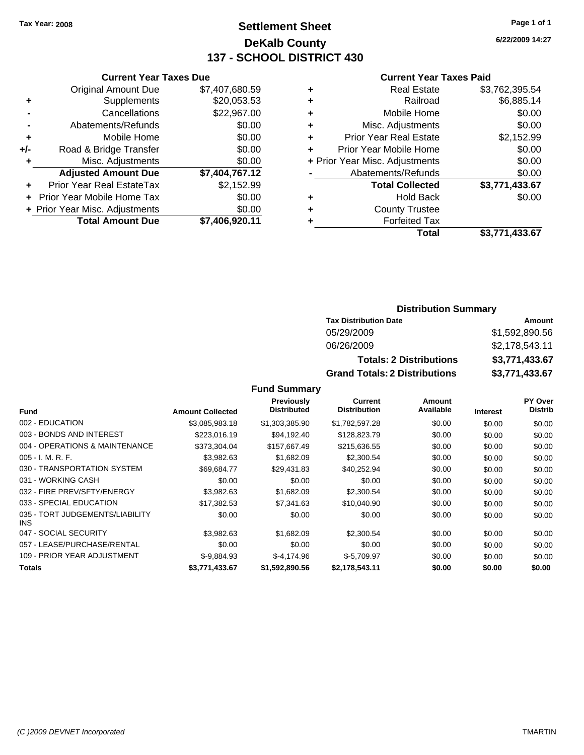### **Settlement Sheet Tax Year: 2008 Page 1 of 1 DeKalb County 137 - SCHOOL DISTRICT 430**

**6/22/2009 14:27**

#### **Current Year Taxes Paid**

|   | <b>Real Estate</b>             | \$3,762,395.54 |
|---|--------------------------------|----------------|
| ٠ | Railroad                       | \$6,885.14     |
| ٠ | Mobile Home                    | \$0.00         |
| ٠ | Misc. Adjustments              | \$0.00         |
| ÷ | <b>Prior Year Real Estate</b>  | \$2,152.99     |
|   | Prior Year Mobile Home         | \$0.00         |
|   | + Prior Year Misc. Adjustments | \$0.00         |
|   | Abatements/Refunds             | \$0.00         |
|   | <b>Total Collected</b>         | \$3,771,433.67 |
| ٠ | <b>Hold Back</b>               | \$0.00         |
| ٠ | <b>County Trustee</b>          |                |
| ٠ | <b>Forfeited Tax</b>           |                |
|   | Total                          | \$3,771,433.67 |
|   |                                |                |

### **Distribution Summary**

| <b>Tax Distribution Date</b>         | Amount         |
|--------------------------------------|----------------|
| 05/29/2009                           | \$1,592,890,56 |
| 06/26/2009                           | \$2,178,543.11 |
| <b>Totals: 2 Distributions</b>       | \$3,771,433.67 |
| <b>Grand Totals: 2 Distributions</b> | \$3,771,433.67 |

|                                         |                         | <b>Previously</b>  | Current             | Amount    |                 | <b>PY Over</b> |
|-----------------------------------------|-------------------------|--------------------|---------------------|-----------|-----------------|----------------|
| Fund                                    | <b>Amount Collected</b> | <b>Distributed</b> | <b>Distribution</b> | Available | <b>Interest</b> | <b>Distrib</b> |
| 002 - EDUCATION                         | \$3,085,983.18          | \$1.303.385.90     | \$1,782,597.28      | \$0.00    | \$0.00          | \$0.00         |
| 003 - BONDS AND INTEREST                | \$223,016.19            | \$94.192.40        | \$128,823.79        | \$0.00    | \$0.00          | \$0.00         |
| 004 - OPERATIONS & MAINTENANCE          | \$373,304.04            | \$157,667.49       | \$215,636.55        | \$0.00    | \$0.00          | \$0.00         |
| $005 - I. M. R. F.$                     | \$3,982.63              | \$1,682.09         | \$2,300.54          | \$0.00    | \$0.00          | \$0.00         |
| 030 - TRANSPORTATION SYSTEM             | \$69.684.77             | \$29.431.83        | \$40,252.94         | \$0.00    | \$0.00          | \$0.00         |
| 031 - WORKING CASH                      | \$0.00                  | \$0.00             | \$0.00              | \$0.00    | \$0.00          | \$0.00         |
| 032 - FIRE PREV/SFTY/ENERGY             | \$3.982.63              | \$1,682.09         | \$2,300.54          | \$0.00    | \$0.00          | \$0.00         |
| 033 - SPECIAL EDUCATION                 | \$17,382.53             | \$7,341.63         | \$10,040.90         | \$0.00    | \$0.00          | \$0.00         |
| 035 - TORT JUDGEMENTS/LIABILITY<br>INS. | \$0.00                  | \$0.00             | \$0.00              | \$0.00    | \$0.00          | \$0.00         |
| 047 - SOCIAL SECURITY                   | \$3.982.63              | \$1,682.09         | \$2,300.54          | \$0.00    | \$0.00          | \$0.00         |
| 057 - LEASE/PURCHASE/RENTAL             | \$0.00                  | \$0.00             | \$0.00              | \$0.00    | \$0.00          | \$0.00         |
| 109 - PRIOR YEAR ADJUSTMENT             | $$-9,884.93$            | $$-4,174.96$       | $$-5,709.97$        | \$0.00    | \$0.00          | \$0.00         |
| <b>Totals</b>                           | \$3,771,433.67          | \$1.592.890.56     | \$2.178.543.11      | \$0.00    | \$0.00          | \$0.00         |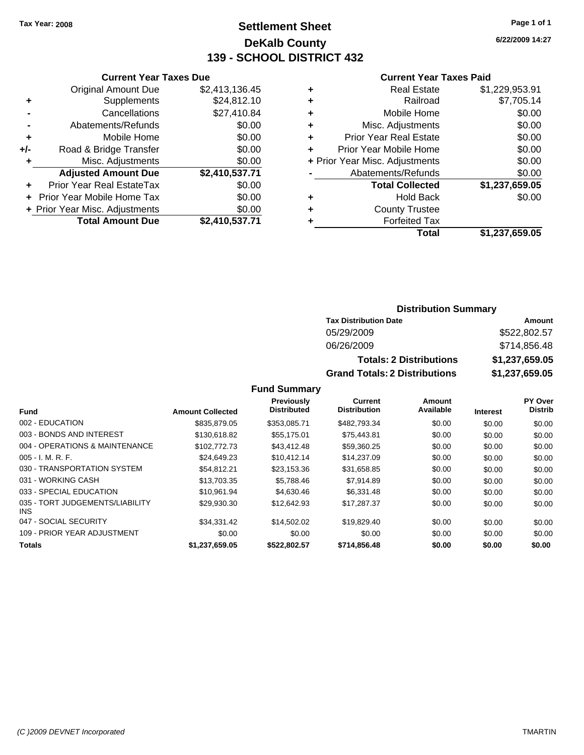### **Settlement Sheet Tax Year: 2008 Page 1 of 1 DeKalb County 139 - SCHOOL DISTRICT 432**

**6/22/2009 14:27**

#### **Current Year Taxes Paid**

|     | <b>Current Year Taxes Due</b>  |                |  |  |
|-----|--------------------------------|----------------|--|--|
|     | <b>Original Amount Due</b>     | \$2,413,136.45 |  |  |
| ٠   | Supplements                    | \$24,812.10    |  |  |
|     | Cancellations                  | \$27,410.84    |  |  |
|     | Abatements/Refunds             | \$0.00         |  |  |
| ٠   | Mobile Home                    | \$0.00         |  |  |
| +/- | Road & Bridge Transfer         | \$0.00         |  |  |
| ٠   | Misc. Adjustments              | \$0.00         |  |  |
|     | <b>Adjusted Amount Due</b>     | \$2,410,537.71 |  |  |
| ÷   | Prior Year Real EstateTax      | \$0.00         |  |  |
|     | Prior Year Mobile Home Tax     | \$0.00         |  |  |
|     | + Prior Year Misc. Adjustments | \$0.00         |  |  |
|     | <b>Total Amount Due</b>        | \$2,410,537.71 |  |  |

| ٠ | <b>Real Estate</b>             | \$1,229,953.91 |
|---|--------------------------------|----------------|
| ٠ | Railroad                       | \$7,705.14     |
| ٠ | Mobile Home                    | \$0.00         |
| ٠ | Misc. Adjustments              | \$0.00         |
| ÷ | <b>Prior Year Real Estate</b>  | \$0.00         |
| ٠ | Prior Year Mobile Home         | \$0.00         |
|   | + Prior Year Misc. Adjustments | \$0.00         |
|   | Abatements/Refunds             | \$0.00         |
|   | <b>Total Collected</b>         | \$1,237,659.05 |
| ٠ | <b>Hold Back</b>               | \$0.00         |
| ٠ | <b>County Trustee</b>          |                |
|   | <b>Forfeited Tax</b>           |                |
|   | Total                          | \$1,237,659.05 |
|   |                                |                |

### **Distribution Summary**

| <b>Tax Distribution Date</b>         | Amount         |
|--------------------------------------|----------------|
| 05/29/2009                           | \$522,802.57   |
| 06/26/2009                           | \$714,856.48   |
| <b>Totals: 2 Distributions</b>       | \$1,237,659.05 |
| <b>Grand Totals: 2 Distributions</b> | \$1,237,659.05 |

|                                         |                         | Previously         | Current             | Amount    |                 | PY Over        |
|-----------------------------------------|-------------------------|--------------------|---------------------|-----------|-----------------|----------------|
| Fund                                    | <b>Amount Collected</b> | <b>Distributed</b> | <b>Distribution</b> | Available | <b>Interest</b> | <b>Distrib</b> |
| 002 - EDUCATION                         | \$835,879.05            | \$353,085.71       | \$482.793.34        | \$0.00    | \$0.00          | \$0.00         |
| 003 - BONDS AND INTEREST                | \$130.618.82            | \$55,175.01        | \$75,443.81         | \$0.00    | \$0.00          | \$0.00         |
| 004 - OPERATIONS & MAINTENANCE          | \$102,772.73            | \$43,412.48        | \$59.360.25         | \$0.00    | \$0.00          | \$0.00         |
| $005 - I. M. R. F.$                     | \$24,649.23             | \$10.412.14        | \$14,237.09         | \$0.00    | \$0.00          | \$0.00         |
| 030 - TRANSPORTATION SYSTEM             | \$54,812.21             | \$23,153.36        | \$31,658.85         | \$0.00    | \$0.00          | \$0.00         |
| 031 - WORKING CASH                      | \$13,703.35             | \$5.788.46         | \$7,914.89          | \$0.00    | \$0.00          | \$0.00         |
| 033 - SPECIAL EDUCATION                 | \$10.961.94             | \$4,630.46         | \$6,331.48          | \$0.00    | \$0.00          | \$0.00         |
| 035 - TORT JUDGEMENTS/LIABILITY<br>INS. | \$29,930.30             | \$12,642.93        | \$17.287.37         | \$0.00    | \$0.00          | \$0.00         |
| 047 - SOCIAL SECURITY                   | \$34,331.42             | \$14,502.02        | \$19,829.40         | \$0.00    | \$0.00          | \$0.00         |
| 109 - PRIOR YEAR ADJUSTMENT             | \$0.00                  | \$0.00             | \$0.00              | \$0.00    | \$0.00          | \$0.00         |
| <b>Totals</b>                           | \$1,237,659.05          | \$522,802.57       | \$714,856,48        | \$0.00    | \$0.00          | \$0.00         |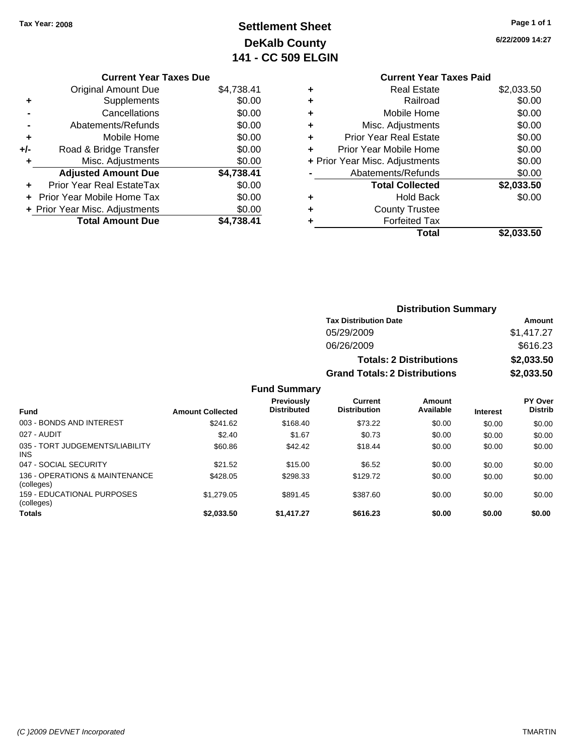## **Settlement Sheet Tax Year: 2008 Page 1 of 1 DeKalb County 141 - CC 509 ELGIN**

**6/22/2009 14:27**

#### **Current Year Taxes Due**

|       | <b>Original Amount Due</b>       | \$4,738.41 |
|-------|----------------------------------|------------|
| ٠     | Supplements                      | \$0.00     |
|       | Cancellations                    | \$0.00     |
|       | Abatements/Refunds               | \$0.00     |
| ٠     | Mobile Home                      | \$0.00     |
| $+/-$ | Road & Bridge Transfer           | \$0.00     |
| ٠     | Misc. Adjustments                | \$0.00     |
|       | <b>Adjusted Amount Due</b>       | \$4,738.41 |
|       | <b>Prior Year Real EstateTax</b> | \$0.00     |
|       | Prior Year Mobile Home Tax       | \$0.00     |
|       | + Prior Year Misc. Adjustments   | \$0.00     |
|       | <b>Total Amount Due</b>          | \$4.738.41 |
|       |                                  |            |

### **Current Year Taxes Paid +** Real Estate \$2,033.50

|   | Total                          | \$2,033.50 |
|---|--------------------------------|------------|
|   | <b>Forfeited Tax</b>           |            |
| ٠ | <b>County Trustee</b>          |            |
|   | <b>Hold Back</b>               | \$0.00     |
|   | <b>Total Collected</b>         | \$2,033.50 |
|   | Abatements/Refunds             | \$0.00     |
|   | + Prior Year Misc. Adjustments | \$0.00     |
|   | Prior Year Mobile Home         | \$0.00     |
|   | <b>Prior Year Real Estate</b>  | \$0.00     |
| ÷ | Misc. Adjustments              | \$0.00     |
| ÷ | Mobile Home                    | \$0.00     |
|   | Railroad                       | \$0.00     |
|   |                                |            |

### **Distribution Summary Tax Distribution Date Amount** 05/29/2009 \$1,417.27 06/26/2009 \$616.23 **Totals: 2 Distributions \$2,033.50 Grand Totals: 2 Distributions \$2,033.50**

|                                               |                         | -                                       |                                |                     |                 |                           |
|-----------------------------------------------|-------------------------|-----------------------------------------|--------------------------------|---------------------|-----------------|---------------------------|
| <b>Fund</b>                                   | <b>Amount Collected</b> | <b>Previously</b><br><b>Distributed</b> | Current<br><b>Distribution</b> | Amount<br>Available | <b>Interest</b> | PY Over<br><b>Distrib</b> |
| 003 - BONDS AND INTEREST                      | \$241.62                | \$168.40                                | \$73.22                        | \$0.00              | \$0.00          | \$0.00                    |
| 027 - AUDIT                                   | \$2.40                  | \$1.67                                  | \$0.73                         | \$0.00              | \$0.00          | \$0.00                    |
| 035 - TORT JUDGEMENTS/LIABILITY<br><b>INS</b> | \$60.86                 | \$42.42                                 | \$18.44                        | \$0.00              | \$0.00          | \$0.00                    |
| 047 - SOCIAL SECURITY                         | \$21.52                 | \$15.00                                 | \$6.52                         | \$0.00              | \$0.00          | \$0.00                    |
| 136 - OPERATIONS & MAINTENANCE<br>(colleges)  | \$428.05                | \$298.33                                | \$129.72                       | \$0.00              | \$0.00          | \$0.00                    |
| 159 - EDUCATIONAL PURPOSES<br>(colleges)      | \$1,279.05              | \$891.45                                | \$387.60                       | \$0.00              | \$0.00          | \$0.00                    |
| Totals                                        | \$2,033.50              | \$1,417.27                              | \$616.23                       | \$0.00              | \$0.00          | \$0.00                    |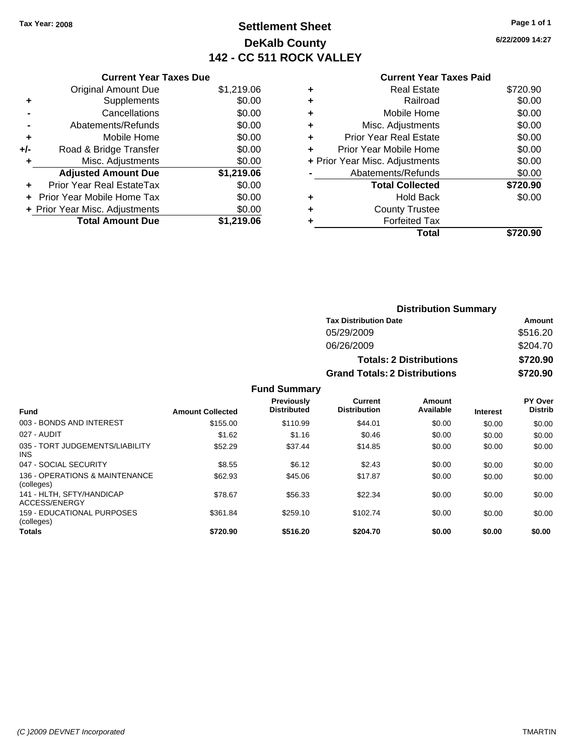### **Settlement Sheet Tax Year: 2008 Page 1 of 1 DeKalb County 142 - CC 511 ROCK VALLEY**

**6/22/2009 14:27**

|     | <b>Current Year Taxes Due</b>  |            |
|-----|--------------------------------|------------|
|     | Original Amount Due            | \$1,219.06 |
| ٠   | Supplements                    | \$0.00     |
|     | Cancellations                  | \$0.00     |
|     | Abatements/Refunds             | \$0.00     |
| ٠   | Mobile Home                    | \$0.00     |
| +/- | Road & Bridge Transfer         | \$0.00     |
| ٠   | Misc. Adjustments              | \$0.00     |
|     | <b>Adjusted Amount Due</b>     | \$1,219.06 |
|     | Prior Year Real EstateTax      | \$0.00     |
|     | Prior Year Mobile Home Tax     | \$0.00     |
|     | + Prior Year Misc. Adjustments | \$0.00     |
|     | <b>Total Amount Due</b>        | \$1,219.06 |
|     |                                |            |

|   | <b>Real Estate</b>             | \$720.90 |
|---|--------------------------------|----------|
| ٠ | Railroad                       | \$0.00   |
| ٠ | Mobile Home                    | \$0.00   |
| ٠ | Misc. Adjustments              | \$0.00   |
| ٠ | <b>Prior Year Real Estate</b>  | \$0.00   |
| ٠ | Prior Year Mobile Home         | \$0.00   |
|   | + Prior Year Misc. Adjustments | \$0.00   |
|   | Abatements/Refunds             | \$0.00   |
|   | <b>Total Collected</b>         | \$720.90 |
| ٠ | <b>Hold Back</b>               | \$0.00   |
| ٠ | <b>County Trustee</b>          |          |
|   | <b>Forfeited Tax</b>           |          |
|   | Total                          | \$720.90 |
|   |                                |          |

|                     | <b>Distribution Summary</b>          |          |
|---------------------|--------------------------------------|----------|
|                     | <b>Tax Distribution Date</b>         | Amount   |
|                     | 05/29/2009                           | \$516.20 |
|                     | 06/26/2009                           | \$204.70 |
|                     | <b>Totals: 2 Distributions</b>       | \$720.90 |
|                     | <b>Grand Totals: 2 Distributions</b> | \$720.90 |
| <b>Fund Summary</b> |                                      |          |

|                                                 |                         | .                                       |                                |                     |                 |                           |
|-------------------------------------------------|-------------------------|-----------------------------------------|--------------------------------|---------------------|-----------------|---------------------------|
| <b>Fund</b>                                     | <b>Amount Collected</b> | <b>Previously</b><br><b>Distributed</b> | Current<br><b>Distribution</b> | Amount<br>Available | <b>Interest</b> | PY Over<br><b>Distrib</b> |
| 003 - BONDS AND INTEREST                        | \$155.00                | \$110.99                                | \$44.01                        | \$0.00              | \$0.00          | \$0.00                    |
| 027 - AUDIT                                     | \$1.62                  | \$1.16                                  | \$0.46                         | \$0.00              | \$0.00          | \$0.00                    |
| 035 - TORT JUDGEMENTS/LIABILITY<br>INS.         | \$52.29                 | \$37.44                                 | \$14.85                        | \$0.00              | \$0.00          | \$0.00                    |
| 047 - SOCIAL SECURITY                           | \$8.55                  | \$6.12                                  | \$2.43                         | \$0.00              | \$0.00          | \$0.00                    |
| 136 - OPERATIONS & MAINTENANCE<br>(colleges)    | \$62.93                 | \$45.06                                 | \$17.87                        | \$0.00              | \$0.00          | \$0.00                    |
| 141 - HLTH. SFTY/HANDICAP<br>ACCESS/ENERGY      | \$78.67                 | \$56.33                                 | \$22.34                        | \$0.00              | \$0.00          | \$0.00                    |
| <b>159 - EDUCATIONAL PURPOSES</b><br>(colleges) | \$361.84                | \$259.10                                | \$102.74                       | \$0.00              | \$0.00          | \$0.00                    |
| Totals                                          | \$720.90                | \$516.20                                | \$204.70                       | \$0.00              | \$0.00          | \$0.00                    |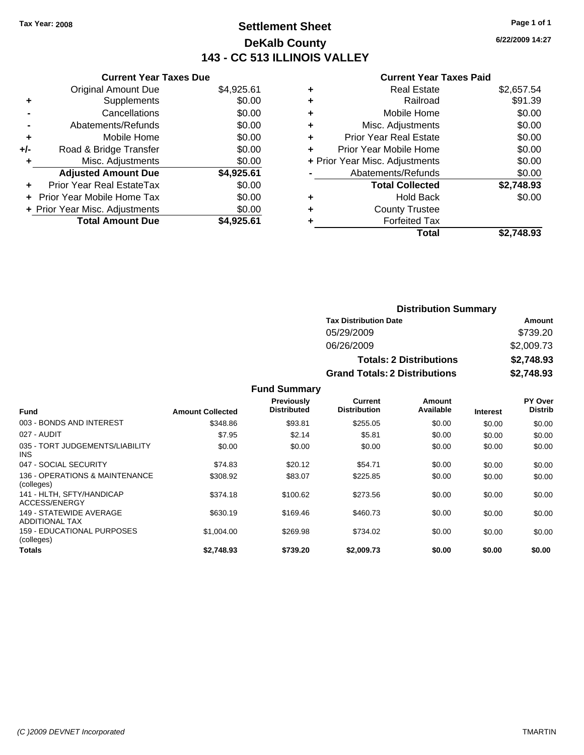### **Settlement Sheet Tax Year: 2008 Page 1 of 1 DeKalb County 143 - CC 513 ILLINOIS VALLEY**

**6/22/2009 14:27**

| ear Taxes Due |  |  |
|---------------|--|--|

|     | <b>Current Year Taxes Due</b>     |            |
|-----|-----------------------------------|------------|
|     | <b>Original Amount Due</b>        | \$4,925.61 |
| ٠   | Supplements                       | \$0.00     |
|     | Cancellations                     | \$0.00     |
|     | Abatements/Refunds                | \$0.00     |
| ÷   | Mobile Home                       | \$0.00     |
| +/- | Road & Bridge Transfer            | \$0.00     |
| ٠   | Misc. Adjustments                 | \$0.00     |
|     | <b>Adjusted Amount Due</b>        | \$4,925.61 |
|     | <b>Prior Year Real EstateTax</b>  | \$0.00     |
|     | <b>Prior Year Mobile Home Tax</b> | \$0.00     |
|     | + Prior Year Misc. Adjustments    | \$0.00     |
|     | <b>Total Amount Due</b>           | \$4.925.61 |

|   | <b>Real Estate</b>             | \$2,657.54 |
|---|--------------------------------|------------|
| ٠ | Railroad                       | \$91.39    |
| ٠ | Mobile Home                    | \$0.00     |
| ٠ | Misc. Adjustments              | \$0.00     |
| ٠ | <b>Prior Year Real Estate</b>  | \$0.00     |
|   | Prior Year Mobile Home         | \$0.00     |
|   | + Prior Year Misc. Adjustments | \$0.00     |
|   | Abatements/Refunds             | \$0.00     |
|   | <b>Total Collected</b>         | \$2,748.93 |
| ٠ | Hold Back                      | \$0.00     |
| ٠ | <b>County Trustee</b>          |            |
|   | <b>Forfeited Tax</b>           |            |
|   | Total                          | \$2.748.93 |
|   |                                |            |

| <b>Distribution Summary</b>          |            |  |  |  |
|--------------------------------------|------------|--|--|--|
| <b>Tax Distribution Date</b>         | Amount     |  |  |  |
| 05/29/2009                           | \$739.20   |  |  |  |
| 06/26/2009                           | \$2,009.73 |  |  |  |
| <b>Totals: 2 Distributions</b>       | \$2,748.93 |  |  |  |
| <b>Grand Totals: 2 Distributions</b> | \$2,748.93 |  |  |  |

|                                                  |                         | <b>Fund Summary</b>              |                                |                     |                 |                                  |
|--------------------------------------------------|-------------------------|----------------------------------|--------------------------------|---------------------|-----------------|----------------------------------|
| Fund                                             | <b>Amount Collected</b> | Previously<br><b>Distributed</b> | Current<br><b>Distribution</b> | Amount<br>Available | <b>Interest</b> | <b>PY Over</b><br><b>Distrib</b> |
| 003 - BONDS AND INTEREST                         | \$348.86                | \$93.81                          | \$255.05                       | \$0.00              | \$0.00          | \$0.00                           |
| 027 - AUDIT                                      | \$7.95                  | \$2.14                           | \$5.81                         | \$0.00              | \$0.00          | \$0.00                           |
| 035 - TORT JUDGEMENTS/LIABILITY<br><b>INS</b>    | \$0.00                  | \$0.00                           | \$0.00                         | \$0.00              | \$0.00          | \$0.00                           |
| 047 - SOCIAL SECURITY                            | \$74.83                 | \$20.12                          | \$54.71                        | \$0.00              | \$0.00          | \$0.00                           |
| 136 - OPERATIONS & MAINTENANCE<br>(colleges)     | \$308.92                | \$83.07                          | \$225.85                       | \$0.00              | \$0.00          | \$0.00                           |
| 141 - HLTH, SFTY/HANDICAP<br>ACCESS/ENERGY       | \$374.18                | \$100.62                         | \$273.56                       | \$0.00              | \$0.00          | \$0.00                           |
| 149 - STATEWIDE AVERAGE<br><b>ADDITIONAL TAX</b> | \$630.19                | \$169.46                         | \$460.73                       | \$0.00              | \$0.00          | \$0.00                           |
| 159 - EDUCATIONAL PURPOSES<br>(colleges)         | \$1,004.00              | \$269.98                         | \$734.02                       | \$0.00              | \$0.00          | \$0.00                           |
| Totals                                           | \$2.748.93              | \$739.20                         | \$2,009.73                     | \$0.00              | \$0.00          | \$0.00                           |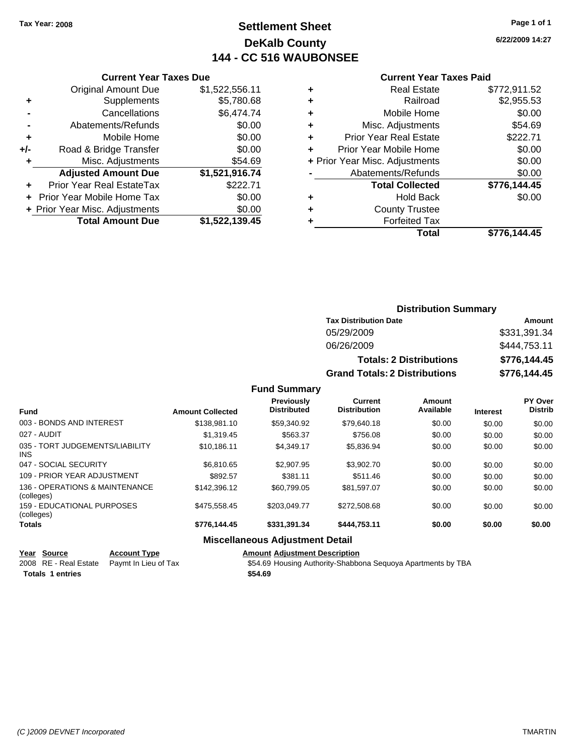### **Settlement Sheet Tax Year: 2008 Page 1 of 1 DeKalb County 144 - CC 516 WAUBONSEE**

**6/22/2009 14:27**

#### **Current Year Taxes Paid**

|     | <b>Original Amount Due</b>     | \$1,522,556.11 |     |
|-----|--------------------------------|----------------|-----|
|     | Supplements                    | \$5,780.68     |     |
|     | Cancellations                  | \$6,474.74     | ٠   |
|     | Abatements/Refunds             | \$0.00         | ٠   |
|     | Mobile Home                    | \$0.00         | ٠   |
| +/- | Road & Bridge Transfer         | \$0.00         | ٠   |
|     | Misc. Adjustments              | \$54.69        | + F |
|     | <b>Adjusted Amount Due</b>     | \$1,521,916.74 |     |
|     | Prior Year Real EstateTax      | \$222.71       |     |
|     | Prior Year Mobile Home Tax     | \$0.00         |     |
|     | + Prior Year Misc. Adjustments | \$0.00         |     |
|     | <b>Total Amount Due</b>        | \$1,522,139.45 |     |
|     |                                |                |     |

**Current Year Taxes Due**

|   | <b>Real Estate</b>             | \$772,911.52 |
|---|--------------------------------|--------------|
| ٠ | Railroad                       | \$2,955.53   |
| ٠ | Mobile Home                    | \$0.00       |
| ٠ | Misc. Adjustments              | \$54.69      |
|   | <b>Prior Year Real Estate</b>  | \$222.71     |
|   | Prior Year Mobile Home         | \$0.00       |
|   | + Prior Year Misc. Adjustments | \$0.00       |
|   | Abatements/Refunds             | \$0.00       |
|   | <b>Total Collected</b>         | \$776,144.45 |
|   | <b>Hold Back</b>               | \$0.00       |
|   | <b>County Trustee</b>          |              |
|   | <b>Forfeited Tax</b>           |              |
|   | Total                          | \$776,144.45 |
|   |                                |              |

### **Distribution Summary Tax Distribution Date Amount** 05/29/2009 \$331,391.34 06/26/2009 \$444,753.11 **Totals: 2 Distributions \$776,144.45 Grand Totals: 2 Distributions \$776,144.45**

**Fund Summary**

| <b>Fund</b>                                   | <b>Amount Collected</b> | <b>Previously</b><br><b>Distributed</b> | Current<br><b>Distribution</b> | Amount<br>Available | <b>Interest</b> | PY Over<br><b>Distrib</b> |
|-----------------------------------------------|-------------------------|-----------------------------------------|--------------------------------|---------------------|-----------------|---------------------------|
| 003 - BONDS AND INTEREST                      | \$138,981.10            | \$59,340.92                             | \$79,640.18                    | \$0.00              | \$0.00          | \$0.00                    |
| 027 - AUDIT                                   | \$1,319.45              | \$563.37                                | \$756.08                       | \$0.00              | \$0.00          | \$0.00                    |
| 035 - TORT JUDGEMENTS/LIABILITY<br><b>INS</b> | \$10.186.11             | \$4.349.17                              | \$5,836.94                     | \$0.00              | \$0.00          | \$0.00                    |
| 047 - SOCIAL SECURITY                         | \$6,810.65              | \$2,907.95                              | \$3,902.70                     | \$0.00              | \$0.00          | \$0.00                    |
| 109 - PRIOR YEAR ADJUSTMENT                   | \$892.57                | \$381.11                                | \$511.46                       | \$0.00              | \$0.00          | \$0.00                    |
| 136 - OPERATIONS & MAINTENANCE<br>(colleges)  | \$142,396.12            | \$60.799.05                             | \$81.597.07                    | \$0.00              | \$0.00          | \$0.00                    |
| 159 - EDUCATIONAL PURPOSES<br>(colleges)      | \$475,558.45            | \$203.049.77                            | \$272,508.68                   | \$0.00              | \$0.00          | \$0.00                    |
| <b>Totals</b>                                 | \$776,144.45            | \$331.391.34                            | \$444.753.11                   | \$0.00              | \$0.00          | \$0.00                    |
|                                               |                         | Miccellenceus Adjustment Detail         |                                |                     |                 |                           |

#### **Miscellaneous Adjustment Detail**

**Year Source Account Type Amount Adjustment Description**

2008 RE - Real Estate Paymt In Lieu of Tax **\$54.69 Housing Authority-Shabbona Sequoya Apartments by TBA Totals \$54.69 1 entries**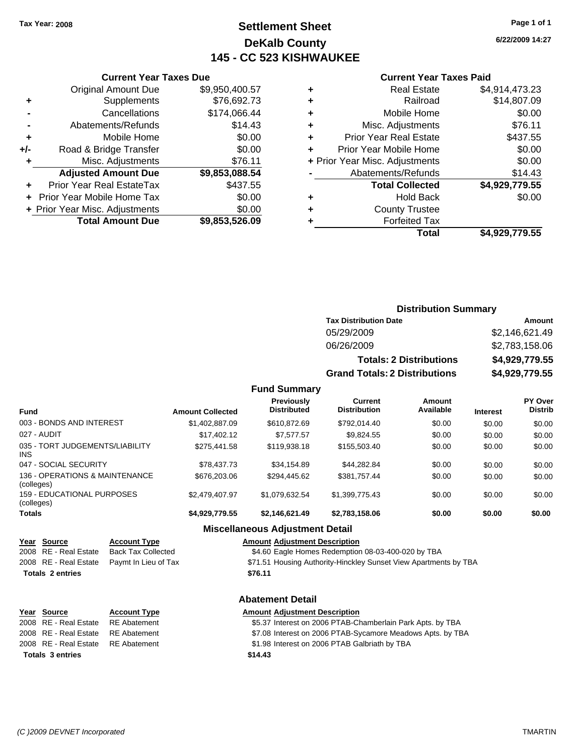### **Settlement Sheet Tax Year: 2008 Page 1 of 1 DeKalb County 145 - CC 523 KISHWAUKEE**

**6/22/2009 14:27**

#### **Current Year Taxes Paid**

|     | <b>Current Year Taxes Due</b>  |                |
|-----|--------------------------------|----------------|
|     | <b>Original Amount Due</b>     | \$9,950,400.57 |
| ٠   | Supplements                    | \$76,692.73    |
|     | Cancellations                  | \$174,066.44   |
|     | Abatements/Refunds             | \$14.43        |
| ٠   | Mobile Home                    | \$0.00         |
| +/- | Road & Bridge Transfer         | \$0.00         |
| ٠   | Misc. Adjustments              | \$76.11        |
|     | <b>Adjusted Amount Due</b>     | \$9,853,088.54 |
|     | Prior Year Real EstateTax      | \$437.55       |
|     | Prior Year Mobile Home Tax     | \$0.00         |
|     | + Prior Year Misc. Adjustments | \$0.00         |
|     | <b>Total Amount Due</b>        | \$9,853,526.09 |
|     |                                |                |

| ٠ | <b>Real Estate</b>             | \$4,914,473.23 |
|---|--------------------------------|----------------|
| ٠ | Railroad                       | \$14,807.09    |
| ٠ | Mobile Home                    | \$0.00         |
| ٠ | Misc. Adjustments              | \$76.11        |
| ٠ | <b>Prior Year Real Estate</b>  | \$437.55       |
| ٠ | Prior Year Mobile Home         | \$0.00         |
|   | + Prior Year Misc. Adjustments | \$0.00         |
|   | Abatements/Refunds             | \$14.43        |
|   | <b>Total Collected</b>         | \$4,929,779.55 |
| ٠ | <b>Hold Back</b>               | \$0.00         |
| ٠ | <b>County Trustee</b>          |                |
|   | <b>Forfeited Tax</b>           |                |
|   | Total                          | \$4,929,779.55 |
|   |                                |                |

#### **Distribution Summary Tax Distribution Date Amount** 05/29/2009 \$2,146,621.49

| 06/26/2009                           | \$2,783,158.06 |
|--------------------------------------|----------------|
| <b>Totals: 2 Distributions</b>       | \$4,929,779.55 |
| <b>Grand Totals: 2 Distributions</b> | \$4,929,779.55 |

#### **Fund Summary**

| <b>Fund</b>                                  | <b>Amount Collected</b> | Previously<br><b>Distributed</b> | Current<br><b>Distribution</b> | Amount<br>Available | <b>Interest</b> | PY Over<br><b>Distrib</b> |
|----------------------------------------------|-------------------------|----------------------------------|--------------------------------|---------------------|-----------------|---------------------------|
| 003 - BONDS AND INTEREST                     | \$1,402,887.09          | \$610,872.69                     | \$792.014.40                   | \$0.00              | \$0.00          | \$0.00                    |
| 027 - AUDIT                                  | \$17,402.12             | \$7.577.57                       | \$9.824.55                     | \$0.00              | \$0.00          | \$0.00                    |
| 035 - TORT JUDGEMENTS/LIABILITY<br>INS.      | \$275,441.58            | \$119,938.18                     | \$155,503.40                   | \$0.00              | \$0.00          | \$0.00                    |
| 047 - SOCIAL SECURITY                        | \$78,437.73             | \$34.154.89                      | \$44.282.84                    | \$0.00              | \$0.00          | \$0.00                    |
| 136 - OPERATIONS & MAINTENANCE<br>(colleges) | \$676,203.06            | \$294.445.62                     | \$381.757.44                   | \$0.00              | \$0.00          | \$0.00                    |
| 159 - EDUCATIONAL PURPOSES<br>(colleges)     | \$2,479,407.97          | \$1,079,632.54                   | \$1,399,775.43                 | \$0.00              | \$0.00          | \$0.00                    |
| Totals                                       | \$4,929,779.55          | \$2,146,621.49                   | \$2,783,158.06                 | \$0.00              | \$0.00          | \$0.00                    |

#### **Miscellaneous Adjustment Detail**

**Abatement Detail**

#### **Year Source Account Type Amount Adjustment Description**

2008 RE - Real Estate Back Tax Collected \$4.60 Eagle Homes Redemption 08-03-400-020 by TBA

- 2008 RE Real Estate Paymt In Lieu of Tax **\$71.51 Housing Authority-Hinckley Sunset View Apartments by TBA**
- **Totals \$76.11 2 entries**

### **Year Source Account Type Amount Adjustment Description**

2008 RE - Real Estate \$5.37 Interest on 2006 PTAB-Chamberlain Park Apts. by TBA RE Abatement 2008 RE - Real Estate RE Abatement ST.08 Interest on 2006 PTAB-Sycamore Meadows Apts. by TBA 2008 RE - Real Estate RE Abatement St.98 Interest on 2006 PTAB Galbriath by TBA **Totals \$14.43 3 entries**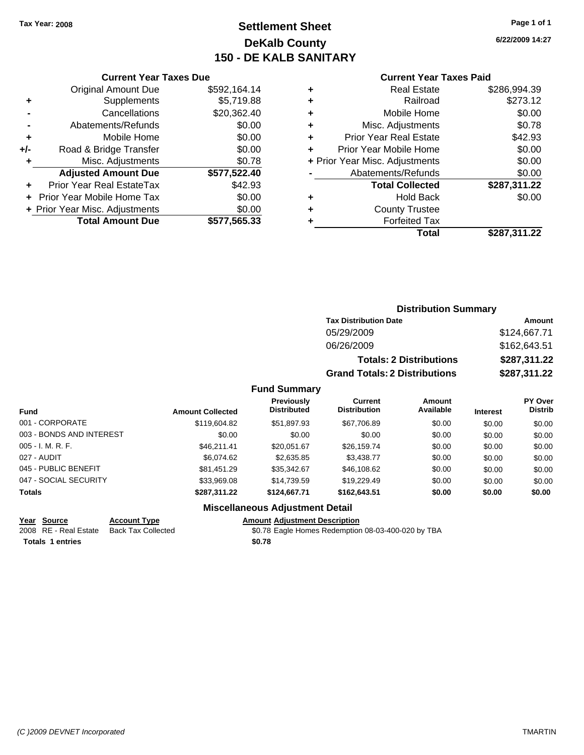### **Settlement Sheet Tax Year: 2008 Page 1 of 1 DeKalb County 150 - DE KALB SANITARY**

**6/22/2009 14:27**

|     | <b>Current Year Taxes Due</b>  |              |
|-----|--------------------------------|--------------|
|     | <b>Original Amount Due</b>     | \$592,164.14 |
| ٠   | Supplements                    | \$5,719.88   |
|     | Cancellations                  | \$20,362.40  |
|     | Abatements/Refunds             | \$0.00       |
| ٠   | Mobile Home                    | \$0.00       |
| +/- | Road & Bridge Transfer         | \$0.00       |
| ٠   | Misc. Adjustments              | \$0.78       |
|     | <b>Adjusted Amount Due</b>     | \$577,522.40 |
|     | Prior Year Real EstateTax      | \$42.93      |
|     | Prior Year Mobile Home Tax     | \$0.00       |
|     | + Prior Year Misc. Adjustments | \$0.00       |
|     | <b>Total Amount Due</b>        | \$577,565.33 |
|     |                                |              |

#### **Current Year Taxes Paid**

|   | <b>Real Estate</b>             | \$286,994.39 |
|---|--------------------------------|--------------|
| ٠ | Railroad                       | \$273.12     |
| ÷ | Mobile Home                    | \$0.00       |
| ٠ | Misc. Adjustments              | \$0.78       |
| ٠ | <b>Prior Year Real Estate</b>  | \$42.93      |
|   | Prior Year Mobile Home         | \$0.00       |
|   | + Prior Year Misc. Adjustments | \$0.00       |
|   | Abatements/Refunds             | \$0.00       |
|   | <b>Total Collected</b>         | \$287,311.22 |
| ٠ | <b>Hold Back</b>               | \$0.00       |
| ٠ | <b>County Trustee</b>          |              |
|   | <b>Forfeited Tax</b>           |              |
|   | Total                          | \$287,311.22 |
|   |                                |              |

### **Distribution Summary Tax Distribution Date Amount** 05/29/2009 \$124,667.71 06/26/2009 \$162,643.51 **Totals: 2 Distributions \$287,311.22 Grand Totals: 2 Distributions \$287,311.22**

#### **Fund Summary**

| <b>Fund</b>              | <b>Amount Collected</b> | Previously<br><b>Distributed</b> | Current<br><b>Distribution</b> | Amount<br>Available | <b>Interest</b> | PY Over<br><b>Distrib</b> |
|--------------------------|-------------------------|----------------------------------|--------------------------------|---------------------|-----------------|---------------------------|
| 001 - CORPORATE          | \$119,604.82            | \$51,897.93                      | \$67,706.89                    | \$0.00              | \$0.00          | \$0.00                    |
| 003 - BONDS AND INTEREST | \$0.00                  | \$0.00                           | \$0.00                         | \$0.00              | \$0.00          | \$0.00                    |
| $005 - I. M. R. F.$      | \$46.211.41             | \$20.051.67                      | \$26,159.74                    | \$0.00              | \$0.00          | \$0.00                    |
| 027 - AUDIT              | \$6.074.62              | \$2,635.85                       | \$3.438.77                     | \$0.00              | \$0.00          | \$0.00                    |
| 045 - PUBLIC BENEFIT     | \$81.451.29             | \$35,342.67                      | \$46,108.62                    | \$0.00              | \$0.00          | \$0.00                    |
| 047 - SOCIAL SECURITY    | \$33,969.08             | \$14,739.59                      | \$19,229.49                    | \$0.00              | \$0.00          | \$0.00                    |
| <b>Totals</b>            | \$287,311.22            | \$124,667.71                     | \$162,643.51                   | \$0.00              | \$0.00          | \$0.00                    |

#### **Miscellaneous Adjustment Detail**

# **Totals \$0.78 1 entries**

#### **Year Source Account Type Amount Adjustment Description** \$0.78 Eagle Homes Redemption 08-03-400-020 by TBA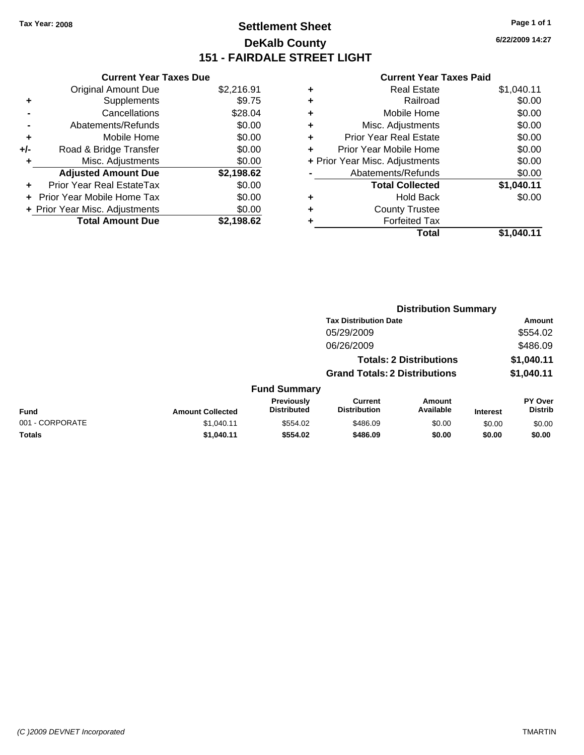### **Settlement Sheet Tax Year: 2008 Page 1 of 1 DeKalb County 151 - FAIRDALE STREET LIGHT**

**6/22/2009 14:27**

|     | <b>Current Year Taxes Due</b>  |            |  |
|-----|--------------------------------|------------|--|
|     | <b>Original Amount Due</b>     | \$2,216.91 |  |
| ٠   | Supplements                    | \$9.75     |  |
|     | Cancellations                  | \$28.04    |  |
|     | Abatements/Refunds             | \$0.00     |  |
| ٠   | Mobile Home                    | \$0.00     |  |
| +/- | Road & Bridge Transfer         | \$0.00     |  |
| ٠   | Misc. Adjustments              | \$0.00     |  |
|     | <b>Adjusted Amount Due</b>     | \$2,198.62 |  |
| ٠   | Prior Year Real EstateTax      | \$0.00     |  |
|     | Prior Year Mobile Home Tax     | \$0.00     |  |
|     | + Prior Year Misc. Adjustments | \$0.00     |  |
|     | <b>Total Amount Due</b>        | \$2.198.62 |  |

| ٠ | <b>Real Estate</b>             | \$1,040.11 |
|---|--------------------------------|------------|
| ٠ | Railroad                       | \$0.00     |
| ٠ | Mobile Home                    | \$0.00     |
| ٠ | Misc. Adjustments              | \$0.00     |
| ÷ | Prior Year Real Estate         | \$0.00     |
| ÷ | Prior Year Mobile Home         | \$0.00     |
|   | + Prior Year Misc. Adjustments | \$0.00     |
|   | Abatements/Refunds             | \$0.00     |
|   | <b>Total Collected</b>         | \$1,040.11 |
| ٠ | <b>Hold Back</b>               | \$0.00     |
| ٠ | <b>County Trustee</b>          |            |
| ٠ | <b>Forfeited Tax</b>           |            |
|   | Total                          | \$1.040.11 |
|   |                                |            |

|                 |                         |                                  | <b>Distribution Summary</b>           |                                |                 |                                  |
|-----------------|-------------------------|----------------------------------|---------------------------------------|--------------------------------|-----------------|----------------------------------|
|                 |                         |                                  | <b>Tax Distribution Date</b>          |                                |                 | Amount                           |
|                 |                         |                                  | 05/29/2009                            |                                |                 | \$554.02                         |
|                 |                         |                                  | 06/26/2009                            |                                |                 | \$486.09                         |
|                 |                         |                                  |                                       | <b>Totals: 2 Distributions</b> |                 | \$1,040.11                       |
|                 |                         |                                  | <b>Grand Totals: 2 Distributions</b>  |                                |                 | \$1,040.11                       |
|                 |                         | <b>Fund Summary</b>              |                                       |                                |                 |                                  |
| Fund            | <b>Amount Collected</b> | Previously<br><b>Distributed</b> | <b>Current</b><br><b>Distribution</b> | Amount<br>Available            | <b>Interest</b> | <b>PY Over</b><br><b>Distrib</b> |
| 001 - CORPORATE | \$1,040.11              | \$554.02                         | \$486.09                              | \$0.00                         | \$0.00          | \$0.00                           |
| Totals          | \$1,040.11              | \$554.02                         | \$486.09                              | \$0.00                         | \$0.00          | \$0.00                           |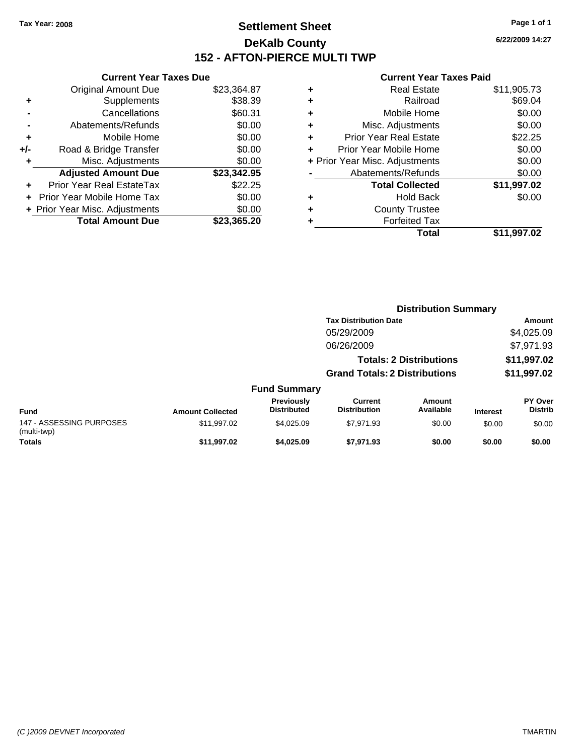### **Settlement Sheet Tax Year: 2008 Page 1 of 1 DeKalb County 152 - AFTON-PIERCE MULTI TWP**

**6/22/2009 14:27**

|     | <b>Current Year Taxes Due</b>  |             |
|-----|--------------------------------|-------------|
|     | <b>Original Amount Due</b>     | \$23,364.87 |
| ٠   | Supplements                    | \$38.39     |
|     | Cancellations                  | \$60.31     |
|     | Abatements/Refunds             | \$0.00      |
| ٠   | Mobile Home                    | \$0.00      |
| +/- | Road & Bridge Transfer         | \$0.00      |
| ٠   | Misc. Adjustments              | \$0.00      |
|     | <b>Adjusted Amount Due</b>     | \$23,342.95 |
| ٠   | Prior Year Real EstateTax      | \$22.25     |
|     | Prior Year Mobile Home Tax     | \$0.00      |
|     | + Prior Year Misc. Adjustments | \$0.00      |
|     | <b>Total Amount Due</b>        | \$23,365,20 |
|     |                                |             |

| ٠ | <b>Real Estate</b>             | \$11,905.73 |
|---|--------------------------------|-------------|
| ٠ | Railroad                       | \$69.04     |
| ٠ | Mobile Home                    | \$0.00      |
| ٠ | Misc. Adjustments              | \$0.00      |
| ÷ | <b>Prior Year Real Estate</b>  | \$22.25     |
| ٠ | Prior Year Mobile Home         | \$0.00      |
|   | + Prior Year Misc. Adjustments | \$0.00      |
|   | Abatements/Refunds             | \$0.00      |
|   | <b>Total Collected</b>         | \$11,997.02 |
| ٠ | <b>Hold Back</b>               | \$0.00      |
| ٠ | <b>County Trustee</b>          |             |
| ٠ | <b>Forfeited Tax</b>           |             |
|   | Total                          | \$11,997.02 |
|   |                                |             |

|                                         |                         |                                         | <b>Distribution Summary</b>           |                                |                 |                           |
|-----------------------------------------|-------------------------|-----------------------------------------|---------------------------------------|--------------------------------|-----------------|---------------------------|
|                                         |                         |                                         | <b>Tax Distribution Date</b>          |                                |                 | Amount                    |
|                                         |                         |                                         | 05/29/2009                            |                                |                 | \$4,025.09                |
|                                         |                         |                                         | 06/26/2009                            |                                |                 | \$7,971.93                |
|                                         |                         |                                         |                                       | <b>Totals: 2 Distributions</b> |                 | \$11,997.02               |
|                                         |                         |                                         | <b>Grand Totals: 2 Distributions</b>  |                                |                 | \$11,997.02               |
|                                         |                         | <b>Fund Summary</b>                     |                                       |                                |                 |                           |
| <b>Fund</b>                             | <b>Amount Collected</b> | <b>Previously</b><br><b>Distributed</b> | <b>Current</b><br><b>Distribution</b> | Amount<br>Available            | <b>Interest</b> | PY Over<br><b>Distrib</b> |
| 147 - ASSESSING PURPOSES<br>(multi-twp) | \$11,997.02             | \$4.025.09                              | \$7.971.93                            | \$0.00                         | \$0.00          | \$0.00                    |
| <b>Totals</b>                           | \$11,997.02             | \$4,025.09                              | \$7,971.93                            | \$0.00                         | \$0.00          | \$0.00                    |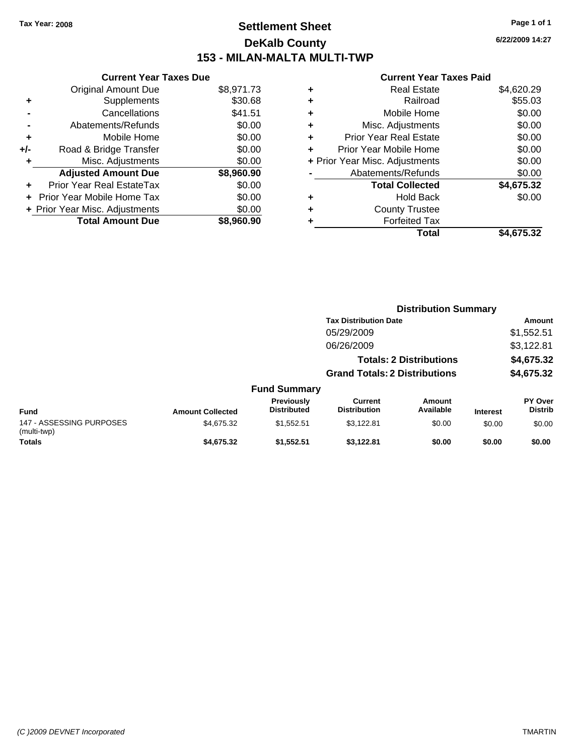### **Settlement Sheet Tax Year: 2008 Page 1 of 1 DeKalb County 153 - MILAN-MALTA MULTI-TWP**

**6/22/2009 14:27**

|     | <b>Current Year Taxes Due</b>     |            |
|-----|-----------------------------------|------------|
|     | <b>Original Amount Due</b>        | \$8,971.73 |
| ٠   | Supplements                       | \$30.68    |
|     | Cancellations                     | \$41.51    |
|     | Abatements/Refunds                | \$0.00     |
| ٠   | Mobile Home                       | \$0.00     |
| +/- | Road & Bridge Transfer            | \$0.00     |
|     | Misc. Adjustments                 | \$0.00     |
|     | <b>Adjusted Amount Due</b>        | \$8,960.90 |
| ÷   | Prior Year Real EstateTax         | \$0.00     |
|     | <b>Prior Year Mobile Home Tax</b> | \$0.00     |
|     | + Prior Year Misc. Adjustments    | \$0.00     |
|     | <b>Total Amount Due</b>           | \$8.960.90 |

| ٠ | <b>Real Estate</b>             | \$4,620.29 |
|---|--------------------------------|------------|
| ٠ | Railroad                       | \$55.03    |
| ٠ | Mobile Home                    | \$0.00     |
| ٠ | Misc. Adjustments              | \$0.00     |
| ÷ | <b>Prior Year Real Estate</b>  | \$0.00     |
|   | Prior Year Mobile Home         | \$0.00     |
|   | + Prior Year Misc. Adjustments | \$0.00     |
|   | Abatements/Refunds             | \$0.00     |
|   | <b>Total Collected</b>         | \$4,675.32 |
| ٠ | Hold Back                      | \$0.00     |
| ٠ | <b>County Trustee</b>          |            |
| ٠ | <b>Forfeited Tax</b>           |            |
|   | Total                          | \$4.675.32 |

|                                         |                         |                                         |                                       | <b>Distribution Summary</b>    |                 |                                  |
|-----------------------------------------|-------------------------|-----------------------------------------|---------------------------------------|--------------------------------|-----------------|----------------------------------|
|                                         |                         |                                         | <b>Tax Distribution Date</b>          |                                |                 | Amount                           |
|                                         |                         |                                         | 05/29/2009                            |                                |                 | \$1,552.51                       |
|                                         |                         |                                         | 06/26/2009                            |                                |                 | \$3,122.81                       |
|                                         |                         |                                         |                                       | <b>Totals: 2 Distributions</b> |                 | \$4,675.32                       |
|                                         |                         |                                         | <b>Grand Totals: 2 Distributions</b>  |                                |                 | \$4,675.32                       |
|                                         |                         | <b>Fund Summary</b>                     |                                       |                                |                 |                                  |
| Fund                                    | <b>Amount Collected</b> | <b>Previously</b><br><b>Distributed</b> | <b>Current</b><br><b>Distribution</b> | Amount<br>Available            | <b>Interest</b> | <b>PY Over</b><br><b>Distrib</b> |
| 147 - ASSESSING PURPOSES<br>(multi-twp) | \$4,675.32              | \$1,552.51                              | \$3,122.81                            | \$0.00                         | \$0.00          | \$0.00                           |
| Totals                                  | \$4,675.32              | \$1,552.51                              | \$3.122.81                            | \$0.00                         | \$0.00          | \$0.00                           |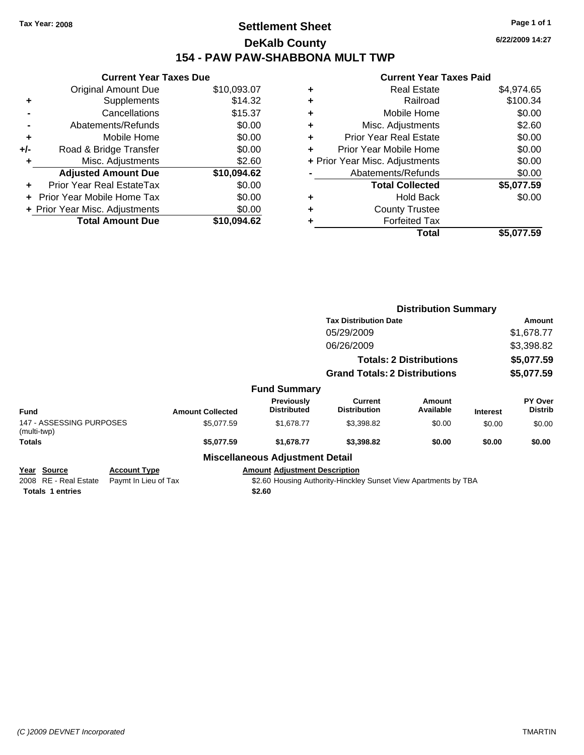### **Settlement Sheet Tax Year: 2008 Page 1 of 1 DeKalb County 154 - PAW PAW-SHABBONA MULT TWP**

**6/22/2009 14:27**

|     | <b>Current Year Taxes Due</b>  |             |  |  |  |  |  |
|-----|--------------------------------|-------------|--|--|--|--|--|
|     | <b>Original Amount Due</b>     | \$10,093.07 |  |  |  |  |  |
| ٠   | Supplements                    | \$14.32     |  |  |  |  |  |
|     | Cancellations                  | \$15.37     |  |  |  |  |  |
|     | Abatements/Refunds             | \$0.00      |  |  |  |  |  |
| ٠   | Mobile Home                    | \$0.00      |  |  |  |  |  |
| +/- | Road & Bridge Transfer         | \$0.00      |  |  |  |  |  |
| ٠   | Misc. Adjustments              | \$2.60      |  |  |  |  |  |
|     | <b>Adjusted Amount Due</b>     | \$10,094.62 |  |  |  |  |  |
|     | Prior Year Real EstateTax      | \$0.00      |  |  |  |  |  |
|     | Prior Year Mobile Home Tax     | \$0.00      |  |  |  |  |  |
|     | + Prior Year Misc. Adjustments | \$0.00      |  |  |  |  |  |
|     | <b>Total Amount Due</b>        | \$10,094.62 |  |  |  |  |  |
|     |                                |             |  |  |  |  |  |

|   | Total                          | \$5,077.59 |
|---|--------------------------------|------------|
| ٠ | <b>Forfeited Tax</b>           |            |
| ٠ | <b>County Trustee</b>          |            |
| ٠ | <b>Hold Back</b>               | \$0.00     |
|   | <b>Total Collected</b>         | \$5,077.59 |
|   | Abatements/Refunds             | \$0.00     |
|   | + Prior Year Misc. Adjustments | \$0.00     |
| ÷ | Prior Year Mobile Home         | \$0.00     |
| ٠ | <b>Prior Year Real Estate</b>  | \$0.00     |
| ٠ | Misc. Adjustments              | \$2.60     |
| ٠ | Mobile Home                    | \$0.00     |
| ٠ | Railroad                       | \$100.34   |
| ٠ | Real Estate                    | \$4,974.65 |
|   |                                |            |

|                                                                 |                                             |                         |                                                |                                                                 | <b>Distribution Summary</b>    |                 |                                  |
|-----------------------------------------------------------------|---------------------------------------------|-------------------------|------------------------------------------------|-----------------------------------------------------------------|--------------------------------|-----------------|----------------------------------|
|                                                                 |                                             |                         |                                                | <b>Tax Distribution Date</b>                                    |                                |                 | Amount                           |
|                                                                 |                                             |                         |                                                | 05/29/2009                                                      |                                |                 | \$1,678.77                       |
|                                                                 |                                             |                         |                                                | 06/26/2009                                                      |                                |                 | \$3,398.82                       |
|                                                                 |                                             |                         |                                                |                                                                 | <b>Totals: 2 Distributions</b> |                 | \$5,077.59                       |
|                                                                 |                                             |                         |                                                | <b>Grand Totals: 2 Distributions</b>                            |                                |                 | \$5,077.59                       |
|                                                                 |                                             |                         | <b>Fund Summary</b>                            |                                                                 |                                |                 |                                  |
| <b>Fund</b>                                                     |                                             | <b>Amount Collected</b> | <b>Previously</b><br><b>Distributed</b>        | Current<br><b>Distribution</b>                                  | Amount<br>Available            | <b>Interest</b> | <b>PY Over</b><br><b>Distrib</b> |
| 147 - ASSESSING PURPOSES<br>(multi-twp)                         |                                             | \$5,077.59              | \$1,678.77                                     | \$3,398.82                                                      | \$0.00                         | \$0.00          | \$0.00                           |
| <b>Totals</b>                                                   |                                             | \$5,077.59              | \$1,678.77                                     | \$3,398.82                                                      | \$0.00                         | \$0.00          | \$0.00                           |
|                                                                 |                                             |                         | <b>Miscellaneous Adjustment Detail</b>         |                                                                 |                                |                 |                                  |
| Year Source<br>2008 RE - Real Estate<br><b>Totals 1 entries</b> | <b>Account Type</b><br>Paymt In Lieu of Tax |                         | <b>Amount Adjustment Description</b><br>\$2.60 | \$2.60 Housing Authority-Hinckley Sunset View Apartments by TBA |                                |                 |                                  |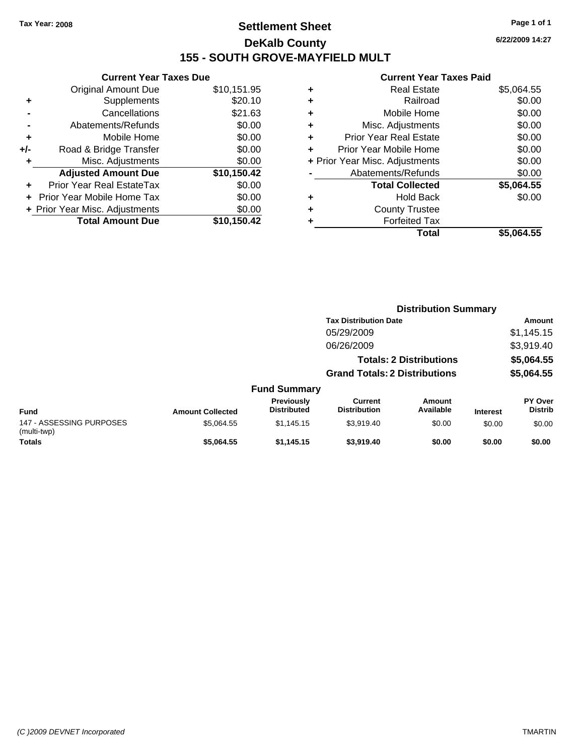### **Settlement Sheet Tax Year: 2008 Page 1 of 1 DeKalb County 155 - SOUTH GROVE-MAYFIELD MULT**

**6/22/2009 14:27**

|     | <b>Current Year Taxes Due</b>  |             |
|-----|--------------------------------|-------------|
|     | Original Amount Due            | \$10,151.95 |
| ÷   | Supplements                    | \$20.10     |
|     | Cancellations                  | \$21.63     |
|     | Abatements/Refunds             | \$0.00      |
| ٠   | Mobile Home                    | \$0.00      |
| +/- | Road & Bridge Transfer         | \$0.00      |
|     | Misc. Adjustments              | \$0.00      |
|     | <b>Adjusted Amount Due</b>     | \$10,150.42 |
|     | Prior Year Real EstateTax      | \$0.00      |
|     | Prior Year Mobile Home Tax     | \$0.00      |
|     | + Prior Year Misc. Adjustments | \$0.00      |
|     | <b>Total Amount Due</b>        | \$10,150.42 |
|     |                                |             |

|   | <b>Real Estate</b>             | \$5,064.55 |
|---|--------------------------------|------------|
| ٠ | Railroad                       | \$0.00     |
| ٠ | Mobile Home                    | \$0.00     |
| ٠ | Misc. Adjustments              | \$0.00     |
| ٠ | <b>Prior Year Real Estate</b>  | \$0.00     |
|   | Prior Year Mobile Home         | \$0.00     |
|   | + Prior Year Misc. Adjustments | \$0.00     |
|   | Abatements/Refunds             | \$0.00     |
|   | <b>Total Collected</b>         | \$5,064.55 |
| ٠ | Hold Back                      | \$0.00     |
| ٠ | <b>County Trustee</b>          |            |
| ٠ | <b>Forfeited Tax</b>           |            |
|   | Total                          | \$5,064.55 |
|   |                                |            |

|                                         |                         |                                  |                                       | <b>Distribution Summary</b>    |                 |                           |
|-----------------------------------------|-------------------------|----------------------------------|---------------------------------------|--------------------------------|-----------------|---------------------------|
|                                         |                         |                                  | <b>Tax Distribution Date</b>          |                                |                 | Amount                    |
|                                         |                         |                                  | 05/29/2009                            |                                |                 | \$1,145.15                |
|                                         |                         |                                  | 06/26/2009                            |                                |                 | \$3,919.40                |
|                                         |                         |                                  |                                       | <b>Totals: 2 Distributions</b> |                 | \$5,064.55                |
|                                         |                         |                                  | <b>Grand Totals: 2 Distributions</b>  |                                |                 | \$5,064.55                |
|                                         |                         | <b>Fund Summary</b>              |                                       |                                |                 |                           |
| <b>Fund</b>                             | <b>Amount Collected</b> | Previously<br><b>Distributed</b> | <b>Current</b><br><b>Distribution</b> | Amount<br>Available            | <b>Interest</b> | PY Over<br><b>Distrib</b> |
| 147 - ASSESSING PURPOSES<br>(multi-twp) | \$5,064.55              | \$1.145.15                       | \$3,919.40                            | \$0.00                         | \$0.00          | \$0.00                    |
| <b>Totals</b>                           | \$5.064.55              | \$1.145.15                       | \$3,919.40                            | \$0.00                         | \$0.00          | \$0.00                    |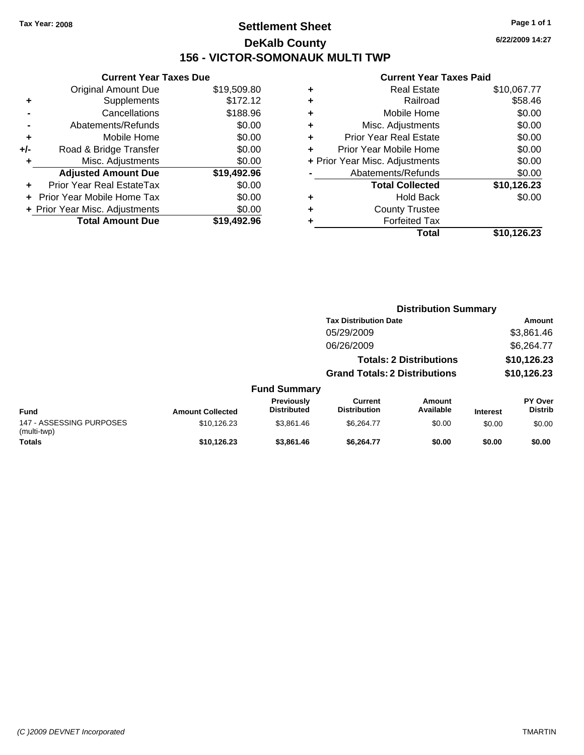### **Settlement Sheet Tax Year: 2008 Page 1 of 1 DeKalb County 156 - VICTOR-SOMONAUK MULTI TWP**

**6/22/2009 14:27**

|     | <b>Current Year Taxes Due</b>  |             |
|-----|--------------------------------|-------------|
|     | <b>Original Amount Due</b>     | \$19,509.80 |
| ٠   | Supplements                    | \$172.12    |
|     | Cancellations                  | \$188.96    |
|     | Abatements/Refunds             | \$0.00      |
| ٠   | Mobile Home                    | \$0.00      |
| +/- | Road & Bridge Transfer         | \$0.00      |
|     | Misc. Adjustments              | \$0.00      |
|     | <b>Adjusted Amount Due</b>     | \$19,492.96 |
|     | Prior Year Real EstateTax      | \$0.00      |
|     | Prior Year Mobile Home Tax     | \$0.00      |
|     | + Prior Year Misc. Adjustments | \$0.00      |
|     | <b>Total Amount Due</b>        | \$19,492.96 |
|     |                                |             |

| ٠ | Real Estate                    | \$10,067.77 |
|---|--------------------------------|-------------|
| ٠ | Railroad                       | \$58.46     |
| ٠ | Mobile Home                    | \$0.00      |
| ٠ | Misc. Adjustments              | \$0.00      |
| ٠ | <b>Prior Year Real Estate</b>  | \$0.00      |
| ٠ | Prior Year Mobile Home         | \$0.00      |
|   | + Prior Year Misc. Adjustments | \$0.00      |
|   | Abatements/Refunds             | \$0.00      |
|   | <b>Total Collected</b>         | \$10,126.23 |
| ٠ | <b>Hold Back</b>               | \$0.00      |
| ٠ | <b>County Trustee</b>          |             |
| ٠ | <b>Forfeited Tax</b>           |             |
|   | Total                          | \$10,126.23 |
|   |                                |             |

|                                         |                         |                                  |                                       | <b>Distribution Summary</b>    |                 |                                  |
|-----------------------------------------|-------------------------|----------------------------------|---------------------------------------|--------------------------------|-----------------|----------------------------------|
|                                         |                         |                                  | <b>Tax Distribution Date</b>          |                                |                 | Amount                           |
|                                         |                         |                                  | 05/29/2009                            |                                |                 | \$3,861.46                       |
|                                         |                         |                                  | 06/26/2009                            |                                |                 | \$6,264.77                       |
|                                         |                         |                                  |                                       | <b>Totals: 2 Distributions</b> |                 | \$10,126.23                      |
|                                         |                         |                                  | <b>Grand Totals: 2 Distributions</b>  |                                |                 | \$10,126.23                      |
|                                         |                         | <b>Fund Summary</b>              |                                       |                                |                 |                                  |
| <b>Fund</b>                             | <b>Amount Collected</b> | Previously<br><b>Distributed</b> | <b>Current</b><br><b>Distribution</b> | Amount<br>Available            | <b>Interest</b> | <b>PY Over</b><br><b>Distrib</b> |
| 147 - ASSESSING PURPOSES<br>(multi-twp) | \$10,126.23             | \$3,861.46                       | \$6,264.77                            | \$0.00                         | \$0.00          | \$0.00                           |
| <b>Totals</b>                           | \$10,126.23             | \$3,861.46                       | \$6.264.77                            | \$0.00                         | \$0.00          | \$0.00                           |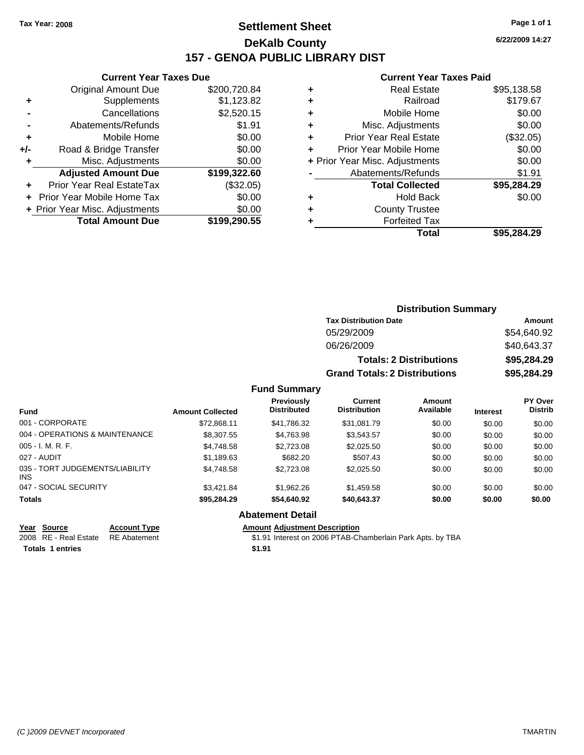### **Settlement Sheet Tax Year: 2008 Page 1 of 1 DeKalb County 157 - GENOA PUBLIC LIBRARY DIST**

**6/22/2009 14:27**

### **Current Year Taxes Paid**

|     | <b>Current Year Taxes Due</b>     |              |
|-----|-----------------------------------|--------------|
|     | <b>Original Amount Due</b>        | \$200,720.84 |
| ٠   | Supplements                       | \$1,123.82   |
|     | Cancellations                     | \$2,520.15   |
|     | Abatements/Refunds                | \$1.91       |
| ٠   | Mobile Home                       | \$0.00       |
| +/- | Road & Bridge Transfer            | \$0.00       |
| ٠   | Misc. Adjustments                 | \$0.00       |
|     | <b>Adjusted Amount Due</b>        | \$199,322.60 |
|     | Prior Year Real EstateTax         | (\$32.05)    |
|     | <b>Prior Year Mobile Home Tax</b> | \$0.00       |
|     | + Prior Year Misc. Adjustments    | \$0.00       |
|     | <b>Total Amount Due</b>           | \$199,290.55 |
|     |                                   |              |

|   | <b>Real Estate</b>             | \$95,138.58 |
|---|--------------------------------|-------------|
|   | Railroad                       | \$179.67    |
| ٠ | Mobile Home                    | \$0.00      |
| ٠ | Misc. Adjustments              | \$0.00      |
| ٠ | <b>Prior Year Real Estate</b>  | (\$32.05)   |
|   | Prior Year Mobile Home         | \$0.00      |
|   | + Prior Year Misc. Adjustments | \$0.00      |
|   | Abatements/Refunds             | \$1.91      |
|   | <b>Total Collected</b>         | \$95,284.29 |
|   | <b>Hold Back</b>               | \$0.00      |
|   | <b>County Trustee</b>          |             |
|   | <b>Forfeited Tax</b>           |             |
|   | Total                          | \$95.284.29 |

|                                         |                                      | <b>Distribution Summary</b>    |          |                                  |
|-----------------------------------------|--------------------------------------|--------------------------------|----------|----------------------------------|
|                                         | <b>Tax Distribution Date</b>         |                                |          | Amount                           |
|                                         | 05/29/2009                           |                                |          | \$54,640.92                      |
|                                         | 06/26/2009                           |                                |          | \$40,643.37                      |
|                                         |                                      | <b>Totals: 2 Distributions</b> |          | \$95,284.29                      |
|                                         | <b>Grand Totals: 2 Distributions</b> |                                |          | \$95,284.29                      |
| <b>Fund Summary</b>                     |                                      |                                |          |                                  |
| <b>Previously</b><br><b>Distributed</b> | Current<br><b>Distribution</b>       | <b>Amount</b><br>Available     | Interest | <b>PY Over</b><br><b>Distrib</b> |

| <b>Fund</b>                                   | <b>Amount Collected</b> | <b>Previously</b><br><b>Distributed</b> | Current<br><b>Distribution</b> | Amount<br>Available | <b>Interest</b> | <b>PY Over</b><br><b>Distrib</b> |
|-----------------------------------------------|-------------------------|-----------------------------------------|--------------------------------|---------------------|-----------------|----------------------------------|
| 001 - CORPORATE                               | \$72,868.11             | \$41,786.32                             | \$31,081.79                    | \$0.00              | \$0.00          | \$0.00                           |
| 004 - OPERATIONS & MAINTENANCE                | \$8,307.55              | \$4,763.98                              | \$3,543.57                     | \$0.00              | \$0.00          | \$0.00                           |
| $005 - I. M. R. F.$                           | \$4,748.58              | \$2,723.08                              | \$2,025.50                     | \$0.00              | \$0.00          | \$0.00                           |
| 027 - AUDIT                                   | \$1,189.63              | \$682.20                                | \$507.43                       | \$0.00              | \$0.00          | \$0.00                           |
| 035 - TORT JUDGEMENTS/LIABILITY<br><b>INS</b> | \$4,748.58              | \$2,723.08                              | \$2,025.50                     | \$0.00              | \$0.00          | \$0.00                           |
| 047 - SOCIAL SECURITY                         | \$3.421.84              | \$1,962.26                              | \$1,459.58                     | \$0.00              | \$0.00          | \$0.00                           |
| <b>Totals</b>                                 | \$95,284.29             | \$54,640.92                             | \$40,643.37                    | \$0.00              | \$0.00          | \$0.00                           |
|                                               |                         | Alextronomic Batalli                    |                                |                     |                 |                                  |

#### **Abatement Detail**

**Totals 1 entries** \$1.91

**Year Source Account Type Amount Adjustment Description** \$1.91 Interest on 2006 PTAB-Chamberlain Park Apts. by TBA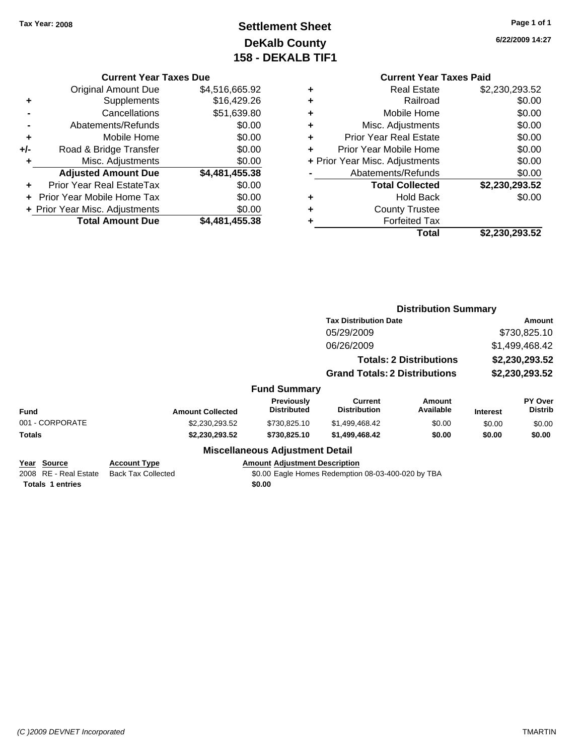### **Settlement Sheet Tax Year: 2008 Page 1 of 1 DeKalb County 158 - DEKALB TIF1**

**6/22/2009 14:27**

| <b>Current Year Taxes Due</b> |  |  |  |
|-------------------------------|--|--|--|
|-------------------------------|--|--|--|

|     | <b>Original Amount Due</b>        | \$4,516,665.92 |
|-----|-----------------------------------|----------------|
| ٠   | Supplements                       | \$16,429.26    |
|     | Cancellations                     | \$51,639.80    |
|     | Abatements/Refunds                | \$0.00         |
| ٠   | Mobile Home                       | \$0.00         |
| +/- | Road & Bridge Transfer            | \$0.00         |
| ٠   | Misc. Adjustments                 | \$0.00         |
|     | <b>Adjusted Amount Due</b>        | \$4,481,455.38 |
|     | <b>Prior Year Real EstateTax</b>  | \$0.00         |
|     | <b>Prior Year Mobile Home Tax</b> | \$0.00         |
|     | + Prior Year Misc. Adjustments    | \$0.00         |
|     | <b>Total Amount Due</b>           | \$4,481,455.38 |

|   | <b>Real Estate</b>             | \$2,230,293.52 |
|---|--------------------------------|----------------|
| ٠ | Railroad                       | \$0.00         |
| ٠ | Mobile Home                    | \$0.00         |
| ٠ | Misc. Adjustments              | \$0.00         |
| ٠ | <b>Prior Year Real Estate</b>  | \$0.00         |
|   | Prior Year Mobile Home         | \$0.00         |
|   | + Prior Year Misc. Adjustments | \$0.00         |
|   | Abatements/Refunds             | \$0.00         |
|   | <b>Total Collected</b>         | \$2,230,293.52 |
| ٠ | Hold Back                      | \$0.00         |
| ٠ | <b>County Trustee</b>          |                |
|   | <b>Forfeited Tax</b>           |                |
|   | Total                          | \$2,230,293.52 |
|   |                                |                |

|                                                  |                                         |                                |                                                                                                       |                                                                                                                                                              | Amount                                |  |
|--------------------------------------------------|-----------------------------------------|--------------------------------|-------------------------------------------------------------------------------------------------------|--------------------------------------------------------------------------------------------------------------------------------------------------------------|---------------------------------------|--|
|                                                  |                                         | 05/29/2009                     |                                                                                                       |                                                                                                                                                              | \$730,825.10                          |  |
|                                                  |                                         | 06/26/2009                     |                                                                                                       |                                                                                                                                                              | \$1,499,468.42<br>\$2,230,293.52      |  |
|                                                  |                                         |                                |                                                                                                       |                                                                                                                                                              |                                       |  |
|                                                  |                                         |                                |                                                                                                       |                                                                                                                                                              | \$2,230,293.52                        |  |
|                                                  |                                         |                                |                                                                                                       |                                                                                                                                                              |                                       |  |
| <b>Amount Collected</b>                          | <b>Previously</b><br><b>Distributed</b> | Current<br><b>Distribution</b> | Amount<br>Available                                                                                   | <b>Interest</b>                                                                                                                                              | PY Over<br><b>Distrib</b>             |  |
| \$2,230,293.52                                   | \$730,825.10                            | \$1,499,468.42                 | \$0.00                                                                                                | \$0.00                                                                                                                                                       | \$0.00                                |  |
| \$2,230,293.52                                   | \$730,825.10                            | \$1,499,468.42                 | \$0.00                                                                                                | \$0.00                                                                                                                                                       | \$0.00                                |  |
|                                                  |                                         |                                |                                                                                                       |                                                                                                                                                              |                                       |  |
| <b>Account Type</b><br><b>Back Tax Collected</b> |                                         |                                |                                                                                                       |                                                                                                                                                              |                                       |  |
|                                                  |                                         |                                | <b>Fund Summary</b><br><b>Miscellaneous Adjustment Detail</b><br><b>Amount Adjustment Description</b> | <b>Tax Distribution Date</b><br><b>Totals: 2 Distributions</b><br><b>Grand Totals: 2 Distributions</b><br>\$0.00 Eagle Homes Redemption 08-03-400-020 by TBA | <b>Distribution Summary</b><br>\$0.00 |  |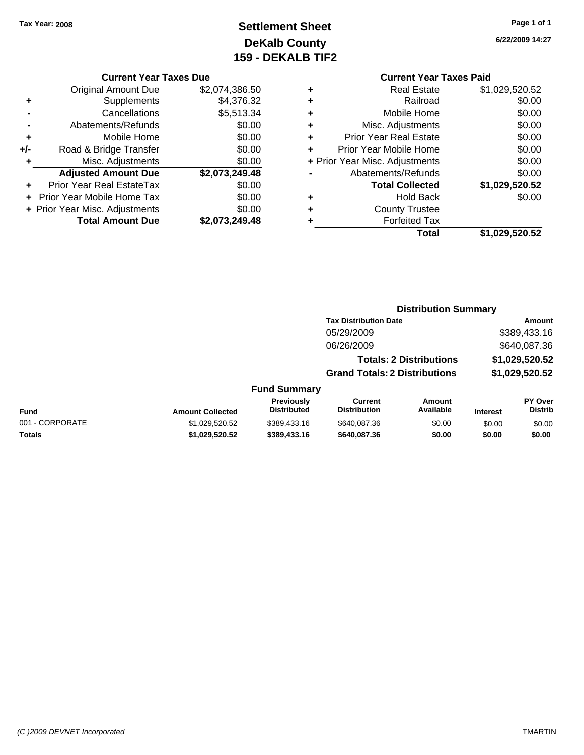### **Settlement Sheet Tax Year: 2008 Page 1 of 1 DeKalb County 159 - DEKALB TIF2**

#### **Current Year Taxes Due**

|     | <b>Total Amount Due</b>           | \$2,073,249.48 |
|-----|-----------------------------------|----------------|
|     | + Prior Year Misc. Adjustments    | \$0.00         |
|     | <b>Prior Year Mobile Home Tax</b> | \$0.00         |
|     | <b>Prior Year Real EstateTax</b>  | \$0.00         |
|     | <b>Adjusted Amount Due</b>        | \$2,073,249.48 |
| ٠   | Misc. Adjustments                 | \$0.00         |
| +/- | Road & Bridge Transfer            | \$0.00         |
| ٠   | Mobile Home                       | \$0.00         |
|     | Abatements/Refunds                | \$0.00         |
|     | Cancellations                     | \$5,513.34     |
| ٠   | Supplements                       | \$4,376.32     |
|     | <b>Original Amount Due</b>        | \$2,074,386.50 |
|     |                                   |                |

### **Current Year Taxes Paid**

|   | <b>Real Estate</b>             | \$1,029,520.52 |
|---|--------------------------------|----------------|
| ٠ | Railroad                       | \$0.00         |
| ٠ | Mobile Home                    | \$0.00         |
| ٠ | Misc. Adjustments              | \$0.00         |
| ٠ | <b>Prior Year Real Estate</b>  | \$0.00         |
| ٠ | Prior Year Mobile Home         | \$0.00         |
|   | + Prior Year Misc. Adjustments | \$0.00         |
|   | Abatements/Refunds             | \$0.00         |
|   | <b>Total Collected</b>         | \$1,029,520.52 |
| ٠ | Hold Back                      | \$0.00         |
| ٠ | <b>County Trustee</b>          |                |
| ٠ | <b>Forfeited Tax</b>           |                |
|   | Total                          | \$1,029,520.52 |
|   |                                |                |

**6/22/2009 14:27**

| <b>Distribution Summary</b> |
|-----------------------------|
|-----------------------------|

| <b>Tax Distribution Date</b>         | Amount         |
|--------------------------------------|----------------|
| 05/29/2009                           | \$389,433.16   |
| 06/26/2009                           | \$640,087.36   |
| <b>Totals: 2 Distributions</b>       | \$1,029,520.52 |
| <b>Grand Totals: 2 Distributions</b> | \$1,029,520.52 |
|                                      |                |

|                 |                         | <b>Previously</b> | Current             | Amount    |                 | PY Over |
|-----------------|-------------------------|-------------------|---------------------|-----------|-----------------|---------|
| Fund            | <b>Amount Collected</b> | Distributed       | <b>Distribution</b> | Available | <b>Interest</b> | Distrib |
| 001 - CORPORATE | \$1.029.520.52          | \$389,433.16      | \$640,087.36        | \$0.00    | \$0.00          | \$0.00  |
| Totals          | \$1.029.520.52          | \$389,433,16      | \$640,087,36        | \$0.00    | \$0.00          | \$0.00  |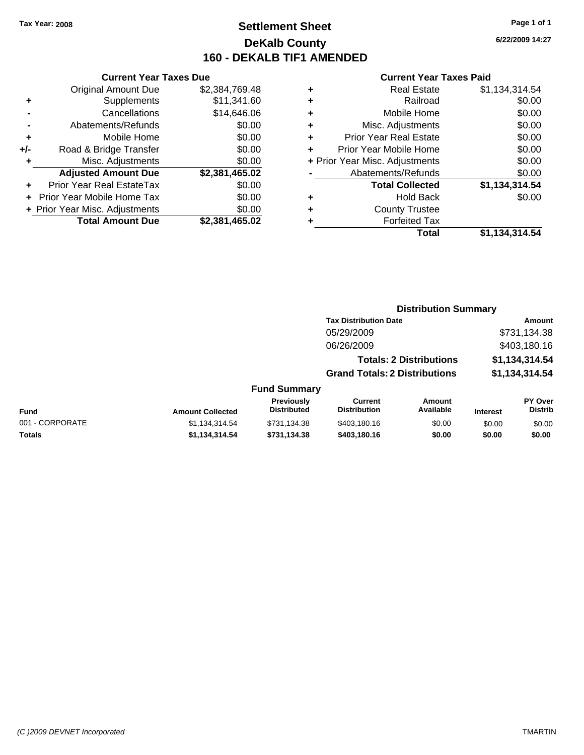### **Settlement Sheet Tax Year: 2008 Page 1 of 1 DeKalb County 160 - DEKALB TIF1 AMENDED**

**6/22/2009 14:27**

#### **Current Year Taxes Paid**

|     | <b>Current Year Taxes Due</b>  |                |  |
|-----|--------------------------------|----------------|--|
|     | <b>Original Amount Due</b>     | \$2,384,769.48 |  |
| ٠   | Supplements                    | \$11,341.60    |  |
|     | Cancellations                  | \$14,646.06    |  |
|     | Abatements/Refunds             | \$0.00         |  |
| ٠   | Mobile Home                    | \$0.00         |  |
| +/- | Road & Bridge Transfer         | \$0.00         |  |
| ٠   | Misc. Adjustments              | \$0.00         |  |
|     | <b>Adjusted Amount Due</b>     | \$2,381,465.02 |  |
| ÷   | Prior Year Real EstateTax      | \$0.00         |  |
|     | Prior Year Mobile Home Tax     | \$0.00         |  |
|     | + Prior Year Misc. Adjustments | \$0.00         |  |
|     | <b>Total Amount Due</b>        | \$2,381,465.02 |  |

| ٠ | <b>Real Estate</b>             | \$1,134,314.54 |
|---|--------------------------------|----------------|
| ٠ | Railroad                       | \$0.00         |
| ٠ | Mobile Home                    | \$0.00         |
| ٠ | Misc. Adjustments              | \$0.00         |
| ٠ | <b>Prior Year Real Estate</b>  | \$0.00         |
| ٠ | Prior Year Mobile Home         | \$0.00         |
|   | + Prior Year Misc. Adjustments | \$0.00         |
|   | Abatements/Refunds             | \$0.00         |
|   | <b>Total Collected</b>         | \$1,134,314.54 |
| ٠ | Hold Back                      | \$0.00         |
| ٠ | <b>County Trustee</b>          |                |
| ٠ | <b>Forfeited Tax</b>           |                |
|   | Total                          | \$1,134,314.54 |
|   |                                |                |

# **Distribution Summary**

| <b>Tax Distribution Date</b>         | Amount         |
|--------------------------------------|----------------|
| 05/29/2009                           | \$731,134.38   |
| 06/26/2009                           | \$403,180.16   |
| <b>Totals: 2 Distributions</b>       | \$1,134,314.54 |
| <b>Grand Totals: 2 Distributions</b> | \$1,134,314.54 |
|                                      |                |

| Fund            | <b>Amount Collected</b> | <b>Previously</b><br><b>Distributed</b> | Current<br><b>Distribution</b> | Amount<br>Available | <b>Interest</b> | <b>PY Over</b><br><b>Distrib</b> |
|-----------------|-------------------------|-----------------------------------------|--------------------------------|---------------------|-----------------|----------------------------------|
| 001 - CORPORATE | \$1.134.314.54          | \$731.134.38                            | \$403.180.16                   | \$0.00              | \$0.00          | \$0.00                           |
| Totals          | \$1.134.314.54          | \$731.134.38                            | \$403.180.16                   | \$0.00              | \$0.00          | \$0.00                           |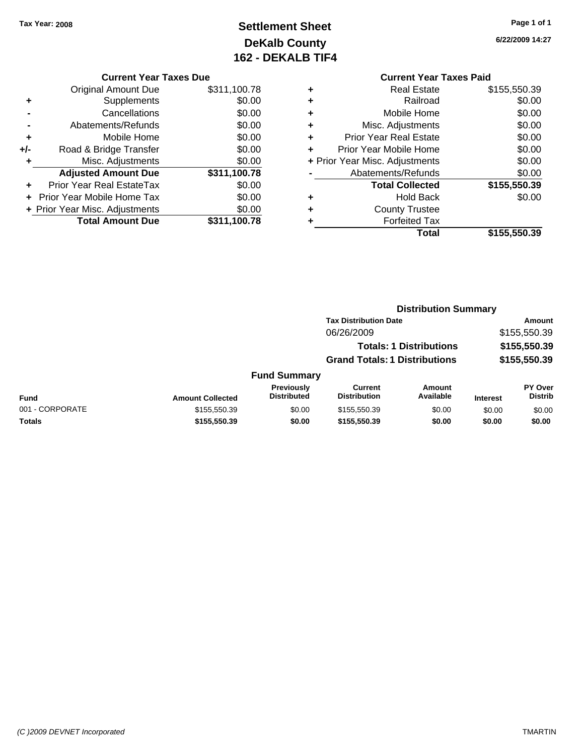## **Settlement Sheet Tax Year: 2008 Page 1 of 1 DeKalb County 162 - DEKALB TIF4**

**6/22/2009 14:27**

#### **Current Year Taxes Due**

| <b>Original Amount Due</b>       | \$311,100.78                                                 |
|----------------------------------|--------------------------------------------------------------|
| Supplements                      | \$0.00                                                       |
| Cancellations                    | \$0.00                                                       |
| Abatements/Refunds               | \$0.00                                                       |
| Mobile Home                      | \$0.00                                                       |
| Road & Bridge Transfer           | \$0.00                                                       |
| Misc. Adjustments                | \$0.00                                                       |
| <b>Adjusted Amount Due</b>       | \$311,100.78                                                 |
| <b>Prior Year Real EstateTax</b> | \$0.00                                                       |
|                                  | \$0.00                                                       |
|                                  | \$0.00                                                       |
| <b>Total Amount Due</b>          | \$311,100.78                                                 |
|                                  | Prior Year Mobile Home Tax<br>+ Prior Year Misc. Adjustments |

### **Current Year Taxes Paid**

|   | <b>Real Estate</b>             | \$155,550.39 |
|---|--------------------------------|--------------|
|   | Railroad                       | \$0.00       |
| ٠ | Mobile Home                    | \$0.00       |
| ٠ | Misc. Adjustments              | \$0.00       |
| ٠ | <b>Prior Year Real Estate</b>  | \$0.00       |
|   | Prior Year Mobile Home         | \$0.00       |
|   | + Prior Year Misc. Adjustments | \$0.00       |
|   | Abatements/Refunds             | \$0.00       |
|   | <b>Total Collected</b>         | \$155,550.39 |
| ٠ | <b>Hold Back</b>               | \$0.00       |
|   | <b>County Trustee</b>          |              |
|   | <b>Forfeited Tax</b>           |              |
|   | Total                          | \$155,550.39 |
|   |                                |              |

#### **Distribution Summary Tax Distribution Date Amount** 06/26/2009 \$155,550.39 **Totals: 1 Distributions \$155,550.39 Grand Totals: 1 Distributions \$155,550.39 Fund Summary PY Over Distrib Amount Available Current Distribution Previously Amount Collected Distributed**

|                 |                         | <b>Previously</b>  | Current             | Amount    |                 | <b>PY Over</b> |
|-----------------|-------------------------|--------------------|---------------------|-----------|-----------------|----------------|
| Fund            | <b>Amount Collected</b> | <b>Distributed</b> | <b>Distribution</b> | Available | <b>Interest</b> | <b>Distrib</b> |
| 001 - CORPORATE | \$155.550.39            | \$0.00             | \$155,550.39        | \$0.00    | \$0.00          | \$0.00         |
| Totals          | \$155.550.39            | \$0.00             | \$155,550.39        | \$0.00    | \$0.00          | \$0.00         |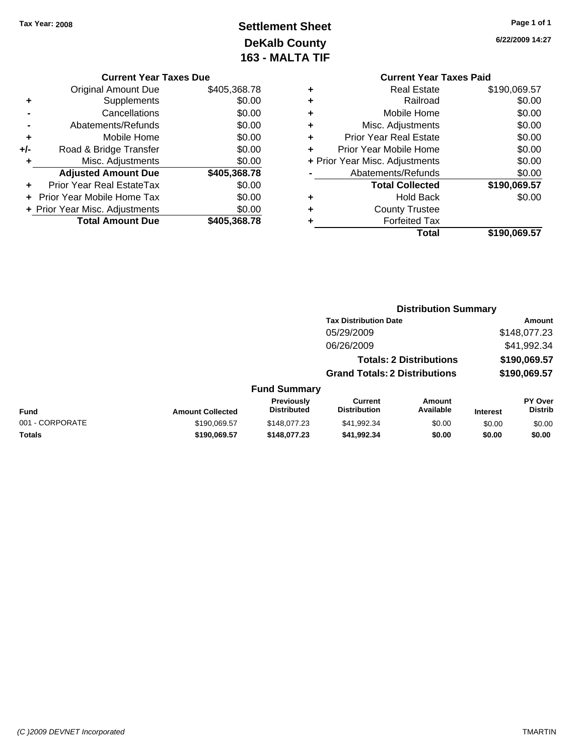## **Settlement Sheet Tax Year: 2008 Page 1 of 1 DeKalb County 163 - MALTA TIF**

**6/22/2009 14:27**

| <b>Current Year Taxes Due</b> |  |  |  |
|-------------------------------|--|--|--|
|-------------------------------|--|--|--|

|     | <b>Original Amount Due</b>       | \$405,368.78 |
|-----|----------------------------------|--------------|
| ٠   | Supplements                      | \$0.00       |
|     | Cancellations                    | \$0.00       |
|     | Abatements/Refunds               | \$0.00       |
| ÷   | Mobile Home                      | \$0.00       |
| +/- | Road & Bridge Transfer           | \$0.00       |
| ٠   | Misc. Adjustments                | \$0.00       |
|     | <b>Adjusted Amount Due</b>       | \$405,368.78 |
|     | <b>Prior Year Real EstateTax</b> | \$0.00       |
|     | Prior Year Mobile Home Tax       | \$0.00       |
|     | + Prior Year Misc. Adjustments   | \$0.00       |
|     | <b>Total Amount Due</b>          | \$405,368.78 |
|     |                                  |              |

| <b>Current Year Taxes Paid</b> |              |  |  |  |
|--------------------------------|--------------|--|--|--|
| <b>Real Estate</b>             | \$190,069.57 |  |  |  |
| Railroad                       | \$0.00       |  |  |  |
| Mobile Home                    | \$0.00       |  |  |  |
| Misc. Adjustments              | \$0.00       |  |  |  |
| <b>Prior Year Real Estate</b>  | \$0.00       |  |  |  |
| Prior Year Mobile Home         | \$0.00       |  |  |  |
| + Prior Year Misc. Adjustments | \$0.00       |  |  |  |
| Abatements/Refunds             | \$0.00       |  |  |  |
| <b>Total Collected</b>         | \$190,069.57 |  |  |  |
| Hold Back                      | \$0.00       |  |  |  |
| <b>County Trustee</b>          |              |  |  |  |
| <b>Forfeited Tax</b>           |              |  |  |  |
| Total                          | \$190,069.57 |  |  |  |
|                                |              |  |  |  |

**Distribution Summary**

|                 |                         |                                  | <b>Tax Distribution Date</b>          |                                |                 | Amount                           |
|-----------------|-------------------------|----------------------------------|---------------------------------------|--------------------------------|-----------------|----------------------------------|
|                 |                         |                                  | 05/29/2009                            |                                |                 | \$148,077.23                     |
|                 |                         |                                  | 06/26/2009                            |                                |                 | \$41,992.34                      |
|                 |                         |                                  |                                       | <b>Totals: 2 Distributions</b> |                 | \$190,069.57                     |
|                 |                         |                                  | <b>Grand Totals: 2 Distributions</b>  |                                |                 | \$190,069.57                     |
|                 |                         | <b>Fund Summary</b>              |                                       |                                |                 |                                  |
| <b>Fund</b>     | <b>Amount Collected</b> | Previously<br><b>Distributed</b> | <b>Current</b><br><b>Distribution</b> | Amount<br>Available            | <b>Interest</b> | <b>PY Over</b><br><b>Distrib</b> |
| 001 - CORPORATE | \$190,069.57            | \$148,077.23                     | \$41,992.34                           | \$0.00                         | \$0.00          | \$0.00                           |
| Totals          | \$190,069.57            | \$148,077.23                     | \$41,992.34                           | \$0.00                         | \$0.00          | \$0.00                           |
|                 |                         |                                  |                                       |                                |                 |                                  |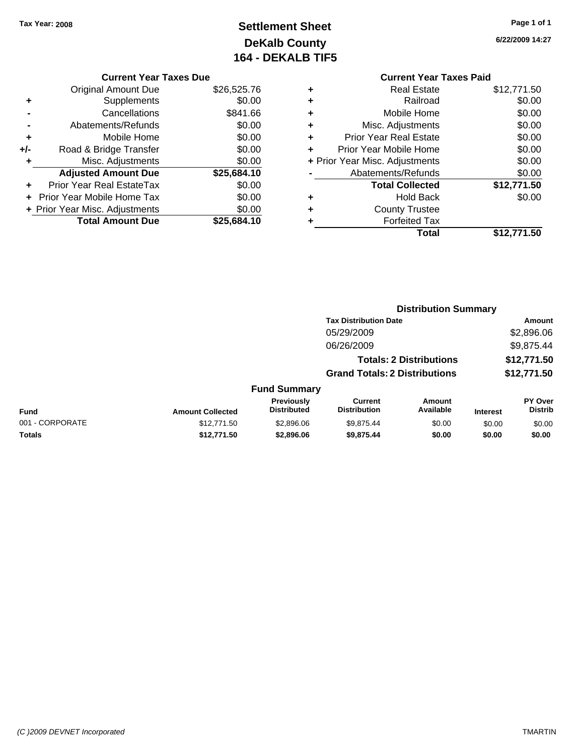## **Settlement Sheet Tax Year: 2008 Page 1 of 1 DeKalb County 164 - DEKALB TIF5**

**6/22/2009 14:27**

| <b>Current Year Taxes Due</b> |
|-------------------------------|
|-------------------------------|

| <b>Original Amount Due</b> | \$26,525.76                    |
|----------------------------|--------------------------------|
| Supplements                | \$0.00                         |
| Cancellations              | \$841.66                       |
| Abatements/Refunds         | \$0.00                         |
| Mobile Home                | \$0.00                         |
| Road & Bridge Transfer     | \$0.00                         |
| Misc. Adjustments          | \$0.00                         |
| <b>Adjusted Amount Due</b> | \$25,684.10                    |
| Prior Year Real EstateTax  | \$0.00                         |
| Prior Year Mobile Home Tax | \$0.00                         |
|                            | \$0.00                         |
| <b>Total Amount Due</b>    | \$25,684.10                    |
|                            | + Prior Year Misc. Adjustments |

### **Current Year Taxes Paid +** Real Estate \$12,771.50 **+** Railroad \$0.00 **+** Mobile Home \$0.00

|   | <b>Forfeited Tax</b>           |             |
|---|--------------------------------|-------------|
| ٠ | <b>County Trustee</b>          |             |
|   | <b>Hold Back</b>               | \$0.00      |
|   | <b>Total Collected</b>         | \$12,771.50 |
|   | Abatements/Refunds             | \$0.00      |
|   | + Prior Year Misc. Adjustments | \$0.00      |
|   | Prior Year Mobile Home         | \$0.00      |
| ÷ | <b>Prior Year Real Estate</b>  | \$0.00      |
|   | Misc. Adjustments              | \$0.00      |

|                 |                         |                                  | <b>Distribution Summary</b>           |                     |                 |                                  |  |
|-----------------|-------------------------|----------------------------------|---------------------------------------|---------------------|-----------------|----------------------------------|--|
|                 |                         |                                  | <b>Tax Distribution Date</b>          |                     | Amount          |                                  |  |
|                 |                         |                                  | 05/29/2009                            |                     |                 | \$2,896.06                       |  |
|                 |                         |                                  | 06/26/2009                            |                     |                 | \$9,875.44                       |  |
|                 |                         |                                  | <b>Totals: 2 Distributions</b>        |                     |                 | \$12,771.50                      |  |
|                 |                         |                                  | <b>Grand Totals: 2 Distributions</b>  |                     |                 | \$12,771.50                      |  |
|                 |                         | <b>Fund Summary</b>              |                                       |                     |                 |                                  |  |
| <b>Fund</b>     | <b>Amount Collected</b> | Previously<br><b>Distributed</b> | <b>Current</b><br><b>Distribution</b> | Amount<br>Available | <b>Interest</b> | <b>PY Over</b><br><b>Distrib</b> |  |
| 001 - CORPORATE | \$12,771.50             | \$2,896.06                       | \$9.875.44                            | \$0.00              | \$0.00          | \$0.00                           |  |
| Totals          | \$12,771.50             | \$2,896.06                       | \$9,875.44                            | \$0.00              | \$0.00          | \$0.00                           |  |
|                 |                         |                                  |                                       |                     |                 |                                  |  |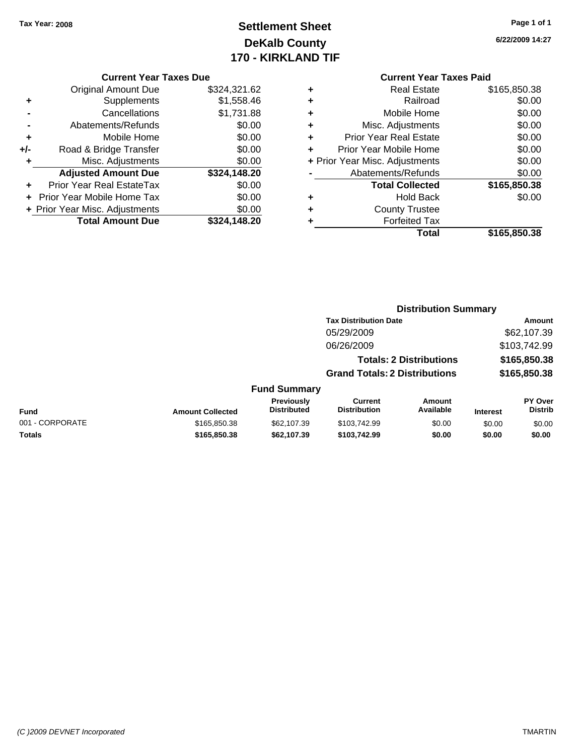### **Settlement Sheet Tax Year: 2008 Page 1 of 1 DeKalb County 170 - KIRKLAND TIF**

### **6/22/2009 14:27**

| <b>Current Year Taxes Due</b> |  |  |  |
|-------------------------------|--|--|--|
|-------------------------------|--|--|--|

|       | <b>Original Amount Due</b>        | \$324,321.62 |
|-------|-----------------------------------|--------------|
| ٠     | Supplements                       | \$1,558.46   |
|       | Cancellations                     | \$1,731.88   |
|       | Abatements/Refunds                | \$0.00       |
| ٠     | Mobile Home                       | \$0.00       |
| $+/-$ | Road & Bridge Transfer            | \$0.00       |
| ۰     | Misc. Adjustments                 | \$0.00       |
|       | <b>Adjusted Amount Due</b>        | \$324,148.20 |
|       | Prior Year Real EstateTax         | \$0.00       |
|       | <b>Prior Year Mobile Home Tax</b> | \$0.00       |
|       | + Prior Year Misc. Adjustments    | \$0.00       |
|       | <b>Total Amount Due</b>           | \$324.148.20 |

|   | <b>Real Estate</b>             | \$165,850.38 |
|---|--------------------------------|--------------|
| ÷ | Railroad                       | \$0.00       |
| ٠ | Mobile Home                    | \$0.00       |
| ٠ | Misc. Adjustments              | \$0.00       |
| ٠ | <b>Prior Year Real Estate</b>  | \$0.00       |
|   | Prior Year Mobile Home         | \$0.00       |
|   | + Prior Year Misc. Adjustments | \$0.00       |
|   | Abatements/Refunds             | \$0.00       |
|   | <b>Total Collected</b>         | \$165,850.38 |
| ٠ | <b>Hold Back</b>               | \$0.00       |
|   | <b>County Trustee</b>          |              |
|   | <b>Forfeited Tax</b>           |              |
|   | Total                          | \$165,850.38 |
|   |                                |              |

|                 |                         |                                         | <b>Distribution Summary</b>           |                                |                 |                                  |
|-----------------|-------------------------|-----------------------------------------|---------------------------------------|--------------------------------|-----------------|----------------------------------|
|                 |                         |                                         | <b>Tax Distribution Date</b>          |                                | Amount          |                                  |
|                 |                         |                                         | 05/29/2009                            |                                |                 | \$62,107.39                      |
|                 |                         |                                         | 06/26/2009                            |                                |                 | \$103,742.99                     |
|                 |                         |                                         |                                       | <b>Totals: 2 Distributions</b> |                 | \$165,850.38                     |
|                 |                         |                                         | <b>Grand Totals: 2 Distributions</b>  |                                |                 | \$165,850.38                     |
|                 |                         | <b>Fund Summary</b>                     |                                       |                                |                 |                                  |
| <b>Fund</b>     | <b>Amount Collected</b> | <b>Previously</b><br><b>Distributed</b> | <b>Current</b><br><b>Distribution</b> | Amount<br>Available            | <b>Interest</b> | <b>PY Over</b><br><b>Distrib</b> |
| 001 - CORPORATE | \$165,850.38            | \$62,107.39                             | \$103.742.99                          | \$0.00                         | \$0.00          | \$0.00                           |
| Totals          | \$165,850.38            | \$62,107.39                             | \$103,742.99                          | \$0.00                         | \$0.00          | \$0.00                           |
|                 |                         |                                         |                                       |                                |                 |                                  |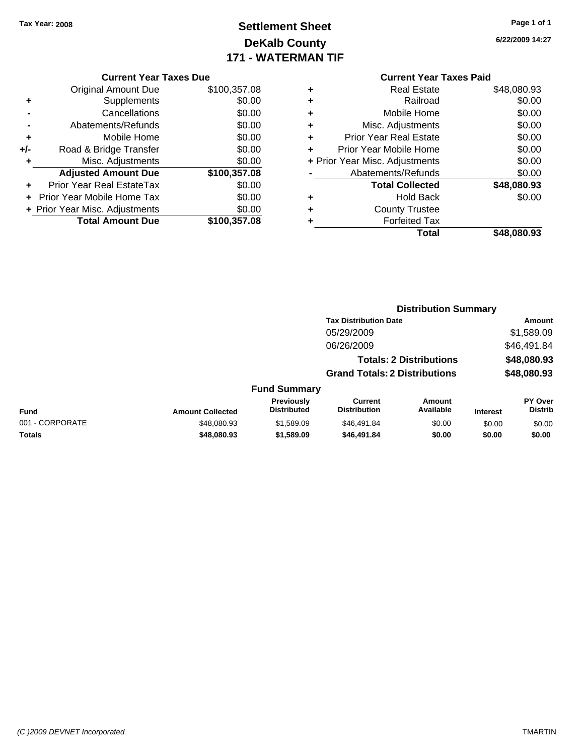### **Settlement Sheet Tax Year: 2008 Page 1 of 1 DeKalb County 171 - WATERMAN TIF**

**6/22/2009 14:27**

#### **Current Year Taxes Due**

|     | <b>Original Amount Due</b>     | \$100,357.08 |
|-----|--------------------------------|--------------|
|     | Supplements                    | \$0.00       |
|     | Cancellations                  | \$0.00       |
|     | Abatements/Refunds             | \$0.00       |
| ٠   | Mobile Home                    | \$0.00       |
| +/- | Road & Bridge Transfer         | \$0.00       |
| ÷   | Misc. Adjustments              | \$0.00       |
|     | <b>Adjusted Amount Due</b>     | \$100,357.08 |
|     | Prior Year Real EstateTax      | \$0.00       |
|     | Prior Year Mobile Home Tax     | \$0.00       |
|     | + Prior Year Misc. Adjustments | \$0.00       |
|     | <b>Total Amount Due</b>        | \$100,357.08 |

|   | Total                          | \$48,080.93 |
|---|--------------------------------|-------------|
| ٠ | <b>Forfeited Tax</b>           |             |
| ٠ | <b>County Trustee</b>          |             |
| ٠ | <b>Hold Back</b>               | \$0.00      |
|   | <b>Total Collected</b>         | \$48,080.93 |
|   | Abatements/Refunds             | \$0.00      |
|   | + Prior Year Misc. Adjustments | \$0.00      |
| ÷ | Prior Year Mobile Home         | \$0.00      |
| ٠ | <b>Prior Year Real Estate</b>  | \$0.00      |
| ٠ | Misc. Adjustments              | \$0.00      |
| ٠ | Mobile Home                    | \$0.00      |
| ٠ | Railroad                       | \$0.00      |
| ٠ | <b>Real Estate</b>             | \$48,080.93 |

|                 | <b>Distribution Summary</b> |                                         |                                       |                                |                 |                           |
|-----------------|-----------------------------|-----------------------------------------|---------------------------------------|--------------------------------|-----------------|---------------------------|
|                 |                             |                                         | <b>Tax Distribution Date</b>          |                                | <b>Amount</b>   |                           |
|                 |                             |                                         | 05/29/2009                            |                                |                 | \$1,589.09                |
|                 |                             |                                         | 06/26/2009                            |                                |                 | \$46,491.84               |
|                 |                             |                                         |                                       | <b>Totals: 2 Distributions</b> |                 | \$48,080.93               |
|                 |                             |                                         | <b>Grand Totals: 2 Distributions</b>  |                                |                 | \$48,080.93               |
|                 |                             | <b>Fund Summary</b>                     |                                       |                                |                 |                           |
| <b>Fund</b>     | <b>Amount Collected</b>     | <b>Previously</b><br><b>Distributed</b> | <b>Current</b><br><b>Distribution</b> | <b>Amount</b><br>Available     | <b>Interest</b> | PY Over<br><b>Distrib</b> |
| 001 - CORPORATE | \$48,080.93                 | \$1,589.09                              | \$46,491.84                           | \$0.00                         | \$0.00          | \$0.00                    |
| Totals          | \$48,080.93                 | \$1,589.09                              | \$46,491.84                           | \$0.00                         | \$0.00          | \$0.00                    |
|                 |                             |                                         |                                       |                                |                 |                           |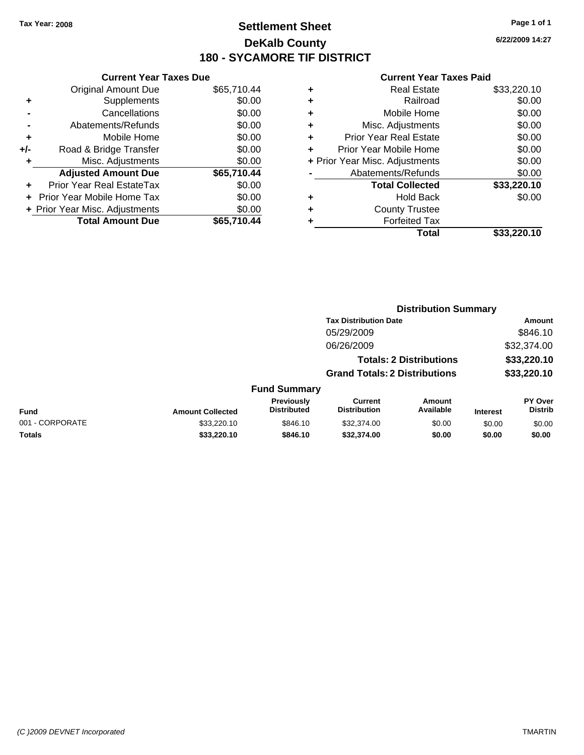### **Settlement Sheet Tax Year: 2008 Page 1 of 1 DeKalb County 180 - SYCAMORE TIF DISTRICT**

**6/22/2009 14:27**

| <b>Current Year Taxes Due</b>  |                            |  |  |  |  |  |  |
|--------------------------------|----------------------------|--|--|--|--|--|--|
| <b>Original Amount Due</b>     | \$65,710.44                |  |  |  |  |  |  |
| Supplements                    | \$0.00                     |  |  |  |  |  |  |
| Cancellations                  | \$0.00                     |  |  |  |  |  |  |
| Abatements/Refunds             | \$0.00                     |  |  |  |  |  |  |
| Mobile Home                    | \$0.00                     |  |  |  |  |  |  |
| Road & Bridge Transfer         | \$0.00                     |  |  |  |  |  |  |
| Misc. Adjustments              | \$0.00                     |  |  |  |  |  |  |
| <b>Adjusted Amount Due</b>     | \$65,710.44                |  |  |  |  |  |  |
| Prior Year Real EstateTax      | \$0.00                     |  |  |  |  |  |  |
|                                | \$0.00                     |  |  |  |  |  |  |
|                                |                            |  |  |  |  |  |  |
| + Prior Year Misc. Adjustments | \$0.00                     |  |  |  |  |  |  |
|                                | Prior Year Mobile Home Tax |  |  |  |  |  |  |

|   | <b>Real Estate</b>             | \$33,220.10 |
|---|--------------------------------|-------------|
| ٠ | Railroad                       | \$0.00      |
| ٠ | Mobile Home                    | \$0.00      |
| ٠ | Misc. Adjustments              | \$0.00      |
| ٠ | Prior Year Real Estate         | \$0.00      |
| ÷ | Prior Year Mobile Home         | \$0.00      |
|   | + Prior Year Misc. Adjustments | \$0.00      |
|   | Abatements/Refunds             | \$0.00      |
|   | <b>Total Collected</b>         | \$33,220.10 |
| ٠ | <b>Hold Back</b>               | \$0.00      |
| ٠ | <b>County Trustee</b>          |             |
| ٠ | <b>Forfeited Tax</b>           |             |
|   | Total                          | \$33,220.10 |
|   |                                |             |

|                 |                         |                                  | <b>Distribution Summary</b>           |                                |                 |                                  |  |
|-----------------|-------------------------|----------------------------------|---------------------------------------|--------------------------------|-----------------|----------------------------------|--|
|                 |                         | <b>Tax Distribution Date</b>     |                                       |                                |                 | Amount                           |  |
|                 |                         |                                  | 05/29/2009                            |                                |                 | \$846.10                         |  |
|                 |                         |                                  | 06/26/2009                            |                                |                 | \$32,374.00                      |  |
|                 |                         |                                  |                                       | <b>Totals: 2 Distributions</b> |                 | \$33,220.10                      |  |
|                 |                         |                                  | <b>Grand Totals: 2 Distributions</b>  |                                |                 | \$33,220.10                      |  |
|                 |                         | <b>Fund Summary</b>              |                                       |                                |                 |                                  |  |
| <b>Fund</b>     | <b>Amount Collected</b> | Previously<br><b>Distributed</b> | <b>Current</b><br><b>Distribution</b> | Amount<br>Available            | <b>Interest</b> | <b>PY Over</b><br><b>Distrib</b> |  |
| 001 - CORPORATE | \$33,220.10             | \$846.10                         | \$32,374.00                           | \$0.00                         | \$0.00          | \$0.00                           |  |
| Totals          | \$33,220.10             | \$846.10                         | \$32,374.00                           | \$0.00                         | \$0.00          | \$0.00                           |  |
|                 |                         |                                  |                                       |                                |                 |                                  |  |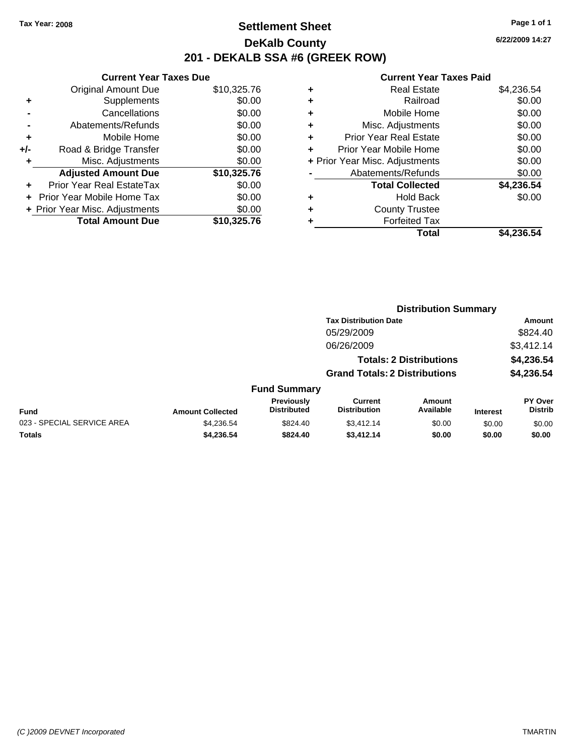### **Settlement Sheet Tax Year: 2008 Page 1 of 1 DeKalb County 201 - DEKALB SSA #6 (GREEK ROW)**

**6/22/2009 14:27**

|     | <b>Current Year Taxes Due</b>  |             |  |  |  |
|-----|--------------------------------|-------------|--|--|--|
|     | <b>Original Amount Due</b>     | \$10,325.76 |  |  |  |
| ٠   | Supplements                    | \$0.00      |  |  |  |
|     | Cancellations                  | \$0.00      |  |  |  |
|     | Abatements/Refunds             | \$0.00      |  |  |  |
| ÷   | Mobile Home                    | \$0.00      |  |  |  |
| +/- | Road & Bridge Transfer         | \$0.00      |  |  |  |
|     | Misc. Adjustments              | \$0.00      |  |  |  |
|     | <b>Adjusted Amount Due</b>     | \$10,325.76 |  |  |  |
| ÷   | Prior Year Real EstateTax      | \$0.00      |  |  |  |
|     | Prior Year Mobile Home Tax     | \$0.00      |  |  |  |
|     | + Prior Year Misc. Adjustments | \$0.00      |  |  |  |
|     | <b>Total Amount Due</b>        | \$10,325.76 |  |  |  |
|     |                                |             |  |  |  |

| ٠ | <b>Real Estate</b>             | \$4,236.54 |
|---|--------------------------------|------------|
| ٠ | Railroad                       | \$0.00     |
| ٠ | Mobile Home                    | \$0.00     |
| ٠ | Misc. Adjustments              | \$0.00     |
| ٠ | <b>Prior Year Real Estate</b>  | \$0.00     |
| ٠ | Prior Year Mobile Home         | \$0.00     |
|   | + Prior Year Misc. Adjustments | \$0.00     |
|   | Abatements/Refunds             | \$0.00     |
|   | <b>Total Collected</b>         | \$4,236.54 |
| ٠ | <b>Hold Back</b>               | \$0.00     |
| ٠ | <b>County Trustee</b>          |            |
| ٠ | <b>Forfeited Tax</b>           |            |
|   | Total                          | \$4,236.54 |
|   |                                |            |

|                            |                         |                                  |                                       |                                | <b>Distribution Summary</b> |                                  |  |  |  |
|----------------------------|-------------------------|----------------------------------|---------------------------------------|--------------------------------|-----------------------------|----------------------------------|--|--|--|
|                            |                         |                                  | <b>Tax Distribution Date</b>          |                                |                             | Amount                           |  |  |  |
|                            |                         |                                  | 05/29/2009                            |                                |                             | \$824.40                         |  |  |  |
|                            |                         |                                  | 06/26/2009                            |                                |                             | \$3,412.14                       |  |  |  |
|                            |                         |                                  |                                       | <b>Totals: 2 Distributions</b> |                             | \$4,236.54                       |  |  |  |
|                            |                         |                                  | <b>Grand Totals: 2 Distributions</b>  |                                |                             | \$4,236.54                       |  |  |  |
|                            |                         | <b>Fund Summary</b>              |                                       |                                |                             |                                  |  |  |  |
| Fund                       | <b>Amount Collected</b> | Previously<br><b>Distributed</b> | <b>Current</b><br><b>Distribution</b> | Amount<br>Available            | <b>Interest</b>             | <b>PY Over</b><br><b>Distrib</b> |  |  |  |
| 023 - SPECIAL SERVICE AREA | \$4,236.54              | \$824.40                         | \$3,412.14                            | \$0.00                         | \$0.00                      | \$0.00                           |  |  |  |
| Totals                     | \$4,236.54              | \$824.40                         | \$3,412.14                            | \$0.00                         | \$0.00                      | \$0.00                           |  |  |  |
|                            |                         |                                  |                                       |                                |                             |                                  |  |  |  |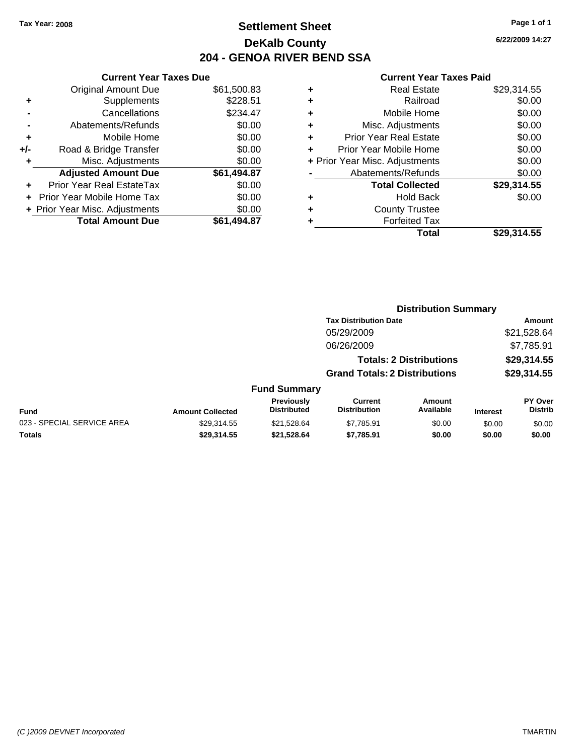### **Settlement Sheet Tax Year: 2008 Page 1 of 1 DeKalb County 204 - GENOA RIVER BEND SSA**

### **Current Year Taxes Due**

|     | <b>Original Amount Due</b>       | \$61,500.83 |
|-----|----------------------------------|-------------|
| ٠   | Supplements                      | \$228.51    |
|     | Cancellations                    | \$234.47    |
|     | Abatements/Refunds               | \$0.00      |
| ÷   | Mobile Home                      | \$0.00      |
| +/- | Road & Bridge Transfer           | \$0.00      |
| ٠   | Misc. Adjustments                | \$0.00      |
|     | <b>Adjusted Amount Due</b>       | \$61,494.87 |
|     | <b>Prior Year Real EstateTax</b> | \$0.00      |
|     | Prior Year Mobile Home Tax       | \$0.00      |
|     | + Prior Year Misc. Adjustments   | \$0.00      |
|     | <b>Total Amount Due</b>          | \$61.494.87 |

|   | <b>Real Estate</b>             | \$29,314.55 |
|---|--------------------------------|-------------|
| ٠ | Railroad                       | \$0.00      |
| ٠ | Mobile Home                    | \$0.00      |
| ÷ | Misc. Adjustments              | \$0.00      |
| ٠ | <b>Prior Year Real Estate</b>  | \$0.00      |
|   | Prior Year Mobile Home         | \$0.00      |
|   | + Prior Year Misc. Adjustments | \$0.00      |
|   | Abatements/Refunds             | \$0.00      |
|   | <b>Total Collected</b>         | \$29,314.55 |
| ٠ | <b>Hold Back</b>               | \$0.00      |
| ٠ | <b>County Trustee</b>          |             |
|   | <b>Forfeited Tax</b>           |             |
|   | Total                          | \$29,314.55 |
|   |                                |             |

|                            |                         |                                  | <b>Distribution Summary</b>           |                                |                 |                           |
|----------------------------|-------------------------|----------------------------------|---------------------------------------|--------------------------------|-----------------|---------------------------|
|                            |                         |                                  | <b>Tax Distribution Date</b>          | Amount                         |                 |                           |
|                            |                         |                                  | 05/29/2009                            |                                |                 | \$21,528.64               |
|                            |                         |                                  | 06/26/2009                            |                                |                 | \$7,785.91                |
|                            |                         |                                  |                                       | <b>Totals: 2 Distributions</b> |                 | \$29,314.55               |
|                            |                         |                                  | <b>Grand Totals: 2 Distributions</b>  |                                | \$29,314.55     |                           |
|                            |                         | <b>Fund Summary</b>              |                                       |                                |                 |                           |
| <b>Fund</b>                | <b>Amount Collected</b> | Previously<br><b>Distributed</b> | <b>Current</b><br><b>Distribution</b> | Amount<br>Available            | <b>Interest</b> | PY Over<br><b>Distrib</b> |
| 023 - SPECIAL SERVICE AREA | \$29.314.55             | \$21.528.64                      | \$7.785.91                            | \$0.00                         | \$0.00          | \$0.00                    |
| <b>Totals</b>              | \$29,314.55             | \$21,528.64                      | \$7,785.91                            | \$0.00                         | \$0.00          | \$0.00                    |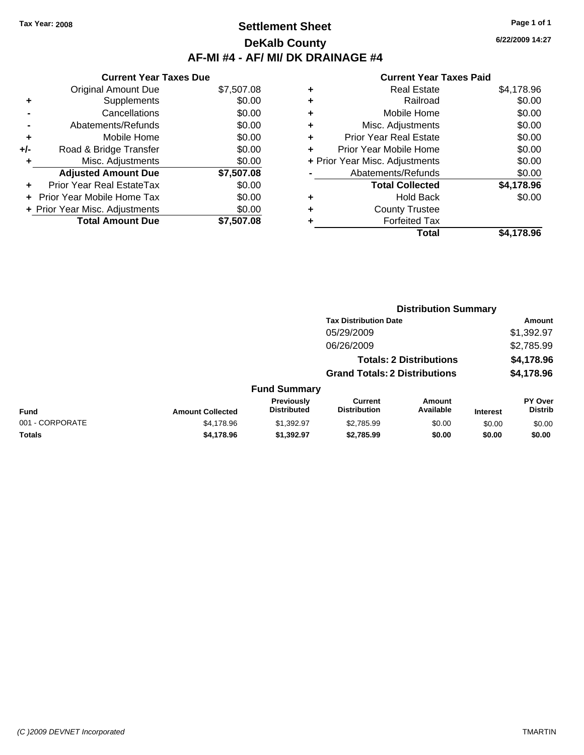### **Settlement Sheet Tax Year: 2008 Page 1 of 1 DeKalb County AF-MI #4 - AF/ MI/ DK DRAINAGE #4**

**Totals \$4,178.96 \$1,392.97 \$2,785.99 \$0.00 \$0.00 \$0.00**

|     | <b>Current Year Taxes Due</b>  |            |
|-----|--------------------------------|------------|
|     | <b>Original Amount Due</b>     | \$7,507.08 |
| ٠   | Supplements                    | \$0.00     |
|     | Cancellations                  | \$0.00     |
|     | Abatements/Refunds             | \$0.00     |
| ٠   | Mobile Home                    | \$0.00     |
| +/- | Road & Bridge Transfer         | \$0.00     |
| ٠   | Misc. Adjustments              | \$0.00     |
|     | <b>Adjusted Amount Due</b>     | \$7,507.08 |
|     | Prior Year Real EstateTax      | \$0.00     |
|     | Prior Year Mobile Home Tax     | \$0.00     |
|     | + Prior Year Misc. Adjustments | \$0.00     |
|     | <b>Total Amount Due</b>        | \$7,507.08 |

|   | <b>Real Estate</b>             | \$4,178.96 |
|---|--------------------------------|------------|
| ÷ | Railroad                       | \$0.00     |
| ٠ | Mobile Home                    | \$0.00     |
| ٠ | Misc. Adjustments              | \$0.00     |
| ٠ | <b>Prior Year Real Estate</b>  | \$0.00     |
|   | Prior Year Mobile Home         | \$0.00     |
|   | + Prior Year Misc. Adjustments | \$0.00     |
|   | Abatements/Refunds             | \$0.00     |
|   | <b>Total Collected</b>         | \$4,178.96 |
| ٠ | <b>Hold Back</b>               | \$0.00     |
| ٠ | <b>County Trustee</b>          |            |
| ٠ | <b>Forfeited Tax</b>           |            |
|   | Total                          | \$4.178.96 |
|   |                                |            |

|                 |                         |                                  |                                       | <b>Distribution Summary</b>    |                 |                                  |  |
|-----------------|-------------------------|----------------------------------|---------------------------------------|--------------------------------|-----------------|----------------------------------|--|
|                 |                         |                                  | <b>Tax Distribution Date</b>          |                                |                 | Amount                           |  |
|                 |                         |                                  | 05/29/2009                            |                                |                 | \$1,392.97                       |  |
|                 |                         |                                  | 06/26/2009                            |                                |                 | \$2,785.99                       |  |
|                 |                         |                                  |                                       | <b>Totals: 2 Distributions</b> |                 | \$4,178.96                       |  |
|                 |                         |                                  | <b>Grand Totals: 2 Distributions</b>  |                                |                 | \$4,178.96                       |  |
|                 |                         | <b>Fund Summary</b>              |                                       |                                |                 |                                  |  |
| <b>Fund</b>     | <b>Amount Collected</b> | Previously<br><b>Distributed</b> | <b>Current</b><br><b>Distribution</b> | Amount<br>Available            | <b>Interest</b> | <b>PY Over</b><br><b>Distrib</b> |  |
| 001 - CORPORATE | \$4,178.96              | \$1.392.97                       | \$2,785.99                            | \$0.00                         | \$0.00          | \$0.00                           |  |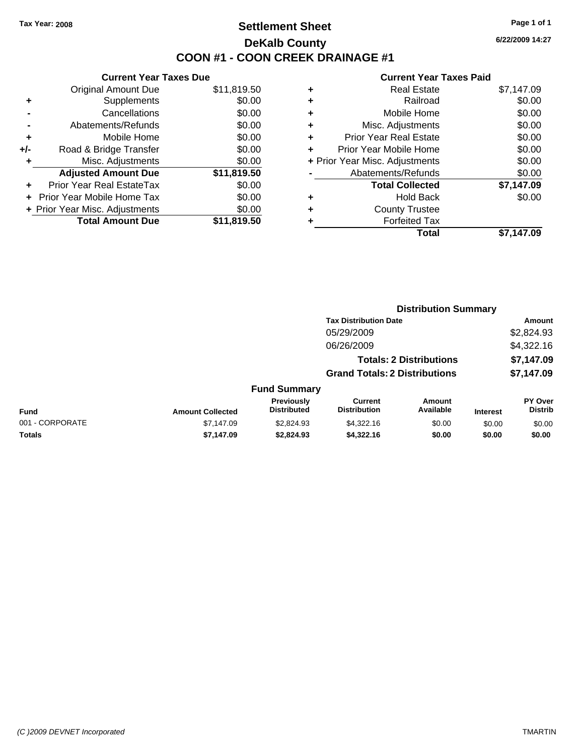### **Settlement Sheet Tax Year: 2008 Page 1 of 1 DeKalb County COON #1 - COON CREEK DRAINAGE #1**

**6/22/2009 14:27**

|     | <b>Current Year Taxes Due</b>  |             |  |  |  |
|-----|--------------------------------|-------------|--|--|--|
|     | <b>Original Amount Due</b>     | \$11,819.50 |  |  |  |
| ٠   | Supplements                    | \$0.00      |  |  |  |
|     | Cancellations                  | \$0.00      |  |  |  |
|     | Abatements/Refunds             | \$0.00      |  |  |  |
| ÷   | Mobile Home                    | \$0.00      |  |  |  |
| +/- | Road & Bridge Transfer         | \$0.00      |  |  |  |
|     | Misc. Adjustments              | \$0.00      |  |  |  |
|     | <b>Adjusted Amount Due</b>     | \$11,819.50 |  |  |  |
| ÷   | Prior Year Real EstateTax      | \$0.00      |  |  |  |
|     | Prior Year Mobile Home Tax     | \$0.00      |  |  |  |
|     | + Prior Year Misc. Adjustments | \$0.00      |  |  |  |
|     | <b>Total Amount Due</b>        | \$11,819.50 |  |  |  |
|     |                                |             |  |  |  |

| ٠ | Real Estate                    | \$7,147.09 |
|---|--------------------------------|------------|
| ٠ | Railroad                       | \$0.00     |
| ٠ | Mobile Home                    | \$0.00     |
| ٠ | Misc. Adjustments              | \$0.00     |
| ٠ | <b>Prior Year Real Estate</b>  | \$0.00     |
| ٠ | Prior Year Mobile Home         | \$0.00     |
|   | + Prior Year Misc. Adjustments | \$0.00     |
|   | Abatements/Refunds             | \$0.00     |
|   | <b>Total Collected</b>         | \$7,147.09 |
| ٠ | Hold Back                      | \$0.00     |
| ٠ | <b>County Trustee</b>          |            |
| ٠ | <b>Forfeited Tax</b>           |            |
|   | Total                          | \$7.147.09 |
|   |                                |            |

|                 |                         |                                  |                                       |                                | <b>Distribution Summary</b> |                                  |  |  |  |
|-----------------|-------------------------|----------------------------------|---------------------------------------|--------------------------------|-----------------------------|----------------------------------|--|--|--|
|                 |                         |                                  | <b>Tax Distribution Date</b>          |                                | Amount                      |                                  |  |  |  |
| 05/29/2009      |                         |                                  |                                       |                                | \$2,824.93                  |                                  |  |  |  |
|                 |                         |                                  | 06/26/2009                            |                                |                             | \$4,322.16                       |  |  |  |
|                 |                         |                                  |                                       | <b>Totals: 2 Distributions</b> |                             | \$7,147.09                       |  |  |  |
|                 |                         |                                  | <b>Grand Totals: 2 Distributions</b>  |                                |                             | \$7,147.09                       |  |  |  |
|                 |                         | <b>Fund Summary</b>              |                                       |                                |                             |                                  |  |  |  |
| <b>Fund</b>     | <b>Amount Collected</b> | Previously<br><b>Distributed</b> | <b>Current</b><br><b>Distribution</b> | Amount<br>Available            | <b>Interest</b>             | <b>PY Over</b><br><b>Distrib</b> |  |  |  |
| 001 - CORPORATE | \$7,147.09              | \$2,824.93                       | \$4,322.16                            | \$0.00                         | \$0.00                      | \$0.00                           |  |  |  |
| Totals          | \$7,147.09              | \$2,824.93                       | \$4,322.16                            | \$0.00                         | \$0.00                      | \$0.00                           |  |  |  |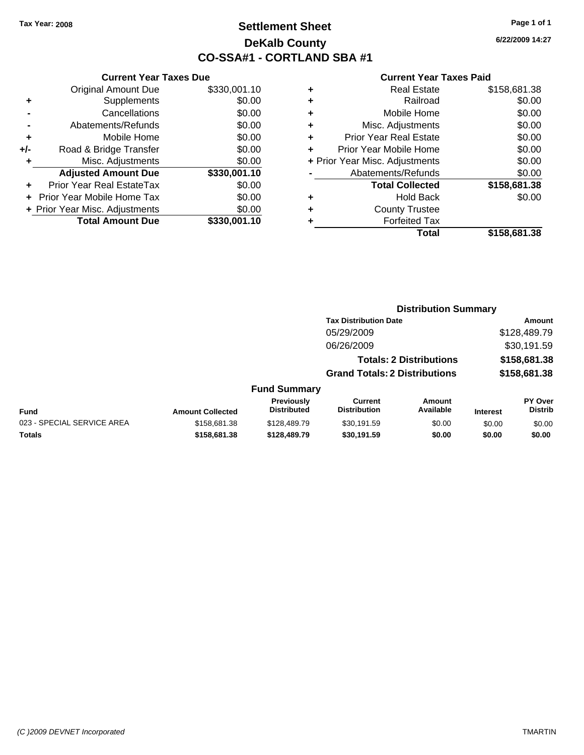### **Settlement Sheet Tax Year: 2008 Page 1 of 1 DeKalb County CO-SSA#1 - CORTLAND SBA #1**

**6/22/2009 14:27**

|   | Total                          | \$158.681.38 |  |  |  |  |
|---|--------------------------------|--------------|--|--|--|--|
|   | <b>Forfeited Tax</b>           |              |  |  |  |  |
| ٠ | <b>County Trustee</b>          |              |  |  |  |  |
| ٠ | <b>Hold Back</b>               | \$0.00       |  |  |  |  |
|   | <b>Total Collected</b>         | \$158,681.38 |  |  |  |  |
|   | Abatements/Refunds             | \$0.00       |  |  |  |  |
|   | + Prior Year Misc. Adjustments | \$0.00       |  |  |  |  |
| ÷ | Prior Year Mobile Home         | \$0.00       |  |  |  |  |
| ٠ | <b>Prior Year Real Estate</b>  | \$0.00       |  |  |  |  |
| ÷ | Misc. Adjustments              | \$0.00       |  |  |  |  |
| ٠ | Mobile Home                    | \$0.00       |  |  |  |  |
| ٠ | Railroad                       |              |  |  |  |  |
| ٠ | <b>Real Estate</b>             | \$158,681.38 |  |  |  |  |

|     | <b>Current Year Taxes Due</b>  |              |  |  |  |  |  |
|-----|--------------------------------|--------------|--|--|--|--|--|
|     | <b>Original Amount Due</b>     | \$330,001.10 |  |  |  |  |  |
| ٠   | Supplements                    | \$0.00       |  |  |  |  |  |
|     | Cancellations                  | \$0.00       |  |  |  |  |  |
|     | Abatements/Refunds             | \$0.00       |  |  |  |  |  |
| ٠   | Mobile Home                    | \$0.00       |  |  |  |  |  |
| +/- | Road & Bridge Transfer         | \$0.00       |  |  |  |  |  |
| ٠   | Misc. Adjustments              | \$0.00       |  |  |  |  |  |
|     | <b>Adjusted Amount Due</b>     | \$330,001.10 |  |  |  |  |  |
|     | Prior Year Real EstateTax      | \$0.00       |  |  |  |  |  |
|     | Prior Year Mobile Home Tax     | \$0.00       |  |  |  |  |  |
|     | + Prior Year Misc. Adjustments | \$0.00       |  |  |  |  |  |
|     | <b>Total Amount Due</b>        | \$330,001.10 |  |  |  |  |  |

|                                      | <b>Distribution Summary</b> |
|--------------------------------------|-----------------------------|
| <b>Tax Distribution Date</b>         | Amount                      |
| 05/29/2009                           | \$128,489.79                |
| 06/26/2009                           | \$30,191.59                 |
| <b>Totals: 2 Distributions</b>       | \$158,681.38                |
| <b>Grand Totals: 2 Distributions</b> | \$158,681.38                |
| <b>Fund Summary</b>                  |                             |

|                            |                         | <b>Previously</b>  | Current             | Amount    |                 | <b>PY Over</b> |
|----------------------------|-------------------------|--------------------|---------------------|-----------|-----------------|----------------|
| Fund                       | <b>Amount Collected</b> | <b>Distributed</b> | <b>Distribution</b> | Available | <b>Interest</b> | Distrib        |
| 023 - SPECIAL SERVICE AREA | \$158.681.38            | \$128,489.79       | \$30.191.59         | \$0.00    | \$0.00          | \$0.00         |
| <b>Totals</b>              | \$158.681.38            | \$128,489.79       | \$30,191.59         | \$0.00    | \$0.00          | \$0.00         |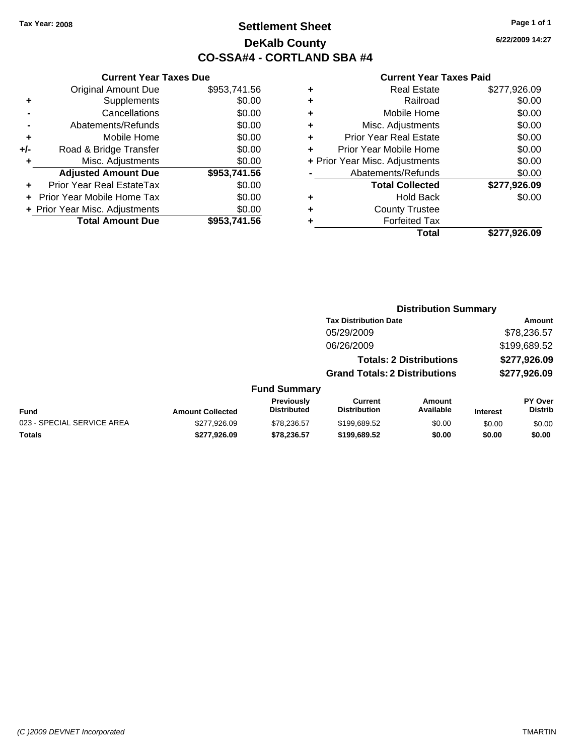# **Settlement Sheet Tax Year: 2008 Page 1 of 1 DeKalb County CO-SSA#4 - CORTLAND SBA #4**

**6/22/2009 14:27**

## **Current Year Taxes Paid**

|     | <b>Current Year Taxes Due</b>  |              |   |
|-----|--------------------------------|--------------|---|
|     | <b>Original Amount Due</b>     | \$953,741.56 |   |
|     | Supplements                    | \$0.00       |   |
|     | Cancellations                  | \$0.00       |   |
|     | Abatements/Refunds             | \$0.00       | ٠ |
|     | Mobile Home                    | \$0.00       |   |
| +/- | Road & Bridge Transfer         | \$0.00       |   |
|     | Misc. Adjustments              | \$0.00       |   |
|     | <b>Adjusted Amount Due</b>     | \$953,741.56 |   |
|     | Prior Year Real EstateTax      | \$0.00       |   |
|     | Prior Year Mobile Home Tax     | \$0.00       |   |
|     | + Prior Year Misc. Adjustments | \$0.00       |   |
|     | <b>Total Amount Due</b>        | \$953,741,56 |   |
|     |                                |              |   |

|   | <b>Real Estate</b>             | \$277,926.09 |
|---|--------------------------------|--------------|
| ٠ | Railroad                       | \$0.00       |
| ٠ | Mobile Home                    | \$0.00       |
| ٠ | Misc. Adjustments              | \$0.00       |
| ٠ | <b>Prior Year Real Estate</b>  | \$0.00       |
|   | Prior Year Mobile Home         | \$0.00       |
|   | + Prior Year Misc. Adjustments | \$0.00       |
|   | Abatements/Refunds             | \$0.00       |
|   | <b>Total Collected</b>         | \$277,926.09 |
|   | <b>Hold Back</b>               | \$0.00       |
| ٠ | <b>County Trustee</b>          |              |
| ٠ | <b>Forfeited Tax</b>           |              |
|   | Total                          | \$277,926.09 |
|   |                                |              |

**Distribution Summary**

|                            |                         |                                         |                                       | PISU INGUUTI VUIIIIIGI V       |                 |                                  |
|----------------------------|-------------------------|-----------------------------------------|---------------------------------------|--------------------------------|-----------------|----------------------------------|
|                            |                         |                                         | <b>Tax Distribution Date</b>          |                                |                 | Amount                           |
|                            |                         |                                         | 05/29/2009                            |                                |                 | \$78,236.57                      |
|                            |                         |                                         | 06/26/2009                            |                                |                 | \$199,689.52                     |
|                            |                         |                                         |                                       | <b>Totals: 2 Distributions</b> |                 | \$277,926.09                     |
|                            |                         |                                         | <b>Grand Totals: 2 Distributions</b>  |                                |                 | \$277,926.09                     |
|                            |                         | <b>Fund Summary</b>                     |                                       |                                |                 |                                  |
| <b>Fund</b>                | <b>Amount Collected</b> | <b>Previously</b><br><b>Distributed</b> | <b>Current</b><br><b>Distribution</b> | <b>Amount</b><br>Available     | <b>Interest</b> | <b>PY Over</b><br><b>Distrib</b> |
| 023 - SPECIAL SERVICE AREA | \$277,926.09            | \$78,236.57                             | \$199,689.52                          | \$0.00                         | \$0.00          | \$0.00                           |
| Totals                     | \$277.926.09            | \$78,236.57                             | \$199,689.52                          | \$0.00                         | \$0.00          | \$0.00                           |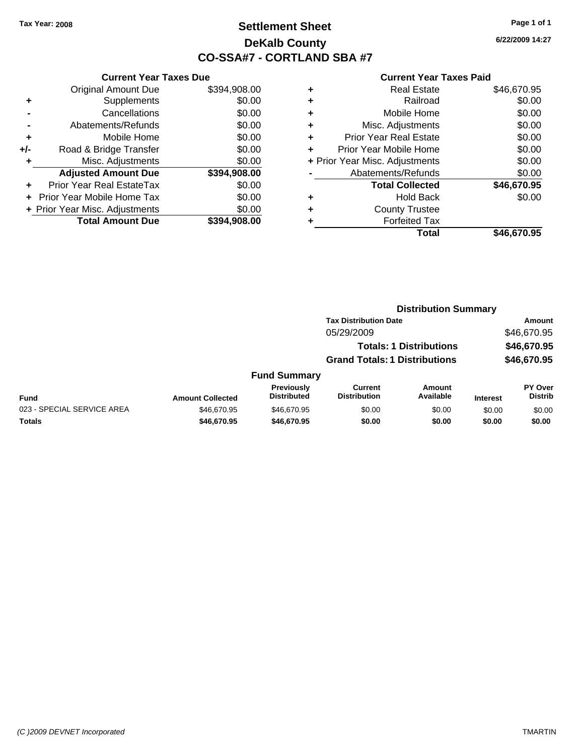# **Settlement Sheet Tax Year: 2008 Page 1 of 1 DeKalb County CO-SSA#7 - CORTLAND SBA #7**

**6/22/2009 14:27**

|     | <b>Current Year Taxes Due</b>  |              |  |  |  |
|-----|--------------------------------|--------------|--|--|--|
|     | <b>Original Amount Due</b>     | \$394,908.00 |  |  |  |
| ٠   | Supplements                    | \$0.00       |  |  |  |
|     | Cancellations                  | \$0.00       |  |  |  |
|     | Abatements/Refunds             | \$0.00       |  |  |  |
| ٠   | Mobile Home                    | \$0.00       |  |  |  |
| +/- | Road & Bridge Transfer         | \$0.00       |  |  |  |
| ٠   | Misc. Adjustments              | \$0.00       |  |  |  |
|     | <b>Adjusted Amount Due</b>     | \$394,908.00 |  |  |  |
|     | Prior Year Real EstateTax      | \$0.00       |  |  |  |
|     | Prior Year Mobile Home Tax     | \$0.00       |  |  |  |
|     | + Prior Year Misc. Adjustments | \$0.00       |  |  |  |
|     | <b>Total Amount Due</b>        | \$394,908.00 |  |  |  |
|     |                                |              |  |  |  |

| <b>Real Estate</b>             | \$46,670.95 |
|--------------------------------|-------------|
| Railroad                       | \$0.00      |
| Mobile Home                    | \$0.00      |
| Misc. Adjustments              | \$0.00      |
| <b>Prior Year Real Estate</b>  | \$0.00      |
| Prior Year Mobile Home         | \$0.00      |
| + Prior Year Misc. Adjustments | \$0.00      |
| Abatements/Refunds             | \$0.00      |
| <b>Total Collected</b>         | \$46,670.95 |
| <b>Hold Back</b>               | \$0.00      |
| <b>County Trustee</b>          |             |
| <b>Forfeited Tax</b>           |             |
| Total                          | \$46,670.95 |
|                                |             |

|                            | <b>Distribution Summary</b> |                                         |                                       |                                |                 |                                  |
|----------------------------|-----------------------------|-----------------------------------------|---------------------------------------|--------------------------------|-----------------|----------------------------------|
|                            |                             |                                         | <b>Tax Distribution Date</b>          |                                |                 | Amount                           |
|                            |                             |                                         | 05/29/2009                            |                                |                 | \$46,670.95                      |
|                            |                             |                                         |                                       | <b>Totals: 1 Distributions</b> |                 | \$46,670.95                      |
|                            |                             |                                         | <b>Grand Totals: 1 Distributions</b>  |                                |                 | \$46,670.95                      |
|                            |                             | <b>Fund Summary</b>                     |                                       |                                |                 |                                  |
| Fund                       | <b>Amount Collected</b>     | <b>Previously</b><br><b>Distributed</b> | <b>Current</b><br><b>Distribution</b> | <b>Amount</b><br>Available     | <b>Interest</b> | <b>PY Over</b><br><b>Distrib</b> |
| 023 - SPECIAL SERVICE AREA | \$46,670.95                 | \$46,670.95                             | \$0.00                                | \$0.00                         | \$0.00          | \$0.00                           |
| Totals                     | \$46,670.95                 | \$46,670.95                             | \$0.00                                | \$0.00                         | \$0.00          | \$0.00                           |
|                            |                             |                                         |                                       |                                |                 |                                  |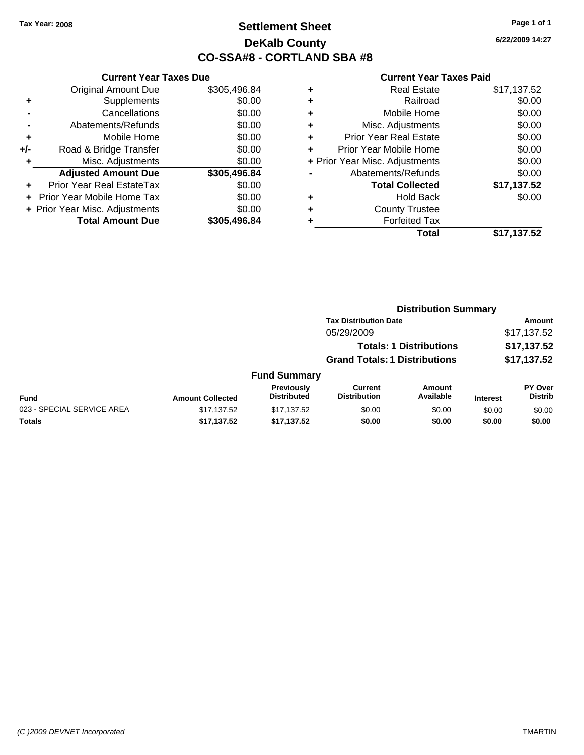# **Settlement Sheet Tax Year: 2008 Page 1 of 1 DeKalb County CO-SSA#8 - CORTLAND SBA #8**

**6/22/2009 14:27**

|     | <b>Current Year Taxes Due</b>  |              |  |  |  |
|-----|--------------------------------|--------------|--|--|--|
|     | <b>Original Amount Due</b>     | \$305,496.84 |  |  |  |
| ٠   | Supplements                    | \$0.00       |  |  |  |
|     | Cancellations                  | \$0.00       |  |  |  |
|     | Abatements/Refunds             | \$0.00       |  |  |  |
| ٠   | Mobile Home                    | \$0.00       |  |  |  |
| +/- | Road & Bridge Transfer         | \$0.00       |  |  |  |
| ٠   | Misc. Adjustments              | \$0.00       |  |  |  |
|     | <b>Adjusted Amount Due</b>     | \$305,496.84 |  |  |  |
| ÷   | Prior Year Real EstateTax      | \$0.00       |  |  |  |
|     | Prior Year Mobile Home Tax     | \$0.00       |  |  |  |
|     | + Prior Year Misc. Adjustments | \$0.00       |  |  |  |
|     | <b>Total Amount Due</b>        | \$305,496.84 |  |  |  |
|     |                                |              |  |  |  |

| \$17,137.52 |
|-------------|
| \$0.00      |
| \$0.00      |
| \$0.00      |
| \$0.00      |
| \$0.00      |
| \$0.00      |
| \$0.00      |
| \$17,137.52 |
| \$0.00      |
|             |
|             |
| \$17,137.52 |
|             |

|                            | <b>Distribution Summary</b> |                                  |                                       |                                |                 |                                  |
|----------------------------|-----------------------------|----------------------------------|---------------------------------------|--------------------------------|-----------------|----------------------------------|
|                            |                             |                                  | <b>Tax Distribution Date</b>          |                                |                 | Amount                           |
|                            |                             |                                  | 05/29/2009                            |                                |                 | \$17,137.52                      |
|                            |                             |                                  |                                       | <b>Totals: 1 Distributions</b> |                 | \$17,137.52                      |
|                            |                             |                                  | <b>Grand Totals: 1 Distributions</b>  |                                |                 | \$17,137.52                      |
|                            |                             | <b>Fund Summary</b>              |                                       |                                |                 |                                  |
| Fund                       | <b>Amount Collected</b>     | Previously<br><b>Distributed</b> | <b>Current</b><br><b>Distribution</b> | <b>Amount</b><br>Available     | <b>Interest</b> | <b>PY Over</b><br><b>Distrib</b> |
| 023 - SPECIAL SERVICE AREA | \$17,137.52                 | \$17,137.52                      | \$0.00                                | \$0.00                         | \$0.00          | \$0.00                           |
| Totals                     | \$17,137.52                 | \$17,137.52                      | \$0.00                                | \$0.00                         | \$0.00          | \$0.00                           |
|                            |                             |                                  |                                       |                                |                 |                                  |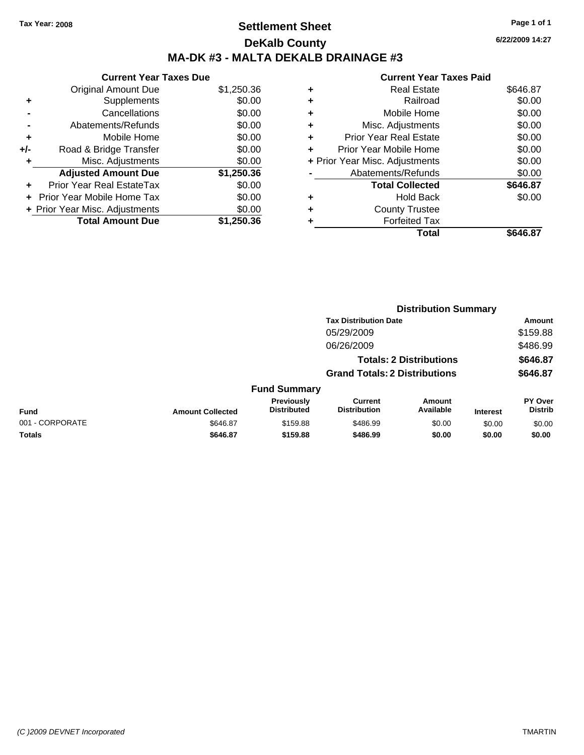# **Settlement Sheet Tax Year: 2008 Page 1 of 1 DeKalb County MA-DK #3 - MALTA DEKALB DRAINAGE #3**

**6/22/2009 14:27**

|     | <b>Current Year Taxes Due</b>     |            |  |  |  |  |
|-----|-----------------------------------|------------|--|--|--|--|
|     | <b>Original Amount Due</b>        | \$1,250.36 |  |  |  |  |
| ٠   | Supplements                       | \$0.00     |  |  |  |  |
|     | Cancellations                     | \$0.00     |  |  |  |  |
|     | Abatements/Refunds                | \$0.00     |  |  |  |  |
| ٠   | Mobile Home                       | \$0.00     |  |  |  |  |
| +/- | Road & Bridge Transfer            | \$0.00     |  |  |  |  |
|     | Misc. Adjustments                 | \$0.00     |  |  |  |  |
|     | <b>Adjusted Amount Due</b>        | \$1,250.36 |  |  |  |  |
|     | Prior Year Real EstateTax         | \$0.00     |  |  |  |  |
|     | <b>Prior Year Mobile Home Tax</b> | \$0.00     |  |  |  |  |
|     | + Prior Year Misc. Adjustments    | \$0.00     |  |  |  |  |
|     | <b>Total Amount Due</b>           | \$1,250.36 |  |  |  |  |

|   | Total                          | \$646.87 |
|---|--------------------------------|----------|
|   | <b>Forfeited Tax</b>           |          |
| ٠ | <b>County Trustee</b>          |          |
| ٠ | <b>Hold Back</b>               | \$0.00   |
|   | <b>Total Collected</b>         | \$646.87 |
|   | Abatements/Refunds             | \$0.00   |
|   | + Prior Year Misc. Adjustments | \$0.00   |
| ٠ | Prior Year Mobile Home         | \$0.00   |
| ÷ | Prior Year Real Estate         | \$0.00   |
| ٠ | Misc. Adjustments              | \$0.00   |
| ٠ | Mobile Home                    | \$0.00   |
| ٠ | Railroad                       | \$0.00   |
| ٠ | <b>Real Estate</b>             | \$646.87 |
|   |                                |          |

|                 |                         |                                  |                                       | <b>Distribution Summary</b>    |                 |                                  |
|-----------------|-------------------------|----------------------------------|---------------------------------------|--------------------------------|-----------------|----------------------------------|
|                 |                         |                                  | <b>Tax Distribution Date</b>          |                                |                 | Amount                           |
|                 |                         |                                  | 05/29/2009                            |                                |                 | \$159.88                         |
|                 |                         |                                  | 06/26/2009                            |                                |                 | \$486.99                         |
|                 |                         |                                  |                                       | <b>Totals: 2 Distributions</b> |                 | \$646.87                         |
|                 |                         |                                  | <b>Grand Totals: 2 Distributions</b>  |                                |                 | \$646.87                         |
|                 |                         | <b>Fund Summary</b>              |                                       |                                |                 |                                  |
| Fund            | <b>Amount Collected</b> | Previously<br><b>Distributed</b> | <b>Current</b><br><b>Distribution</b> | <b>Amount</b><br>Available     | <b>Interest</b> | <b>PY Over</b><br><b>Distrib</b> |
| 001 - CORPORATE | \$646.87                | \$159.88                         | \$486.99                              | \$0.00                         | \$0.00          | \$0.00                           |
| Totals          | \$646.87                | \$159.88                         | \$486.99                              | \$0.00                         | \$0.00          | \$0.00                           |
|                 |                         |                                  |                                       |                                |                 |                                  |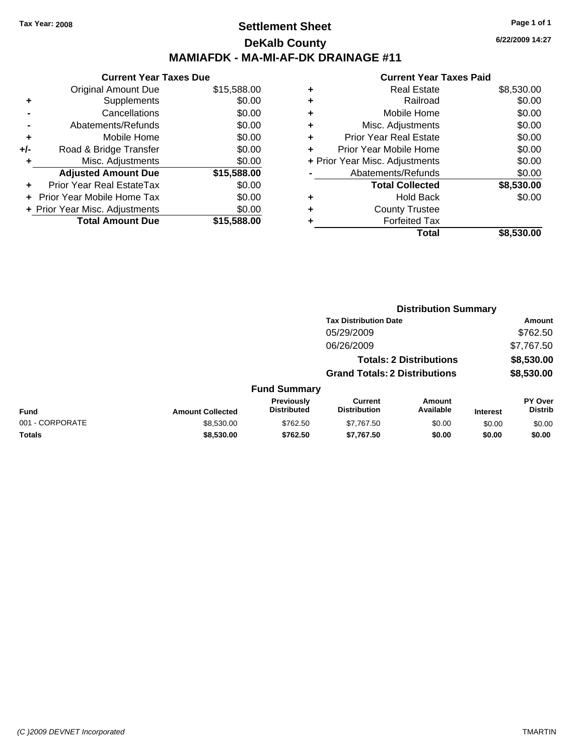## **Settlement Sheet Tax Year: 2008 Page 1 of 1 DeKalb County MAMIAFDK - MA-MI-AF-DK DRAINAGE #11**

**Current Year Taxes Due** Original Amount Due \$15,588.00 **+** Supplements \$0.00 **-** Cancellations \$0.00 **-** Abatements/Refunds \$0.00 **+** Mobile Home \$0.00 **+/-** Road & Bridge Transfer \$0.00 **+** Misc. Adjustments \$0.00 **Adjusted Amount Due \$15,588.00 +** Prior Year Real EstateTax \$0.00 **+** Prior Year Mobile Home Tax \$0.00 **+ Prior Year Misc. Adjustments**  $$0.00$ **Total Amount Due \$15,588.00**

#### **Current Year Taxes Paid**

|   | <b>Real Estate</b>             | \$8,530.00 |
|---|--------------------------------|------------|
| ٠ | Railroad                       | \$0.00     |
| ٠ | Mobile Home                    | \$0.00     |
| ٠ | Misc. Adjustments              | \$0.00     |
| ٠ | <b>Prior Year Real Estate</b>  | \$0.00     |
|   | Prior Year Mobile Home         | \$0.00     |
|   | + Prior Year Misc. Adjustments | \$0.00     |
|   | Abatements/Refunds             | \$0.00     |
|   | <b>Total Collected</b>         | \$8,530.00 |
| ٠ | <b>Hold Back</b>               | \$0.00     |
| ٠ | <b>County Trustee</b>          |            |
|   | <b>Forfeited Tax</b>           |            |
|   | <b>Total</b>                   | \$8,530.00 |
|   |                                |            |

**6/22/2009 14:27**

|                 |                         |                                  | <b>Distribution Summary</b>           |                                |                 |                                  |
|-----------------|-------------------------|----------------------------------|---------------------------------------|--------------------------------|-----------------|----------------------------------|
|                 |                         |                                  | <b>Tax Distribution Date</b>          |                                |                 | Amount                           |
|                 |                         |                                  | 05/29/2009                            |                                |                 | \$762.50                         |
|                 |                         |                                  | 06/26/2009                            |                                |                 | \$7,767.50                       |
|                 |                         |                                  |                                       | <b>Totals: 2 Distributions</b> |                 | \$8,530.00                       |
|                 |                         |                                  | <b>Grand Totals: 2 Distributions</b>  |                                |                 | \$8,530.00                       |
|                 |                         | <b>Fund Summary</b>              |                                       |                                |                 |                                  |
| Fund            | <b>Amount Collected</b> | Previously<br><b>Distributed</b> | <b>Current</b><br><b>Distribution</b> | <b>Amount</b><br>Available     | <b>Interest</b> | <b>PY Over</b><br><b>Distrib</b> |
| 001 - CORPORATE | \$8,530.00              | \$762.50                         | \$7,767.50                            | \$0.00                         | \$0.00          | \$0.00                           |
| Totals          | \$8,530.00              | \$762.50                         | \$7,767.50                            | \$0.00                         | \$0.00          | \$0.00                           |
|                 |                         |                                  |                                       |                                |                 |                                  |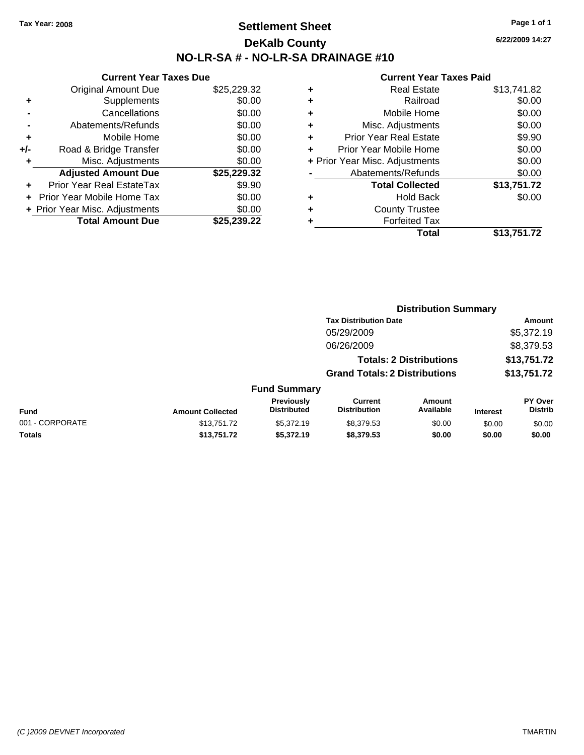# **Settlement Sheet Tax Year: 2008 Page 1 of 1 DeKalb County NO-LR-SA # - NO-LR-SA DRAINAGE #10**

**6/22/2009 14:27**

|     | <b>Current Year Taxes Due</b>     |             |  |  |  |
|-----|-----------------------------------|-------------|--|--|--|
|     | <b>Original Amount Due</b>        | \$25,229.32 |  |  |  |
| ٠   | Supplements                       | \$0.00      |  |  |  |
|     | Cancellations                     | \$0.00      |  |  |  |
|     | Abatements/Refunds                | \$0.00      |  |  |  |
| ٠   | Mobile Home                       | \$0.00      |  |  |  |
| +/- | Road & Bridge Transfer            | \$0.00      |  |  |  |
| ٠   | Misc. Adjustments                 | \$0.00      |  |  |  |
|     | <b>Adjusted Amount Due</b>        | \$25,229.32 |  |  |  |
| ٠   | Prior Year Real EstateTax         | \$9.90      |  |  |  |
|     | <b>Prior Year Mobile Home Tax</b> | \$0.00      |  |  |  |
|     | + Prior Year Misc. Adjustments    | \$0.00      |  |  |  |
|     | <b>Total Amount Due</b>           | \$25.239.22 |  |  |  |

| ٠ | <b>Real Estate</b>             | \$13,741.82 |
|---|--------------------------------|-------------|
| ٠ | Railroad                       | \$0.00      |
| ٠ | Mobile Home                    | \$0.00      |
| ٠ | Misc. Adjustments              | \$0.00      |
| ÷ | <b>Prior Year Real Estate</b>  | \$9.90      |
| ٠ | Prior Year Mobile Home         | \$0.00      |
|   | + Prior Year Misc. Adjustments | \$0.00      |
|   | Abatements/Refunds             | \$0.00      |
|   | <b>Total Collected</b>         | \$13,751.72 |
| ٠ | <b>Hold Back</b>               | \$0.00      |
| ٠ | <b>County Trustee</b>          |             |
| ٠ | <b>Forfeited Tax</b>           |             |
|   | Total                          | \$13,751.72 |
|   |                                |             |

|                 |                         |                                  | <b>Distribution Summary</b>           |                                |                 |                           |
|-----------------|-------------------------|----------------------------------|---------------------------------------|--------------------------------|-----------------|---------------------------|
|                 |                         |                                  | <b>Tax Distribution Date</b>          |                                |                 | Amount                    |
|                 |                         |                                  | 05/29/2009                            |                                |                 | \$5,372.19                |
|                 |                         |                                  | 06/26/2009                            |                                |                 | \$8,379.53                |
|                 |                         |                                  |                                       | <b>Totals: 2 Distributions</b> |                 | \$13,751.72               |
|                 |                         |                                  | <b>Grand Totals: 2 Distributions</b>  |                                |                 | \$13,751.72               |
|                 |                         | <b>Fund Summary</b>              |                                       |                                |                 |                           |
| Fund            | <b>Amount Collected</b> | Previously<br><b>Distributed</b> | <b>Current</b><br><b>Distribution</b> | <b>Amount</b><br>Available     | <b>Interest</b> | PY Over<br><b>Distrib</b> |
| 001 - CORPORATE | \$13,751.72             | \$5,372.19                       | \$8,379.53                            | \$0.00                         | \$0.00          | \$0.00                    |
| Totals          | \$13,751.72             | \$5,372.19                       | \$8,379.53                            | \$0.00                         | \$0.00          | \$0.00                    |
|                 |                         |                                  |                                       |                                |                 |                           |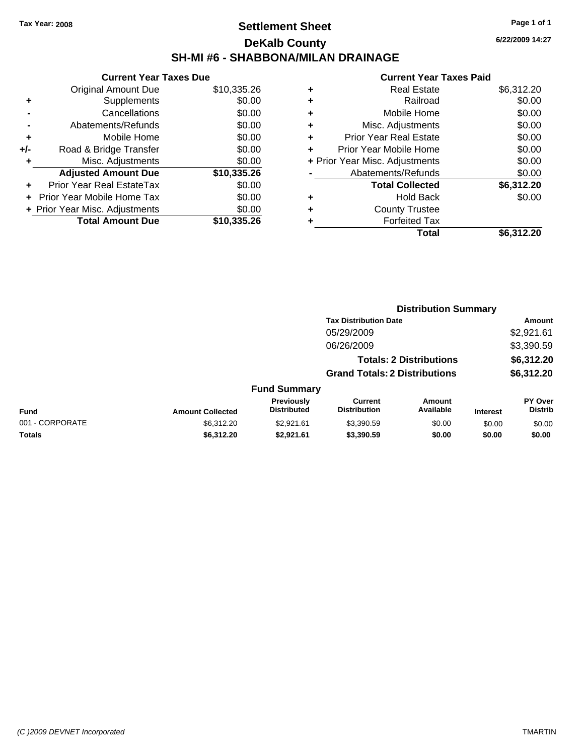# **Settlement Sheet Tax Year: 2008 Page 1 of 1 DeKalb County SH-MI #6 - SHABBONA/MILAN DRAINAGE**

**6/22/2009 14:27**

|     | <b>Current Year Taxes Due</b>     |             |  |  |  |
|-----|-----------------------------------|-------------|--|--|--|
|     | <b>Original Amount Due</b>        | \$10,335.26 |  |  |  |
| ٠   | Supplements                       | \$0.00      |  |  |  |
|     | Cancellations                     | \$0.00      |  |  |  |
|     | Abatements/Refunds                | \$0.00      |  |  |  |
| ٠   | Mobile Home                       | \$0.00      |  |  |  |
| +/- | Road & Bridge Transfer            | \$0.00      |  |  |  |
| ٠   | Misc. Adjustments                 | \$0.00      |  |  |  |
|     | <b>Adjusted Amount Due</b>        | \$10,335.26 |  |  |  |
|     | Prior Year Real EstateTax         | \$0.00      |  |  |  |
|     | <b>Prior Year Mobile Home Tax</b> | \$0.00      |  |  |  |
|     | + Prior Year Misc. Adjustments    | \$0.00      |  |  |  |
|     | <b>Total Amount Due</b>           | \$10,335,26 |  |  |  |
|     |                                   |             |  |  |  |

|   | <b>Real Estate</b>             | \$6,312.20 |
|---|--------------------------------|------------|
| ٠ | Railroad                       | \$0.00     |
| ٠ | Mobile Home                    | \$0.00     |
| ٠ | Misc. Adjustments              | \$0.00     |
| ٠ | <b>Prior Year Real Estate</b>  | \$0.00     |
| ٠ | Prior Year Mobile Home         | \$0.00     |
|   | + Prior Year Misc. Adjustments | \$0.00     |
|   | Abatements/Refunds             | \$0.00     |
|   | <b>Total Collected</b>         | \$6,312.20 |
| ٠ | <b>Hold Back</b>               | \$0.00     |
| ٠ | <b>County Trustee</b>          |            |
| ٠ | <b>Forfeited Tax</b>           |            |
|   | Total                          | \$6,312.20 |
|   |                                |            |

|                 |                         |                                  | <b>Distribution Summary</b>           |                                |                 |                                  |  |
|-----------------|-------------------------|----------------------------------|---------------------------------------|--------------------------------|-----------------|----------------------------------|--|
|                 |                         |                                  | <b>Tax Distribution Date</b>          |                                |                 | Amount                           |  |
|                 |                         |                                  | 05/29/2009                            |                                |                 | \$2,921.61                       |  |
|                 |                         |                                  | 06/26/2009                            |                                |                 | \$3,390.59                       |  |
|                 |                         |                                  |                                       | <b>Totals: 2 Distributions</b> |                 | \$6,312.20                       |  |
|                 |                         |                                  | <b>Grand Totals: 2 Distributions</b>  |                                |                 | \$6,312.20                       |  |
|                 |                         | <b>Fund Summary</b>              |                                       |                                |                 |                                  |  |
| Fund            | <b>Amount Collected</b> | Previously<br><b>Distributed</b> | <b>Current</b><br><b>Distribution</b> | Amount<br>Available            | <b>Interest</b> | <b>PY Over</b><br><b>Distrib</b> |  |
| 001 - CORPORATE | \$6,312.20              | \$2.921.61                       | \$3,390.59                            | \$0.00                         | \$0.00          | \$0.00                           |  |
| Totals          | \$6,312.20              | \$2,921.61                       | \$3,390.59                            | \$0.00                         | \$0.00          | \$0.00                           |  |
|                 |                         |                                  |                                       |                                |                 |                                  |  |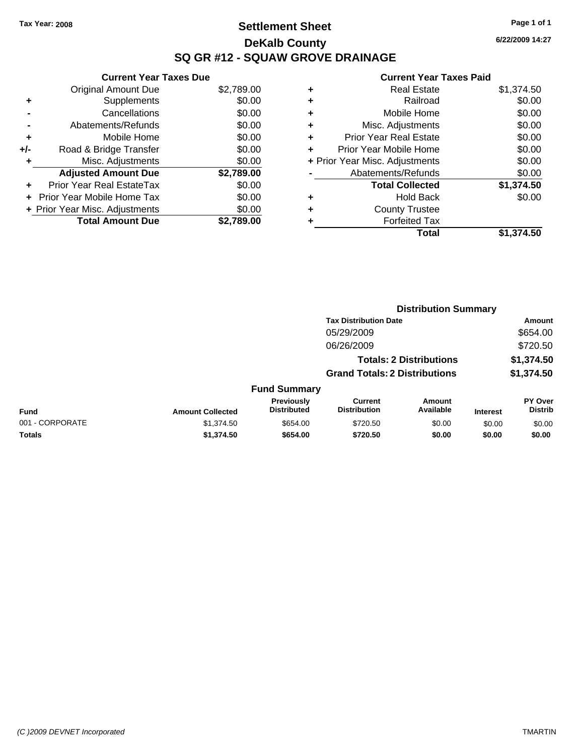# **Settlement Sheet Tax Year: 2008 Page 1 of 1 DeKalb County SQ GR #12 - SQUAW GROVE DRAINAGE**

**6/22/2009 14:27**

|     | <b>Current Year Taxes Due</b>     |            |
|-----|-----------------------------------|------------|
|     | <b>Original Amount Due</b>        | \$2,789.00 |
| ٠   | Supplements                       | \$0.00     |
|     | Cancellations                     | \$0.00     |
|     | Abatements/Refunds                | \$0.00     |
| ٠   | Mobile Home                       | \$0.00     |
| +/- | Road & Bridge Transfer            | \$0.00     |
|     | Misc. Adjustments                 | \$0.00     |
|     | <b>Adjusted Amount Due</b>        | \$2,789.00 |
|     | Prior Year Real EstateTax         | \$0.00     |
|     | <b>Prior Year Mobile Home Tax</b> | \$0.00     |
|     | + Prior Year Misc. Adjustments    | \$0.00     |
|     | <b>Total Amount Due</b>           | \$2,789,00 |

| ٠ | <b>Real Estate</b>             | \$1,374.50 |
|---|--------------------------------|------------|
| ٠ | Railroad                       | \$0.00     |
| ٠ | Mobile Home                    | \$0.00     |
| ٠ | Misc. Adjustments              | \$0.00     |
| ٠ | Prior Year Real Estate         | \$0.00     |
| ٠ | Prior Year Mobile Home         | \$0.00     |
|   | + Prior Year Misc. Adjustments | \$0.00     |
|   | Abatements/Refunds             | \$0.00     |
|   | <b>Total Collected</b>         | \$1,374.50 |
| ٠ | <b>Hold Back</b>               | \$0.00     |
| ٠ | <b>County Trustee</b>          |            |
|   | <b>Forfeited Tax</b>           |            |
|   | Total                          | \$1,374.50 |
|   |                                |            |

|                         |                                  | <b>Distribution Summary</b>           |                     |                                                                                                        |                                  |  |
|-------------------------|----------------------------------|---------------------------------------|---------------------|--------------------------------------------------------------------------------------------------------|----------------------------------|--|
|                         |                                  |                                       |                     |                                                                                                        | Amount                           |  |
|                         |                                  | 05/29/2009                            |                     |                                                                                                        | \$654.00                         |  |
|                         |                                  | 06/26/2009                            |                     |                                                                                                        | \$720.50                         |  |
|                         |                                  |                                       |                     |                                                                                                        | \$1,374.50                       |  |
|                         |                                  |                                       |                     |                                                                                                        | \$1,374.50                       |  |
|                         |                                  |                                       |                     |                                                                                                        |                                  |  |
| <b>Amount Collected</b> | Previously<br><b>Distributed</b> | <b>Current</b><br><b>Distribution</b> | Amount<br>Available | <b>Interest</b>                                                                                        | <b>PY Over</b><br><b>Distrib</b> |  |
| \$1,374.50              | \$654.00                         | \$720.50                              | \$0.00              | \$0.00                                                                                                 | \$0.00                           |  |
| \$1,374.50              | \$654.00                         | \$720.50                              | \$0.00              | \$0.00                                                                                                 | \$0.00                           |  |
|                         |                                  |                                       | <b>Fund Summary</b> | <b>Tax Distribution Date</b><br><b>Totals: 2 Distributions</b><br><b>Grand Totals: 2 Distributions</b> |                                  |  |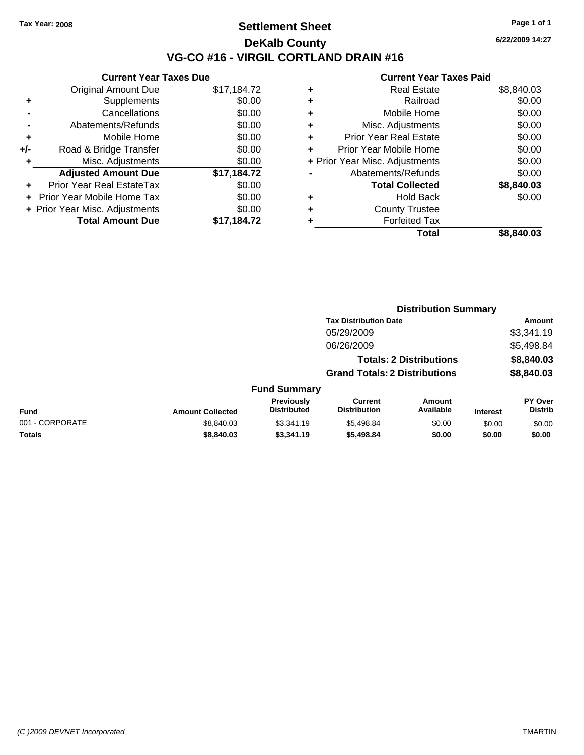## **Settlement Sheet Tax Year: 2008 Page 1 of 1 DeKalb County VG-CO #16 - VIRGIL CORTLAND DRAIN #16**

**6/22/2009 14:27**

|     | <b>Current Year Taxes Due</b>  |             |  |  |  |
|-----|--------------------------------|-------------|--|--|--|
|     | <b>Original Amount Due</b>     | \$17,184.72 |  |  |  |
| ٠   | Supplements                    | \$0.00      |  |  |  |
|     | Cancellations                  | \$0.00      |  |  |  |
|     | Abatements/Refunds             | \$0.00      |  |  |  |
| ٠   | Mobile Home                    | \$0.00      |  |  |  |
| +/- | Road & Bridge Transfer         | \$0.00      |  |  |  |
| ٠   | Misc. Adjustments              | \$0.00      |  |  |  |
|     | <b>Adjusted Amount Due</b>     | \$17,184.72 |  |  |  |
|     | Prior Year Real EstateTax      | \$0.00      |  |  |  |
|     | Prior Year Mobile Home Tax     | \$0.00      |  |  |  |
|     | + Prior Year Misc. Adjustments | \$0.00      |  |  |  |
|     | <b>Total Amount Due</b>        | \$17,184.72 |  |  |  |
|     |                                |             |  |  |  |

| ٠ | Real Estate                    | \$8,840.03 |
|---|--------------------------------|------------|
| ٠ | Railroad                       | \$0.00     |
| ٠ | Mobile Home                    | \$0.00     |
| ٠ | Misc. Adjustments              | \$0.00     |
| ÷ | <b>Prior Year Real Estate</b>  | \$0.00     |
|   | Prior Year Mobile Home         | \$0.00     |
|   | + Prior Year Misc. Adjustments | \$0.00     |
|   | Abatements/Refunds             | \$0.00     |
|   | <b>Total Collected</b>         | \$8,840.03 |
| ٠ | <b>Hold Back</b>               | \$0.00     |
| ٠ | <b>County Trustee</b>          |            |
|   | <b>Forfeited Tax</b>           |            |
|   | Total                          | \$8,840.03 |
|   |                                |            |

|                 |                         |                                  |                                       | <b>Distribution Summary</b>    |                 |                                  |
|-----------------|-------------------------|----------------------------------|---------------------------------------|--------------------------------|-----------------|----------------------------------|
|                 |                         |                                  | <b>Tax Distribution Date</b>          |                                |                 | Amount                           |
|                 |                         |                                  | 05/29/2009                            |                                |                 | \$3,341.19                       |
|                 |                         |                                  | 06/26/2009                            |                                |                 | \$5,498.84                       |
|                 |                         |                                  |                                       | <b>Totals: 2 Distributions</b> |                 | \$8,840.03                       |
|                 |                         |                                  | <b>Grand Totals: 2 Distributions</b>  |                                |                 | \$8,840.03                       |
|                 |                         | <b>Fund Summary</b>              |                                       |                                |                 |                                  |
| Fund            | <b>Amount Collected</b> | Previously<br><b>Distributed</b> | <b>Current</b><br><b>Distribution</b> | Amount<br>Available            | <b>Interest</b> | <b>PY Over</b><br><b>Distrib</b> |
| 001 - CORPORATE | \$8,840.03              | \$3,341.19                       | \$5,498.84                            | \$0.00                         | \$0.00          | \$0.00                           |
| Totals          | \$8,840.03              | \$3,341.19                       | \$5,498.84                            | \$0.00                         | \$0.00          | \$0.00                           |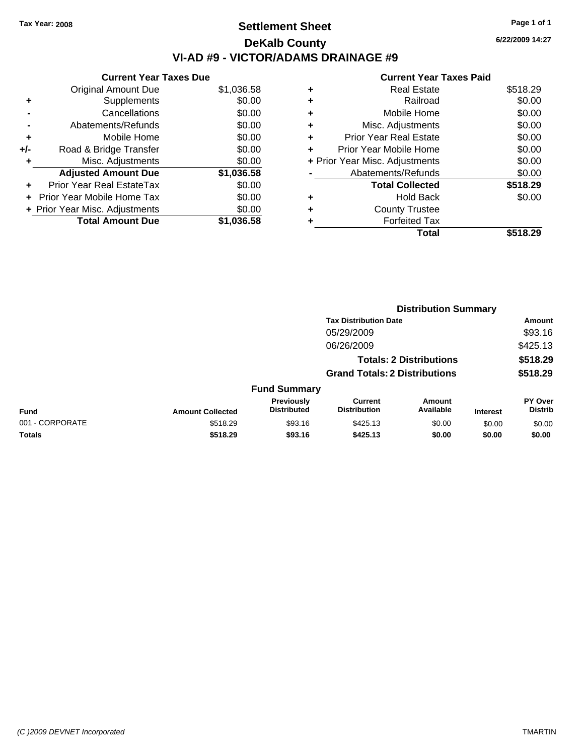# **Settlement Sheet Tax Year: 2008 Page 1 of 1 DeKalb County VI-AD #9 - VICTOR/ADAMS DRAINAGE #9**

**6/22/2009 14:27**

|     | <b>Current Year Taxes Due</b>     |            |  |  |  |  |
|-----|-----------------------------------|------------|--|--|--|--|
|     | Original Amount Due               | \$1,036.58 |  |  |  |  |
| ٠   | Supplements                       | \$0.00     |  |  |  |  |
|     | Cancellations                     | \$0.00     |  |  |  |  |
|     | Abatements/Refunds                | \$0.00     |  |  |  |  |
| ٠   | Mobile Home                       | \$0.00     |  |  |  |  |
| +/- | Road & Bridge Transfer            | \$0.00     |  |  |  |  |
|     | Misc. Adjustments                 | \$0.00     |  |  |  |  |
|     | <b>Adjusted Amount Due</b>        | \$1,036.58 |  |  |  |  |
| ٠   | Prior Year Real EstateTax         | \$0.00     |  |  |  |  |
|     | <b>Prior Year Mobile Home Tax</b> | \$0.00     |  |  |  |  |
|     | + Prior Year Misc. Adjustments    | \$0.00     |  |  |  |  |
|     | <b>Total Amount Due</b>           | \$1.036.58 |  |  |  |  |
|     |                                   |            |  |  |  |  |

|   | Total                          | \$518.29 |
|---|--------------------------------|----------|
| ٠ | <b>Forfeited Tax</b>           |          |
| ٠ | <b>County Trustee</b>          |          |
| ٠ | <b>Hold Back</b>               | \$0.00   |
|   | <b>Total Collected</b>         | \$518.29 |
|   | Abatements/Refunds             | \$0.00   |
|   | + Prior Year Misc. Adjustments | \$0.00   |
| ٠ | Prior Year Mobile Home         | \$0.00   |
| ÷ | <b>Prior Year Real Estate</b>  | \$0.00   |
| ٠ | Misc. Adjustments              | \$0.00   |
| ٠ | Mobile Home                    | \$0.00   |
| ٠ | Railroad                       | \$0.00   |
| ٠ | <b>Real Estate</b>             | \$518.29 |
|   |                                |          |

|                 |                         | <b>Distribution Summary</b>             |                                       |                                |                 |                                  |
|-----------------|-------------------------|-----------------------------------------|---------------------------------------|--------------------------------|-----------------|----------------------------------|
|                 |                         |                                         | <b>Tax Distribution Date</b>          |                                |                 | Amount                           |
|                 |                         |                                         | 05/29/2009                            |                                |                 | \$93.16                          |
|                 |                         |                                         | 06/26/2009                            |                                |                 | \$425.13                         |
|                 |                         |                                         |                                       | <b>Totals: 2 Distributions</b> |                 | \$518.29                         |
|                 |                         |                                         | <b>Grand Totals: 2 Distributions</b>  |                                |                 | \$518.29                         |
|                 |                         | <b>Fund Summary</b>                     |                                       |                                |                 |                                  |
| <b>Fund</b>     | <b>Amount Collected</b> | <b>Previously</b><br><b>Distributed</b> | <b>Current</b><br><b>Distribution</b> | Amount<br>Available            | <b>Interest</b> | <b>PY Over</b><br><b>Distrib</b> |
| 001 - CORPORATE | \$518.29                | \$93.16                                 | \$425.13                              | \$0.00                         | \$0.00          | \$0.00                           |
| Totals          | \$518.29                | \$93.16                                 | \$425.13                              | \$0.00                         | \$0.00          | \$0.00                           |
|                 |                         |                                         |                                       |                                |                 |                                  |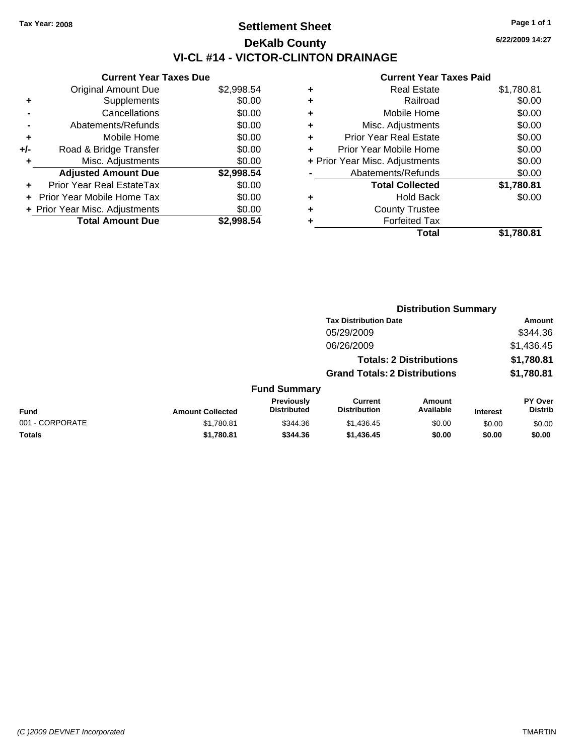# **Settlement Sheet Tax Year: 2008 Page 1 of 1 DeKalb County VI-CL #14 - VICTOR-CLINTON DRAINAGE**

**6/22/2009 14:27**

| <b>Current Year Taxes Due</b>  |            |  |  |  |  |  |
|--------------------------------|------------|--|--|--|--|--|
| <b>Original Amount Due</b>     | \$2,998.54 |  |  |  |  |  |
| Supplements                    | \$0.00     |  |  |  |  |  |
| Cancellations                  | \$0.00     |  |  |  |  |  |
| Abatements/Refunds             | \$0.00     |  |  |  |  |  |
| Mobile Home                    | \$0.00     |  |  |  |  |  |
| Road & Bridge Transfer         | \$0.00     |  |  |  |  |  |
| Misc. Adjustments              | \$0.00     |  |  |  |  |  |
| <b>Adjusted Amount Due</b>     | \$2,998.54 |  |  |  |  |  |
| Prior Year Real EstateTax      | \$0.00     |  |  |  |  |  |
| Prior Year Mobile Home Tax     | \$0.00     |  |  |  |  |  |
| + Prior Year Misc. Adjustments | \$0.00     |  |  |  |  |  |
| <b>Total Amount Due</b>        | \$2.998.54 |  |  |  |  |  |
|                                |            |  |  |  |  |  |

| ٠ | <b>Real Estate</b>             | \$1,780.81 |
|---|--------------------------------|------------|
| ٠ | Railroad                       | \$0.00     |
| ٠ | Mobile Home                    | \$0.00     |
| ٠ | Misc. Adjustments              | \$0.00     |
| ٠ | <b>Prior Year Real Estate</b>  | \$0.00     |
| ٠ | Prior Year Mobile Home         | \$0.00     |
|   | + Prior Year Misc. Adjustments | \$0.00     |
|   | Abatements/Refunds             | \$0.00     |
|   | <b>Total Collected</b>         | \$1,780.81 |
| ٠ | <b>Hold Back</b>               | \$0.00     |
| ٠ | <b>County Trustee</b>          |            |
| ٠ | <b>Forfeited Tax</b>           |            |
|   | Total                          | \$1.780.81 |
|   |                                |            |

|                 | <b>Distribution Summary</b> |                                  |                                       |                                |                 |                                  |
|-----------------|-----------------------------|----------------------------------|---------------------------------------|--------------------------------|-----------------|----------------------------------|
|                 |                             |                                  | <b>Tax Distribution Date</b>          |                                |                 | Amount                           |
|                 |                             |                                  | 05/29/2009                            |                                |                 | \$344.36                         |
|                 |                             |                                  | 06/26/2009                            |                                |                 | \$1,436.45                       |
|                 |                             |                                  |                                       | <b>Totals: 2 Distributions</b> |                 | \$1,780.81                       |
|                 |                             |                                  | <b>Grand Totals: 2 Distributions</b>  |                                |                 | \$1,780.81                       |
|                 |                             | <b>Fund Summary</b>              |                                       |                                |                 |                                  |
| Fund            | <b>Amount Collected</b>     | Previously<br><b>Distributed</b> | <b>Current</b><br><b>Distribution</b> | Amount<br>Available            | <b>Interest</b> | <b>PY Over</b><br><b>Distrib</b> |
| 001 - CORPORATE | \$1,780.81                  | \$344.36                         | \$1,436.45                            | \$0.00                         | \$0.00          | \$0.00                           |
| Totals          | \$1,780.81                  | \$344.36                         | \$1,436.45                            | \$0.00                         | \$0.00          | \$0.00                           |